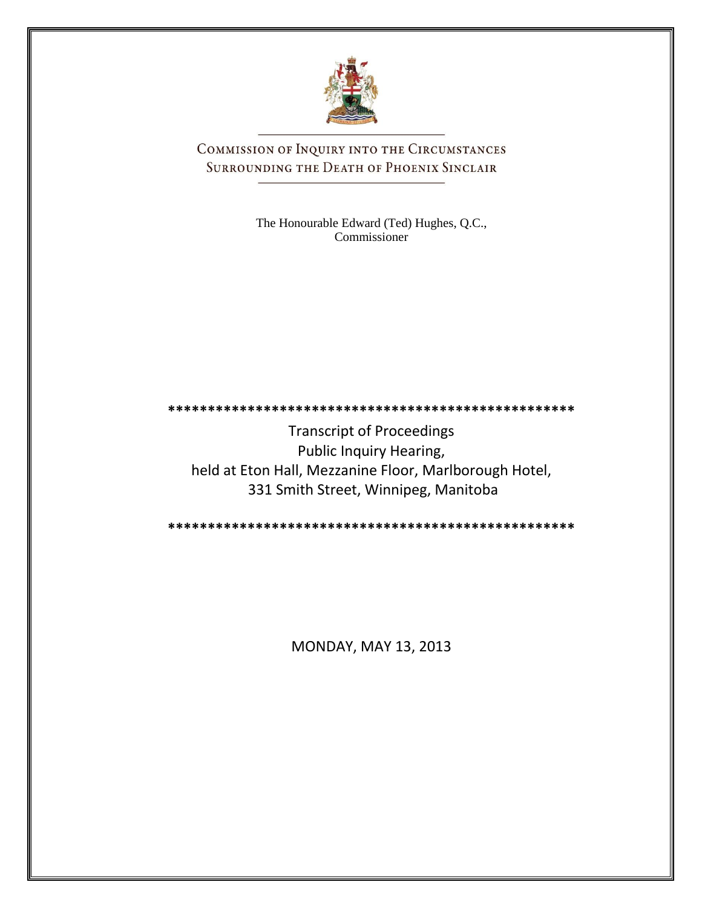

COMMISSION OF INQUIRY INTO THE CIRCUMSTANCES SURROUNDING THE DEATH OF PHOENIX SINCLAIR

> The Honourable Edward (Ted) Hughes, Q.C., Commissioner

**\*\*\*\*\*\*\*\*\*\*\*\*\*\*\*\*\*\*\*\*\*\*\*\*\*\*\*\*\*\*\*\*\*\*\*\*\*\*\*\*\*\*\*\*\*\*\*\*\*\*\*** Transcript of Proceedings Public Inquiry Hearing, held at Eton Hall, Mezzanine Floor, Marlborough Hotel, 331 Smith Street, Winnipeg, Manitoba

**\*\*\*\*\*\*\*\*\*\*\*\*\*\*\*\*\*\*\*\*\*\*\*\*\*\*\*\*\*\*\*\*\*\*\*\*\*\*\*\*\*\*\*\*\*\*\*\*\*\*\***

MONDAY, MAY 13, 2013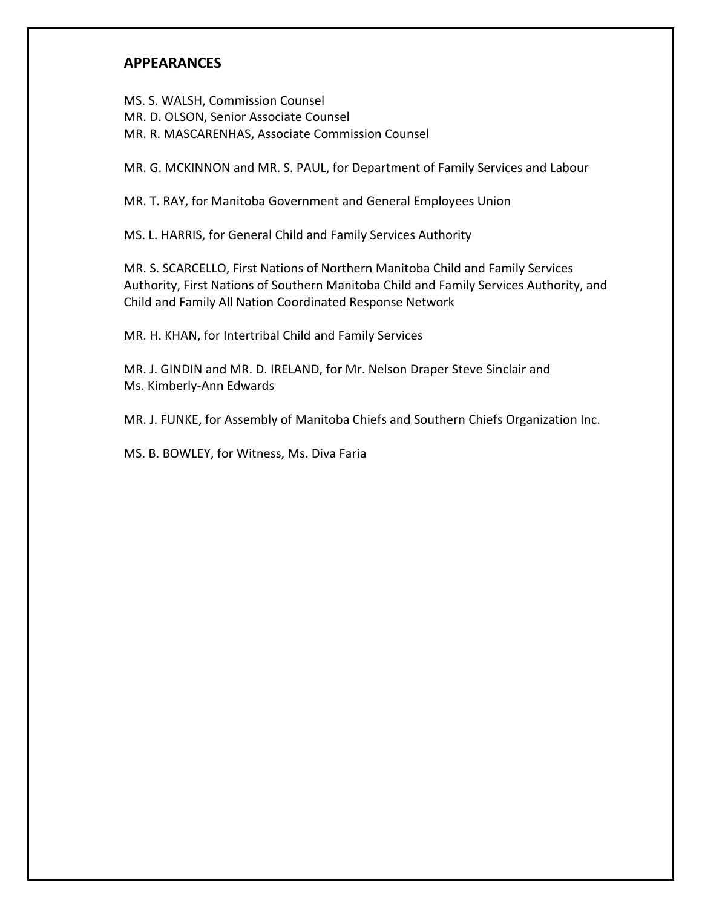# **APPEARANCES**

MS. S. WALSH, Commission Counsel MR. D. OLSON, Senior Associate Counsel MR. R. MASCARENHAS, Associate Commission Counsel

MR. G. MCKINNON and MR. S. PAUL, for Department of Family Services and Labour

MR. T. RAY, for Manitoba Government and General Employees Union

MS. L. HARRIS, for General Child and Family Services Authority

MR. S. SCARCELLO, First Nations of Northern Manitoba Child and Family Services Authority, First Nations of Southern Manitoba Child and Family Services Authority, and Child and Family All Nation Coordinated Response Network

MR. H. KHAN, for Intertribal Child and Family Services

MR. J. GINDIN and MR. D. IRELAND, for Mr. Nelson Draper Steve Sinclair and Ms. Kimberly-Ann Edwards

MR. J. FUNKE, for Assembly of Manitoba Chiefs and Southern Chiefs Organization Inc.

MS. B. BOWLEY, for Witness, Ms. Diva Faria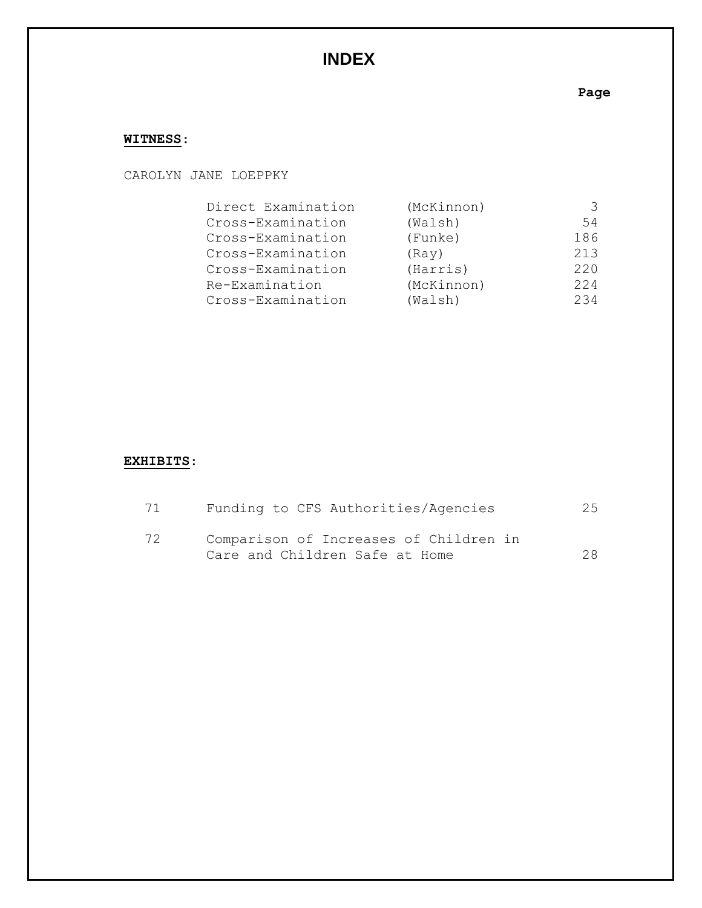# **INDEX**

# **Page**

# **WITNESS**:

### CAROLYN JANE LOEPPKY

| Direct Examination | (McKinnon) | 3   |
|--------------------|------------|-----|
| Cross-Examination  | (Walsh)    | 54  |
| Cross-Examination  | (Funke)    | 186 |
| Cross-Examination  | (Ray)      | 213 |
| Cross-Examination  | (Harris)   | 220 |
| Re-Examination     | (McKinnon) | 224 |
| Cross-Examination  | (Walsh)    | 234 |

# **EXHIBITS**:

| 71 | Funding to CFS Authorities/Agencies                                      | 25 |
|----|--------------------------------------------------------------------------|----|
| 72 | Comparison of Increases of Children in<br>Care and Children Safe at Home | 28 |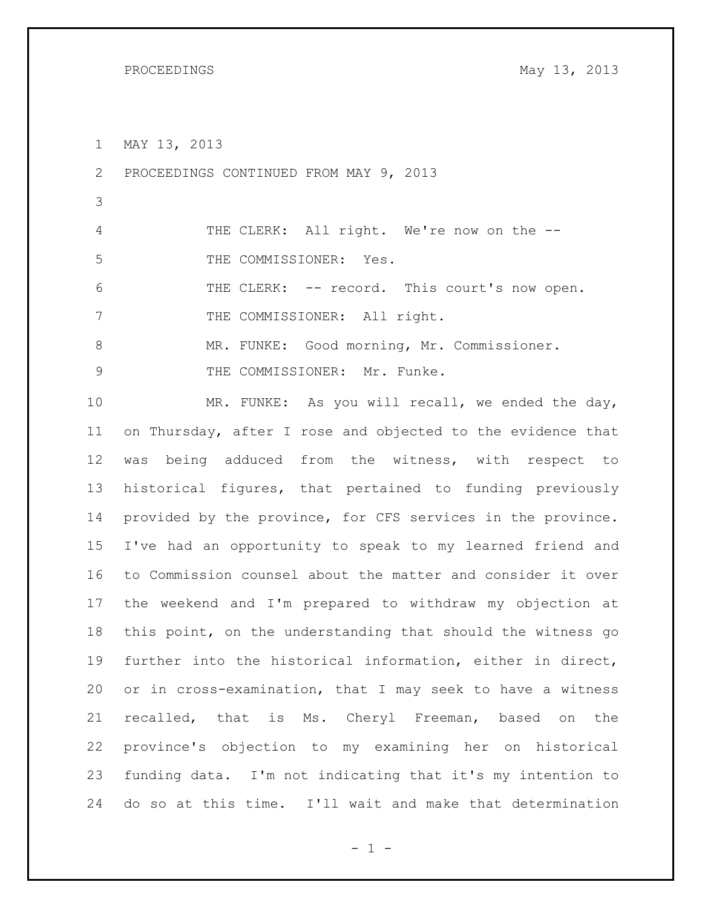PROCEEDINGS May 13, 2013

MAY 13, 2013

PROCEEDINGS CONTINUED FROM MAY 9, 2013

 THE CLERK: All right. We're now on the -- THE COMMISSIONER: Yes.

 THE CLERK: -- record. This court's now open. 7 THE COMMISSIONER: All right.

MR. FUNKE: Good morning, Mr. Commissioner.

9 THE COMMISSIONER: Mr. Funke.

 MR. FUNKE: As you will recall, we ended the day, on Thursday, after I rose and objected to the evidence that was being adduced from the witness, with respect to historical figures, that pertained to funding previously provided by the province, for CFS services in the province. I've had an opportunity to speak to my learned friend and to Commission counsel about the matter and consider it over the weekend and I'm prepared to withdraw my objection at this point, on the understanding that should the witness go further into the historical information, either in direct, or in cross-examination, that I may seek to have a witness recalled, that is Ms. Cheryl Freeman, based on the province's objection to my examining her on historical funding data. I'm not indicating that it's my intention to do so at this time. I'll wait and make that determination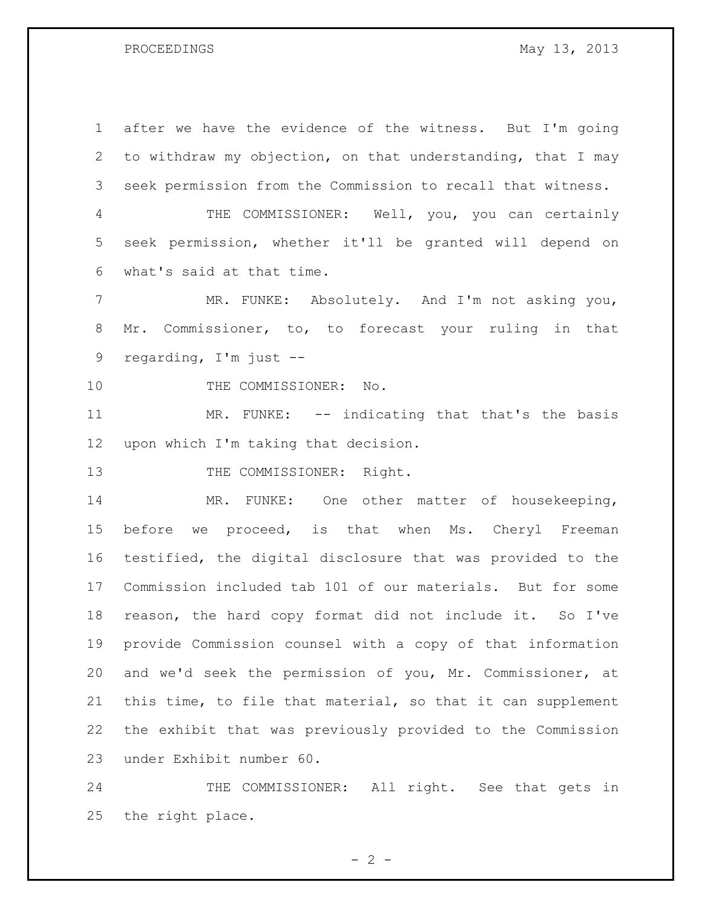PROCEEDINGS May 13, 2013

 after we have the evidence of the witness. But I'm going to withdraw my objection, on that understanding, that I may seek permission from the Commission to recall that witness.

 THE COMMISSIONER: Well, you, you can certainly seek permission, whether it'll be granted will depend on what's said at that time.

 MR. FUNKE: Absolutely. And I'm not asking you, Mr. Commissioner, to, to forecast your ruling in that regarding, I'm just --

10 THE COMMISSIONER: No.

 MR. FUNKE: -- indicating that that's the basis upon which I'm taking that decision.

13 THE COMMISSIONER: Right.

 MR. FUNKE: One other matter of housekeeping, 15 before we proceed, is that when Ms. Cheryl Freeman testified, the digital disclosure that was provided to the Commission included tab 101 of our materials. But for some reason, the hard copy format did not include it. So I've provide Commission counsel with a copy of that information and we'd seek the permission of you, Mr. Commissioner, at this time, to file that material, so that it can supplement the exhibit that was previously provided to the Commission under Exhibit number 60.

 THE COMMISSIONER: All right. See that gets in the right place.

 $- 2 -$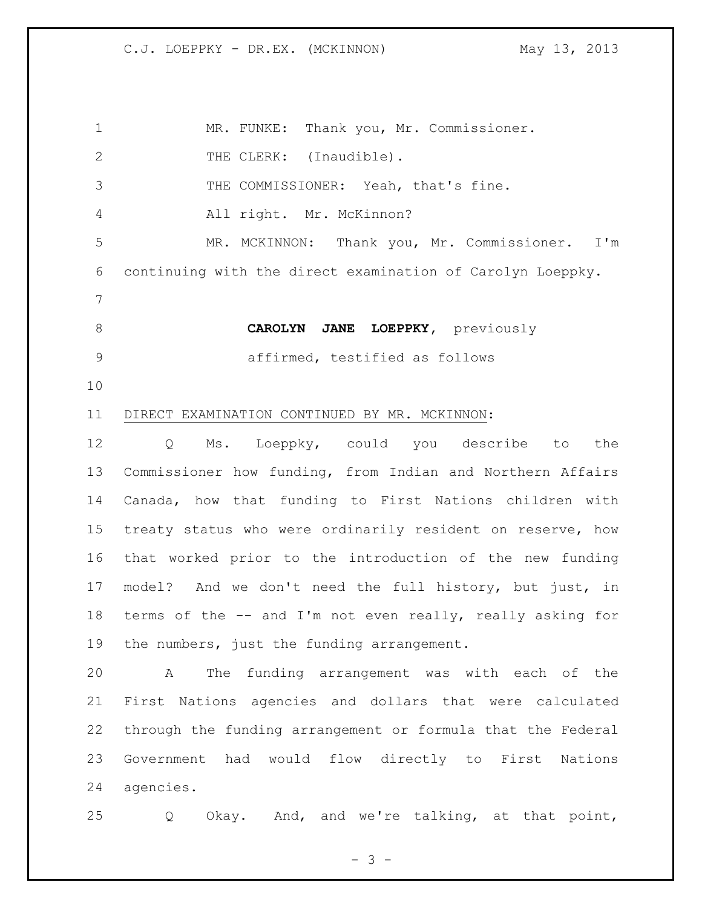| $\mathbf 1$     | MR. FUNKE: Thank you, Mr. Commissioner.                     |
|-----------------|-------------------------------------------------------------|
| $\mathbf{2}$    | THE CLERK: (Inaudible).                                     |
| 3               | THE COMMISSIONER: Yeah, that's fine.                        |
| 4               | All right. Mr. McKinnon?                                    |
| 5               | MR. MCKINNON: Thank you, Mr. Commissioner. I'm              |
| 6               | continuing with the direct examination of Carolyn Loeppky.  |
| $7\phantom{.0}$ |                                                             |
| 8               | CAROLYN JANE LOEPPKY, previously                            |
| 9               | affirmed, testified as follows                              |
| 10              |                                                             |
| 11              | DIRECT EXAMINATION CONTINUED BY MR. MCKINNON:               |
| 12              | Ms. Loeppky, could you describe to the<br>Q                 |
| 13              | Commissioner how funding, from Indian and Northern Affairs  |
| 14              | Canada, how that funding to First Nations children with     |
| 15              | treaty status who were ordinarily resident on reserve, how  |
| 16              | that worked prior to the introduction of the new funding    |
| 17              | model? And we don't need the full history, but just, in     |
| 18              | terms of the -- and I'm not even really, really asking for  |
| 19              | the numbers, just the funding arrangement.                  |
| 20              | The funding arrangement was with each of the<br>A           |
| 21              | First Nations agencies and dollars that were calculated     |
| 22              | through the funding arrangement or formula that the Federal |
| 23              | Government had would flow directly to First Nations         |
| 24              | agencies.                                                   |
| 25              | Okay. And, and we're talking, at that point,<br>Q           |

- 3 -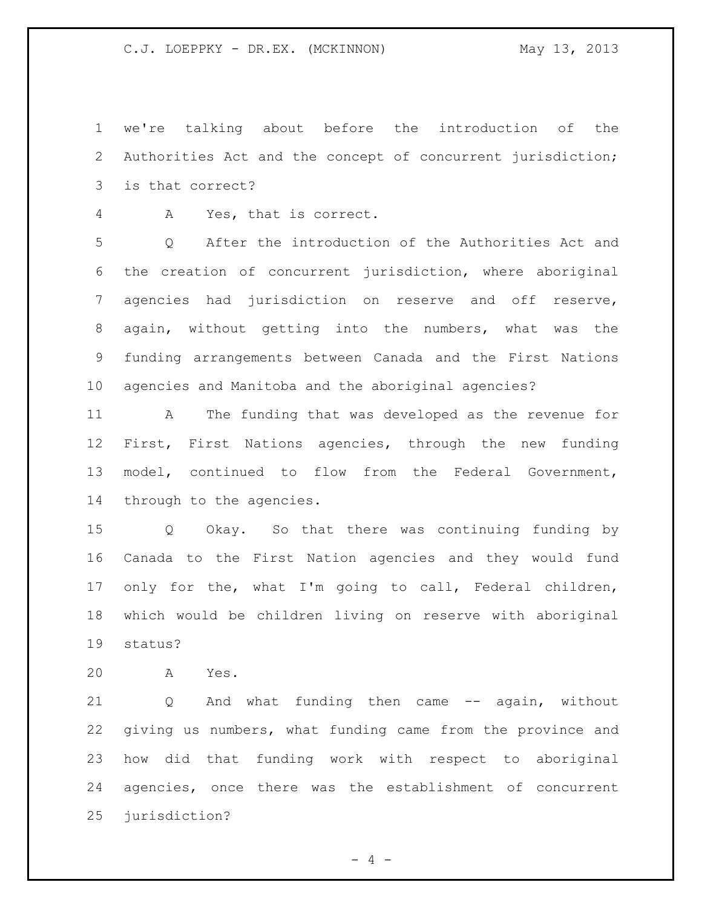we're talking about before the introduction of the Authorities Act and the concept of concurrent jurisdiction; is that correct?

A Yes, that is correct.

 Q After the introduction of the Authorities Act and the creation of concurrent jurisdiction, where aboriginal agencies had jurisdiction on reserve and off reserve, again, without getting into the numbers, what was the funding arrangements between Canada and the First Nations agencies and Manitoba and the aboriginal agencies?

 A The funding that was developed as the revenue for First, First Nations agencies, through the new funding model, continued to flow from the Federal Government, through to the agencies.

 Q Okay. So that there was continuing funding by Canada to the First Nation agencies and they would fund only for the, what I'm going to call, Federal children, which would be children living on reserve with aboriginal status?

A Yes.

21 Q And what funding then came -- again, without giving us numbers, what funding came from the province and how did that funding work with respect to aboriginal agencies, once there was the establishment of concurrent jurisdiction?

 $- 4 -$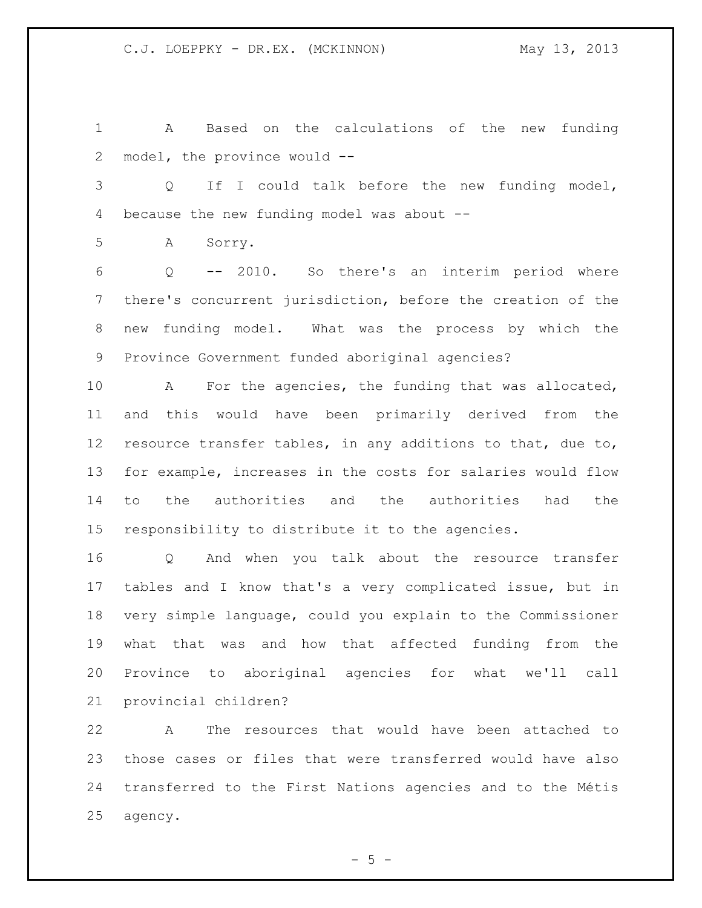A Based on the calculations of the new funding model, the province would --

 Q If I could talk before the new funding model, because the new funding model was about --

A Sorry.

 Q -- 2010. So there's an interim period where there's concurrent jurisdiction, before the creation of the new funding model. What was the process by which the Province Government funded aboriginal agencies?

 A For the agencies, the funding that was allocated, and this would have been primarily derived from the resource transfer tables, in any additions to that, due to, for example, increases in the costs for salaries would flow to the authorities and the authorities had the responsibility to distribute it to the agencies.

 Q And when you talk about the resource transfer tables and I know that's a very complicated issue, but in very simple language, could you explain to the Commissioner what that was and how that affected funding from the Province to aboriginal agencies for what we'll call provincial children?

 A The resources that would have been attached to those cases or files that were transferred would have also transferred to the First Nations agencies and to the Métis agency.

 $-5 -$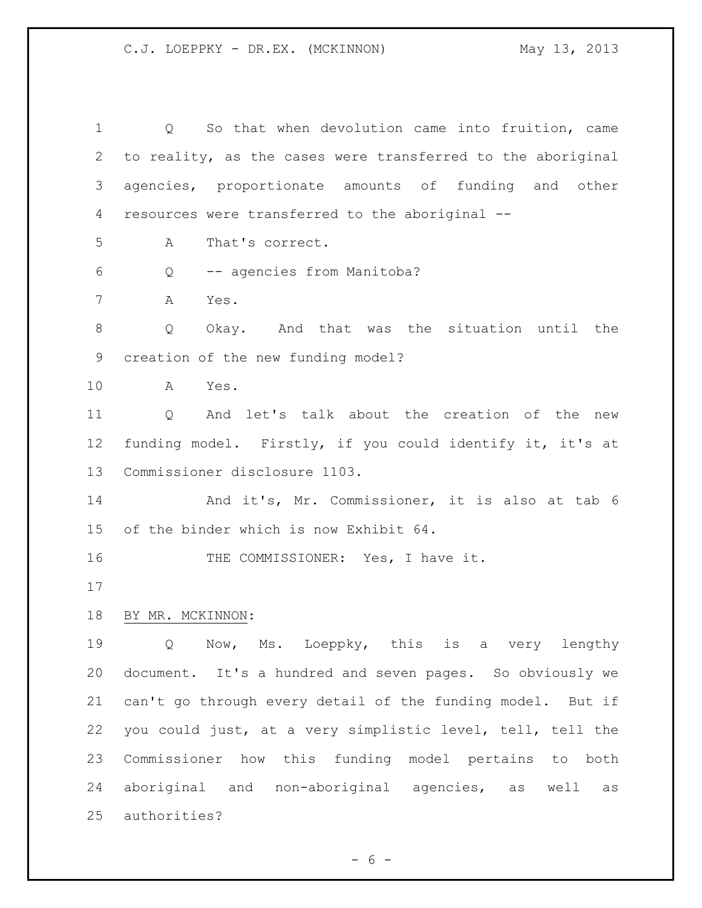Q So that when devolution came into fruition, came to reality, as the cases were transferred to the aboriginal agencies, proportionate amounts of funding and other resources were transferred to the aboriginal -- A That's correct. Q -- agencies from Manitoba? A Yes. Q Okay. And that was the situation until the creation of the new funding model? A Yes. Q And let's talk about the creation of the new funding model. Firstly, if you could identify it, it's at Commissioner disclosure 1103. And it's, Mr. Commissioner, it is also at tab 6 of the binder which is now Exhibit 64. 16 THE COMMISSIONER: Yes, I have it. BY MR. MCKINNON: Q Now, Ms. Loeppky, this is a very lengthy document. It's a hundred and seven pages. So obviously we can't go through every detail of the funding model. But if you could just, at a very simplistic level, tell, tell the Commissioner how this funding model pertains to both aboriginal and non-aboriginal agencies, as well as authorities?

 $- 6 -$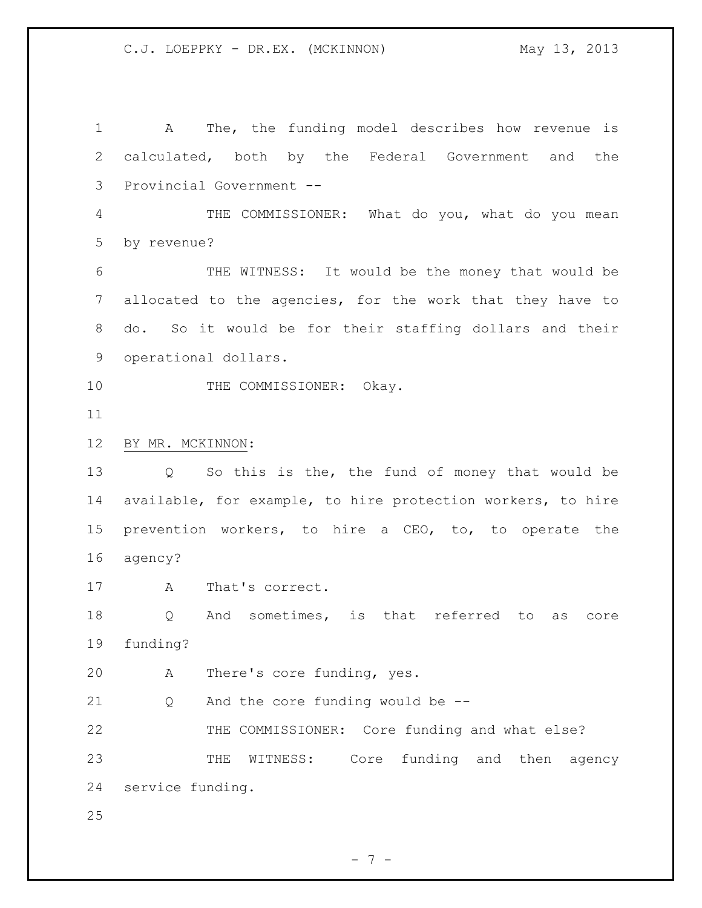A The, the funding model describes how revenue is calculated, both by the Federal Government and the Provincial Government -- THE COMMISSIONER: What do you, what do you mean by revenue? THE WITNESS: It would be the money that would be allocated to the agencies, for the work that they have to do. So it would be for their staffing dollars and their operational dollars. 10 THE COMMISSIONER: Okay. BY MR. MCKINNON: Q So this is the, the fund of money that would be available, for example, to hire protection workers, to hire prevention workers, to hire a CEO, to, to operate the agency? 17 A That's correct. Q And sometimes, is that referred to as core funding? A There's core funding, yes. Q And the core funding would be -- THE COMMISSIONER: Core funding and what else? THE WITNESS: Core funding and then agency service funding. 

- 7 -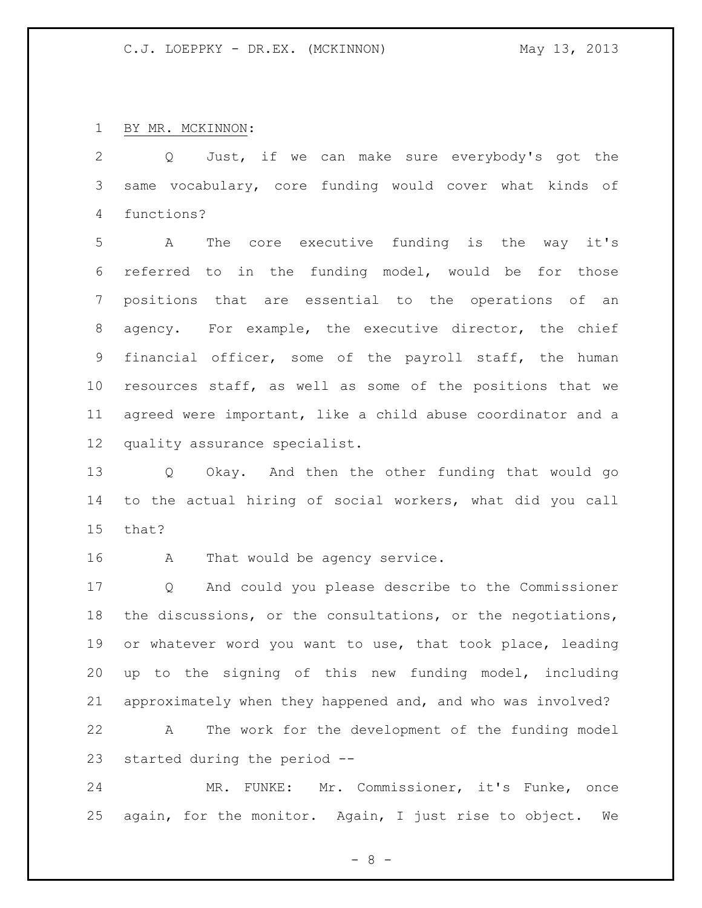BY MR. MCKINNON:

 Q Just, if we can make sure everybody's got the same vocabulary, core funding would cover what kinds of functions?

 A The core executive funding is the way it's referred to in the funding model, would be for those positions that are essential to the operations of an agency. For example, the executive director, the chief financial officer, some of the payroll staff, the human resources staff, as well as some of the positions that we agreed were important, like a child abuse coordinator and a quality assurance specialist.

 Q Okay. And then the other funding that would go to the actual hiring of social workers, what did you call that?

16 A That would be agency service.

 Q And could you please describe to the Commissioner the discussions, or the consultations, or the negotiations, or whatever word you want to use, that took place, leading up to the signing of this new funding model, including approximately when they happened and, and who was involved? A The work for the development of the funding model

started during the period --

 MR. FUNKE: Mr. Commissioner, it's Funke, once again, for the monitor. Again, I just rise to object. We

- 8 -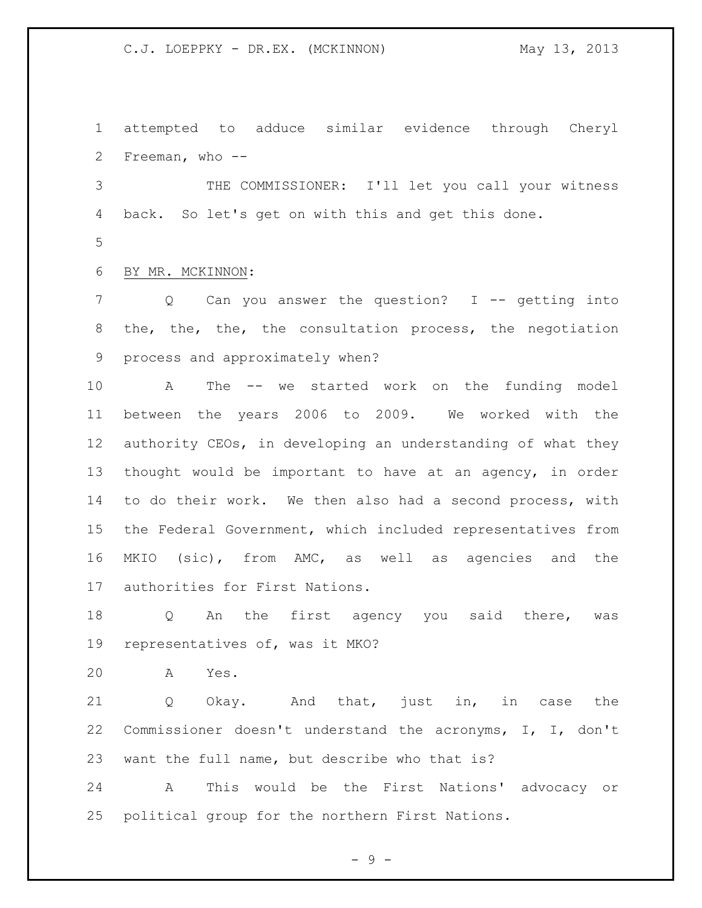attempted to adduce similar evidence through Cheryl Freeman, who -- THE COMMISSIONER: I'll let you call your witness back. So let's get on with this and get this done. BY MR. MCKINNON: 7 Q Can you answer the question? I -- getting into the, the, the, the consultation process, the negotiation process and approximately when? A The -- we started work on the funding model between the years 2006 to 2009. We worked with the authority CEOs, in developing an understanding of what they thought would be important to have at an agency, in order to do their work. We then also had a second process, with the Federal Government, which included representatives from MKIO (sic), from AMC, as well as agencies and the authorities for First Nations.

18 Q An the first agency you said there, was representatives of, was it MKO?

A Yes.

 Q Okay. And that, just in, in case the Commissioner doesn't understand the acronyms, I, I, don't want the full name, but describe who that is?

 A This would be the First Nations' advocacy or political group for the northern First Nations.

 $-9 -$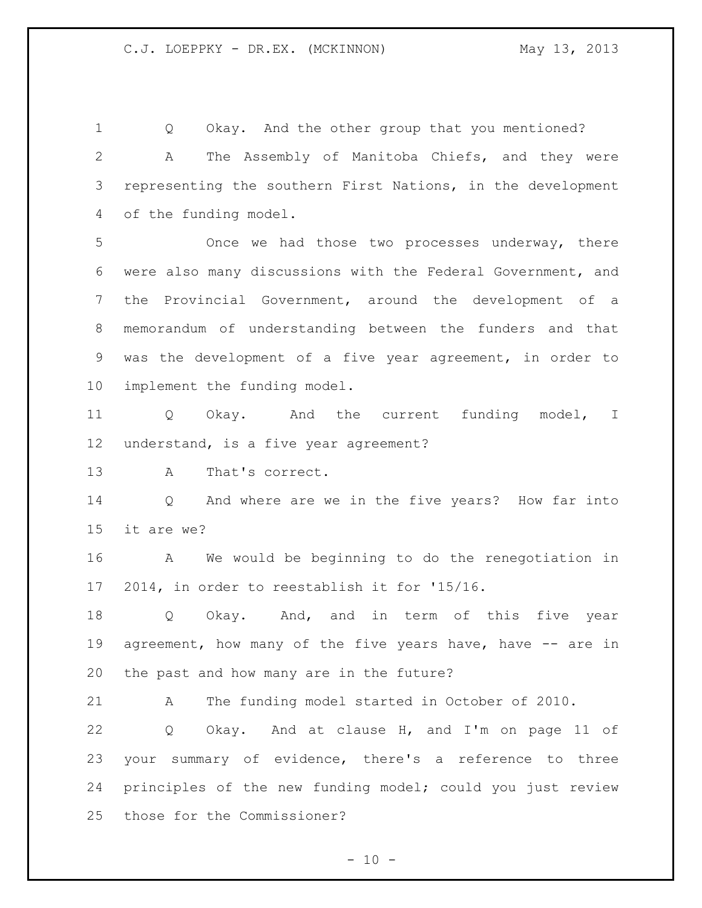Q Okay. And the other group that you mentioned? A The Assembly of Manitoba Chiefs, and they were representing the southern First Nations, in the development of the funding model.

 Once we had those two processes underway, there were also many discussions with the Federal Government, and the Provincial Government, around the development of a memorandum of understanding between the funders and that was the development of a five year agreement, in order to implement the funding model.

 Q Okay. And the current funding model, I understand, is a five year agreement?

A That's correct.

 Q And where are we in the five years? How far into it are we?

 A We would be beginning to do the renegotiation in 2014, in order to reestablish it for '15/16.

 Q Okay. And, and in term of this five year 19 agreement, how many of the five years have, have -- are in the past and how many are in the future?

A The funding model started in October of 2010.

 Q Okay. And at clause H, and I'm on page 11 of your summary of evidence, there's a reference to three principles of the new funding model; could you just review those for the Commissioner?

 $- 10 -$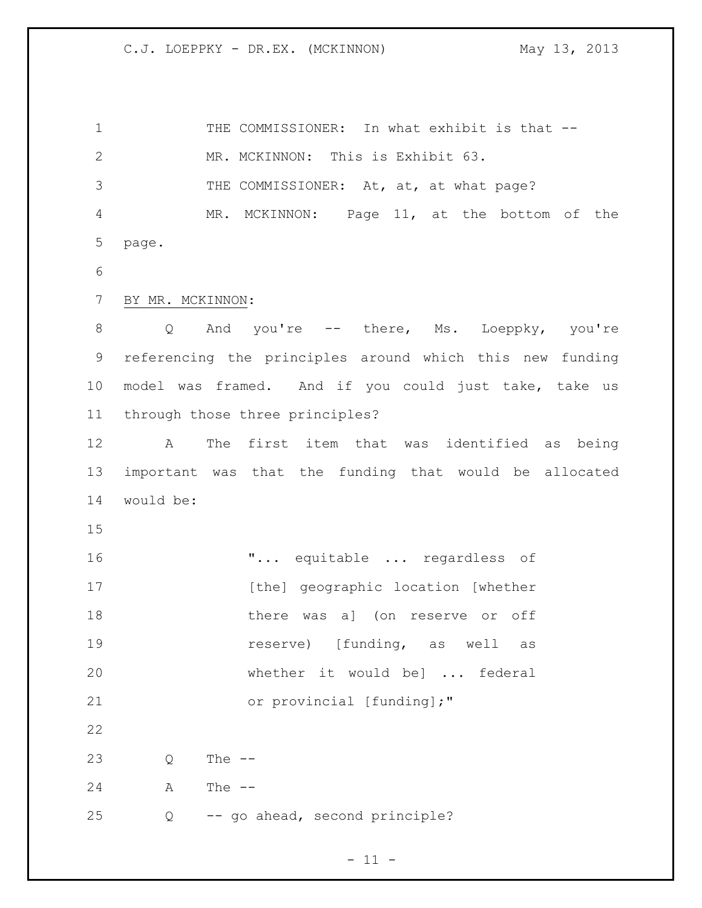1 THE COMMISSIONER: In what exhibit is that -- MR. MCKINNON: This is Exhibit 63. 3 THE COMMISSIONER: At, at, at what page? MR. MCKINNON: Page 11, at the bottom of the page. BY MR. MCKINNON: Q And you're -- there, Ms. Loeppky, you're referencing the principles around which this new funding model was framed. And if you could just take, take us through those three principles? A The first item that was identified as being important was that the funding that would be allocated would be: "... equitable ... regardless of 17 [the] geographic location [whether 18 there was a] (on reserve or off **reserve**) [funding, as well as whether it would be] ... federal 21 or provincial [funding];" Q The -- A The -- Q -- go ahead, second principle?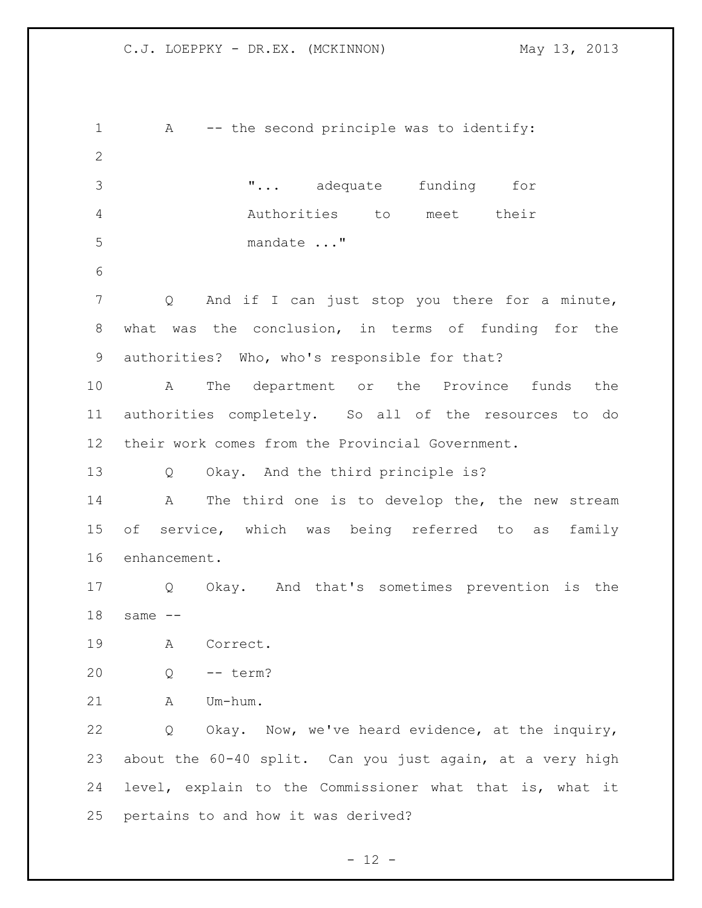1 A -- the second principle was to identify: "... adequate funding for Authorities to meet their mandate ..." Q And if I can just stop you there for a minute, what was the conclusion, in terms of funding for the authorities? Who, who's responsible for that? A The department or the Province funds the authorities completely. So all of the resources to do their work comes from the Provincial Government. Q Okay. And the third principle is? A The third one is to develop the, the new stream of service, which was being referred to as family enhancement. Q Okay. And that's sometimes prevention is the same -- A Correct. Q -- term? A Um-hum. Q Okay. Now, we've heard evidence, at the inquiry, about the 60-40 split. Can you just again, at a very high level, explain to the Commissioner what that is, what it pertains to and how it was derived?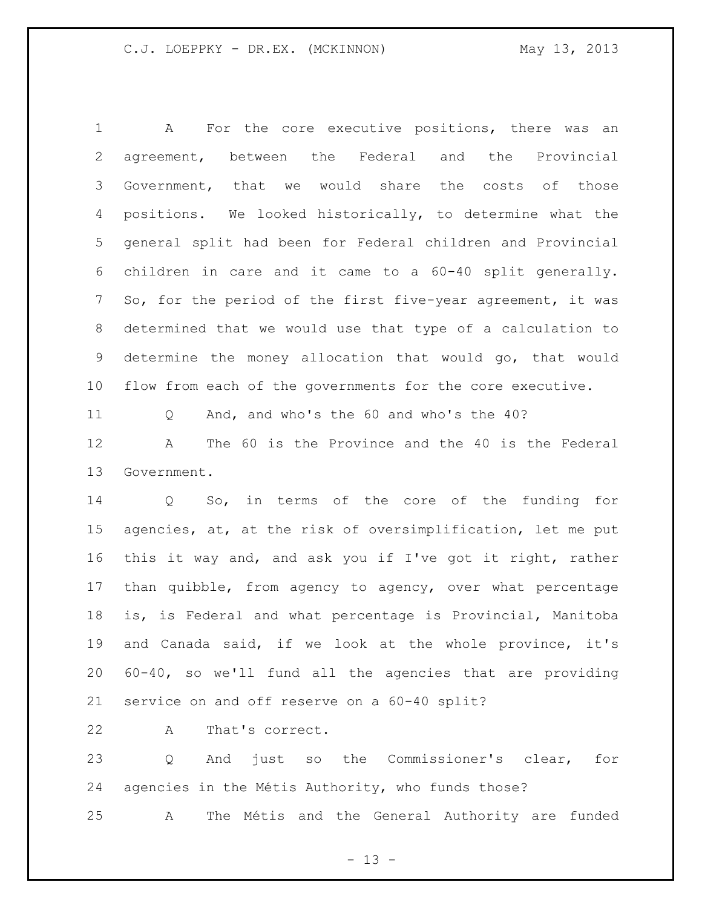A For the core executive positions, there was an agreement, between the Federal and the Provincial Government, that we would share the costs of those positions. We looked historically, to determine what the general split had been for Federal children and Provincial children in care and it came to a 60-40 split generally. So, for the period of the first five-year agreement, it was determined that we would use that type of a calculation to determine the money allocation that would go, that would flow from each of the governments for the core executive.

Q And, and who's the 60 and who's the 40?

 A The 60 is the Province and the 40 is the Federal Government.

 Q So, in terms of the core of the funding for agencies, at, at the risk of oversimplification, let me put this it way and, and ask you if I've got it right, rather than quibble, from agency to agency, over what percentage is, is Federal and what percentage is Provincial, Manitoba and Canada said, if we look at the whole province, it's 60-40, so we'll fund all the agencies that are providing service on and off reserve on a 60-40 split?

A That's correct.

 Q And just so the Commissioner's clear, for agencies in the Métis Authority, who funds those?

A The Métis and the General Authority are funded

 $- 13 -$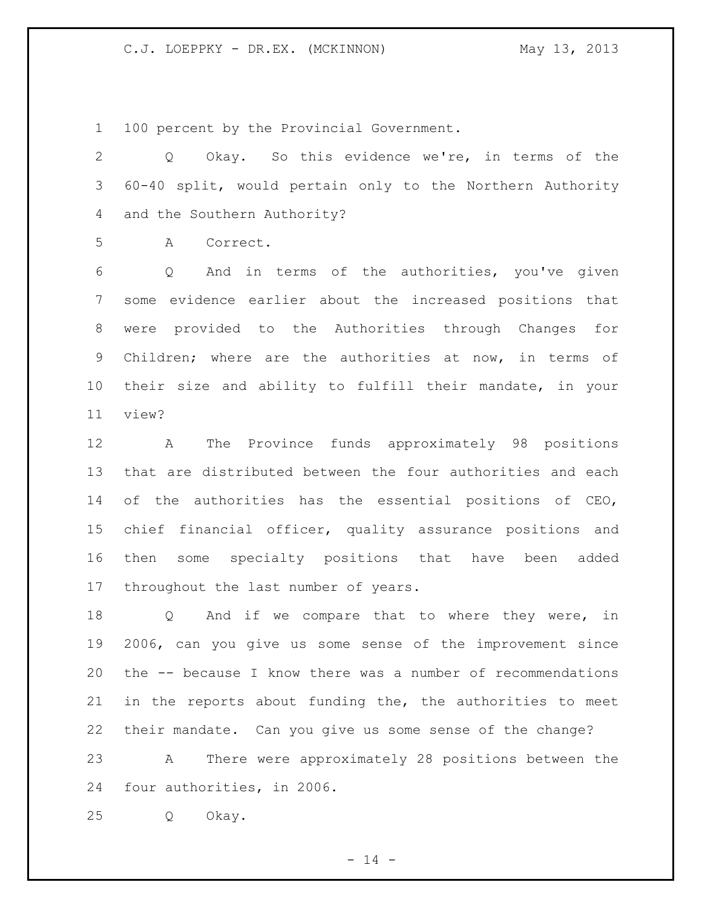100 percent by the Provincial Government.

 Q Okay. So this evidence we're, in terms of the 60-40 split, would pertain only to the Northern Authority and the Southern Authority?

A Correct.

 Q And in terms of the authorities, you've given some evidence earlier about the increased positions that were provided to the Authorities through Changes for Children; where are the authorities at now, in terms of their size and ability to fulfill their mandate, in your view?

 A The Province funds approximately 98 positions that are distributed between the four authorities and each of the authorities has the essential positions of CEO, chief financial officer, quality assurance positions and then some specialty positions that have been added throughout the last number of years.

18 Q And if we compare that to where they were, in 2006, can you give us some sense of the improvement since the -- because I know there was a number of recommendations in the reports about funding the, the authorities to meet their mandate. Can you give us some sense of the change? A There were approximately 28 positions between the four authorities, in 2006.

Q Okay.

 $- 14 -$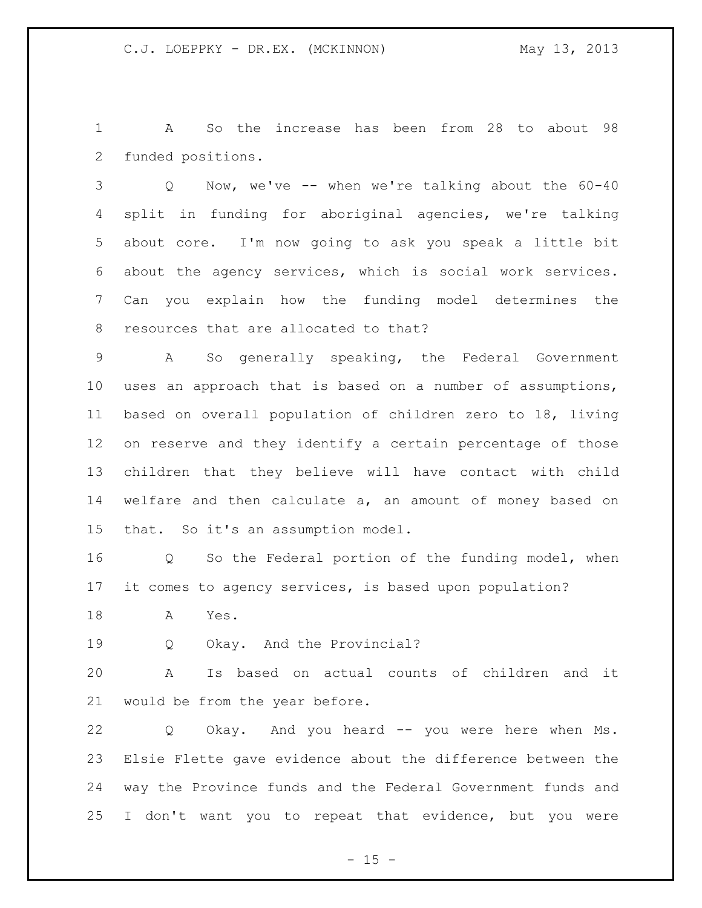A So the increase has been from 28 to about 98 funded positions.

 Q Now, we've -- when we're talking about the 60-40 split in funding for aboriginal agencies, we're talking about core. I'm now going to ask you speak a little bit about the agency services, which is social work services. Can you explain how the funding model determines the resources that are allocated to that?

 A So generally speaking, the Federal Government uses an approach that is based on a number of assumptions, based on overall population of children zero to 18, living on reserve and they identify a certain percentage of those children that they believe will have contact with child welfare and then calculate a, an amount of money based on that. So it's an assumption model.

 Q So the Federal portion of the funding model, when it comes to agency services, is based upon population?

A Yes.

19 Q Okay. And the Provincial?

 A Is based on actual counts of children and it would be from the year before.

 Q Okay. And you heard -- you were here when Ms. Elsie Flette gave evidence about the difference between the way the Province funds and the Federal Government funds and I don't want you to repeat that evidence, but you were

 $- 15 -$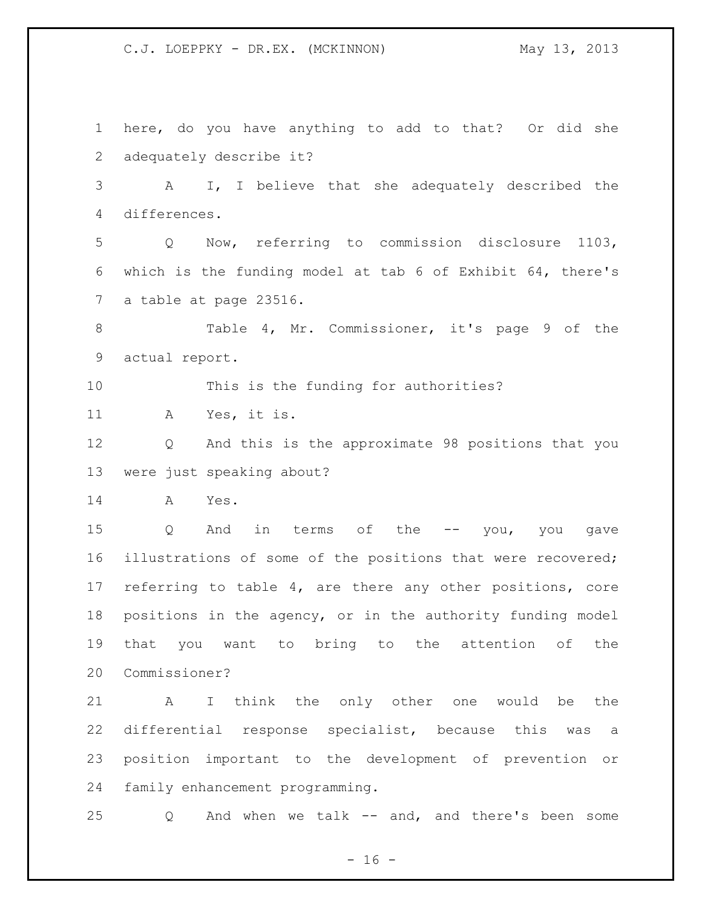here, do you have anything to add to that? Or did she adequately describe it? A I, I believe that she adequately described the differences. Q Now, referring to commission disclosure 1103, which is the funding model at tab 6 of Exhibit 64, there's a table at page 23516. Table 4, Mr. Commissioner, it's page 9 of the actual report. This is the funding for authorities? A Yes, it is. Q And this is the approximate 98 positions that you were just speaking about? A Yes. Q And in terms of the -- you, you gave illustrations of some of the positions that were recovered; referring to table 4, are there any other positions, core positions in the agency, or in the authority funding model that you want to bring to the attention of the Commissioner? A I think the only other one would be the differential response specialist, because this was a position important to the development of prevention or family enhancement programming. Q And when we talk -- and, and there's been some

 $- 16 -$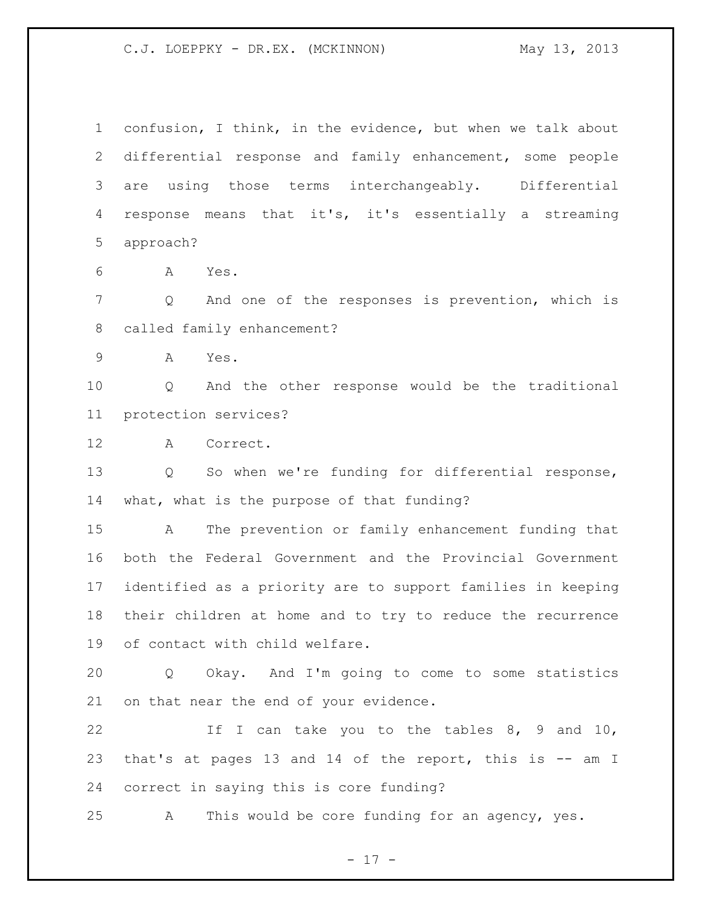confusion, I think, in the evidence, but when we talk about differential response and family enhancement, some people are using those terms interchangeably. Differential response means that it's, it's essentially a streaming approach?

A Yes.

 Q And one of the responses is prevention, which is called family enhancement?

A Yes.

 Q And the other response would be the traditional protection services?

A Correct.

 Q So when we're funding for differential response, what, what is the purpose of that funding?

 A The prevention or family enhancement funding that both the Federal Government and the Provincial Government identified as a priority are to support families in keeping their children at home and to try to reduce the recurrence of contact with child welfare.

 Q Okay. And I'm going to come to some statistics on that near the end of your evidence.

 If I can take you to the tables 8, 9 and 10, that's at pages 13 and 14 of the report, this is -- am I correct in saying this is core funding?

A This would be core funding for an agency, yes.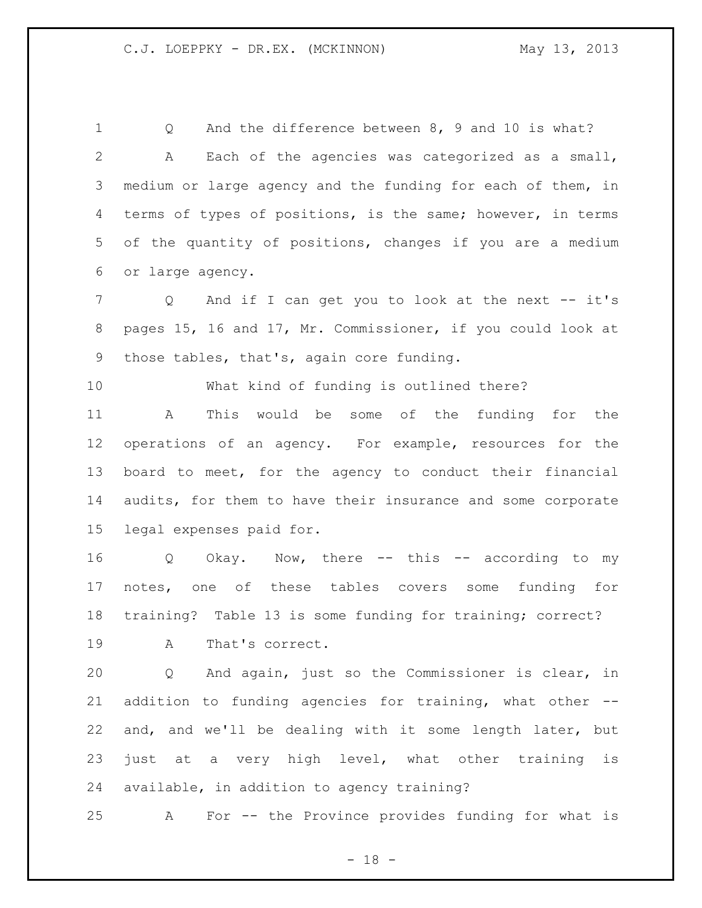Q And the difference between 8, 9 and 10 is what? A Each of the agencies was categorized as a small, medium or large agency and the funding for each of them, in terms of types of positions, is the same; however, in terms of the quantity of positions, changes if you are a medium or large agency.

7 Q And if I can get you to look at the next -- it's pages 15, 16 and 17, Mr. Commissioner, if you could look at those tables, that's, again core funding.

What kind of funding is outlined there?

 A This would be some of the funding for the operations of an agency. For example, resources for the board to meet, for the agency to conduct their financial audits, for them to have their insurance and some corporate legal expenses paid for.

 Q Okay. Now, there -- this -- according to my notes, one of these tables covers some funding for training? Table 13 is some funding for training; correct? A That's correct.

 Q And again, just so the Commissioner is clear, in addition to funding agencies for training, what other -- and, and we'll be dealing with it some length later, but just at a very high level, what other training is available, in addition to agency training?

A For -- the Province provides funding for what is

- 18 -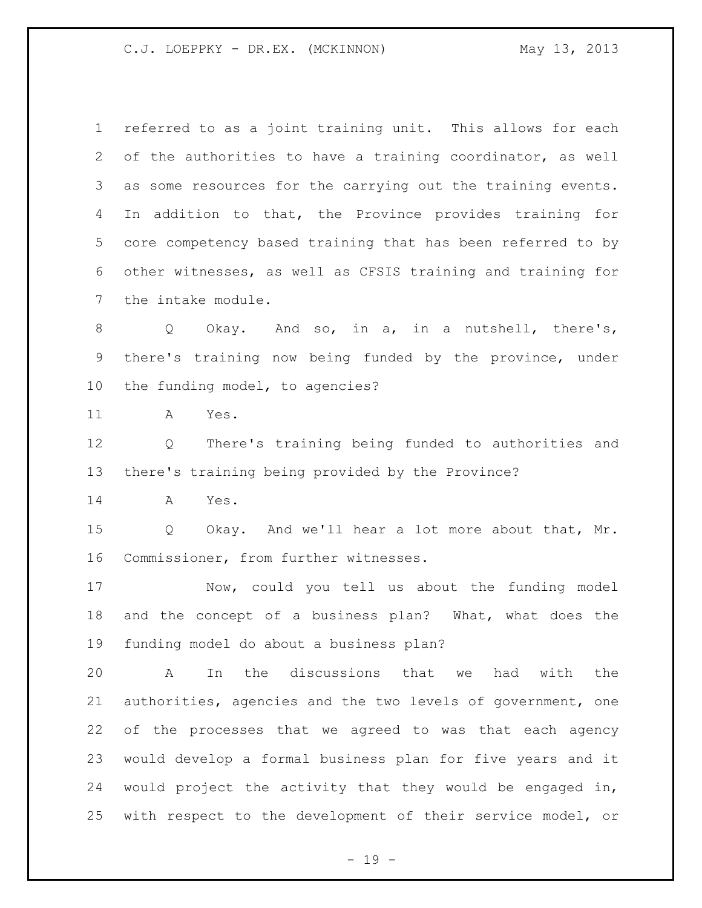referred to as a joint training unit. This allows for each of the authorities to have a training coordinator, as well as some resources for the carrying out the training events. In addition to that, the Province provides training for core competency based training that has been referred to by other witnesses, as well as CFSIS training and training for the intake module.

 Q Okay. And so, in a, in a nutshell, there's, there's training now being funded by the province, under the funding model, to agencies?

A Yes.

 Q There's training being funded to authorities and there's training being provided by the Province?

A Yes.

 Q Okay. And we'll hear a lot more about that, Mr. Commissioner, from further witnesses.

 Now, could you tell us about the funding model and the concept of a business plan? What, what does the funding model do about a business plan?

 A In the discussions that we had with the authorities, agencies and the two levels of government, one of the processes that we agreed to was that each agency would develop a formal business plan for five years and it would project the activity that they would be engaged in, with respect to the development of their service model, or

- 19 -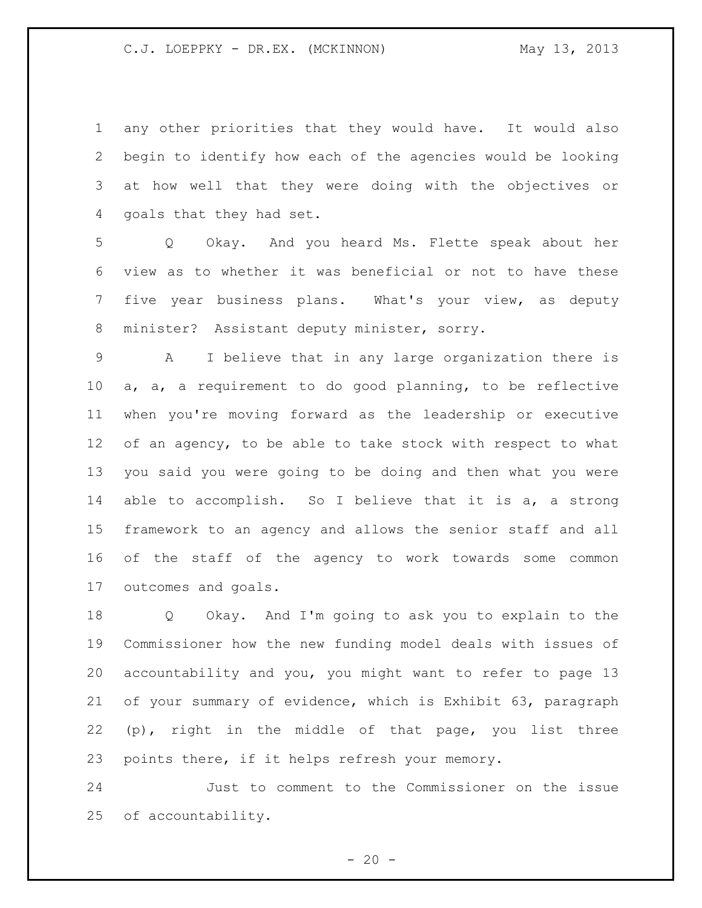any other priorities that they would have. It would also begin to identify how each of the agencies would be looking at how well that they were doing with the objectives or goals that they had set.

 Q Okay. And you heard Ms. Flette speak about her view as to whether it was beneficial or not to have these five year business plans. What's your view, as deputy minister? Assistant deputy minister, sorry.

 A I believe that in any large organization there is a, a, a requirement to do good planning, to be reflective when you're moving forward as the leadership or executive 12 of an agency, to be able to take stock with respect to what you said you were going to be doing and then what you were able to accomplish. So I believe that it is a, a strong framework to an agency and allows the senior staff and all of the staff of the agency to work towards some common outcomes and goals.

 Q Okay. And I'm going to ask you to explain to the Commissioner how the new funding model deals with issues of accountability and you, you might want to refer to page 13 of your summary of evidence, which is Exhibit 63, paragraph (p), right in the middle of that page, you list three points there, if it helps refresh your memory.

 Just to comment to the Commissioner on the issue of accountability.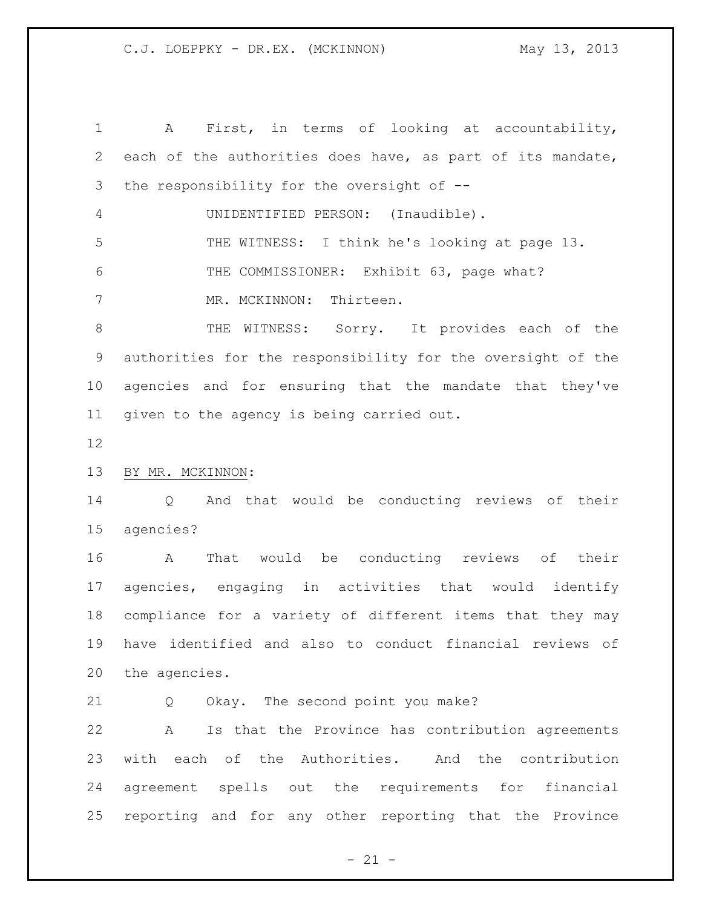A First, in terms of looking at accountability, each of the authorities does have, as part of its mandate, the responsibility for the oversight of -- UNIDENTIFIED PERSON: (Inaudible). THE WITNESS: I think he's looking at page 13. 6 THE COMMISSIONER: Exhibit 63, page what? 7 MR. MCKINNON: Thirteen. 8 THE WITNESS: Sorry. It provides each of the authorities for the responsibility for the oversight of the agencies and for ensuring that the mandate that they've given to the agency is being carried out. BY MR. MCKINNON: Q And that would be conducting reviews of their agencies? A That would be conducting reviews of their agencies, engaging in activities that would identify compliance for a variety of different items that they may have identified and also to conduct financial reviews of the agencies. 21 Q Okay. The second point you make? A Is that the Province has contribution agreements with each of the Authorities. And the contribution agreement spells out the requirements for financial reporting and for any other reporting that the Province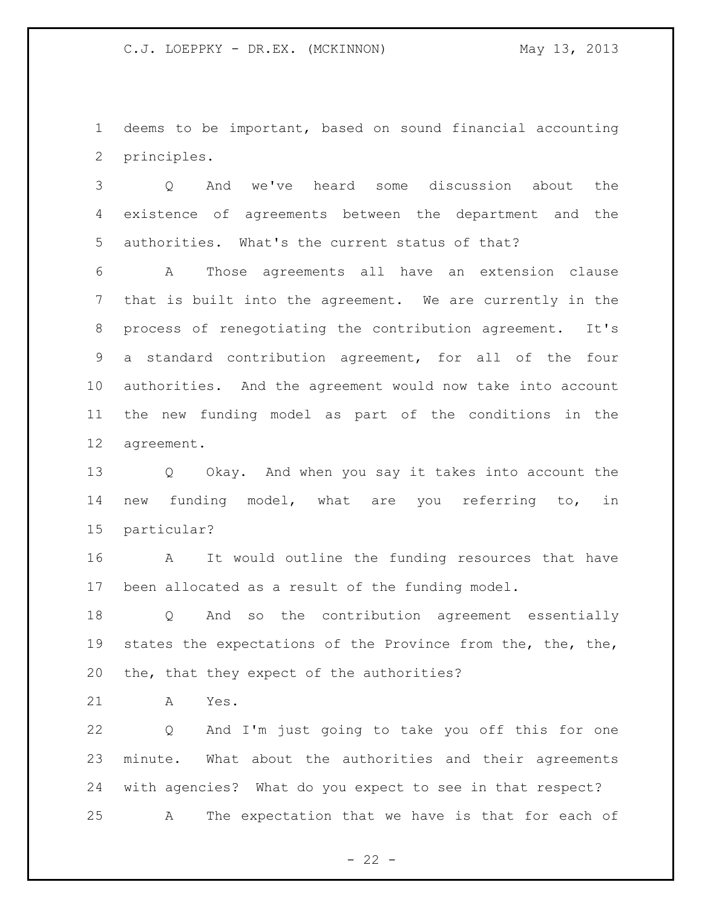deems to be important, based on sound financial accounting principles.

 Q And we've heard some discussion about the existence of agreements between the department and the authorities. What's the current status of that?

 A Those agreements all have an extension clause that is built into the agreement. We are currently in the process of renegotiating the contribution agreement. It's a standard contribution agreement, for all of the four authorities. And the agreement would now take into account the new funding model as part of the conditions in the agreement.

 Q Okay. And when you say it takes into account the new funding model, what are you referring to, in particular?

 A It would outline the funding resources that have been allocated as a result of the funding model.

 Q And so the contribution agreement essentially states the expectations of the Province from the, the, the, the, that they expect of the authorities?

A Yes.

 Q And I'm just going to take you off this for one minute. What about the authorities and their agreements with agencies? What do you expect to see in that respect? A The expectation that we have is that for each of

 $- 22 -$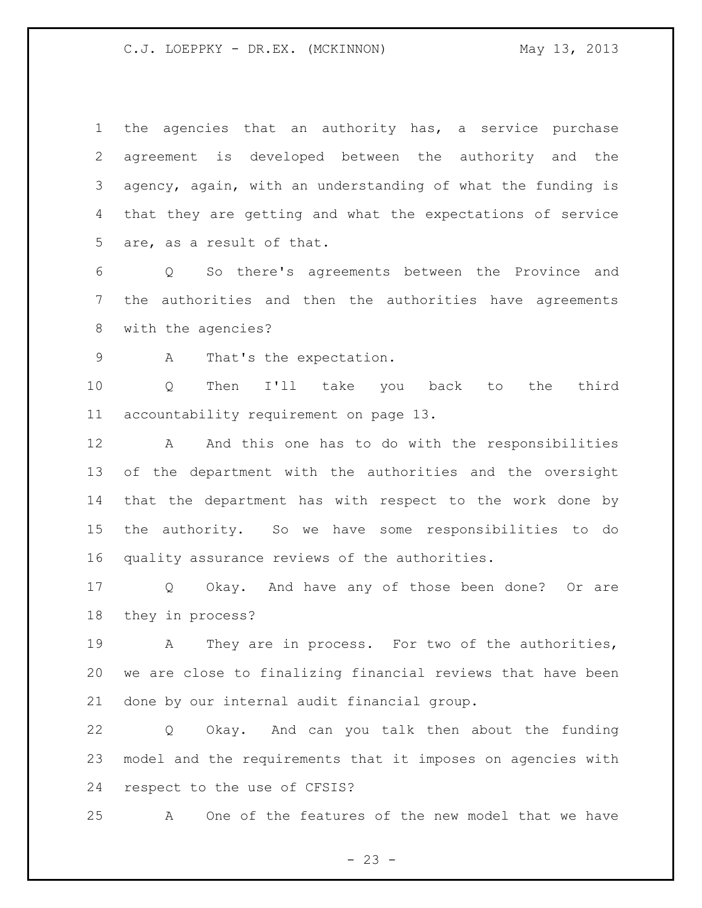the agencies that an authority has, a service purchase agreement is developed between the authority and the agency, again, with an understanding of what the funding is that they are getting and what the expectations of service are, as a result of that.

 Q So there's agreements between the Province and the authorities and then the authorities have agreements with the agencies?

9 A That's the expectation.

 Q Then I'll take you back to the third accountability requirement on page 13.

12 A And this one has to do with the responsibilities of the department with the authorities and the oversight that the department has with respect to the work done by the authority. So we have some responsibilities to do quality assurance reviews of the authorities.

 Q Okay. And have any of those been done? Or are they in process?

 A They are in process. For two of the authorities, we are close to finalizing financial reviews that have been done by our internal audit financial group.

 Q Okay. And can you talk then about the funding model and the requirements that it imposes on agencies with respect to the use of CFSIS?

A One of the features of the new model that we have

 $- 23 -$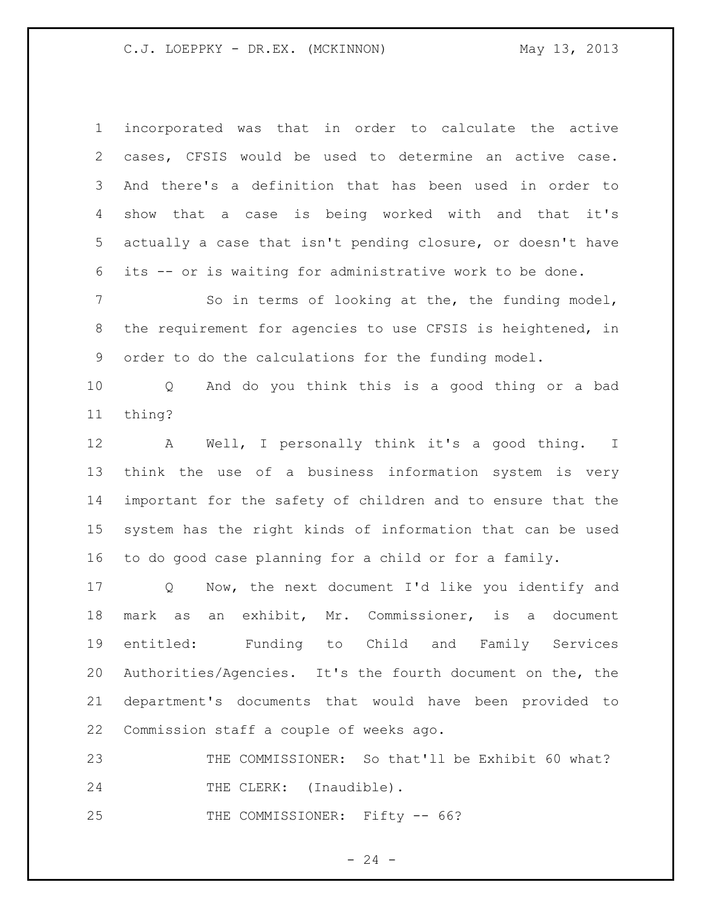incorporated was that in order to calculate the active cases, CFSIS would be used to determine an active case. And there's a definition that has been used in order to show that a case is being worked with and that it's actually a case that isn't pending closure, or doesn't have its -- or is waiting for administrative work to be done.

7 So in terms of looking at the, the funding model, the requirement for agencies to use CFSIS is heightened, in order to do the calculations for the funding model.

 Q And do you think this is a good thing or a bad thing?

 A Well, I personally think it's a good thing. I think the use of a business information system is very important for the safety of children and to ensure that the system has the right kinds of information that can be used to do good case planning for a child or for a family.

 Q Now, the next document I'd like you identify and mark as an exhibit, Mr. Commissioner, is a document entitled: Funding to Child and Family Services Authorities/Agencies. It's the fourth document on the, the department's documents that would have been provided to Commission staff a couple of weeks ago.

 THE COMMISSIONER: So that'll be Exhibit 60 what? 24 THE CLERK: (Inaudible).

25 THE COMMISSIONER: Fifty -- 66?

 $- 24 -$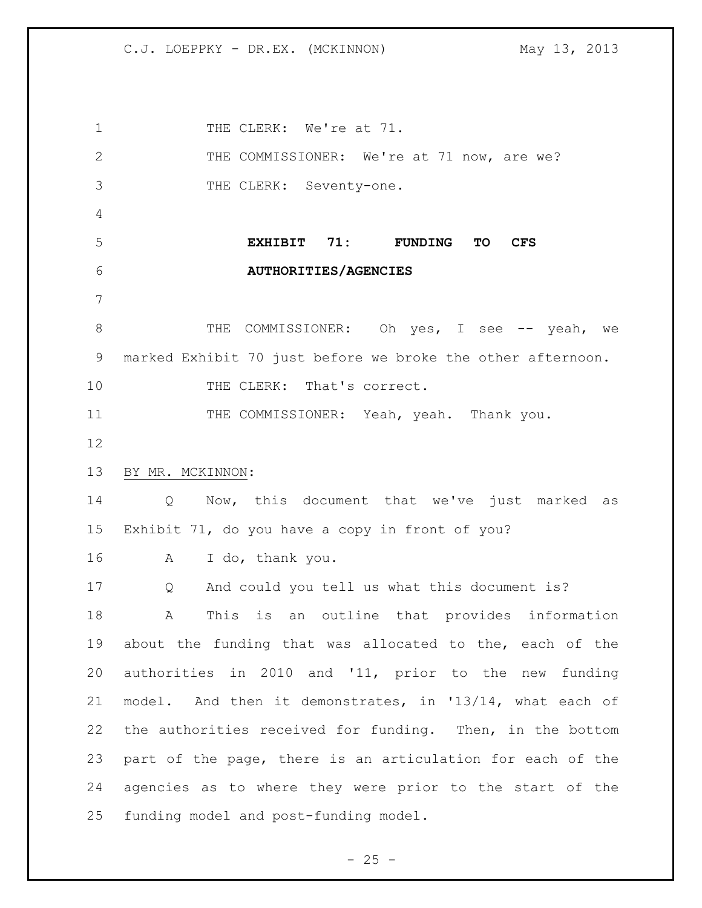1 THE CLERK: We're at 71. 2 THE COMMISSIONER: We're at 71 now, are we? THE CLERK: Seventy-one. **EXHIBIT 71: FUNDING TO CFS AUTHORITIES/AGENCIES** 8 THE COMMISSIONER: Oh yes, I see -- yeah, we marked Exhibit 70 just before we broke the other afternoon. 10 THE CLERK: That's correct. 11 THE COMMISSIONER: Yeah, yeah. Thank you. BY MR. MCKINNON: Q Now, this document that we've just marked as Exhibit 71, do you have a copy in front of you? A I do, thank you. Q And could you tell us what this document is? A This is an outline that provides information about the funding that was allocated to the, each of the authorities in 2010 and '11, prior to the new funding model. And then it demonstrates, in '13/14, what each of the authorities received for funding. Then, in the bottom part of the page, there is an articulation for each of the agencies as to where they were prior to the start of the funding model and post-funding model.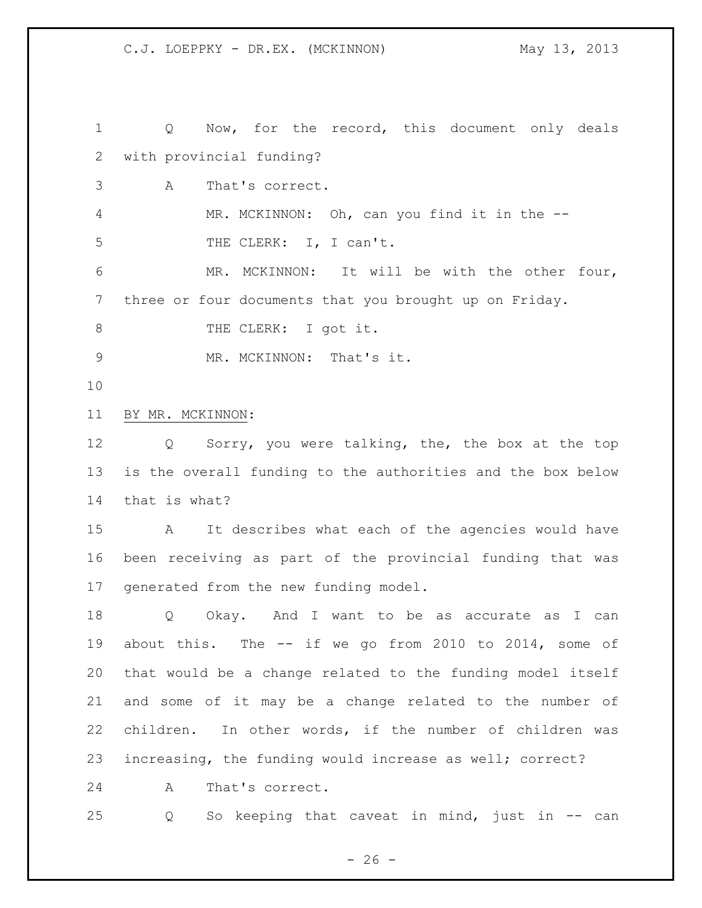Q Now, for the record, this document only deals with provincial funding? A That's correct. 4 MR. MCKINNON: Oh, can you find it in the --5 THE CLERK: I, I can't. MR. MCKINNON: It will be with the other four, three or four documents that you brought up on Friday. 8 THE CLERK: I got it. 9 MR. MCKINNON: That's it. BY MR. MCKINNON: Q Sorry, you were talking, the, the box at the top is the overall funding to the authorities and the box below that is what? A It describes what each of the agencies would have been receiving as part of the provincial funding that was generated from the new funding model. Q Okay. And I want to be as accurate as I can about this. The -- if we go from 2010 to 2014, some of that would be a change related to the funding model itself and some of it may be a change related to the number of children. In other words, if the number of children was increasing, the funding would increase as well; correct? A That's correct. Q So keeping that caveat in mind, just in -- can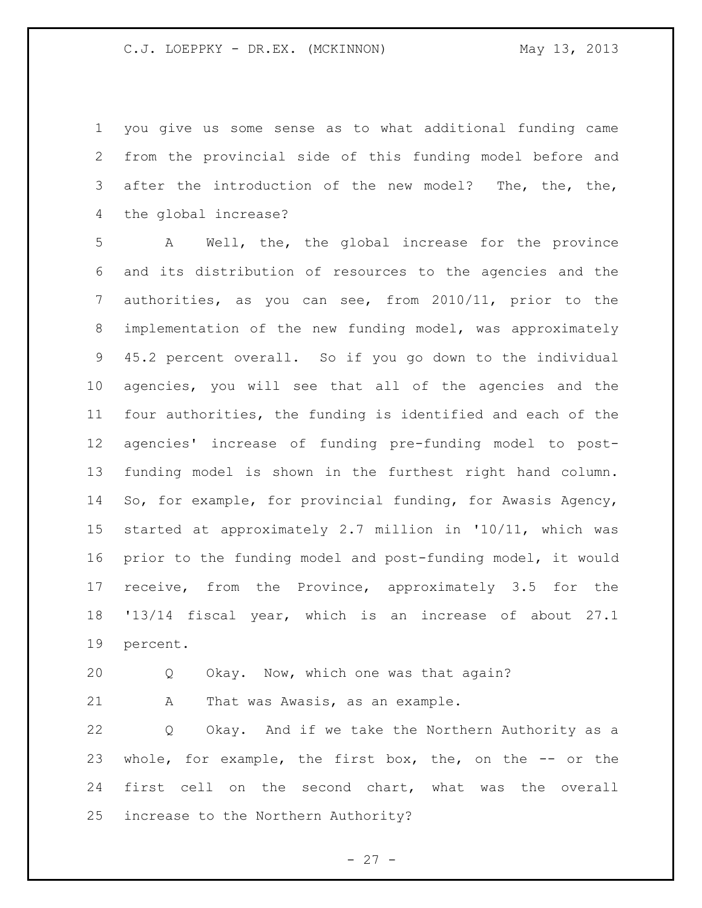you give us some sense as to what additional funding came from the provincial side of this funding model before and after the introduction of the new model? The, the, the, the global increase?

 A Well, the, the global increase for the province and its distribution of resources to the agencies and the authorities, as you can see, from 2010/11, prior to the implementation of the new funding model, was approximately 45.2 percent overall. So if you go down to the individual agencies, you will see that all of the agencies and the four authorities, the funding is identified and each of the agencies' increase of funding pre-funding model to post- funding model is shown in the furthest right hand column. So, for example, for provincial funding, for Awasis Agency, started at approximately 2.7 million in '10/11, which was prior to the funding model and post-funding model, it would receive, from the Province, approximately 3.5 for the '13/14 fiscal year, which is an increase of about 27.1 percent.

Q Okay. Now, which one was that again?

21 A That was Awasis, as an example.

 Q Okay. And if we take the Northern Authority as a whole, for example, the first box, the, on the -- or the first cell on the second chart, what was the overall increase to the Northern Authority?

 $- 27 -$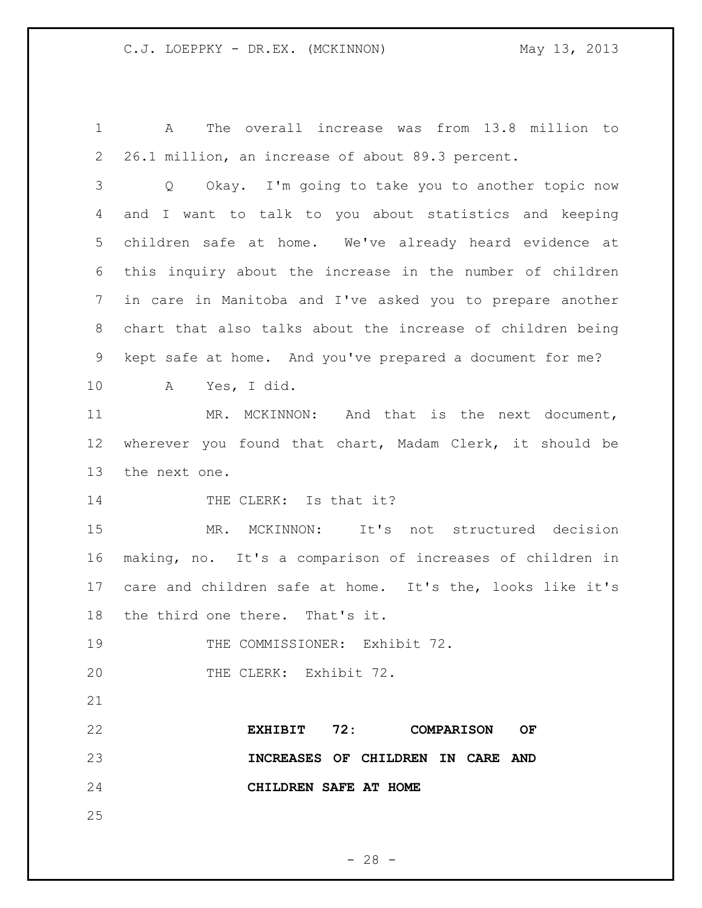A The overall increase was from 13.8 million to 26.1 million, an increase of about 89.3 percent.

 Q Okay. I'm going to take you to another topic now and I want to talk to you about statistics and keeping children safe at home. We've already heard evidence at this inquiry about the increase in the number of children in care in Manitoba and I've asked you to prepare another chart that also talks about the increase of children being kept safe at home. And you've prepared a document for me?

A Yes, I did.

 MR. MCKINNON: And that is the next document, wherever you found that chart, Madam Clerk, it should be the next one.

14 THE CLERK: Is that it?

 MR. MCKINNON: It's not structured decision making, no. It's a comparison of increases of children in care and children safe at home. It's the, looks like it's the third one there. That's it.

19 THE COMMISSIONER: Exhibit 72.

20 THE CLERK: Exhibit 72.

 **EXHIBIT 72: COMPARISON OF INCREASES OF CHILDREN IN CARE AND CHILDREN SAFE AT HOME**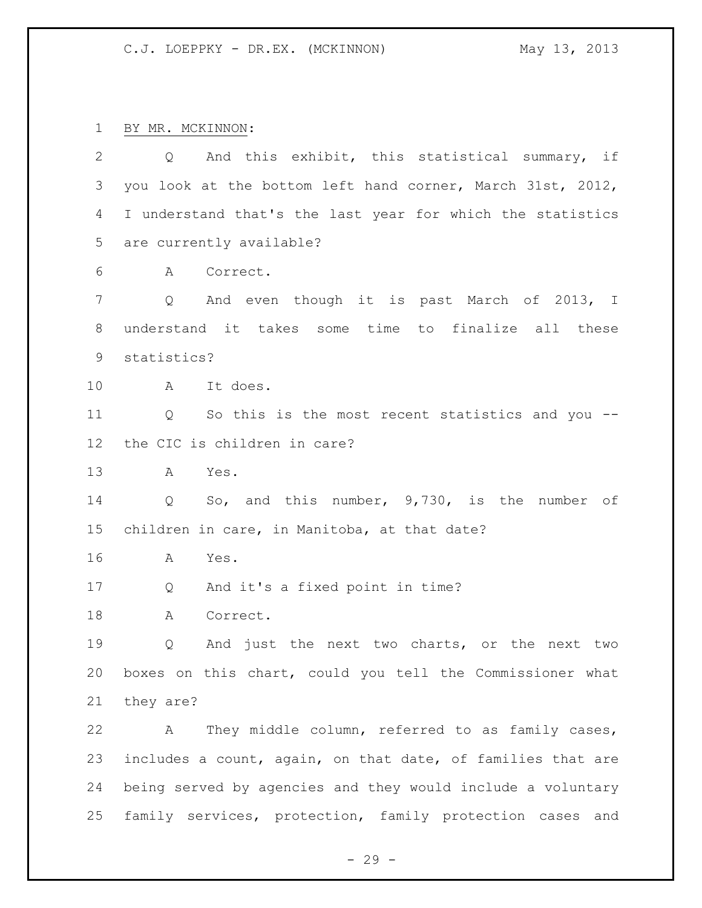BY MR. MCKINNON:

| $\overline{2}$ | And this exhibit, this statistical summary, if<br>Q              |
|----------------|------------------------------------------------------------------|
| 3              | you look at the bottom left hand corner, March 31st, 2012,       |
| 4              | I understand that's the last year for which the statistics       |
| 5              | are currently available?                                         |
| 6              | Correct.<br>A                                                    |
| $\overline{7}$ | And even though it is past March of 2013, I<br>$Q \qquad \qquad$ |
| 8              | understand it takes some time to finalize all these              |
| 9              | statistics?                                                      |
| 10             | A It does.                                                       |
| 11             | Q So this is the most recent statistics and you --               |
| 12             | the CIC is children in care?                                     |
| 13             | A<br>Yes.                                                        |
| 14             | So, and this number, 9,730, is the number of<br>Q                |
| 15             | children in care, in Manitoba, at that date?                     |
| 16             | А<br>Yes.                                                        |
| 17             | And it's a fixed point in time?<br>Q                             |
| 18             | Correct.<br>А                                                    |
|                |                                                                  |
| 19             | And just the next two charts, or the next two<br>Q               |
| 20             | boxes on this chart, could you tell the Commissioner what        |
| 21             | they are?                                                        |
| 22             | They middle column, referred to as family cases,<br>A            |
| 23             | includes a count, again, on that date, of families that are      |
| 24             | being served by agencies and they would include a voluntary      |
| 25             | family services, protection, family protection cases and         |

- 29 -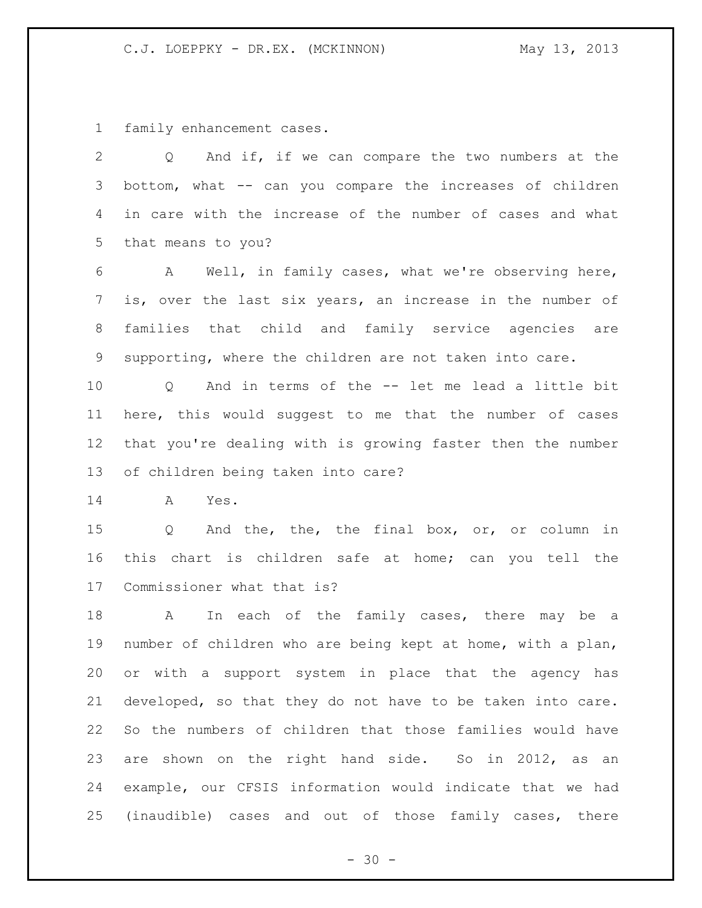family enhancement cases.

| 2               | And if, if we can compare the two numbers at the<br>Q              |
|-----------------|--------------------------------------------------------------------|
| 3               | bottom, what -- can you compare the increases of children          |
| 4               | in care with the increase of the number of cases and what          |
| 5               | that means to you?                                                 |
| 6               | A Well, in family cases, what we're observing here,                |
| $7\phantom{.}$  | is, over the last six years, an increase in the number of          |
| 8               | families that child and family service agencies are                |
| 9               | supporting, where the children are not taken into care.            |
| 10 <sub>1</sub> | Q And in terms of the -- let me lead a little bit                  |
| 11              | here, this would suggest to me that the number of cases            |
| 12 <sup>°</sup> | that you're dealing with is growing faster then the number         |
| 13              | of children being taken into care?                                 |
| 14              | A<br>Yes.                                                          |
| 15              | And the, the, the final box, or, or column in<br>$Q \qquad \qquad$ |
| 16              | this chart is children safe at home; can you tell the              |
| 17              | Commissioner what that is?                                         |
| 18              | In each of the family cases, there may be a<br>$\mathbf{A}$        |
| 19              | number of children who are being kept at home, with a plan,        |
| 20              | or with a support system in place that the agency has              |
| 21              | developed, so that they do not have to be taken into care.         |
| 22              | So the numbers of children that those families would have          |
| 23              | are shown on the right hand side. So in 2012, as an                |
| 24              | example, our CFSIS information would indicate that we had          |
|                 | 25 (inaudible) cases and out of those family cases, there          |

- 30 -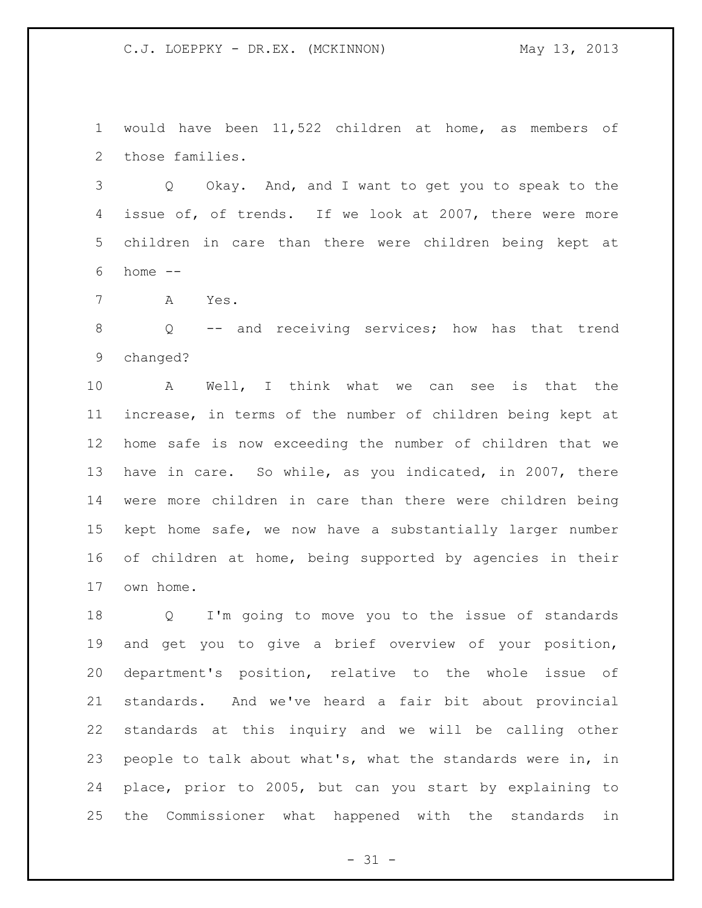would have been 11,522 children at home, as members of those families.

 Q Okay. And, and I want to get you to speak to the issue of, of trends. If we look at 2007, there were more children in care than there were children being kept at home --

A Yes.

 Q -- and receiving services; how has that trend changed?

 A Well, I think what we can see is that the increase, in terms of the number of children being kept at home safe is now exceeding the number of children that we have in care. So while, as you indicated, in 2007, there were more children in care than there were children being kept home safe, we now have a substantially larger number of children at home, being supported by agencies in their own home.

 Q I'm going to move you to the issue of standards and get you to give a brief overview of your position, department's position, relative to the whole issue of standards. And we've heard a fair bit about provincial standards at this inquiry and we will be calling other people to talk about what's, what the standards were in, in place, prior to 2005, but can you start by explaining to the Commissioner what happened with the standards in

 $- 31 -$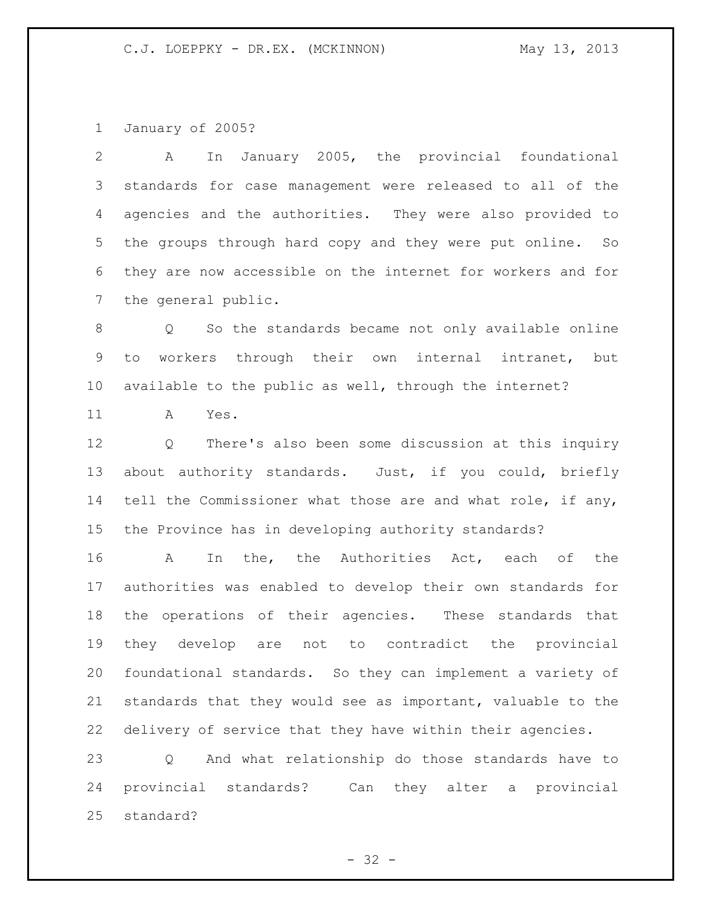January of 2005?

 A In January 2005, the provincial foundational standards for case management were released to all of the agencies and the authorities. They were also provided to the groups through hard copy and they were put online. So they are now accessible on the internet for workers and for the general public.

 Q So the standards became not only available online to workers through their own internal intranet, but available to the public as well, through the internet?

A Yes.

 Q There's also been some discussion at this inquiry about authority standards. Just, if you could, briefly 14 tell the Commissioner what those are and what role, if any, the Province has in developing authority standards?

16 A In the, the Authorities Act, each of the authorities was enabled to develop their own standards for the operations of their agencies. These standards that they develop are not to contradict the provincial foundational standards. So they can implement a variety of standards that they would see as important, valuable to the delivery of service that they have within their agencies.

 Q And what relationship do those standards have to provincial standards? Can they alter a provincial standard?

 $- 32 -$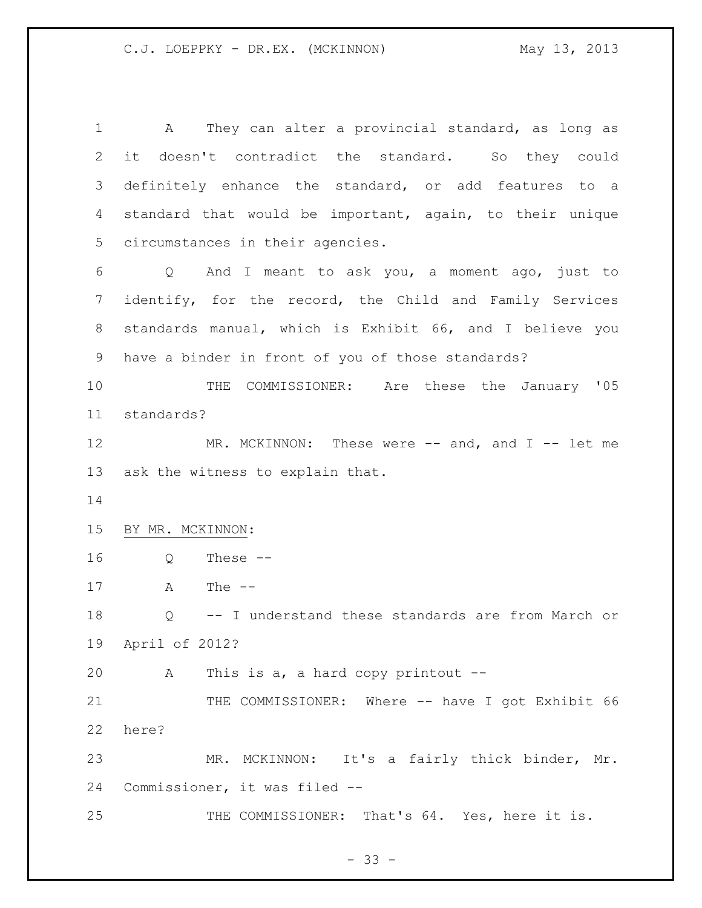A They can alter a provincial standard, as long as it doesn't contradict the standard. So they could definitely enhance the standard, or add features to a standard that would be important, again, to their unique circumstances in their agencies. Q And I meant to ask you, a moment ago, just to identify, for the record, the Child and Family Services standards manual, which is Exhibit 66, and I believe you have a binder in front of you of those standards? THE COMMISSIONER: Are these the January '05 standards? 12 MR. MCKINNON: These were -- and, and I -- let me ask the witness to explain that. BY MR. MCKINNON: Q These -- A The -- Q -- I understand these standards are from March or April of 2012? A This is a, a hard copy printout -- 21 THE COMMISSIONER: Where -- have I got Exhibit 66 here? MR. MCKINNON: It's a fairly thick binder, Mr. Commissioner, it was filed -- 25 THE COMMISSIONER: That's 64. Yes, here it is.

 $- 33 -$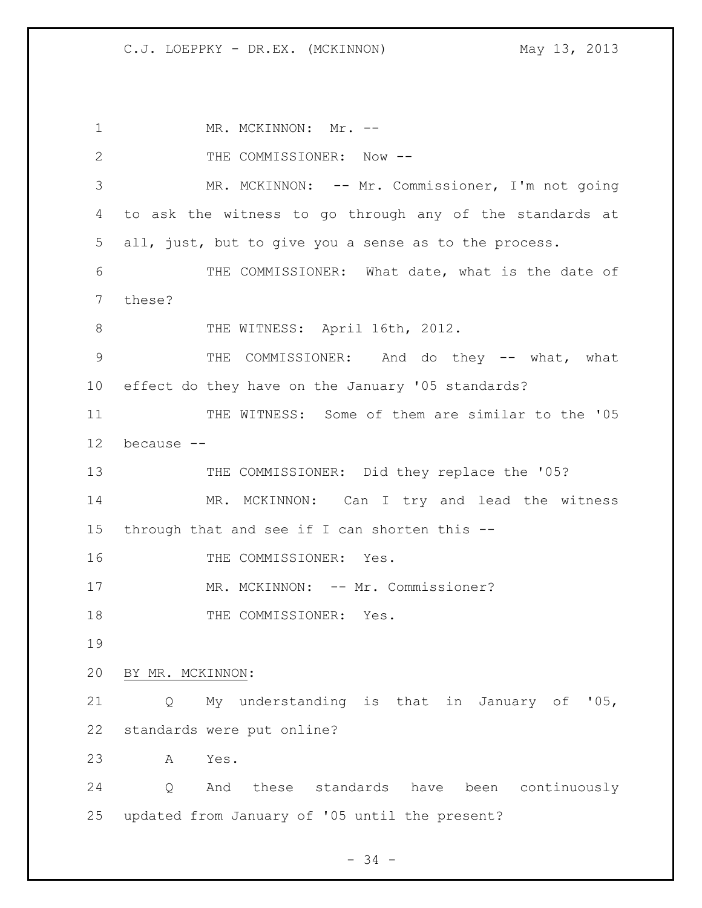1 MR. MCKINNON: Mr. --2 THE COMMISSIONER: Now --3 MR. MCKINNON: -- Mr. Commissioner, I'm not going 4 to ask the witness to go through any of the standards at 5 all, just, but to give you a sense as to the process. 6 THE COMMISSIONER: What date, what is the date of 7 these? 8 THE WITNESS: April 16th, 2012. 9 THE COMMISSIONER: And do they -- what, what 10 effect do they have on the January '05 standards? 11 THE WITNESS: Some of them are similar to the '05 12 because -- 13 THE COMMISSIONER: Did they replace the '05? 14 MR. MCKINNON: Can I try and lead the witness 15 through that and see if I can shorten this -- 16 THE COMMISSIONER: Yes. 17 MR. MCKINNON: -- Mr. Commissioner? 18 THE COMMISSIONER: Yes. 19 20 BY MR. MCKINNON: 21 Q My understanding is that in January of '05, 22 standards were put online? 23 A Yes. 24 Q And these standards have been continuously 25 updated from January of '05 until the present?

- 34 -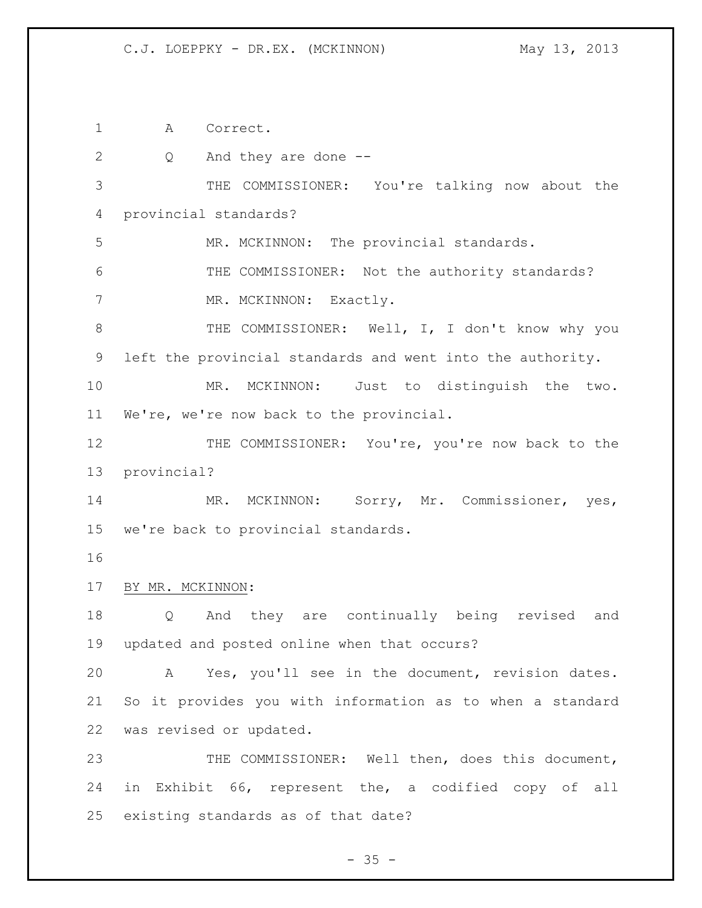A Correct.

| $\mathbf{2}$ | Q<br>And they are done --                                  |
|--------------|------------------------------------------------------------|
| 3            | THE COMMISSIONER: You're talking now about the             |
| 4            | provincial standards?                                      |
| 5            | MR. MCKINNON: The provincial standards.                    |
| 6            | THE COMMISSIONER: Not the authority standards?             |
| 7            | MR. MCKINNON: Exactly.                                     |
| $8\,$        | THE COMMISSIONER: Well, I, I don't know why you            |
| 9            | left the provincial standards and went into the authority. |
| 10           | MCKINNON: Just to distinguish the two.<br>MR.              |
| 11           | We're, we're now back to the provincial.                   |
| 12           | THE COMMISSIONER: You're, you're now back to the           |
| 13           | provincial?                                                |
| 14           | MR. MCKINNON: Sorry, Mr. Commissioner, yes,                |
| 15           | we're back to provincial standards.                        |
| 16           |                                                            |
| 17           | BY MR. MCKINNON:                                           |
| 18           | And they are continually being revised and<br>$Q \qquad$   |
| 19           |                                                            |
|              | updated and posted online when that occurs?                |
| 20           | A Yes, you'll see in the document, revision dates.         |
| 21           | So it provides you with information as to when a standard  |
| 22           | was revised or updated.                                    |
| 23           | THE COMMISSIONER: Well then, does this document,           |
| 24           | in Exhibit 66, represent the, a codified copy of all       |

- 35 -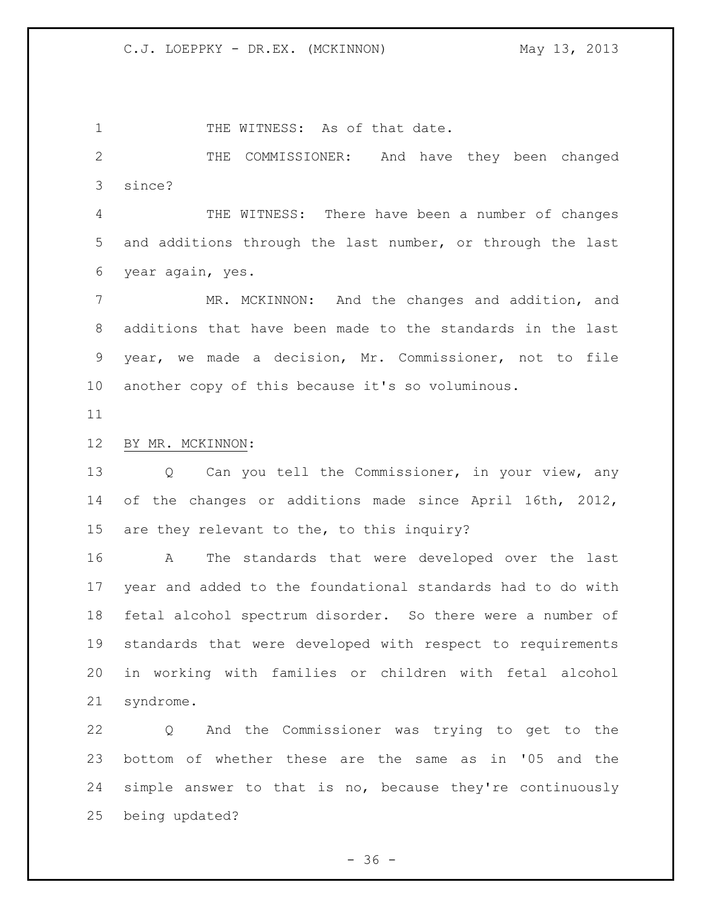1 THE WITNESS: As of that date.

 THE COMMISSIONER: And have they been changed since?

 THE WITNESS: There have been a number of changes and additions through the last number, or through the last year again, yes.

 MR. MCKINNON: And the changes and addition, and additions that have been made to the standards in the last year, we made a decision, Mr. Commissioner, not to file another copy of this because it's so voluminous.

## BY MR. MCKINNON:

 Q Can you tell the Commissioner, in your view, any of the changes or additions made since April 16th, 2012, are they relevant to the, to this inquiry?

 A The standards that were developed over the last year and added to the foundational standards had to do with fetal alcohol spectrum disorder. So there were a number of standards that were developed with respect to requirements in working with families or children with fetal alcohol syndrome.

 Q And the Commissioner was trying to get to the bottom of whether these are the same as in '05 and the simple answer to that is no, because they're continuously being updated?

 $-36 -$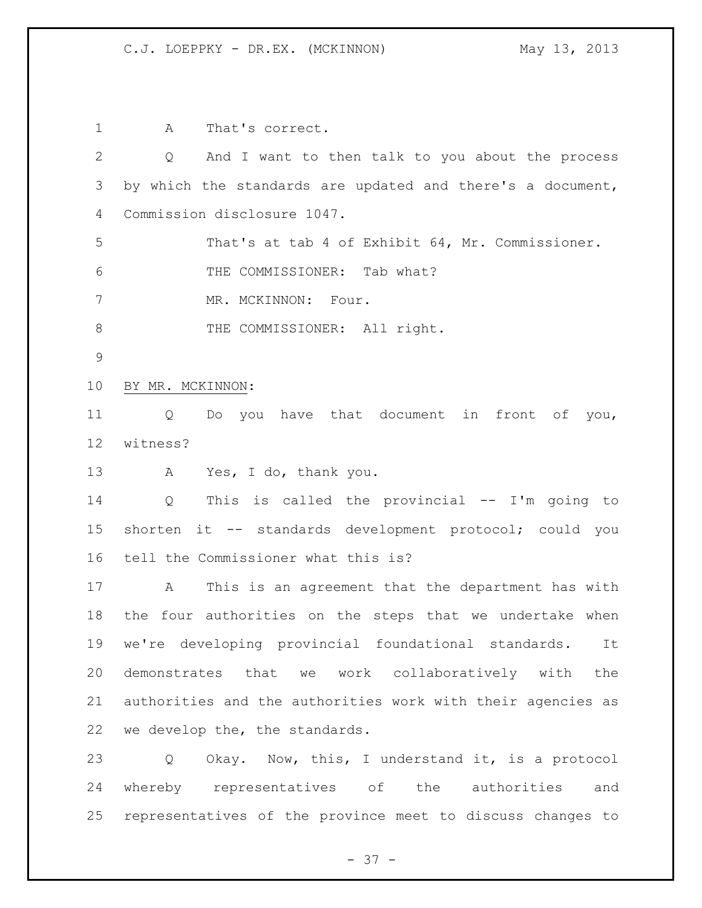A That's correct. Q And I want to then talk to you about the process by which the standards are updated and there's a document, Commission disclosure 1047. That's at tab 4 of Exhibit 64, Mr. Commissioner. THE COMMISSIONER: Tab what? 7 MR. MCKINNON: Four. 8 THE COMMISSIONER: All right. BY MR. MCKINNON: Q Do you have that document in front of you, witness? A Yes, I do, thank you. Q This is called the provincial -- I'm going to shorten it -- standards development protocol; could you tell the Commissioner what this is? A This is an agreement that the department has with the four authorities on the steps that we undertake when we're developing provincial foundational standards. It demonstrates that we work collaboratively with the authorities and the authorities work with their agencies as we develop the, the standards. Q Okay. Now, this, I understand it, is a protocol whereby representatives of the authorities and representatives of the province meet to discuss changes to

 $- 37 -$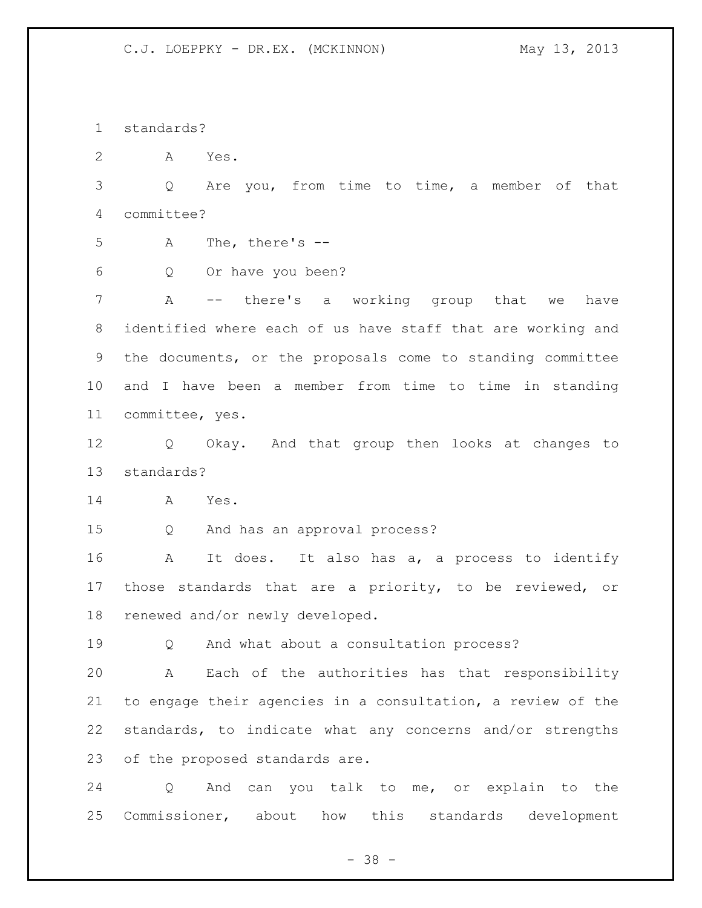standards?

A Yes.

 Q Are you, from time to time, a member of that committee?

A The, there's --

Q Or have you been?

 A -- there's a working group that we have identified where each of us have staff that are working and the documents, or the proposals come to standing committee and I have been a member from time to time in standing committee, yes.

 Q Okay. And that group then looks at changes to standards?

A Yes.

Q And has an approval process?

 A It does. It also has a, a process to identify those standards that are a priority, to be reviewed, or renewed and/or newly developed.

Q And what about a consultation process?

 A Each of the authorities has that responsibility to engage their agencies in a consultation, a review of the standards, to indicate what any concerns and/or strengths of the proposed standards are.

 Q And can you talk to me, or explain to the Commissioner, about how this standards development

- 38 -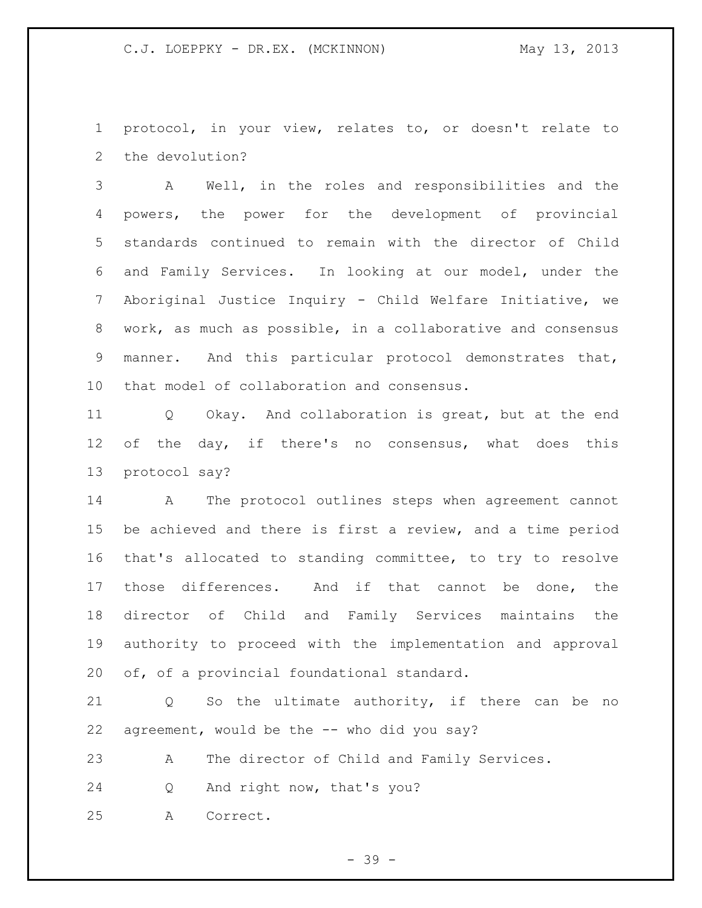protocol, in your view, relates to, or doesn't relate to the devolution?

 A Well, in the roles and responsibilities and the powers, the power for the development of provincial standards continued to remain with the director of Child and Family Services. In looking at our model, under the Aboriginal Justice Inquiry - Child Welfare Initiative, we work, as much as possible, in a collaborative and consensus manner. And this particular protocol demonstrates that, that model of collaboration and consensus.

 Q Okay. And collaboration is great, but at the end 12 of the day, if there's no consensus, what does this protocol say?

 A The protocol outlines steps when agreement cannot be achieved and there is first a review, and a time period that's allocated to standing committee, to try to resolve those differences. And if that cannot be done, the director of Child and Family Services maintains the authority to proceed with the implementation and approval of, of a provincial foundational standard.

 Q So the ultimate authority, if there can be no agreement, would be the -- who did you say?

A The director of Child and Family Services.

Q And right now, that's you?

A Correct.

- 39 -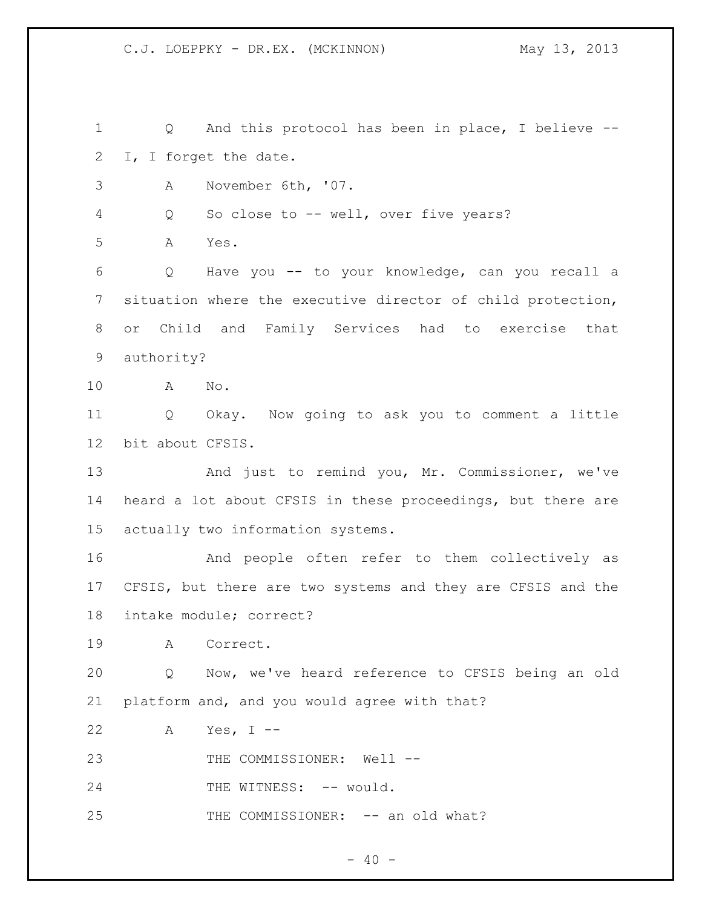Q And this protocol has been in place, I believe -- I, I forget the date. A November 6th, '07. Q So close to -- well, over five years? A Yes. Q Have you -- to your knowledge, can you recall a situation where the executive director of child protection, or Child and Family Services had to exercise that authority? A No. Q Okay. Now going to ask you to comment a little bit about CFSIS. 13 And just to remind you, Mr. Commissioner, we've heard a lot about CFSIS in these proceedings, but there are actually two information systems. And people often refer to them collectively as CFSIS, but there are two systems and they are CFSIS and the intake module; correct? A Correct. Q Now, we've heard reference to CFSIS being an old platform and, and you would agree with that? A Yes, I -- 23 THE COMMISSIONER: Well --24 THE WITNESS: -- would. 25 THE COMMISSIONER: -- an old what?

 $- 40 -$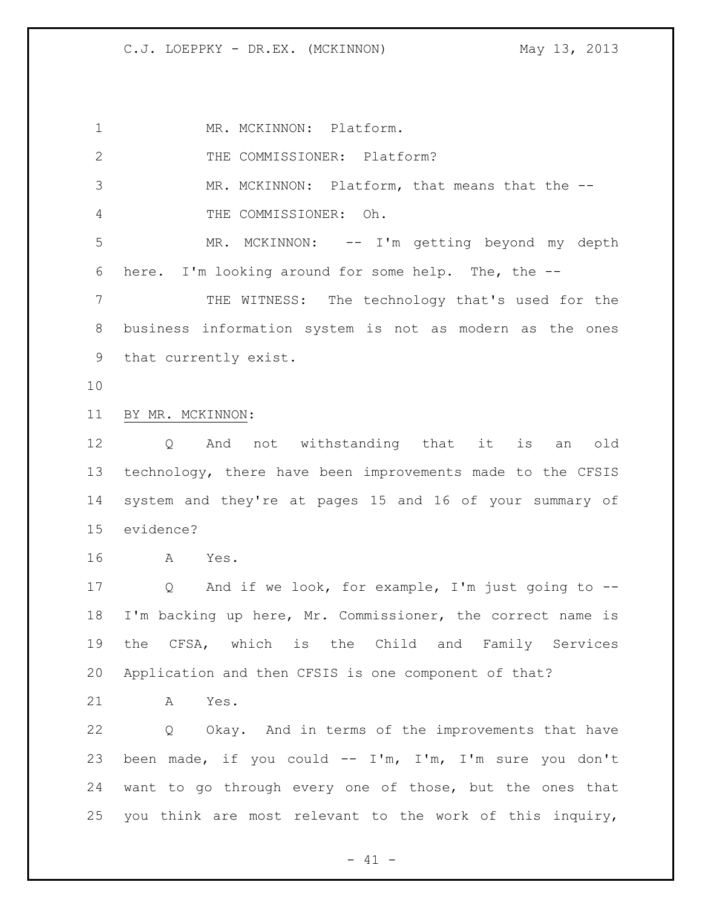1 MR. MCKINNON: Platform. 2 THE COMMISSIONER: Platform? MR. MCKINNON: Platform, that means that the -- THE COMMISSIONER: Oh. MR. MCKINNON: -- I'm getting beyond my depth here. I'm looking around for some help. The, the -- THE WITNESS: The technology that's used for the business information system is not as modern as the ones that currently exist. BY MR. MCKINNON: Q And not withstanding that it is an old technology, there have been improvements made to the CFSIS system and they're at pages 15 and 16 of your summary of evidence? A Yes. Q And if we look, for example, I'm just going to -- I'm backing up here, Mr. Commissioner, the correct name is the CFSA, which is the Child and Family Services Application and then CFSIS is one component of that? A Yes. Q Okay. And in terms of the improvements that have been made, if you could -- I'm, I'm, I'm sure you don't want to go through every one of those, but the ones that you think are most relevant to the work of this inquiry,

 $- 41 -$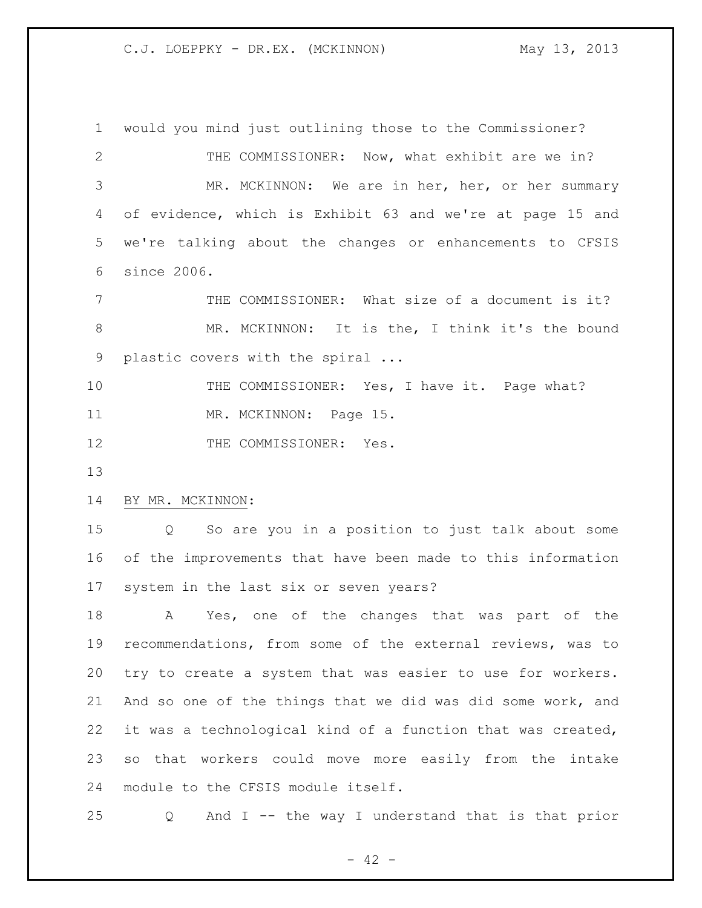would you mind just outlining those to the Commissioner? THE COMMISSIONER: Now, what exhibit are we in? MR. MCKINNON: We are in her, her, or her summary of evidence, which is Exhibit 63 and we're at page 15 and we're talking about the changes or enhancements to CFSIS since 2006. THE COMMISSIONER: What size of a document is it? MR. MCKINNON: It is the, I think it's the bound plastic covers with the spiral ... 10 THE COMMISSIONER: Yes, I have it. Page what? 11 MR. MCKINNON: Page 15. 12 THE COMMISSIONER: Yes. BY MR. MCKINNON: Q So are you in a position to just talk about some of the improvements that have been made to this information system in the last six or seven years? A Yes, one of the changes that was part of the recommendations, from some of the external reviews, was to try to create a system that was easier to use for workers. And so one of the things that we did was did some work, and it was a technological kind of a function that was created, so that workers could move more easily from the intake module to the CFSIS module itself.

Q And I -- the way I understand that is that prior

 $- 42 -$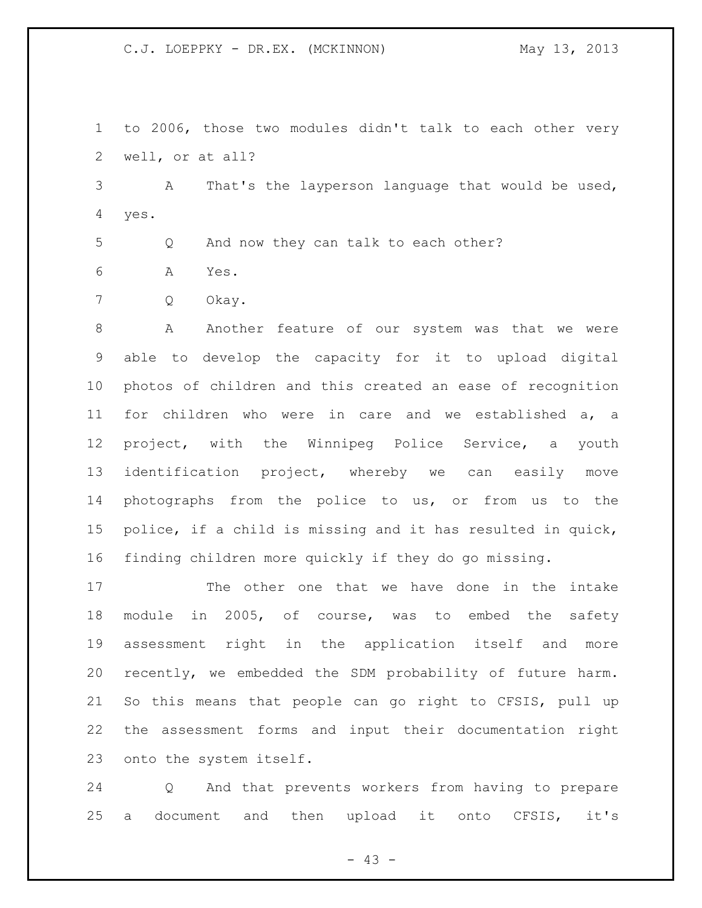to 2006, those two modules didn't talk to each other very well, or at all?

 A That's the layperson language that would be used, yes.

Q And now they can talk to each other?

A Yes.

Q Okay.

8 A Another feature of our system was that we were able to develop the capacity for it to upload digital photos of children and this created an ease of recognition for children who were in care and we established a, a project, with the Winnipeg Police Service, a youth identification project, whereby we can easily move photographs from the police to us, or from us to the police, if a child is missing and it has resulted in quick, finding children more quickly if they do go missing.

 The other one that we have done in the intake module in 2005, of course, was to embed the safety assessment right in the application itself and more recently, we embedded the SDM probability of future harm. So this means that people can go right to CFSIS, pull up the assessment forms and input their documentation right onto the system itself.

 Q And that prevents workers from having to prepare a document and then upload it onto CFSIS, it's

 $- 43 -$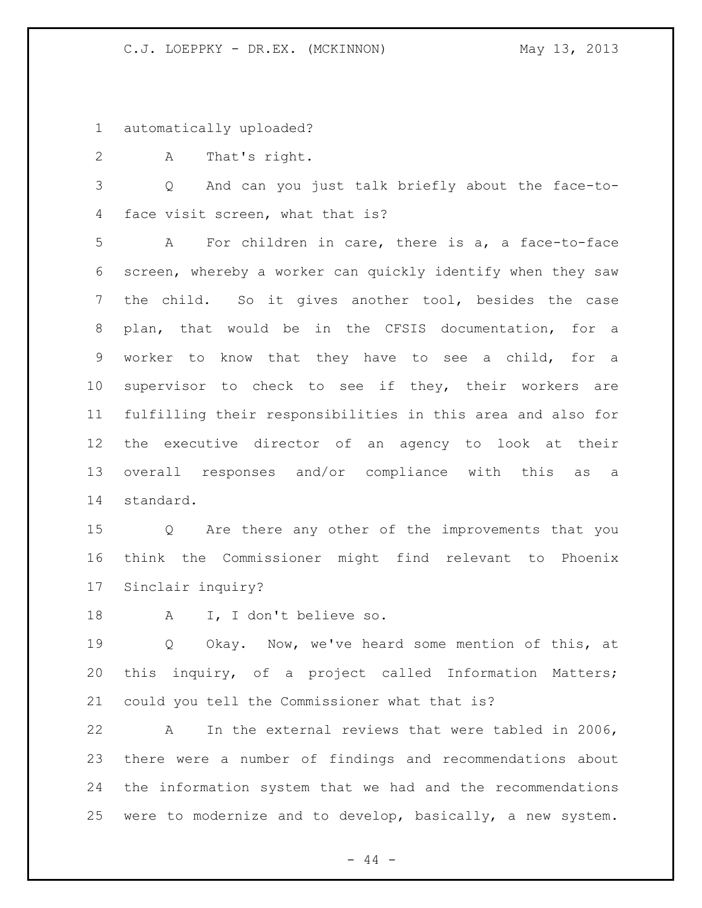automatically uploaded?

A That's right.

 Q And can you just talk briefly about the face-to-face visit screen, what that is?

 A For children in care, there is a, a face-to-face screen, whereby a worker can quickly identify when they saw the child. So it gives another tool, besides the case plan, that would be in the CFSIS documentation, for a worker to know that they have to see a child, for a supervisor to check to see if they, their workers are fulfilling their responsibilities in this area and also for the executive director of an agency to look at their overall responses and/or compliance with this as a standard.

 Q Are there any other of the improvements that you think the Commissioner might find relevant to Phoenix Sinclair inquiry?

A I, I don't believe so.

 Q Okay. Now, we've heard some mention of this, at this inquiry, of a project called Information Matters; could you tell the Commissioner what that is?

 A In the external reviews that were tabled in 2006, there were a number of findings and recommendations about the information system that we had and the recommendations were to modernize and to develop, basically, a new system.

 $-44 -$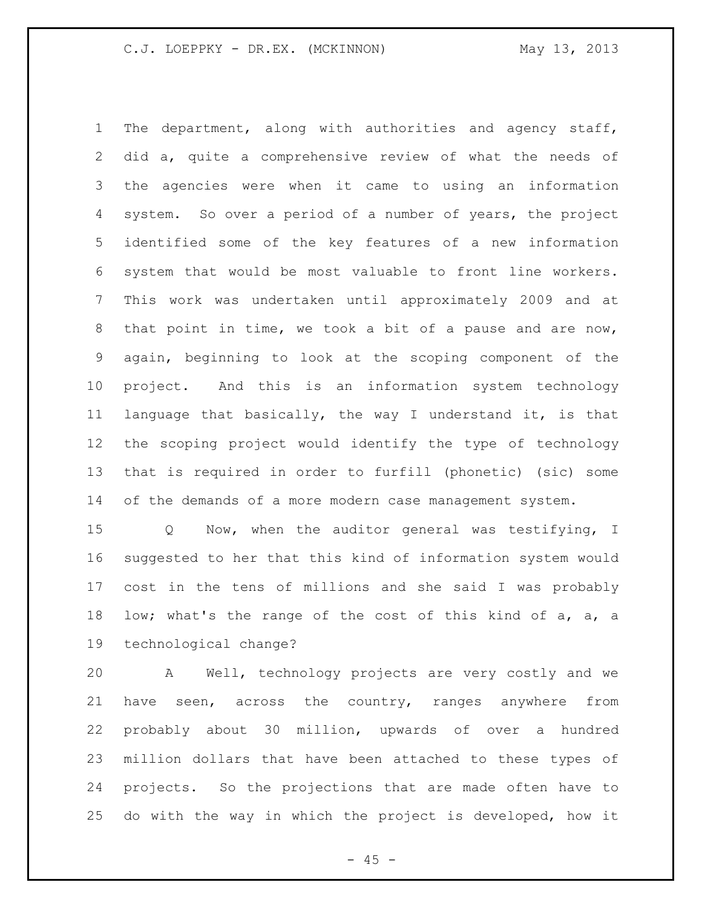The department, along with authorities and agency staff, did a, quite a comprehensive review of what the needs of the agencies were when it came to using an information system. So over a period of a number of years, the project identified some of the key features of a new information system that would be most valuable to front line workers. This work was undertaken until approximately 2009 and at that point in time, we took a bit of a pause and are now, again, beginning to look at the scoping component of the project. And this is an information system technology language that basically, the way I understand it, is that the scoping project would identify the type of technology that is required in order to furfill (phonetic) (sic) some 14 of the demands of a more modern case management system.

 Q Now, when the auditor general was testifying, I suggested to her that this kind of information system would cost in the tens of millions and she said I was probably low; what's the range of the cost of this kind of a, a, a technological change?

 A Well, technology projects are very costly and we have seen, across the country, ranges anywhere from probably about 30 million, upwards of over a hundred million dollars that have been attached to these types of projects. So the projections that are made often have to do with the way in which the project is developed, how it

 $- 45 -$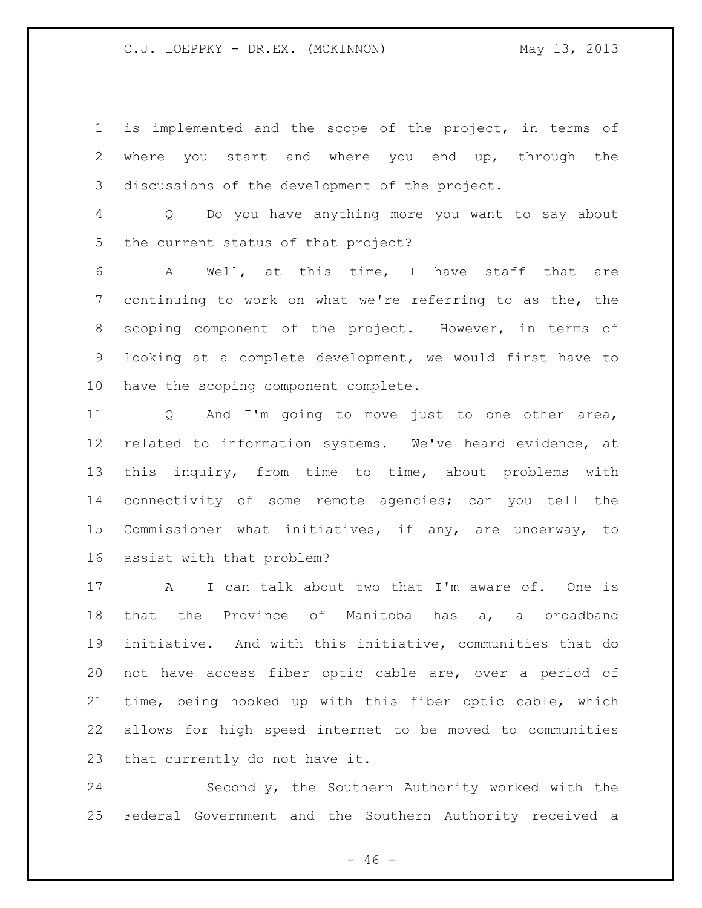is implemented and the scope of the project, in terms of where you start and where you end up, through the discussions of the development of the project.

 Q Do you have anything more you want to say about the current status of that project?

 A Well, at this time, I have staff that are continuing to work on what we're referring to as the, the scoping component of the project. However, in terms of looking at a complete development, we would first have to have the scoping component complete.

 Q And I'm going to move just to one other area, related to information systems. We've heard evidence, at this inquiry, from time to time, about problems with connectivity of some remote agencies; can you tell the Commissioner what initiatives, if any, are underway, to assist with that problem?

 A I can talk about two that I'm aware of. One is that the Province of Manitoba has a, a broadband initiative. And with this initiative, communities that do not have access fiber optic cable are, over a period of time, being hooked up with this fiber optic cable, which allows for high speed internet to be moved to communities that currently do not have it.

 Secondly, the Southern Authority worked with the Federal Government and the Southern Authority received a

 $- 46 -$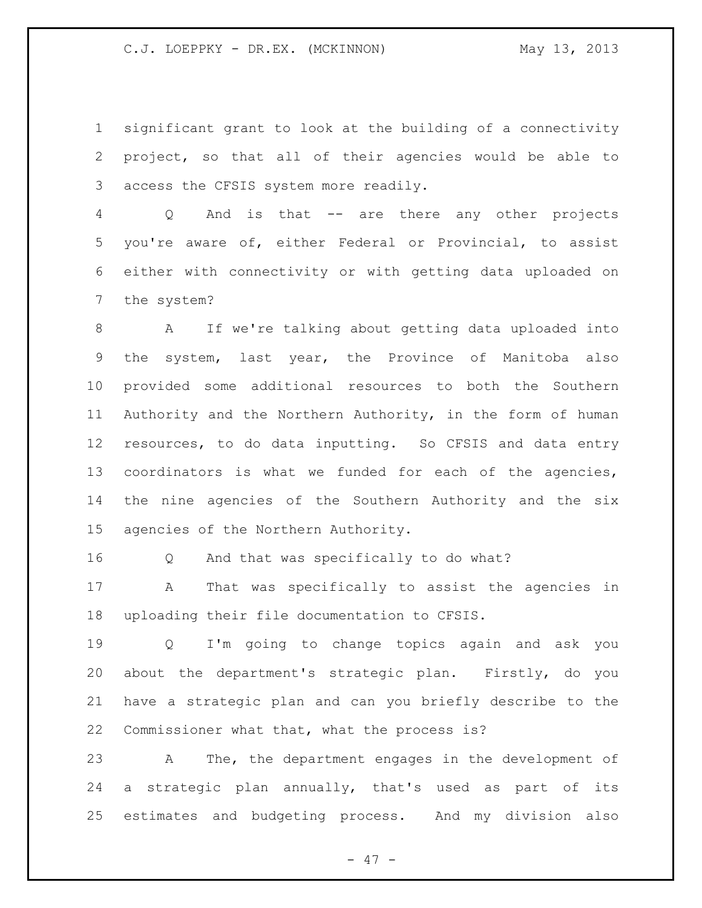significant grant to look at the building of a connectivity project, so that all of their agencies would be able to access the CFSIS system more readily.

 Q And is that -- are there any other projects you're aware of, either Federal or Provincial, to assist either with connectivity or with getting data uploaded on the system?

 A If we're talking about getting data uploaded into the system, last year, the Province of Manitoba also provided some additional resources to both the Southern Authority and the Northern Authority, in the form of human resources, to do data inputting. So CFSIS and data entry coordinators is what we funded for each of the agencies, the nine agencies of the Southern Authority and the six agencies of the Northern Authority.

Q And that was specifically to do what?

 A That was specifically to assist the agencies in uploading their file documentation to CFSIS.

 Q I'm going to change topics again and ask you about the department's strategic plan. Firstly, do you have a strategic plan and can you briefly describe to the Commissioner what that, what the process is?

 A The, the department engages in the development of a strategic plan annually, that's used as part of its estimates and budgeting process. And my division also

- 47 -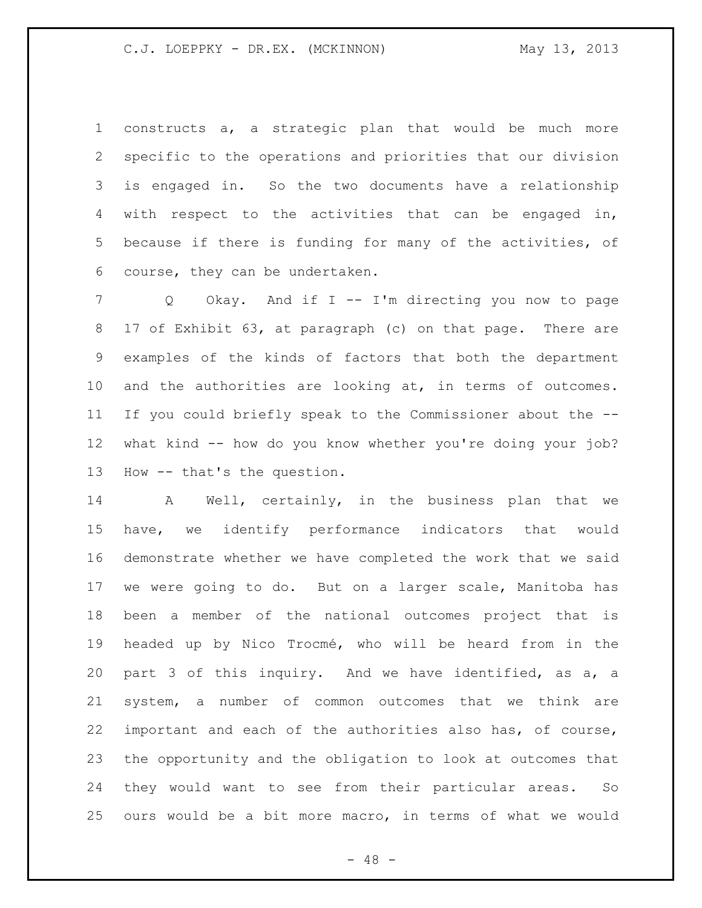constructs a, a strategic plan that would be much more specific to the operations and priorities that our division is engaged in. So the two documents have a relationship with respect to the activities that can be engaged in, because if there is funding for many of the activities, of course, they can be undertaken.

 Q Okay. And if I -- I'm directing you now to page 17 of Exhibit 63, at paragraph (c) on that page. There are examples of the kinds of factors that both the department and the authorities are looking at, in terms of outcomes. If you could briefly speak to the Commissioner about the -- what kind -- how do you know whether you're doing your job? How -- that's the question.

 A Well, certainly, in the business plan that we have, we identify performance indicators that would demonstrate whether we have completed the work that we said we were going to do. But on a larger scale, Manitoba has been a member of the national outcomes project that is headed up by Nico Trocmé, who will be heard from in the part 3 of this inquiry. And we have identified, as a, a system, a number of common outcomes that we think are important and each of the authorities also has, of course, the opportunity and the obligation to look at outcomes that they would want to see from their particular areas. So ours would be a bit more macro, in terms of what we would

 $- 48 -$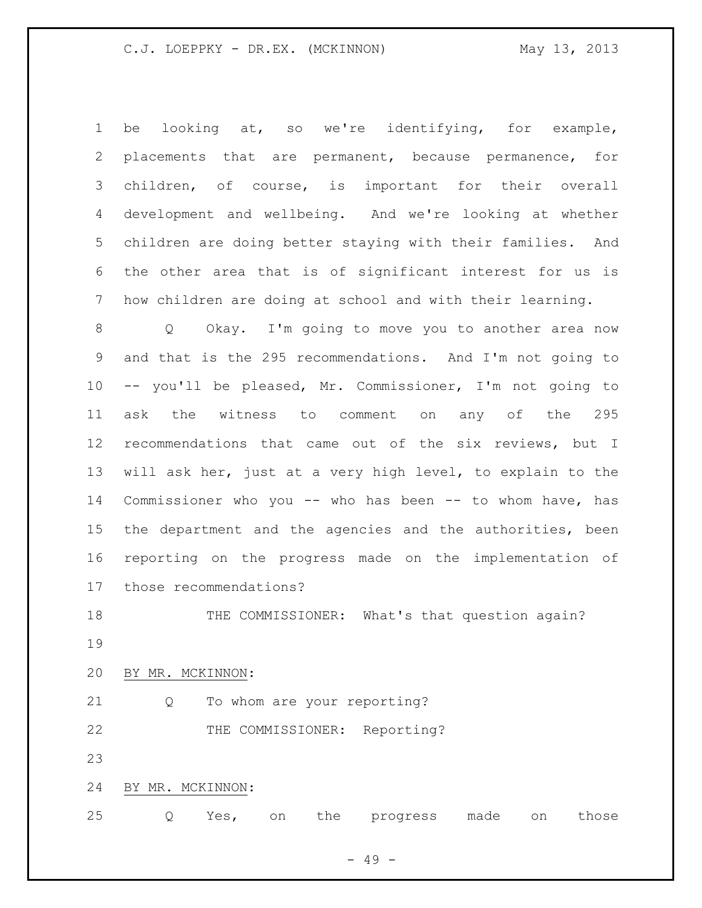be looking at, so we're identifying, for example, placements that are permanent, because permanence, for children, of course, is important for their overall development and wellbeing. And we're looking at whether children are doing better staying with their families. And the other area that is of significant interest for us is how children are doing at school and with their learning. Q Okay. I'm going to move you to another area now and that is the 295 recommendations. And I'm not going to -- you'll be pleased, Mr. Commissioner, I'm not going to ask the witness to comment on any of the 295 recommendations that came out of the six reviews, but I will ask her, just at a very high level, to explain to the Commissioner who you -- who has been -- to whom have, has the department and the agencies and the authorities, been reporting on the progress made on the implementation of

those recommendations?

 THE COMMISSIONER: What's that question again? 

BY MR. MCKINNON:

21 Q To whom are your reporting?

22 THE COMMISSIONER: Reporting?

BY MR. MCKINNON:

Q Yes, on the progress made on those

- 49 -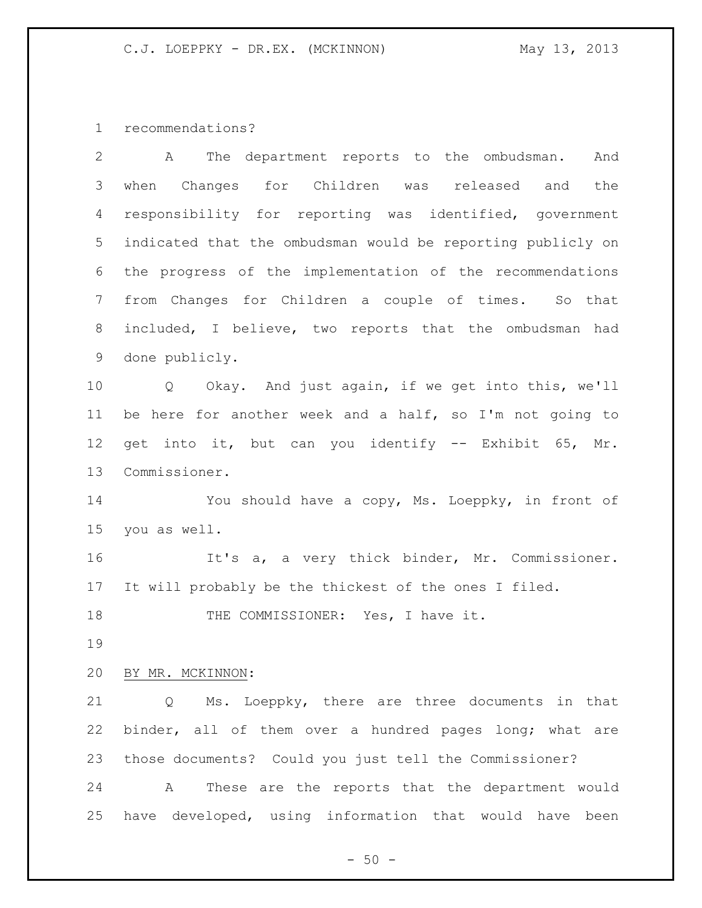recommendations?

| $\overline{2}$ | The department reports to the ombudsman.<br>And<br>A        |
|----------------|-------------------------------------------------------------|
| 3              | when Changes for Children was released and<br>the           |
| 4              | responsibility for reporting was identified, government     |
| 5              | indicated that the ombudsman would be reporting publicly on |
| 6              | the progress of the implementation of the recommendations   |
| 7              | from Changes for Children a couple of times. So that        |
| $8\,$          | included, I believe, two reports that the ombudsman had     |
| 9              | done publicly.                                              |
| 10             | Q Okay. And just again, if we get into this, we'll          |
| 11             | be here for another week and a half, so I'm not going to    |
| 12             | get into it, but can you identify -- Exhibit 65, Mr.        |
| 13             | Commissioner.                                               |
| 14             | You should have a copy, Ms. Loeppky, in front of            |
| 15             | you as well.                                                |
| 16             | It's a, a very thick binder, Mr. Commissioner.              |
| 17             | It will probably be the thickest of the ones I filed.       |
| 18             | THE COMMISSIONER: Yes, I have it.                           |
| 19             |                                                             |
| 20             | BY MR. MCKINNON:                                            |
| 21             | Ms. Loeppky, there are three documents in that<br>Q         |
| 22             | binder, all of them over a hundred pages long; what are     |
| 23             | those documents? Could you just tell the Commissioner?      |
| 24             | These are the reports that the department would<br>Α        |
| 25             | have developed, using information that would have been      |

- 50 -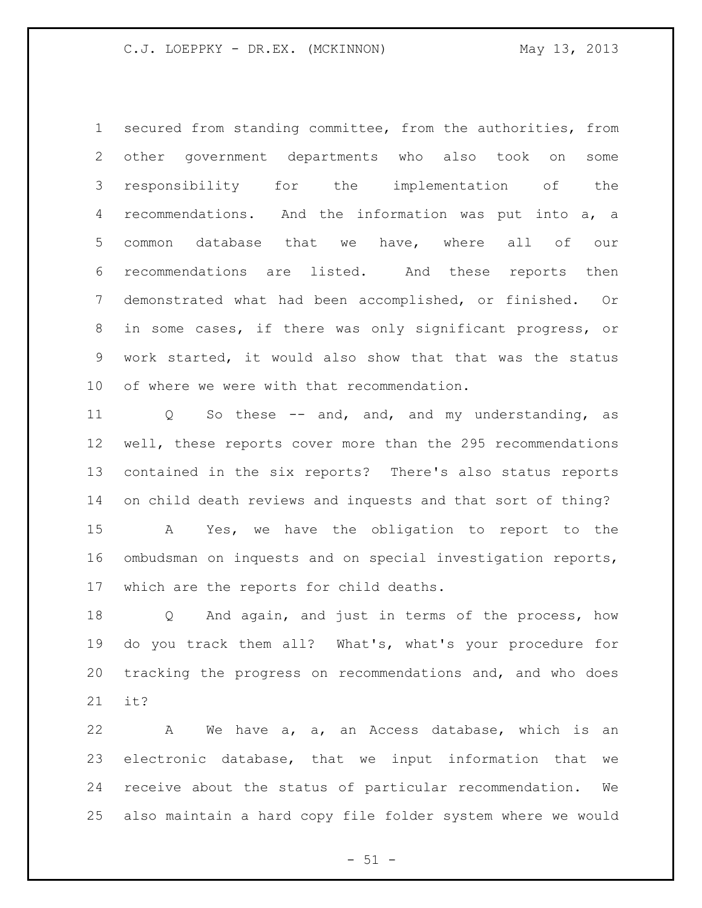secured from standing committee, from the authorities, from other government departments who also took on some responsibility for the implementation of the recommendations. And the information was put into a, a common database that we have, where all of our recommendations are listed. And these reports then demonstrated what had been accomplished, or finished. Or in some cases, if there was only significant progress, or work started, it would also show that that was the status of where we were with that recommendation.

11 Q So these -- and, and, and my understanding, as well, these reports cover more than the 295 recommendations contained in the six reports? There's also status reports on child death reviews and inquests and that sort of thing? A Yes, we have the obligation to report to the ombudsman on inquests and on special investigation reports, which are the reports for child deaths.

 Q And again, and just in terms of the process, how do you track them all? What's, what's your procedure for tracking the progress on recommendations and, and who does it?

 A We have a, a, an Access database, which is an electronic database, that we input information that we receive about the status of particular recommendation. We also maintain a hard copy file folder system where we would

 $- 51 -$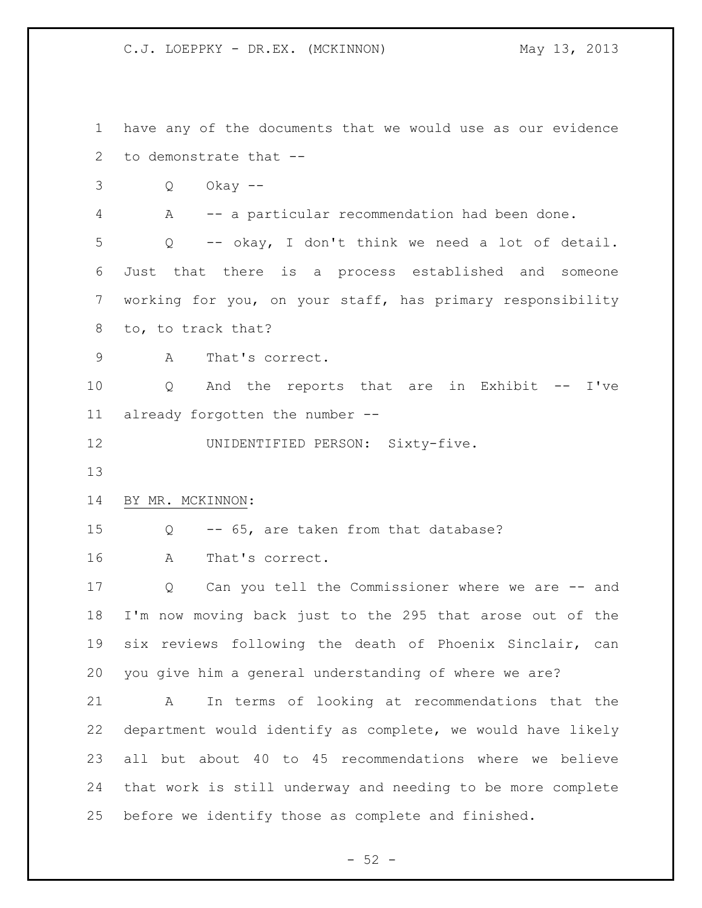have any of the documents that we would use as our evidence to demonstrate that -- Q Okay -- A -- a particular recommendation had been done. Q -- okay, I don't think we need a lot of detail. Just that there is a process established and someone working for you, on your staff, has primary responsibility to, to track that? A That's correct. Q And the reports that are in Exhibit -- I've already forgotten the number -- UNIDENTIFIED PERSON: Sixty-five. BY MR. MCKINNON: Q -- 65, are taken from that database? A That's correct. Q Can you tell the Commissioner where we are -- and I'm now moving back just to the 295 that arose out of the six reviews following the death of Phoenix Sinclair, can you give him a general understanding of where we are? A In terms of looking at recommendations that the department would identify as complete, we would have likely all but about 40 to 45 recommendations where we believe that work is still underway and needing to be more complete before we identify those as complete and finished.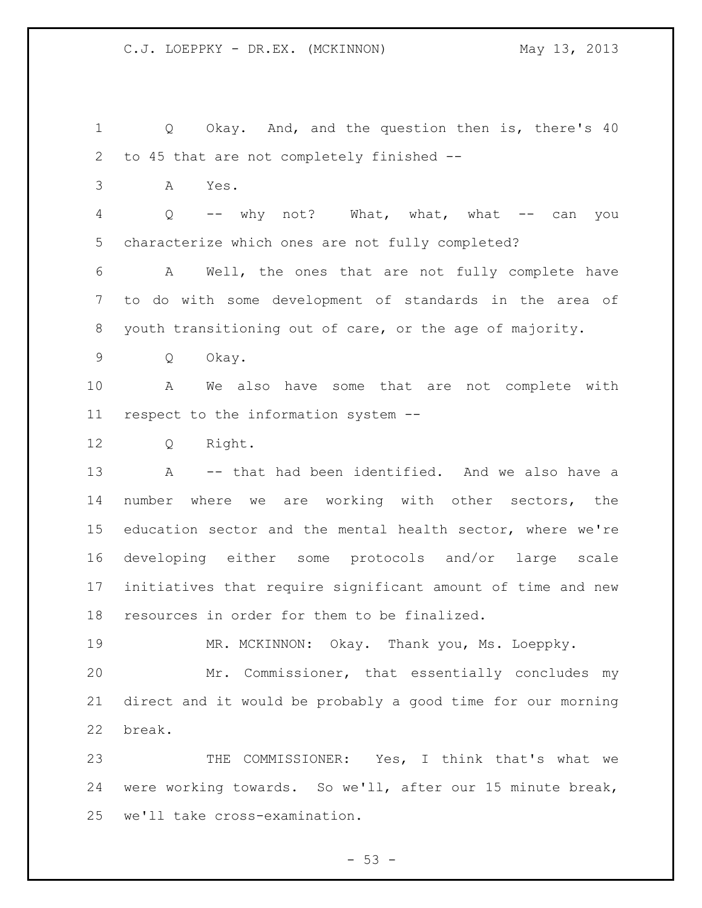Q Okay. And, and the question then is, there's 40 to 45 that are not completely finished -- A Yes. 4 Q -- why not? What, what, what -- can you characterize which ones are not fully completed? A Well, the ones that are not fully complete have to do with some development of standards in the area of youth transitioning out of care, or the age of majority. Q Okay. A We also have some that are not complete with respect to the information system -- Q Right. A -- that had been identified. And we also have a number where we are working with other sectors, the education sector and the mental health sector, where we're developing either some protocols and/or large scale initiatives that require significant amount of time and new resources in order for them to be finalized. MR. MCKINNON: Okay. Thank you, Ms. Loeppky. Mr. Commissioner, that essentially concludes my direct and it would be probably a good time for our morning break. THE COMMISSIONER: Yes, I think that's what we were working towards. So we'll, after our 15 minute break, we'll take cross-examination.

 $-53 -$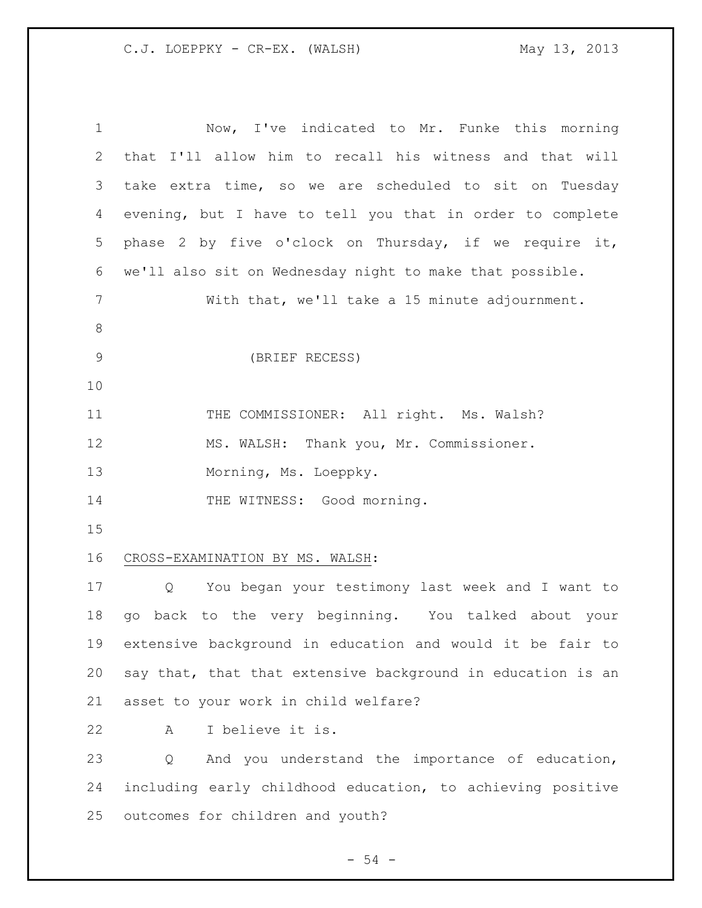| $\mathbf 1$ | Now, I've indicated to Mr. Funke this morning                         |
|-------------|-----------------------------------------------------------------------|
| 2           | that I'll allow him to recall his witness and that will               |
| 3           | take extra time, so we are scheduled to sit on Tuesday                |
| 4           | evening, but I have to tell you that in order to complete             |
| 5           | phase 2 by five o'clock on Thursday, if we require it,                |
| 6           | we'll also sit on Wednesday night to make that possible.              |
| 7           | With that, we'll take a 15 minute adjournment.                        |
| 8           |                                                                       |
| 9           | (BRIEF RECESS)                                                        |
| 10          |                                                                       |
| 11          | THE COMMISSIONER: All right. Ms. Walsh?                               |
| 12          | MS. WALSH: Thank you, Mr. Commissioner.                               |
| 13          | Morning, Ms. Loeppky.                                                 |
|             |                                                                       |
| 14          | THE WITNESS: Good morning.                                            |
| 15          |                                                                       |
| 16          | CROSS-EXAMINATION BY MS. WALSH:                                       |
| 17          | You began your testimony last week and I want to<br>$Q \qquad \qquad$ |
| 18          | go back to the very beginning. You talked about your                  |
| 19          | extensive background in education and would it be fair to             |
| 20          | say that, that that extensive background in education is an           |
| 21          | asset to your work in child welfare?                                  |
| 22          | I believe it is.<br>Α                                                 |
| 23          | And you understand the importance of education,<br>Q                  |
| 24          | including early childhood education, to achieving positive            |
| 25          | outcomes for children and youth?                                      |

- 54 -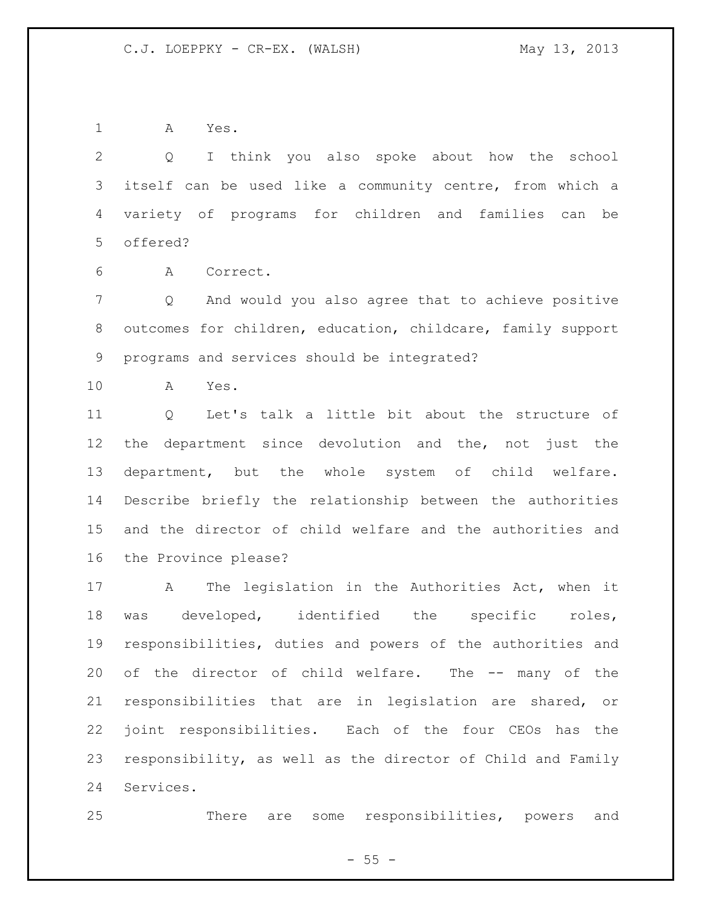A Yes.

 Q I think you also spoke about how the school itself can be used like a community centre, from which a variety of programs for children and families can be offered?

A Correct.

 Q And would you also agree that to achieve positive outcomes for children, education, childcare, family support programs and services should be integrated?

A Yes.

 Q Let's talk a little bit about the structure of the department since devolution and the, not just the department, but the whole system of child welfare. Describe briefly the relationship between the authorities and the director of child welfare and the authorities and the Province please?

 A The legislation in the Authorities Act, when it was developed, identified the specific roles, responsibilities, duties and powers of the authorities and of the director of child welfare. The -- many of the responsibilities that are in legislation are shared, or joint responsibilities. Each of the four CEOs has the responsibility, as well as the director of Child and Family Services.

There are some responsibilities, powers and

 $- 55 -$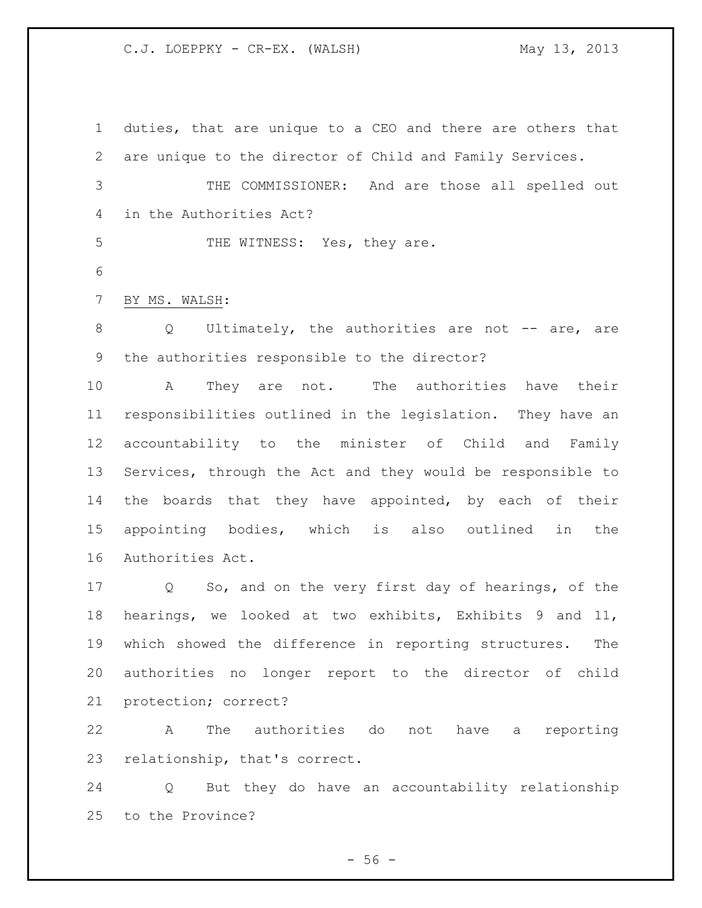duties, that are unique to a CEO and there are others that are unique to the director of Child and Family Services. THE COMMISSIONER: And are those all spelled out in the Authorities Act? 5 THE WITNESS: Yes, they are. BY MS. WALSH: 8 Q Ultimately, the authorities are not -- are, are the authorities responsible to the director? A They are not. The authorities have their responsibilities outlined in the legislation. They have an accountability to the minister of Child and Family Services, through the Act and they would be responsible to 14 the boards that they have appointed, by each of their appointing bodies, which is also outlined in the Authorities Act. Q So, and on the very first day of hearings, of the hearings, we looked at two exhibits, Exhibits 9 and 11, which showed the difference in reporting structures. The authorities no longer report to the director of child protection; correct? A The authorities do not have a reporting

relationship, that's correct.

 Q But they do have an accountability relationship to the Province?

 $-56 -$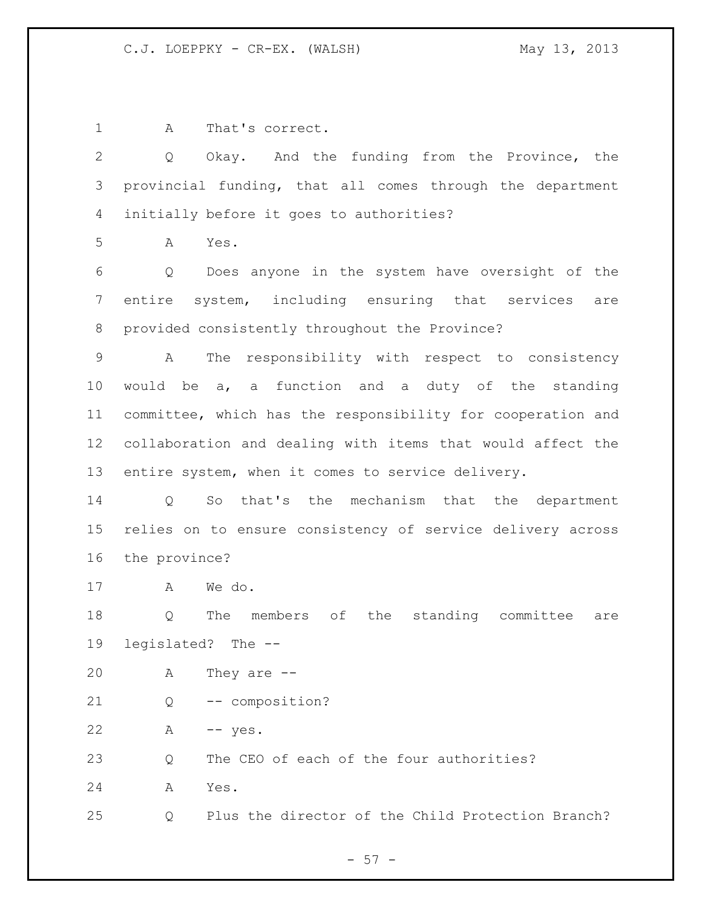A That's correct.

 Q Okay. And the funding from the Province, the provincial funding, that all comes through the department initially before it goes to authorities?

A Yes.

 Q Does anyone in the system have oversight of the entire system, including ensuring that services are provided consistently throughout the Province?

 A The responsibility with respect to consistency would be a, a function and a duty of the standing committee, which has the responsibility for cooperation and collaboration and dealing with items that would affect the entire system, when it comes to service delivery.

 Q So that's the mechanism that the department relies on to ensure consistency of service delivery across the province?

A We do.

 Q The members of the standing committee are legislated? The --

| 20 |  | They are $--$ |  |  |
|----|--|---------------|--|--|
|----|--|---------------|--|--|

Q -- composition?

A -- yes.

Q The CEO of each of the four authorities?

A Yes.

Q Plus the director of the Child Protection Branch?

 $- 57 -$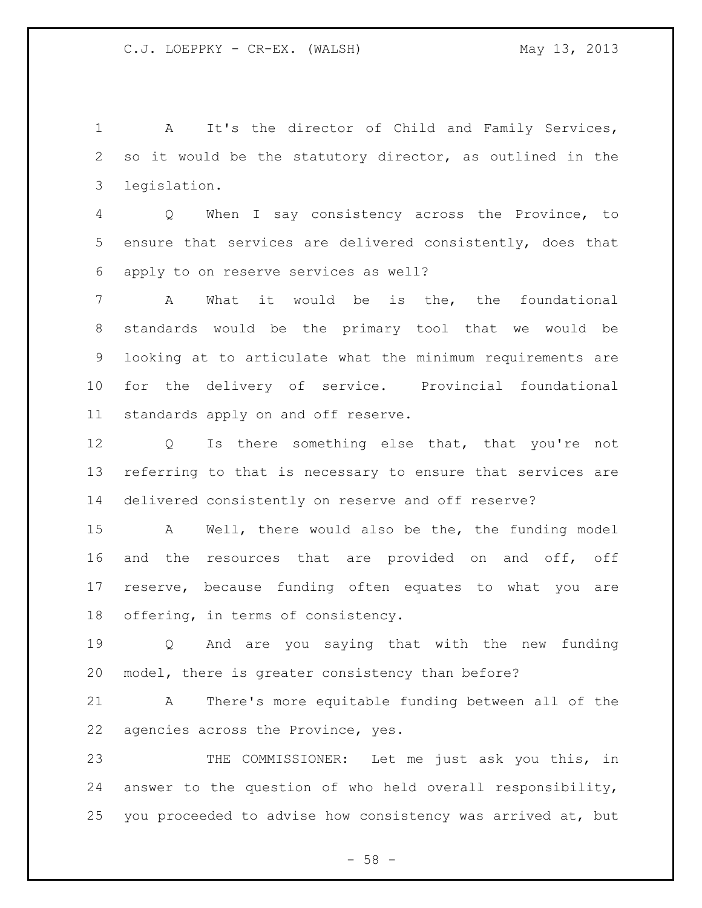A It's the director of Child and Family Services, so it would be the statutory director, as outlined in the legislation.

 Q When I say consistency across the Province, to ensure that services are delivered consistently, does that apply to on reserve services as well?

 A What it would be is the, the foundational standards would be the primary tool that we would be looking at to articulate what the minimum requirements are for the delivery of service. Provincial foundational standards apply on and off reserve.

 Q Is there something else that, that you're not referring to that is necessary to ensure that services are delivered consistently on reserve and off reserve?

 A Well, there would also be the, the funding model and the resources that are provided on and off, off reserve, because funding often equates to what you are offering, in terms of consistency.

 Q And are you saying that with the new funding model, there is greater consistency than before?

 A There's more equitable funding between all of the agencies across the Province, yes.

 THE COMMISSIONER: Let me just ask you this, in answer to the question of who held overall responsibility, you proceeded to advise how consistency was arrived at, but

 $- 58 -$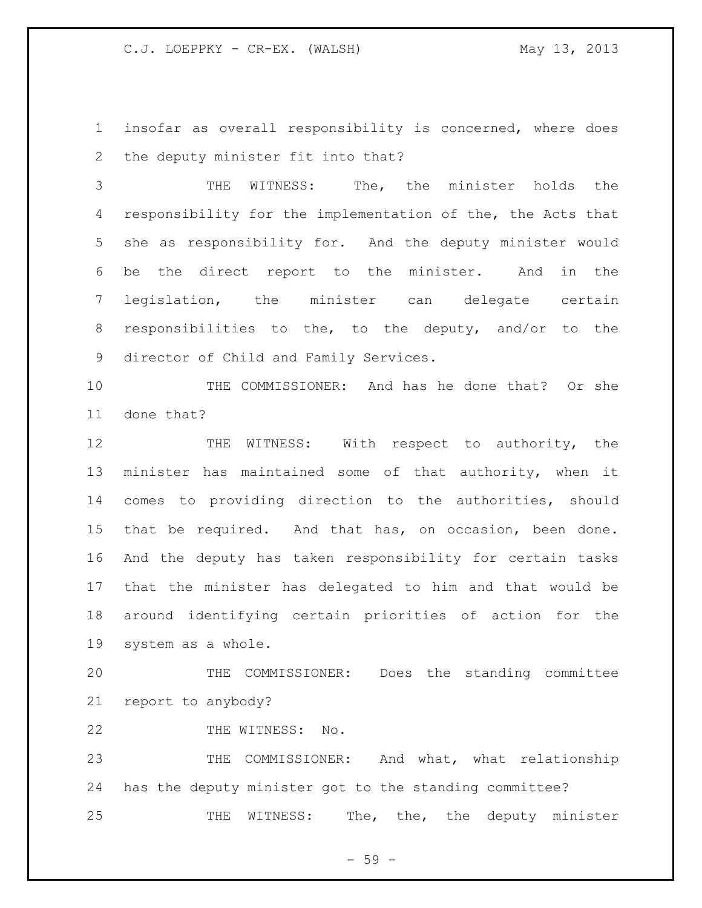insofar as overall responsibility is concerned, where does the deputy minister fit into that?

 THE WITNESS: The, the minister holds the responsibility for the implementation of the, the Acts that she as responsibility for. And the deputy minister would be the direct report to the minister. And in the legislation, the minister can delegate certain responsibilities to the, to the deputy, and/or to the director of Child and Family Services.

 THE COMMISSIONER: And has he done that? Or she done that?

12 THE WITNESS: With respect to authority, the minister has maintained some of that authority, when it comes to providing direction to the authorities, should that be required. And that has, on occasion, been done. And the deputy has taken responsibility for certain tasks that the minister has delegated to him and that would be around identifying certain priorities of action for the system as a whole.

 THE COMMISSIONER: Does the standing committee report to anybody?

22 THE WITNESS: No.

23 THE COMMISSIONER: And what, what relationship has the deputy minister got to the standing committee? 25 THE WITNESS: The, the, the deputy minister

- 59 -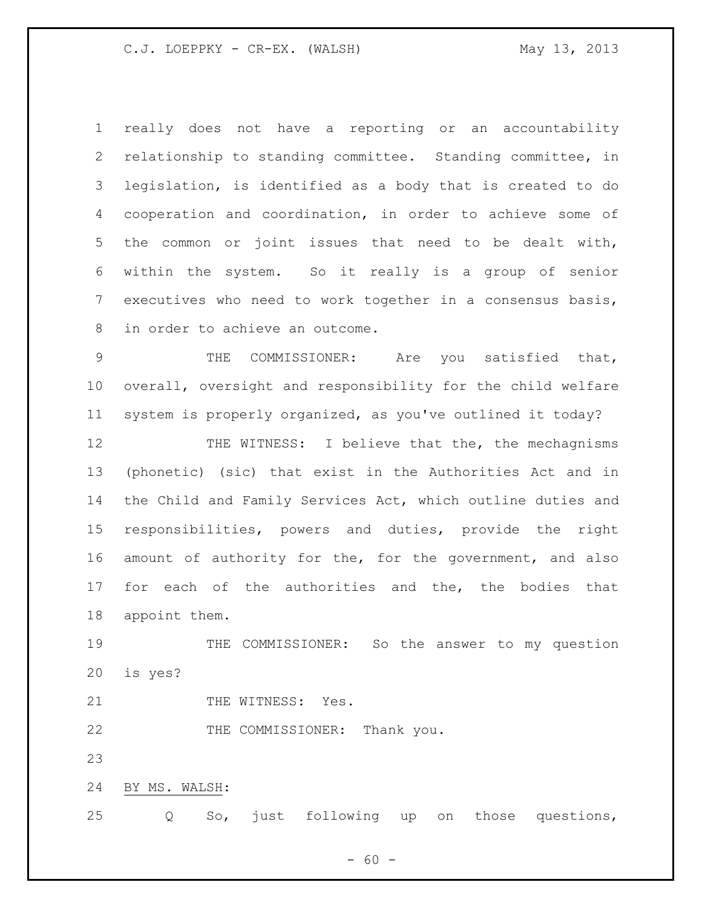really does not have a reporting or an accountability relationship to standing committee. Standing committee, in legislation, is identified as a body that is created to do cooperation and coordination, in order to achieve some of the common or joint issues that need to be dealt with, within the system. So it really is a group of senior executives who need to work together in a consensus basis, in order to achieve an outcome.

 THE COMMISSIONER: Are you satisfied that, overall, oversight and responsibility for the child welfare system is properly organized, as you've outlined it today?

12 THE WITNESS: I believe that the, the mechagnisms (phonetic) (sic) that exist in the Authorities Act and in the Child and Family Services Act, which outline duties and responsibilities, powers and duties, provide the right amount of authority for the, for the government, and also for each of the authorities and the, the bodies that appoint them.

19 THE COMMISSIONER: So the answer to my question is yes?

21 THE WITNESS: Yes.

22 THE COMMISSIONER: Thank you.

BY MS. WALSH:

Q So, just following up on those questions,

 $- 60 -$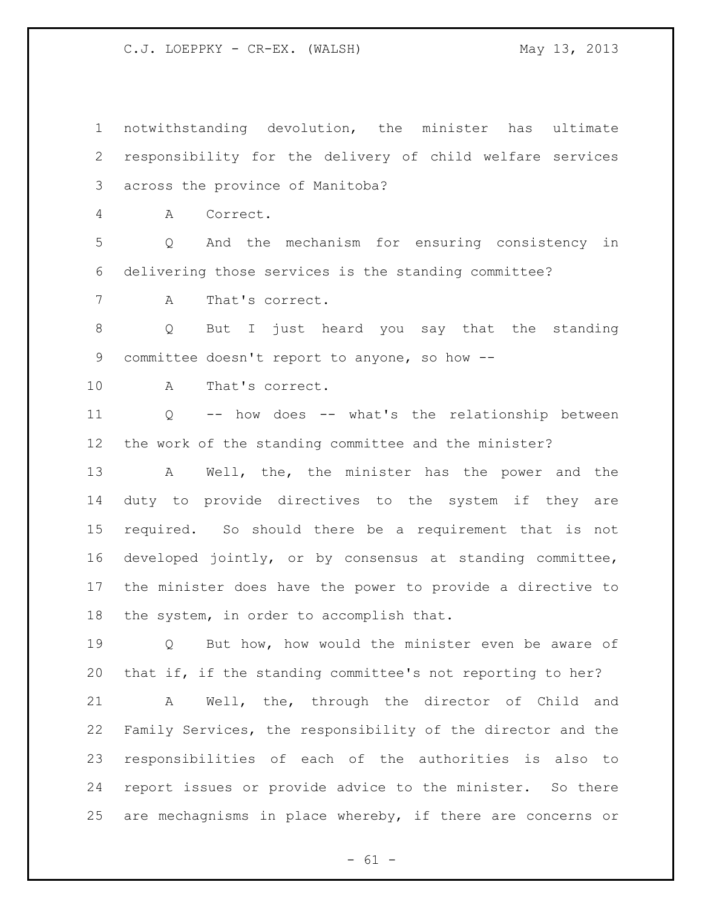notwithstanding devolution, the minister has ultimate responsibility for the delivery of child welfare services across the province of Manitoba? A Correct. Q And the mechanism for ensuring consistency in delivering those services is the standing committee? A That's correct. Q But I just heard you say that the standing committee doesn't report to anyone, so how -- A That's correct. Q -- how does -- what's the relationship between the work of the standing committee and the minister? A Well, the, the minister has the power and the duty to provide directives to the system if they are required. So should there be a requirement that is not developed jointly, or by consensus at standing committee, the minister does have the power to provide a directive to the system, in order to accomplish that. Q But how, how would the minister even be aware of that if, if the standing committee's not reporting to her? A Well, the, through the director of Child and Family Services, the responsibility of the director and the responsibilities of each of the authorities is also to report issues or provide advice to the minister. So there are mechagnisms in place whereby, if there are concerns or

 $- 61 -$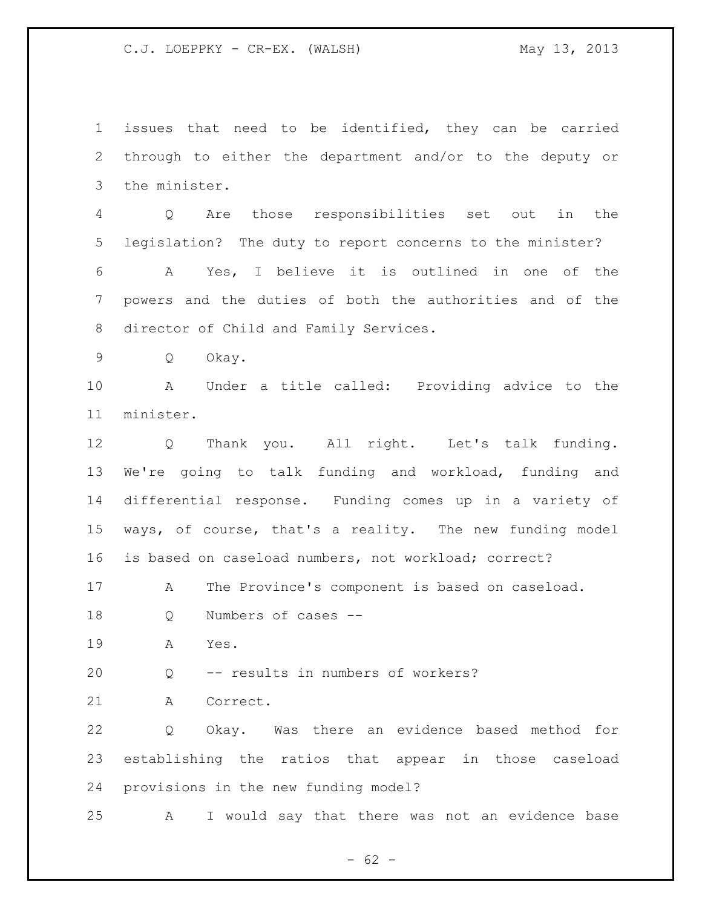issues that need to be identified, they can be carried through to either the department and/or to the deputy or the minister.

 Q Are those responsibilities set out in the legislation? The duty to report concerns to the minister?

 A Yes, I believe it is outlined in one of the powers and the duties of both the authorities and of the director of Child and Family Services.

Q Okay.

 A Under a title called: Providing advice to the minister.

 Q Thank you. All right. Let's talk funding. We're going to talk funding and workload, funding and differential response. Funding comes up in a variety of ways, of course, that's a reality. The new funding model is based on caseload numbers, not workload; correct?

A The Province's component is based on caseload.

Q Numbers of cases --

A Yes.

Q -- results in numbers of workers?

A Correct.

 Q Okay. Was there an evidence based method for establishing the ratios that appear in those caseload provisions in the new funding model?

A I would say that there was not an evidence base

 $- 62 -$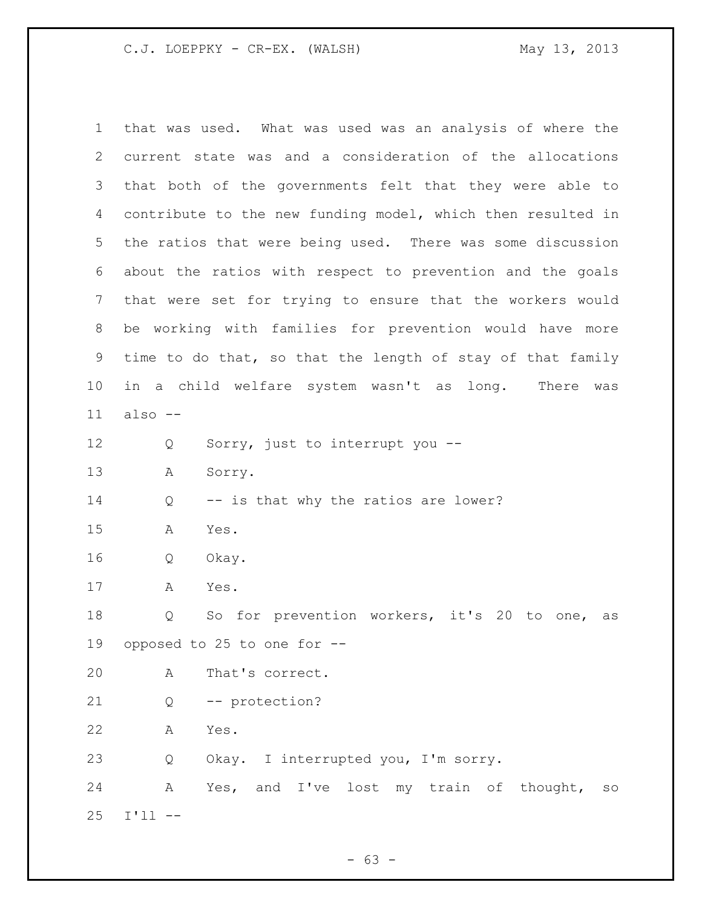that was used. What was used was an analysis of where the current state was and a consideration of the allocations that both of the governments felt that they were able to contribute to the new funding model, which then resulted in the ratios that were being used. There was some discussion about the ratios with respect to prevention and the goals that were set for trying to ensure that the workers would be working with families for prevention would have more time to do that, so that the length of stay of that family in a child welfare system wasn't as long. There was also -- Q Sorry, just to interrupt you -- A Sorry. 14 Q -- is that why the ratios are lower? A Yes. Q Okay. A Yes. Q So for prevention workers, it's 20 to one, as opposed to 25 to one for -- A That's correct. Q -- protection? A Yes. Q Okay. I interrupted you, I'm sorry. A Yes, and I've lost my train of thought, so I'll --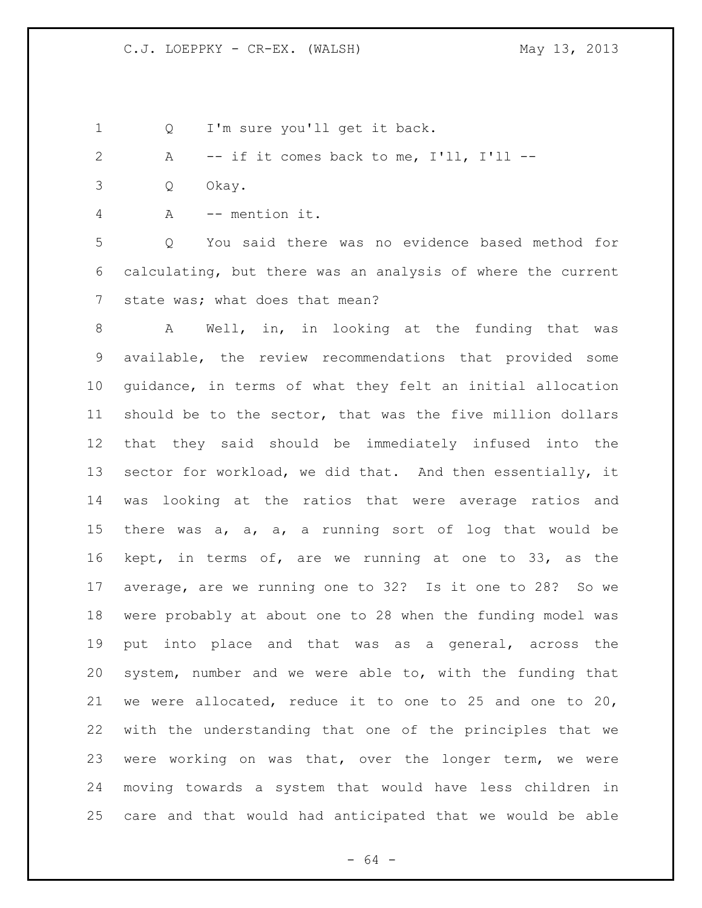Q I'm sure you'll get it back.

```
2 A -- if it comes back to me, I'll, I'll --
```
- Q Okay.
- A -- mention it.

 Q You said there was no evidence based method for calculating, but there was an analysis of where the current state was; what does that mean?

 A Well, in, in looking at the funding that was available, the review recommendations that provided some guidance, in terms of what they felt an initial allocation should be to the sector, that was the five million dollars that they said should be immediately infused into the sector for workload, we did that. And then essentially, it was looking at the ratios that were average ratios and there was a, a, a, a running sort of log that would be kept, in terms of, are we running at one to 33, as the average, are we running one to 32? Is it one to 28? So we were probably at about one to 28 when the funding model was put into place and that was as a general, across the system, number and we were able to, with the funding that we were allocated, reduce it to one to 25 and one to 20, with the understanding that one of the principles that we were working on was that, over the longer term, we were moving towards a system that would have less children in care and that would had anticipated that we would be able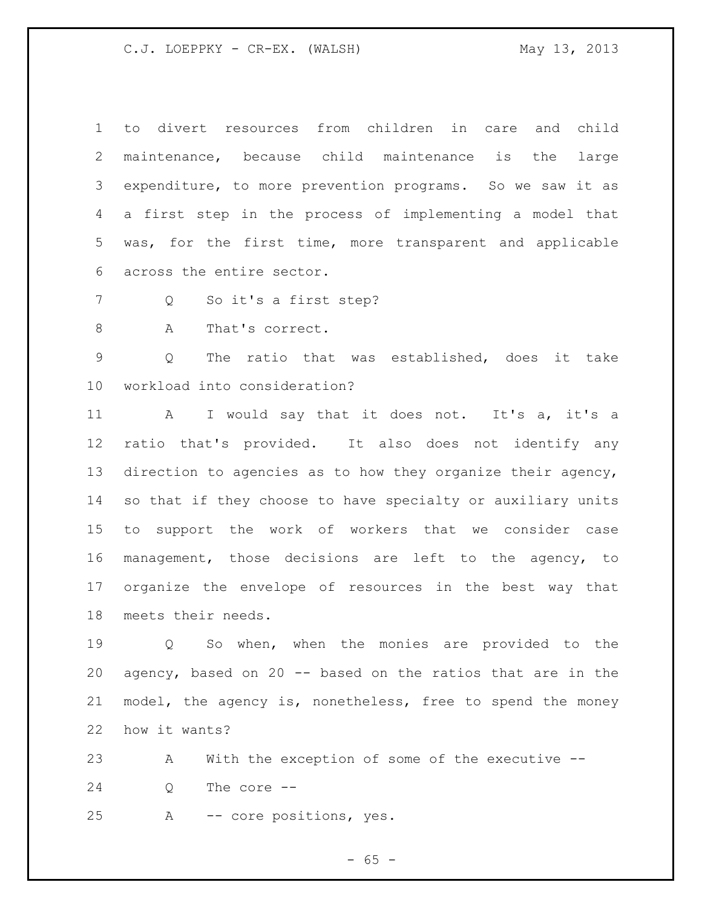to divert resources from children in care and child maintenance, because child maintenance is the large expenditure, to more prevention programs. So we saw it as a first step in the process of implementing a model that was, for the first time, more transparent and applicable across the entire sector.

Q So it's a first step?

8 A That's correct.

 Q The ratio that was established, does it take workload into consideration?

11 A I would say that it does not. It's a, it's a ratio that's provided. It also does not identify any direction to agencies as to how they organize their agency, so that if they choose to have specialty or auxiliary units to support the work of workers that we consider case management, those decisions are left to the agency, to organize the envelope of resources in the best way that meets their needs.

 Q So when, when the monies are provided to the agency, based on 20 -- based on the ratios that are in the model, the agency is, nonetheless, free to spend the money how it wants?

 A With the exception of some of the executive -- Q The core --

A -- core positions, yes.

 $- 65 -$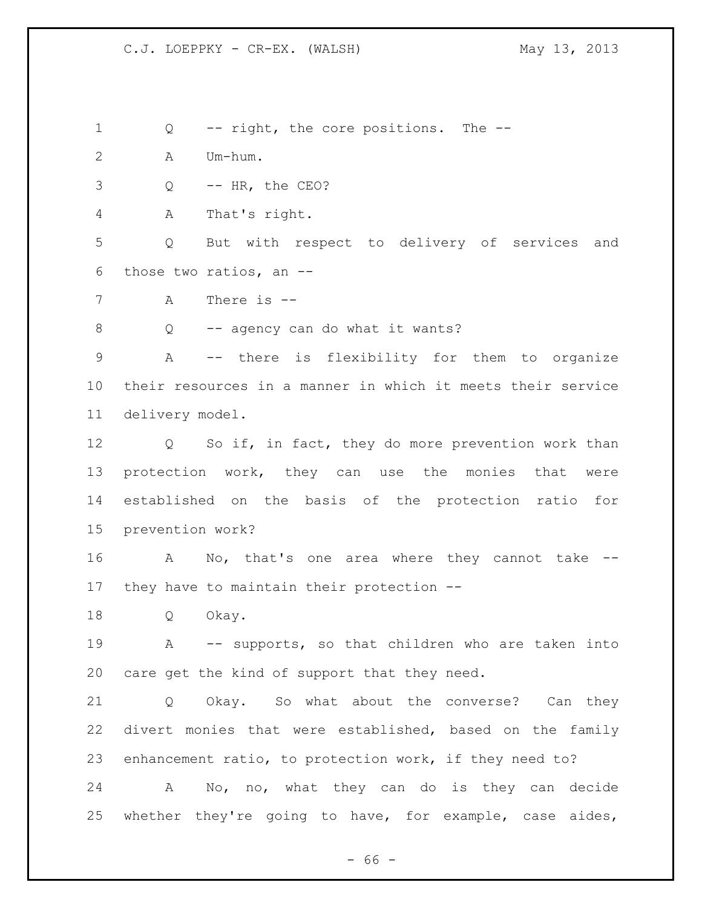Q -- right, the core positions. The --

A Um-hum.

Q -- HR, the CEO?

A That's right.

 Q But with respect to delivery of services and those two ratios, an --

A There is --

Q -- agency can do what it wants?

 A -- there is flexibility for them to organize their resources in a manner in which it meets their service delivery model.

12 Q So if, in fact, they do more prevention work than protection work, they can use the monies that were established on the basis of the protection ratio for prevention work?

 A No, that's one area where they cannot take -- they have to maintain their protection --

Q Okay.

 A -- supports, so that children who are taken into care get the kind of support that they need.

 Q Okay. So what about the converse? Can they divert monies that were established, based on the family enhancement ratio, to protection work, if they need to?

 A No, no, what they can do is they can decide whether they're going to have, for example, case aides,

 $- 66 -$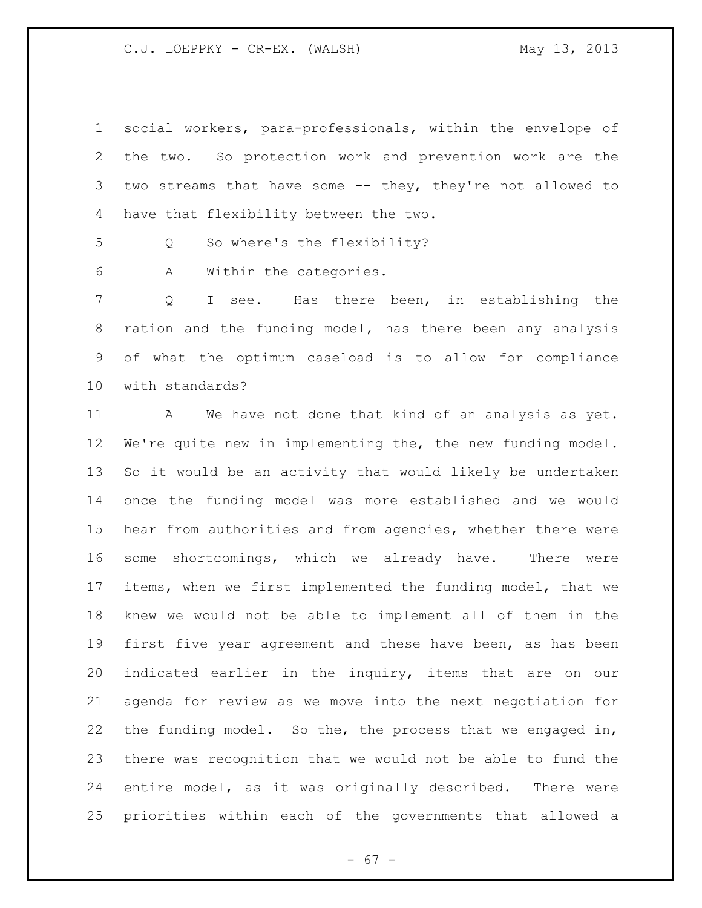social workers, para-professionals, within the envelope of the two. So protection work and prevention work are the two streams that have some -- they, they're not allowed to have that flexibility between the two.

Q So where's the flexibility?

A Within the categories.

 Q I see. Has there been, in establishing the ration and the funding model, has there been any analysis of what the optimum caseload is to allow for compliance with standards?

11 A We have not done that kind of an analysis as yet. We're quite new in implementing the, the new funding model. So it would be an activity that would likely be undertaken once the funding model was more established and we would hear from authorities and from agencies, whether there were some shortcomings, which we already have. There were items, when we first implemented the funding model, that we knew we would not be able to implement all of them in the first five year agreement and these have been, as has been indicated earlier in the inquiry, items that are on our agenda for review as we move into the next negotiation for the funding model. So the, the process that we engaged in, there was recognition that we would not be able to fund the entire model, as it was originally described. There were priorities within each of the governments that allowed a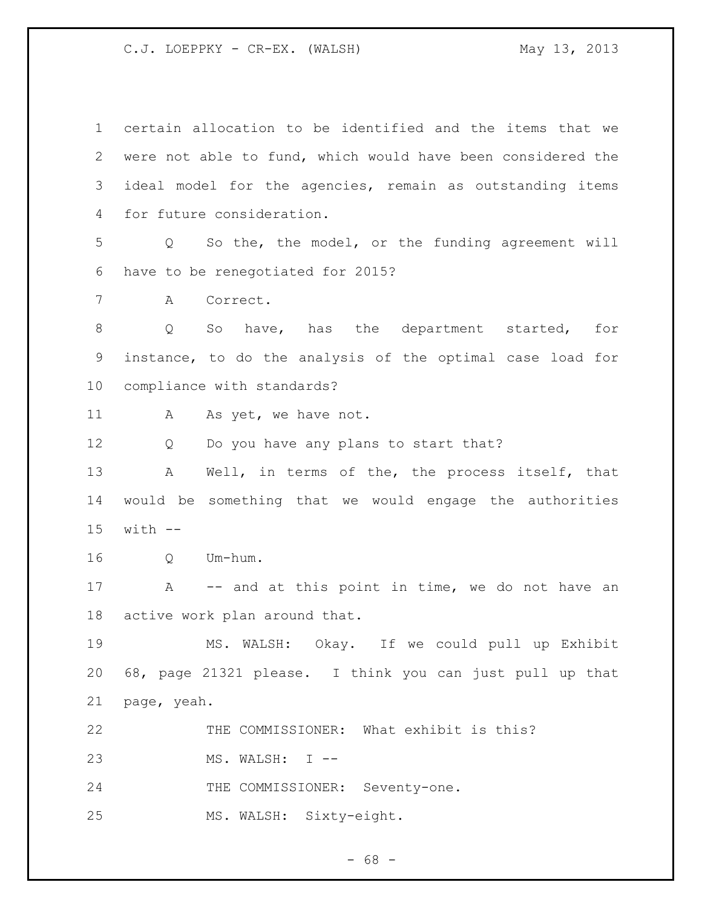| $\mathbf 1$ | certain allocation to be identified and the items that we             |
|-------------|-----------------------------------------------------------------------|
| 2           | were not able to fund, which would have been considered the           |
| 3           | ideal model for the agencies, remain as outstanding items             |
| 4           | for future consideration.                                             |
| 5           | So the, the model, or the funding agreement will<br>$Q \qquad \qquad$ |
| 6           | have to be renegotiated for 2015?                                     |
| 7           | Correct.<br>A                                                         |
| $\,8\,$     | So have, has the department started,<br>for<br>Q                      |
| 9           | instance, to do the analysis of the optimal case load for             |
| 10          | compliance with standards?                                            |
| 11          | As yet, we have not.<br>А                                             |
| 12          | Do you have any plans to start that?<br>Q                             |
| 13          | Well, in terms of the, the process itself, that<br>A                  |
| 14          | would be something that we would engage the authorities               |
| 15          | $with$ $-$                                                            |
| 16          | Um-hum.<br>Q                                                          |
| 17          | -- and at this point in time, we do not have an<br>A                  |
| 18          | active work plan around that.                                         |
| 19          | MS. WALSH: Okay. If we could pull up Exhibit                          |
| 20          | 68, page 21321 please. I think you can just pull up that              |
| 21          | page, yeah.                                                           |
| 22          | THE COMMISSIONER: What exhibit is this?                               |
| 23          | MS. WALSH: I --                                                       |
| 24          | THE COMMISSIONER: Seventy-one.                                        |
| 25          | MS. WALSH: Sixty-eight.                                               |

- 68 -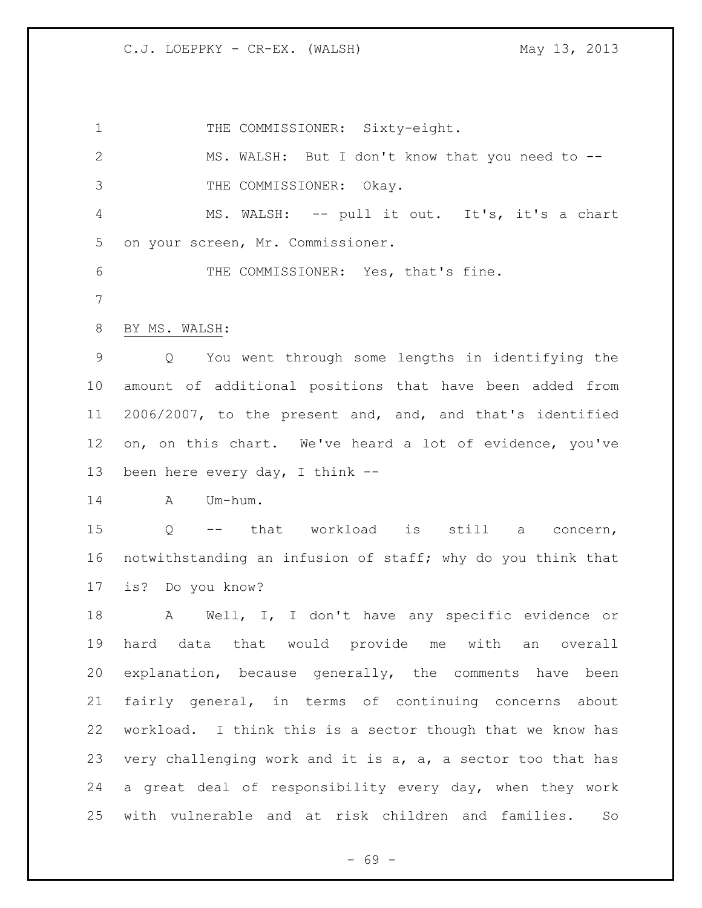1 THE COMMISSIONER: Sixty-eight. MS. WALSH: But I don't know that you need to -- THE COMMISSIONER: Okay. MS. WALSH: -- pull it out. It's, it's a chart on your screen, Mr. Commissioner. THE COMMISSIONER: Yes, that's fine. BY MS. WALSH: Q You went through some lengths in identifying the amount of additional positions that have been added from 2006/2007, to the present and, and, and that's identified on, on this chart. We've heard a lot of evidence, you've been here every day, I think -- A Um-hum. Q -- that workload is still a concern, notwithstanding an infusion of staff; why do you think that is? Do you know? A Well, I, I don't have any specific evidence or hard data that would provide me with an overall explanation, because generally, the comments have been fairly general, in terms of continuing concerns about workload. I think this is a sector though that we know has very challenging work and it is a, a, a sector too that has a great deal of responsibility every day, when they work with vulnerable and at risk children and families. So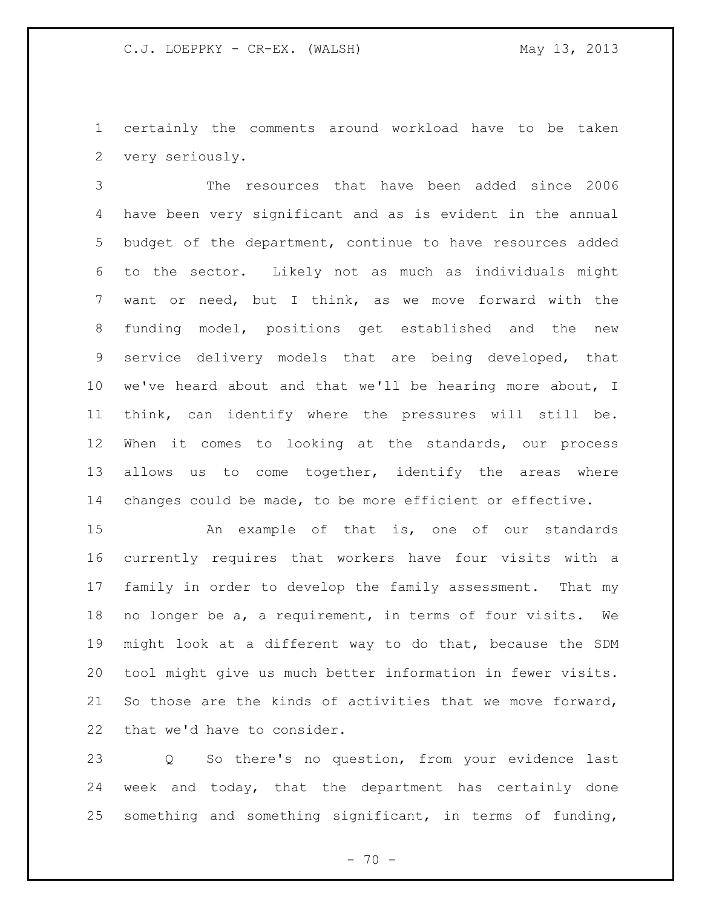certainly the comments around workload have to be taken very seriously.

 The resources that have been added since 2006 have been very significant and as is evident in the annual budget of the department, continue to have resources added to the sector. Likely not as much as individuals might want or need, but I think, as we move forward with the funding model, positions get established and the new service delivery models that are being developed, that we've heard about and that we'll be hearing more about, I think, can identify where the pressures will still be. When it comes to looking at the standards, our process 13 allows us to come together, identify the areas where changes could be made, to be more efficient or effective.

 An example of that is, one of our standards currently requires that workers have four visits with a family in order to develop the family assessment. That my no longer be a, a requirement, in terms of four visits. We might look at a different way to do that, because the SDM tool might give us much better information in fewer visits. So those are the kinds of activities that we move forward, that we'd have to consider.

 Q So there's no question, from your evidence last week and today, that the department has certainly done something and something significant, in terms of funding,

 $- 70 -$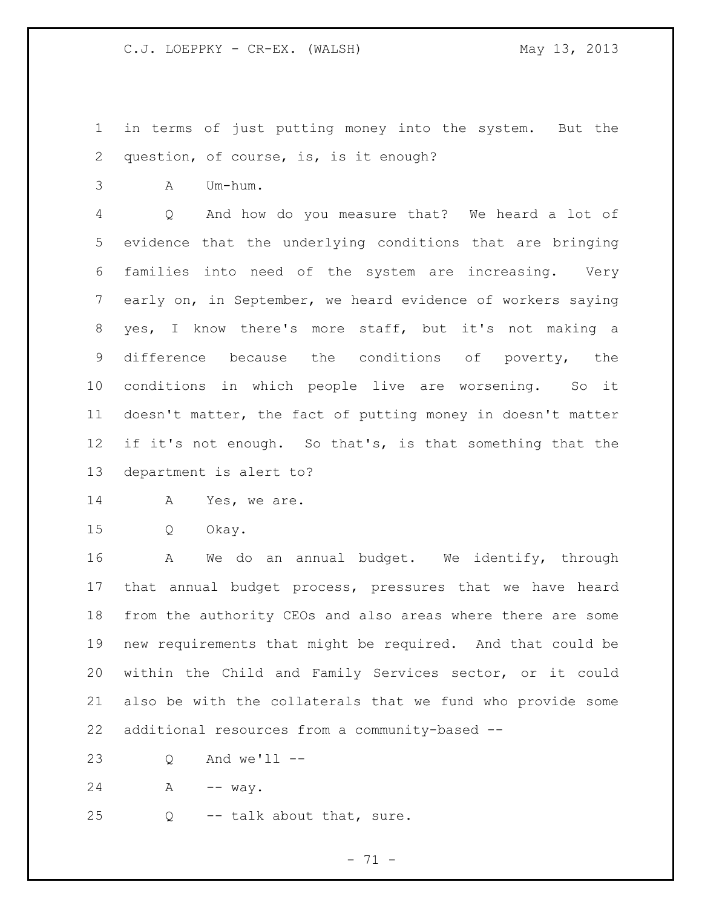in terms of just putting money into the system. But the question, of course, is, is it enough?

A Um-hum.

 Q And how do you measure that? We heard a lot of evidence that the underlying conditions that are bringing families into need of the system are increasing. Very early on, in September, we heard evidence of workers saying yes, I know there's more staff, but it's not making a difference because the conditions of poverty, the conditions in which people live are worsening. So it doesn't matter, the fact of putting money in doesn't matter if it's not enough. So that's, is that something that the department is alert to?

14 A Yes, we are.

Q Okay.

 A We do an annual budget. We identify, through that annual budget process, pressures that we have heard from the authority CEOs and also areas where there are some new requirements that might be required. And that could be within the Child and Family Services sector, or it could also be with the collaterals that we fund who provide some additional resources from a community-based --

Q And we'll --

24 A -- way.

Q -- talk about that, sure.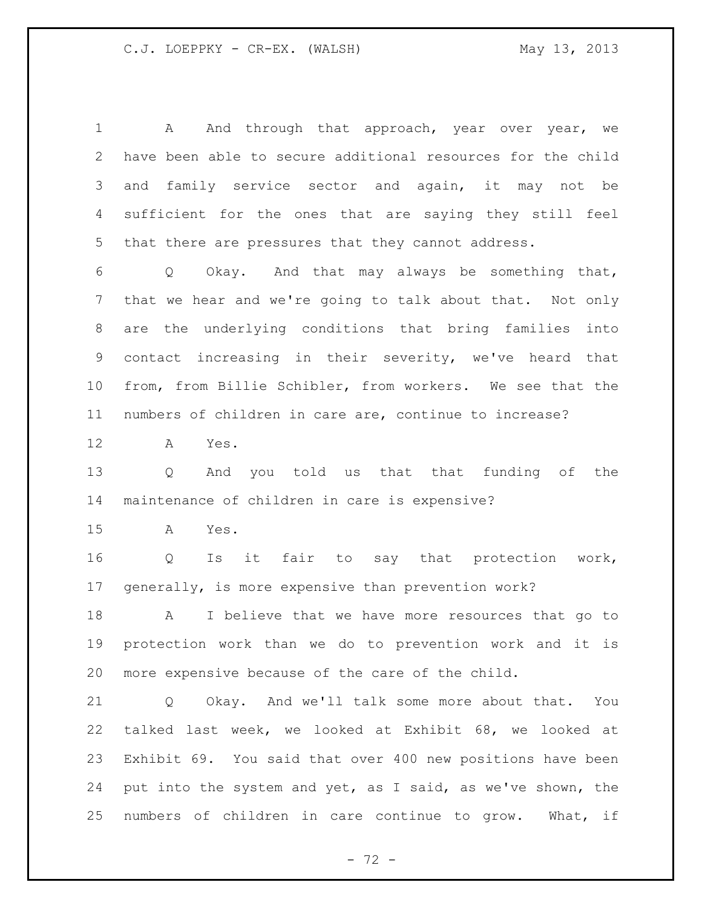1 A And through that approach, year over year, we have been able to secure additional resources for the child and family service sector and again, it may not be sufficient for the ones that are saying they still feel that there are pressures that they cannot address. Q Okay. And that may always be something that, that we hear and we're going to talk about that. Not only are the underlying conditions that bring families into contact increasing in their severity, we've heard that from, from Billie Schibler, from workers. We see that the numbers of children in care are, continue to increase? A Yes. Q And you told us that that funding of the maintenance of children in care is expensive? A Yes. Q Is it fair to say that protection work, generally, is more expensive than prevention work? A I believe that we have more resources that go to protection work than we do to prevention work and it is

more expensive because of the care of the child.

 Q Okay. And we'll talk some more about that. You talked last week, we looked at Exhibit 68, we looked at Exhibit 69. You said that over 400 new positions have been put into the system and yet, as I said, as we've shown, the numbers of children in care continue to grow. What, if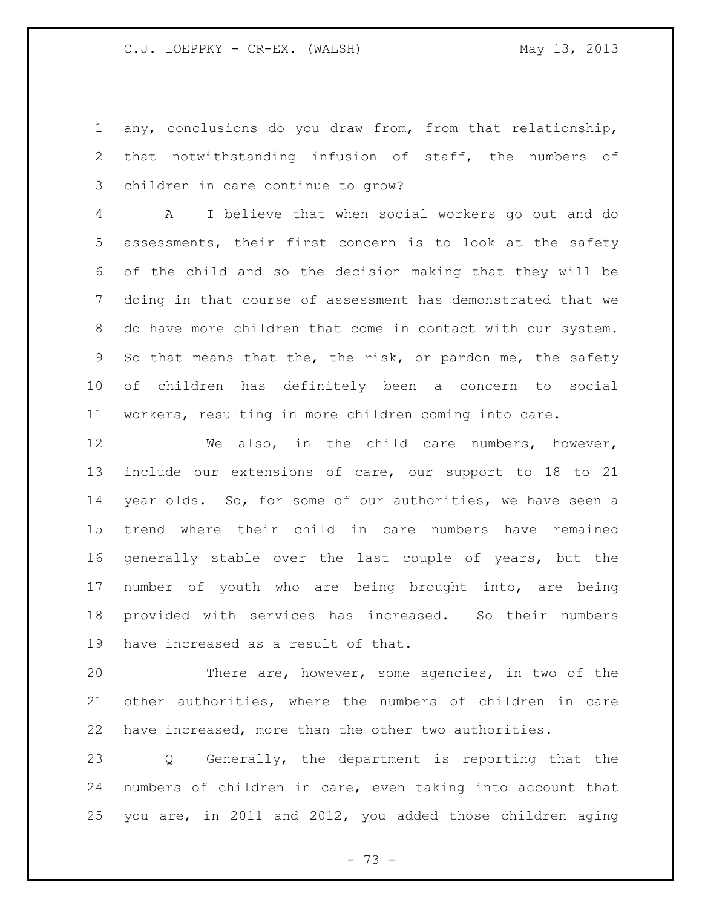any, conclusions do you draw from, from that relationship, that notwithstanding infusion of staff, the numbers of children in care continue to grow?

 A I believe that when social workers go out and do assessments, their first concern is to look at the safety of the child and so the decision making that they will be doing in that course of assessment has demonstrated that we do have more children that come in contact with our system. So that means that the, the risk, or pardon me, the safety of children has definitely been a concern to social workers, resulting in more children coming into care.

 We also, in the child care numbers, however, include our extensions of care, our support to 18 to 21 year olds. So, for some of our authorities, we have seen a trend where their child in care numbers have remained generally stable over the last couple of years, but the number of youth who are being brought into, are being provided with services has increased. So their numbers have increased as a result of that.

 There are, however, some agencies, in two of the other authorities, where the numbers of children in care have increased, more than the other two authorities.

 Q Generally, the department is reporting that the numbers of children in care, even taking into account that you are, in 2011 and 2012, you added those children aging

- 73 -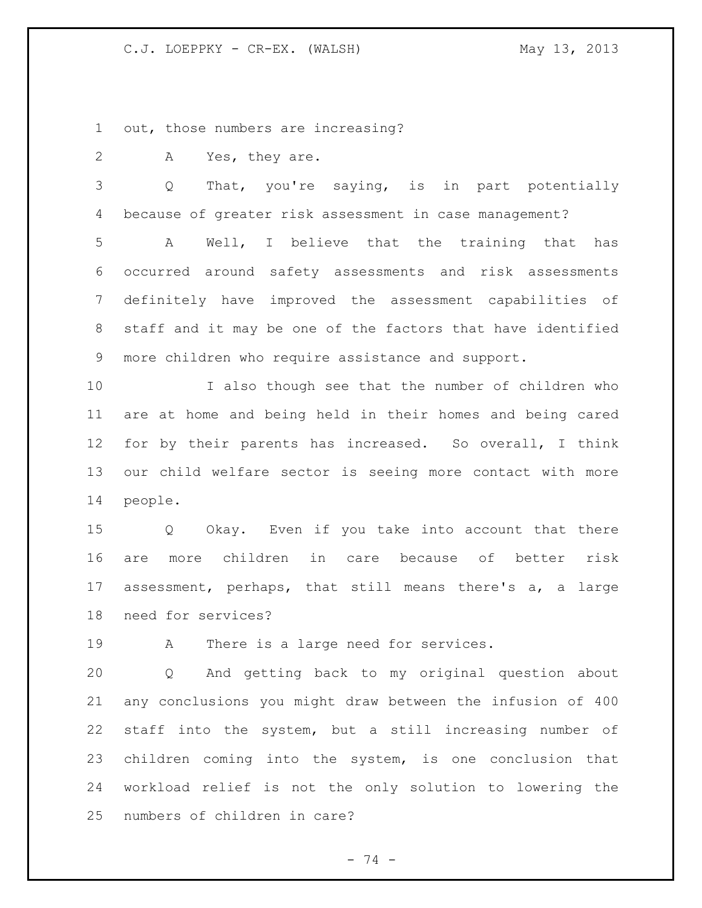out, those numbers are increasing?

A Yes, they are.

 Q That, you're saying, is in part potentially because of greater risk assessment in case management?

 A Well, I believe that the training that has occurred around safety assessments and risk assessments definitely have improved the assessment capabilities of staff and it may be one of the factors that have identified more children who require assistance and support.

 I also though see that the number of children who are at home and being held in their homes and being cared for by their parents has increased. So overall, I think our child welfare sector is seeing more contact with more people.

 Q Okay. Even if you take into account that there are more children in care because of better risk assessment, perhaps, that still means there's a, a large need for services?

A There is a large need for services.

 Q And getting back to my original question about any conclusions you might draw between the infusion of 400 staff into the system, but a still increasing number of children coming into the system, is one conclusion that workload relief is not the only solution to lowering the numbers of children in care?

- 74 -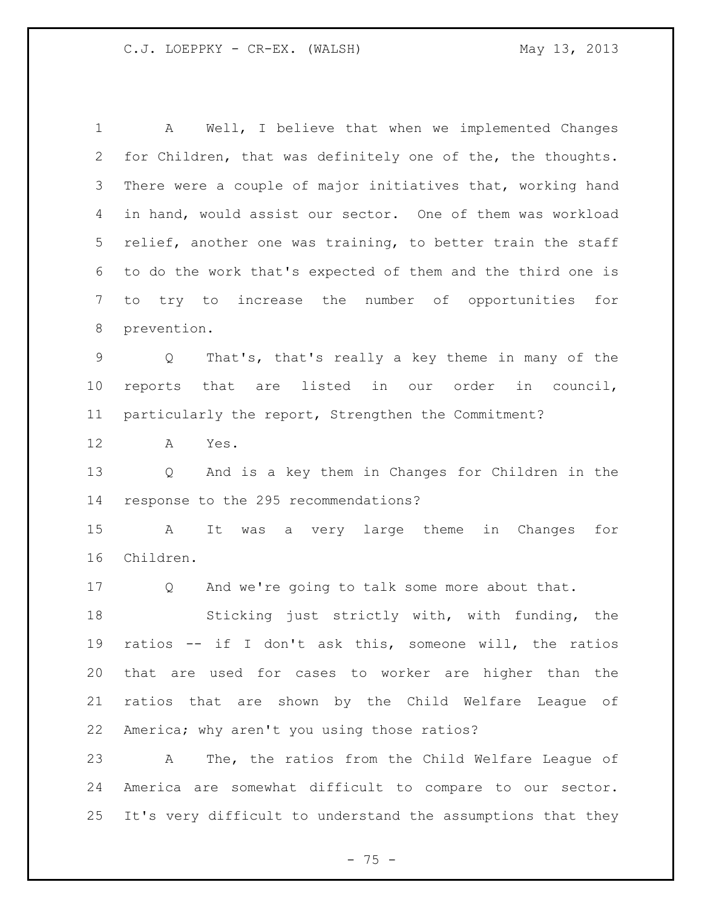A Well, I believe that when we implemented Changes for Children, that was definitely one of the, the thoughts. 3 There were a couple of major initiatives that, working hand in hand, would assist our sector. One of them was workload relief, another one was training, to better train the staff to do the work that's expected of them and the third one is to try to increase the number of opportunities for prevention. Q That's, that's really a key theme in many of the reports that are listed in our order in council, particularly the report, Strengthen the Commitment? A Yes. Q And is a key them in Changes for Children in the response to the 295 recommendations? A It was a very large theme in Changes for Children. Q And we're going to talk some more about that. Sticking just strictly with, with funding, the ratios -- if I don't ask this, someone will, the ratios that are used for cases to worker are higher than the ratios that are shown by the Child Welfare League of America; why aren't you using those ratios? A The, the ratios from the Child Welfare League of America are somewhat difficult to compare to our sector. It's very difficult to understand the assumptions that they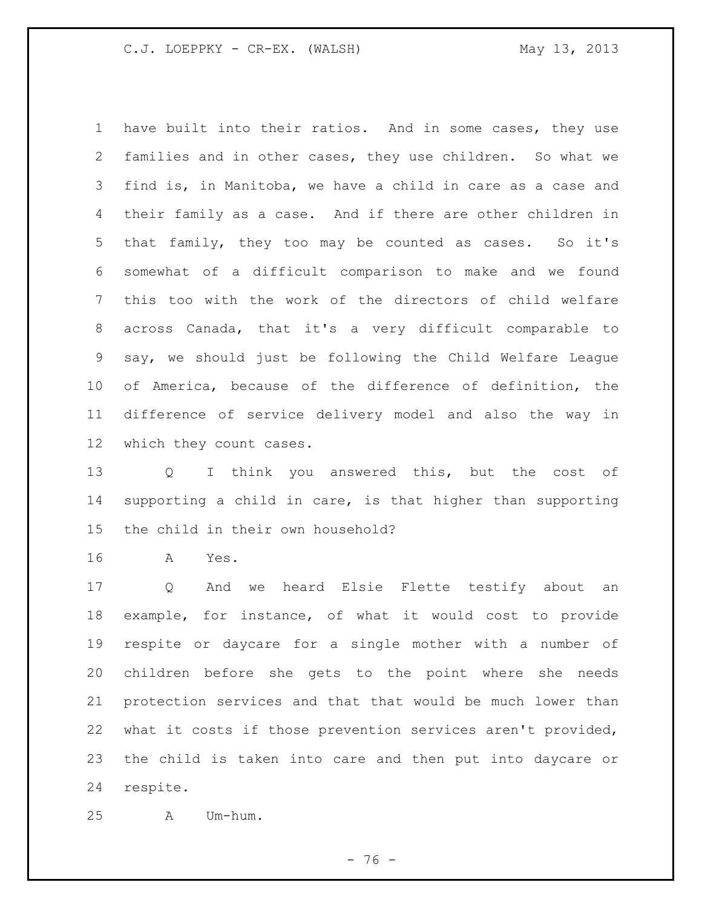have built into their ratios. And in some cases, they use families and in other cases, they use children. So what we find is, in Manitoba, we have a child in care as a case and their family as a case. And if there are other children in that family, they too may be counted as cases. So it's somewhat of a difficult comparison to make and we found this too with the work of the directors of child welfare across Canada, that it's a very difficult comparable to say, we should just be following the Child Welfare League of America, because of the difference of definition, the difference of service delivery model and also the way in which they count cases.

 Q I think you answered this, but the cost of supporting a child in care, is that higher than supporting the child in their own household?

A Yes.

 Q And we heard Elsie Flette testify about an example, for instance, of what it would cost to provide respite or daycare for a single mother with a number of children before she gets to the point where she needs protection services and that that would be much lower than what it costs if those prevention services aren't provided, the child is taken into care and then put into daycare or respite.

A Um-hum.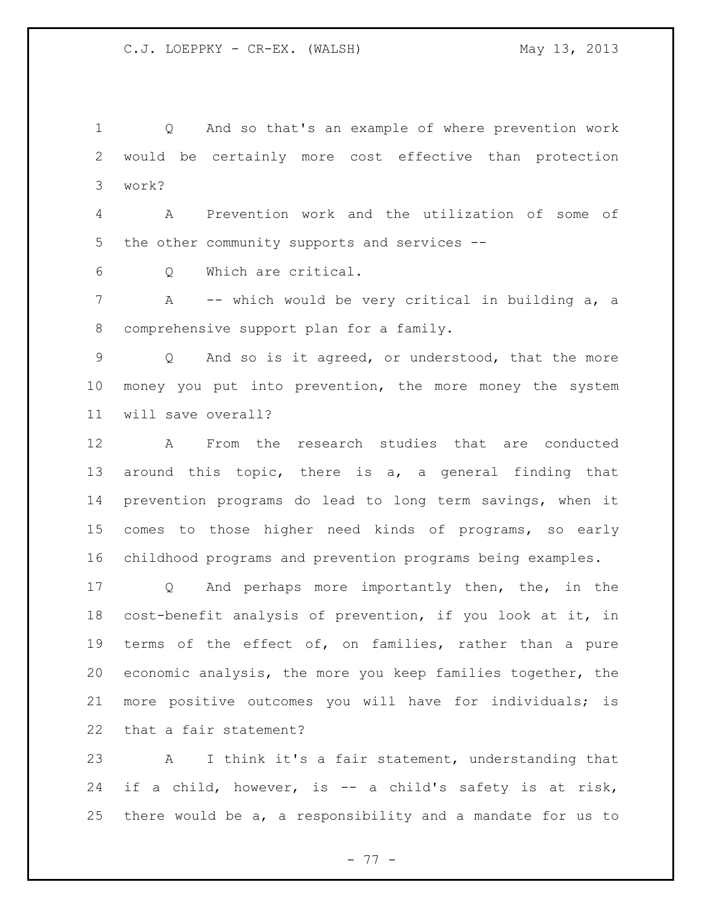Q And so that's an example of where prevention work would be certainly more cost effective than protection work?

 A Prevention work and the utilization of some of the other community supports and services --

Q Which are critical.

 A -- which would be very critical in building a, a comprehensive support plan for a family.

 Q And so is it agreed, or understood, that the more money you put into prevention, the more money the system will save overall?

 A From the research studies that are conducted around this topic, there is a, a general finding that prevention programs do lead to long term savings, when it comes to those higher need kinds of programs, so early childhood programs and prevention programs being examples.

 Q And perhaps more importantly then, the, in the cost-benefit analysis of prevention, if you look at it, in terms of the effect of, on families, rather than a pure economic analysis, the more you keep families together, the more positive outcomes you will have for individuals; is that a fair statement?

 A I think it's a fair statement, understanding that if a child, however, is -- a child's safety is at risk, there would be a, a responsibility and a mandate for us to

- 77 -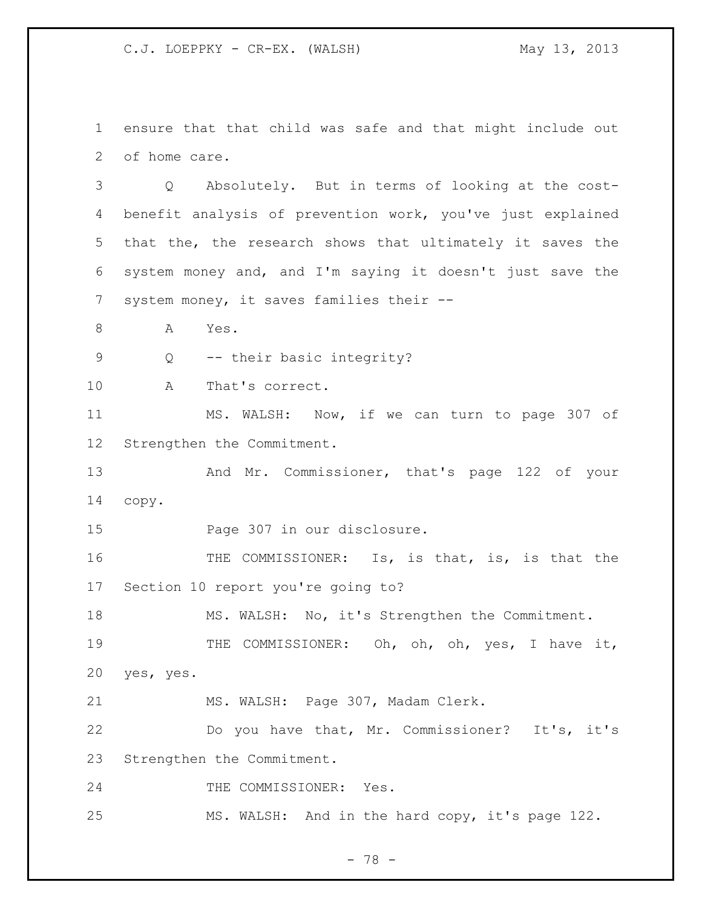ensure that that child was safe and that might include out of home care.

 Q Absolutely. But in terms of looking at the cost- benefit analysis of prevention work, you've just explained that the, the research shows that ultimately it saves the system money and, and I'm saying it doesn't just save the system money, it saves families their --

8 A Yes.

Q -- their basic integrity?

A That's correct.

 MS. WALSH: Now, if we can turn to page 307 of Strengthen the Commitment.

13 And Mr. Commissioner, that's page 122 of your copy.

Page 307 in our disclosure.

 THE COMMISSIONER: Is, is that, is, is that the Section 10 report you're going to?

MS. WALSH: No, it's Strengthen the Commitment.

19 THE COMMISSIONER: Oh, oh, oh, yes, I have it, yes, yes.

MS. WALSH: Page 307, Madam Clerk.

 Do you have that, Mr. Commissioner? It's, it's Strengthen the Commitment.

24 THE COMMISSIONER: Yes.

MS. WALSH: And in the hard copy, it's page 122.

- 78 -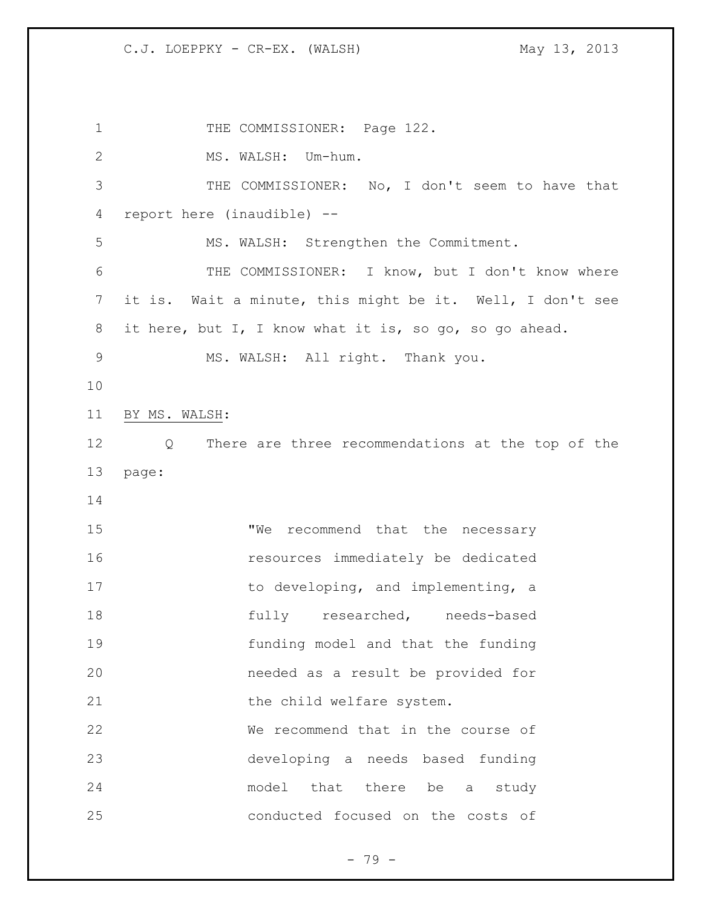1 THE COMMISSIONER: Page 122. MS. WALSH: Um-hum. THE COMMISSIONER: No, I don't seem to have that report here (inaudible) -- MS. WALSH: Strengthen the Commitment. THE COMMISSIONER: I know, but I don't know where it is. Wait a minute, this might be it. Well, I don't see it here, but I, I know what it is, so go, so go ahead. MS. WALSH: All right. Thank you. BY MS. WALSH: Q There are three recommendations at the top of the page: 15 "We recommend that the necessary resources immediately be dedicated 17 to developing, and implementing, a 18 fully researched, needs-based funding model and that the funding needed as a result be provided for 21 the child welfare system. We recommend that in the course of developing a needs based funding model that there be a study conducted focused on the costs of

- 79 -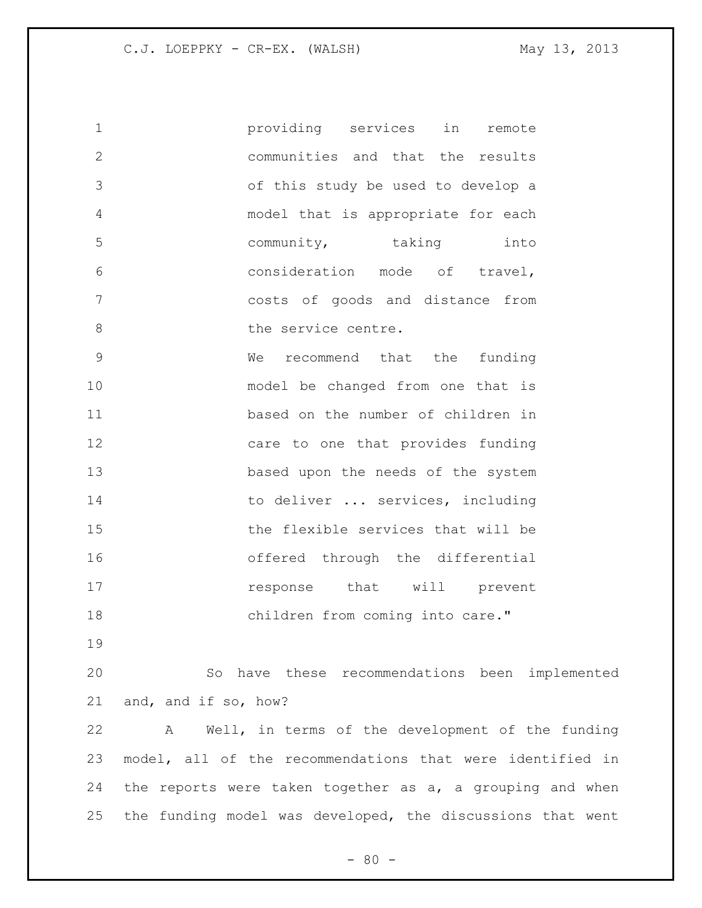providing services in remote communities and that the results of this study be used to develop a model that is appropriate for each community, taking into consideration mode of travel, costs of goods and distance from 8 the service centre. We recommend that the funding model be changed from one that is based on the number of children in care to one that provides funding 13 based upon the needs of the system 14 to deliver ... services, including the flexible services that will be offered through the differential **response** that will prevent

18 children from coming into care."

 So have these recommendations been implemented and, and if so, how?

 A Well, in terms of the development of the funding model, all of the recommendations that were identified in the reports were taken together as a, a grouping and when the funding model was developed, the discussions that went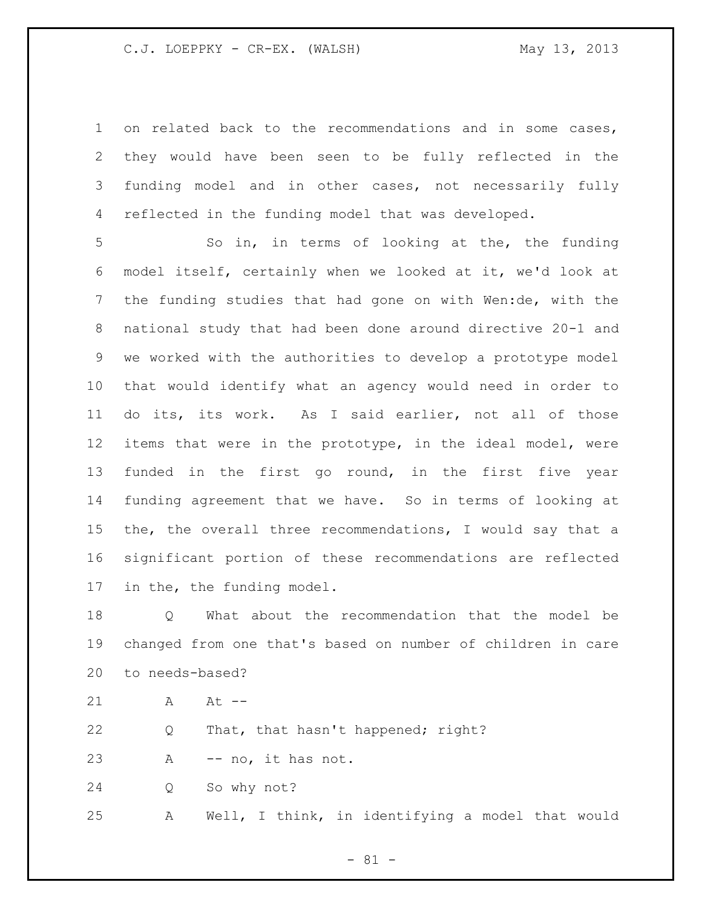on related back to the recommendations and in some cases, they would have been seen to be fully reflected in the funding model and in other cases, not necessarily fully reflected in the funding model that was developed.

 So in, in terms of looking at the, the funding model itself, certainly when we looked at it, we'd look at the funding studies that had gone on with Wen:de, with the national study that had been done around directive 20-1 and we worked with the authorities to develop a prototype model that would identify what an agency would need in order to do its, its work. As I said earlier, not all of those items that were in the prototype, in the ideal model, were funded in the first go round, in the first five year funding agreement that we have. So in terms of looking at the, the overall three recommendations, I would say that a significant portion of these recommendations are reflected in the, the funding model.

 Q What about the recommendation that the model be changed from one that's based on number of children in care to needs-based?

21 A At  $-$ 

Q That, that hasn't happened; right?

A -- no, it has not.

Q So why not?

A Well, I think, in identifying a model that would

- 81 -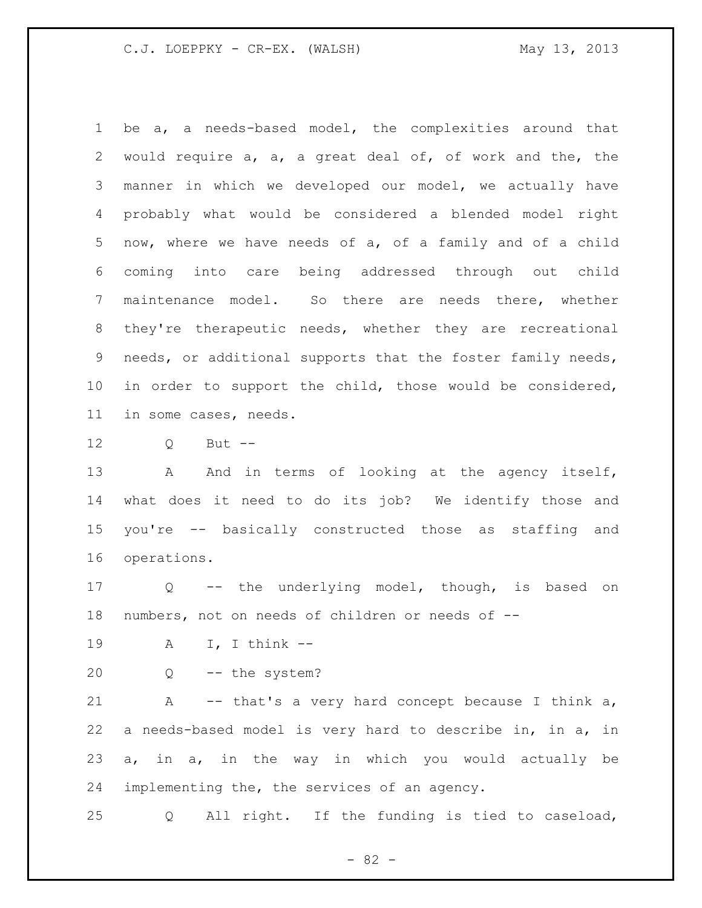be a, a needs-based model, the complexities around that would require a, a, a great deal of, of work and the, the manner in which we developed our model, we actually have probably what would be considered a blended model right now, where we have needs of a, of a family and of a child coming into care being addressed through out child maintenance model. So there are needs there, whether they're therapeutic needs, whether they are recreational needs, or additional supports that the foster family needs, in order to support the child, those would be considered, in some cases, needs.

Q But --

13 A And in terms of looking at the agency itself, what does it need to do its job? We identify those and you're -- basically constructed those as staffing and operations.

 Q -- the underlying model, though, is based on numbers, not on needs of children or needs of --

A I, I think --

Q -- the system?

 A -- that's a very hard concept because I think a, a needs-based model is very hard to describe in, in a, in a, in a, in the way in which you would actually be implementing the, the services of an agency.

Q All right. If the funding is tied to caseload,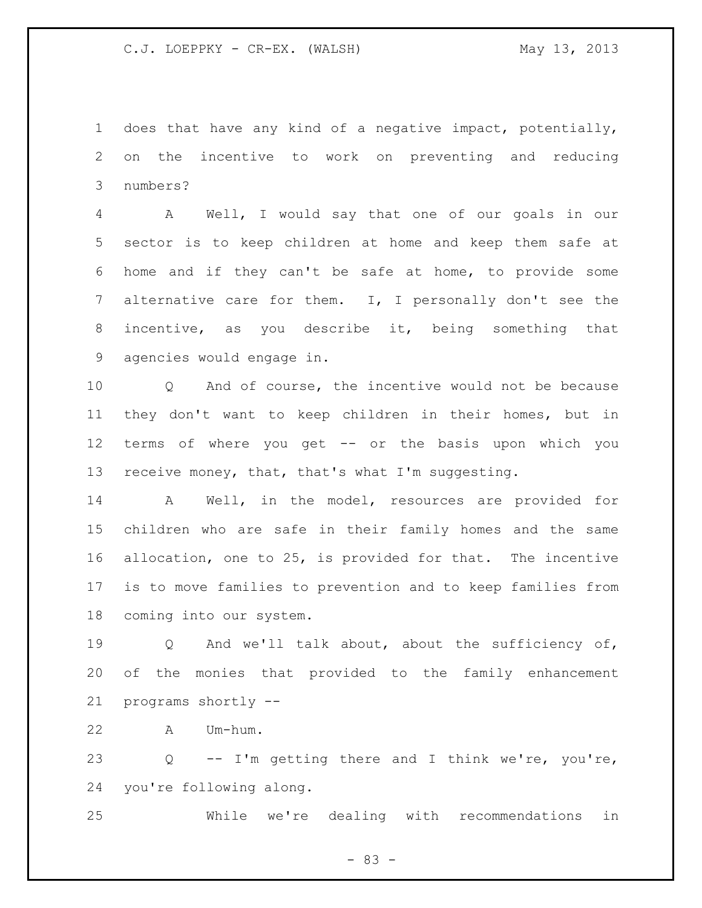does that have any kind of a negative impact, potentially, on the incentive to work on preventing and reducing numbers?

 A Well, I would say that one of our goals in our sector is to keep children at home and keep them safe at home and if they can't be safe at home, to provide some alternative care for them. I, I personally don't see the incentive, as you describe it, being something that agencies would engage in.

 Q And of course, the incentive would not be because they don't want to keep children in their homes, but in terms of where you get -- or the basis upon which you receive money, that, that's what I'm suggesting.

 A Well, in the model, resources are provided for children who are safe in their family homes and the same allocation, one to 25, is provided for that. The incentive is to move families to prevention and to keep families from coming into our system.

19 0 And we'll talk about, about the sufficiency of, of the monies that provided to the family enhancement programs shortly --

A Um-hum.

 Q -- I'm getting there and I think we're, you're, you're following along.

While we're dealing with recommendations in

- 83 -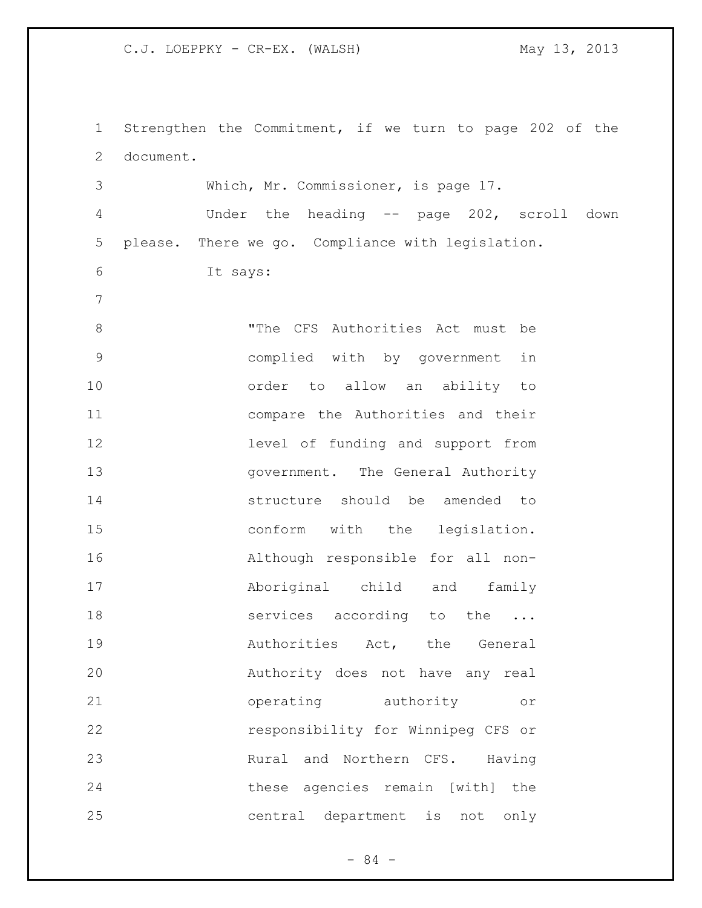Strengthen the Commitment, if we turn to page 202 of the document. Which, Mr. Commissioner, is page 17. Under the heading -- page 202, scroll down please. There we go. Compliance with legislation. It says: "The CFS Authorities Act must be complied with by government in order to allow an ability to compare the Authorities and their level of funding and support from **government.** The General Authority structure should be amended to 15 conform with the legislation. Although responsible for all non- Aboriginal child and family **Services** according to the ... **19** Authorities Act, the General Authority does not have any real operating authority or responsibility for Winnipeg CFS or Rural and Northern CFS. Having these agencies remain [with] the central department is not only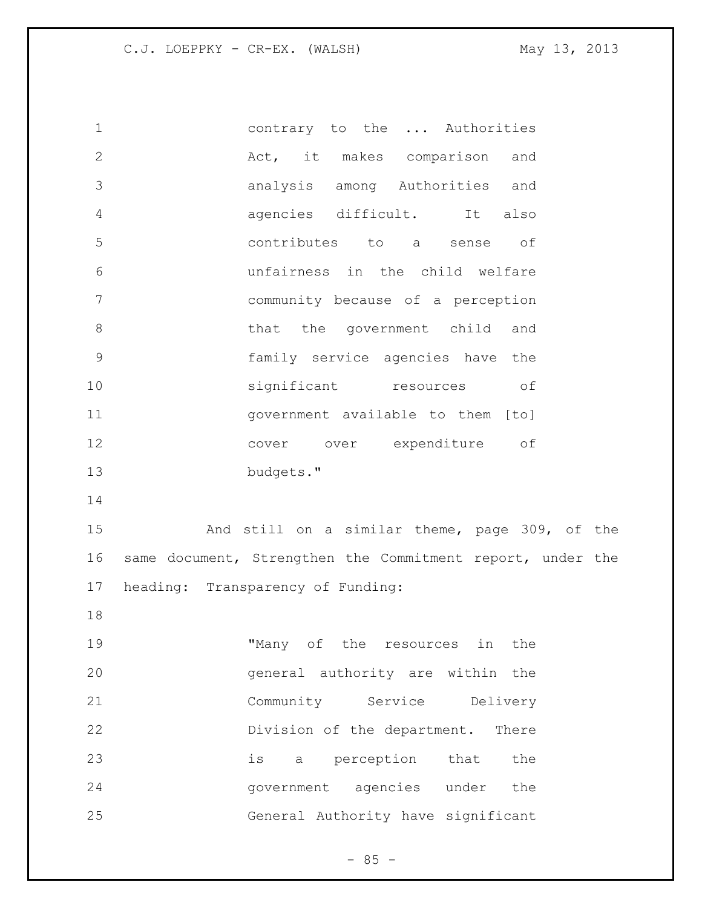contrary to the ... Authorities 2 act, it makes comparison and analysis among Authorities and agencies difficult. It also contributes to a sense of unfairness in the child welfare community because of a perception 8 bhat the government child and family service agencies have the significant resources of government available to them [to] cover over expenditure of budgets." And still on a similar theme, page 309, of the same document, Strengthen the Commitment report, under the heading: Transparency of Funding: "Many of the resources in the general authority are within the Community Service Delivery Division of the department. There is a perception that the government agencies under the

General Authority have significant

 $- 85 -$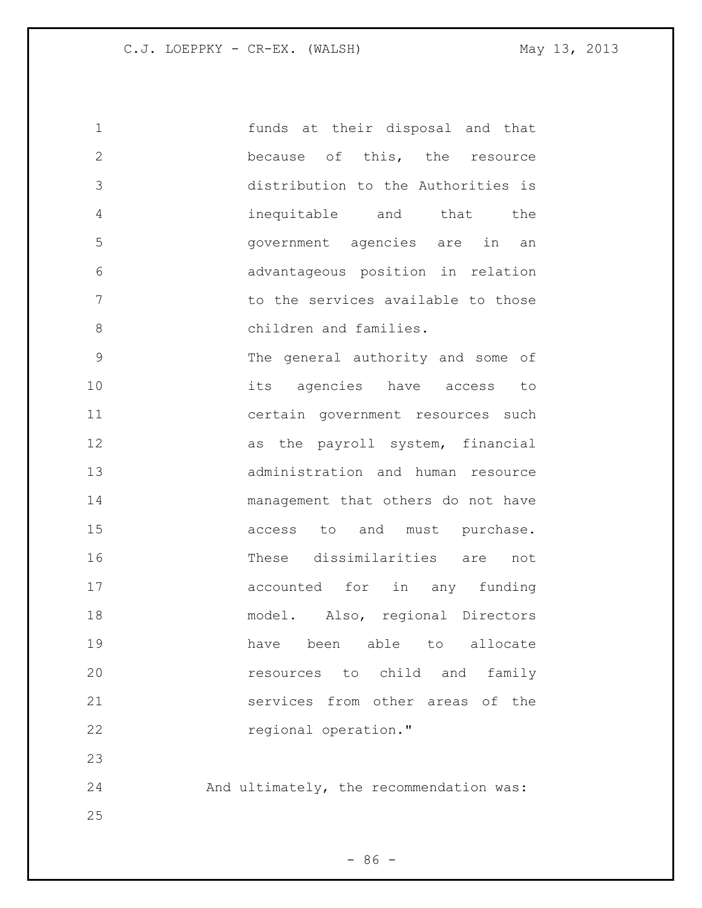funds at their disposal and that because of this, the resource distribution to the Authorities is inequitable and that the government agencies are in an advantageous position in relation to the services available to those 8 children and families. The general authority and some of its agencies have access to certain government resources such 12 as the payroll system, financial administration and human resource management that others do not have 15 access to and must purchase. These dissimilarities are not 17 accounted for in any funding 18 model. Also, regional Directors have been able to allocate resources to child and family services from other areas of the regional operation." And ultimately, the recommendation was: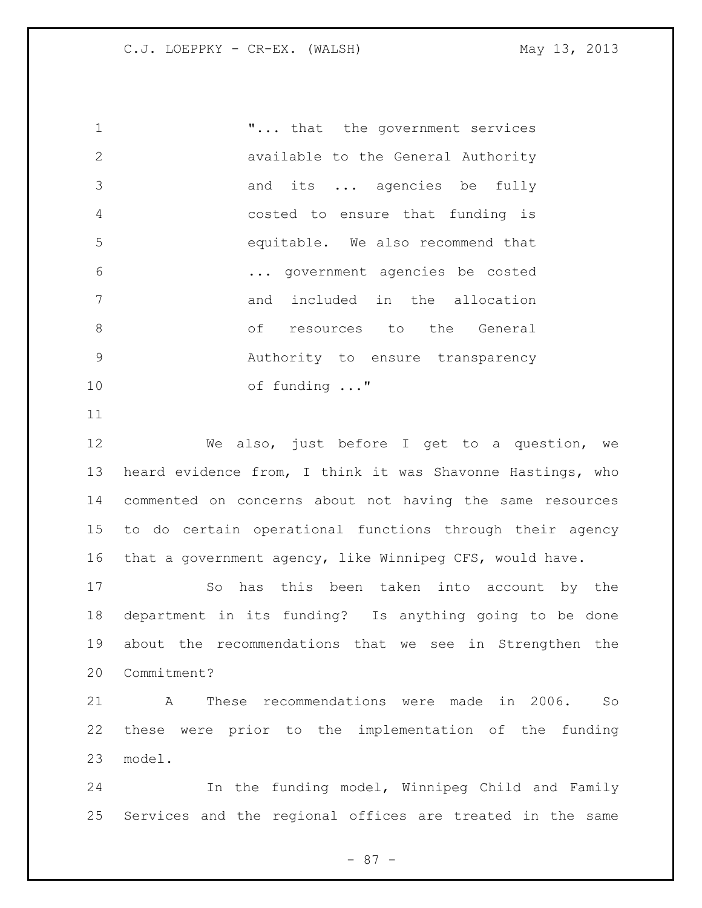**1 ...** that the government services available to the General Authority and its ... agencies be fully costed to ensure that funding is equitable. We also recommend that ... government agencies be costed 7 and included in the allocation 8 of resources to the General Authority to ensure transparency of funding ..."

 We also, just before I get to a question, we heard evidence from, I think it was Shavonne Hastings, who commented on concerns about not having the same resources to do certain operational functions through their agency that a government agency, like Winnipeg CFS, would have.

 So has this been taken into account by the department in its funding? Is anything going to be done about the recommendations that we see in Strengthen the Commitment?

 A These recommendations were made in 2006. So these were prior to the implementation of the funding model.

 In the funding model, Winnipeg Child and Family Services and the regional offices are treated in the same

- 87 -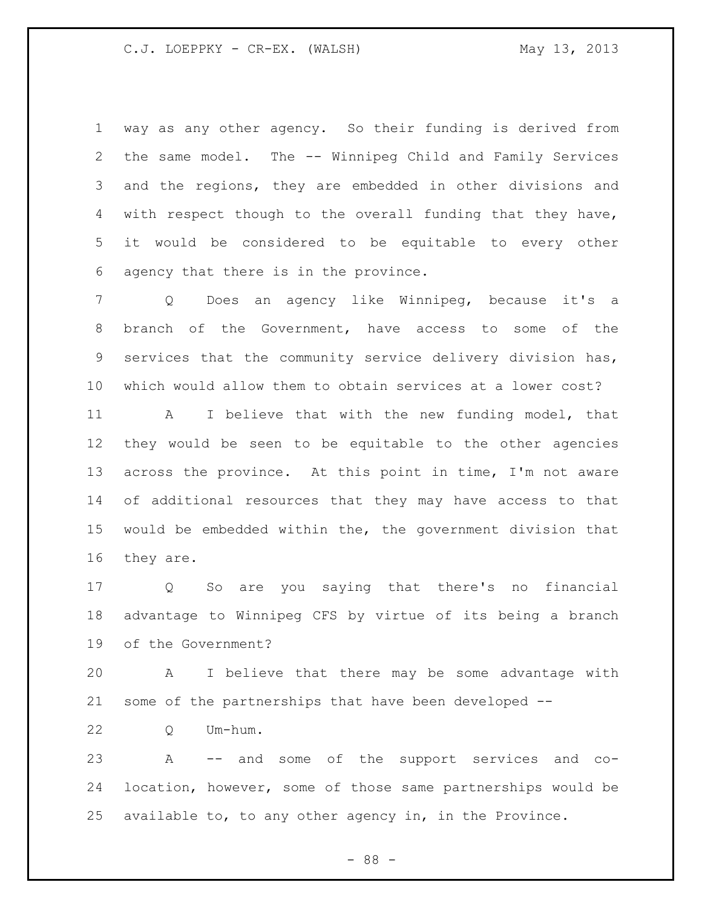way as any other agency. So their funding is derived from the same model. The -- Winnipeg Child and Family Services and the regions, they are embedded in other divisions and with respect though to the overall funding that they have, it would be considered to be equitable to every other agency that there is in the province.

 Q Does an agency like Winnipeg, because it's a branch of the Government, have access to some of the services that the community service delivery division has, which would allow them to obtain services at a lower cost?

 A I believe that with the new funding model, that they would be seen to be equitable to the other agencies across the province. At this point in time, I'm not aware of additional resources that they may have access to that would be embedded within the, the government division that they are.

 Q So are you saying that there's no financial advantage to Winnipeg CFS by virtue of its being a branch of the Government?

 A I believe that there may be some advantage with some of the partnerships that have been developed --

Q Um-hum.

 A -- and some of the support services and co- location, however, some of those same partnerships would be available to, to any other agency in, in the Province.

- 88 -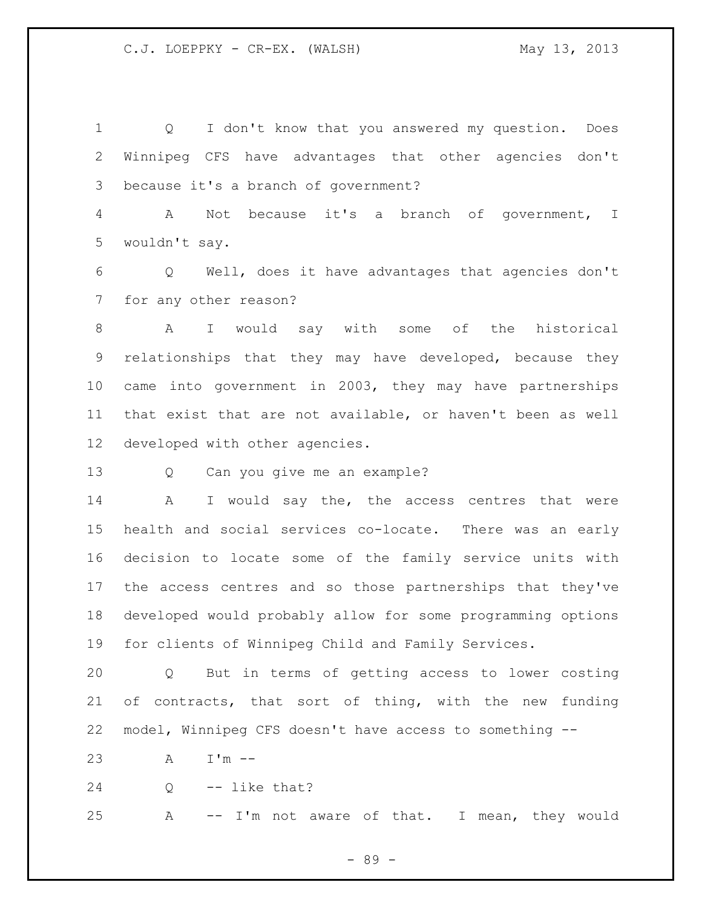Q I don't know that you answered my question. Does Winnipeg CFS have advantages that other agencies don't because it's a branch of government?

 A Not because it's a branch of government, I wouldn't say.

 Q Well, does it have advantages that agencies don't for any other reason?

 A I would say with some of the historical relationships that they may have developed, because they came into government in 2003, they may have partnerships that exist that are not available, or haven't been as well developed with other agencies.

Q Can you give me an example?

14 A I would say the, the access centres that were health and social services co-locate. There was an early decision to locate some of the family service units with the access centres and so those partnerships that they've developed would probably allow for some programming options for clients of Winnipeg Child and Family Services.

 Q But in terms of getting access to lower costing of contracts, that sort of thing, with the new funding model, Winnipeg CFS doesn't have access to something --

A I'm --

Q -- like that?

A -- I'm not aware of that. I mean, they would

- 89 -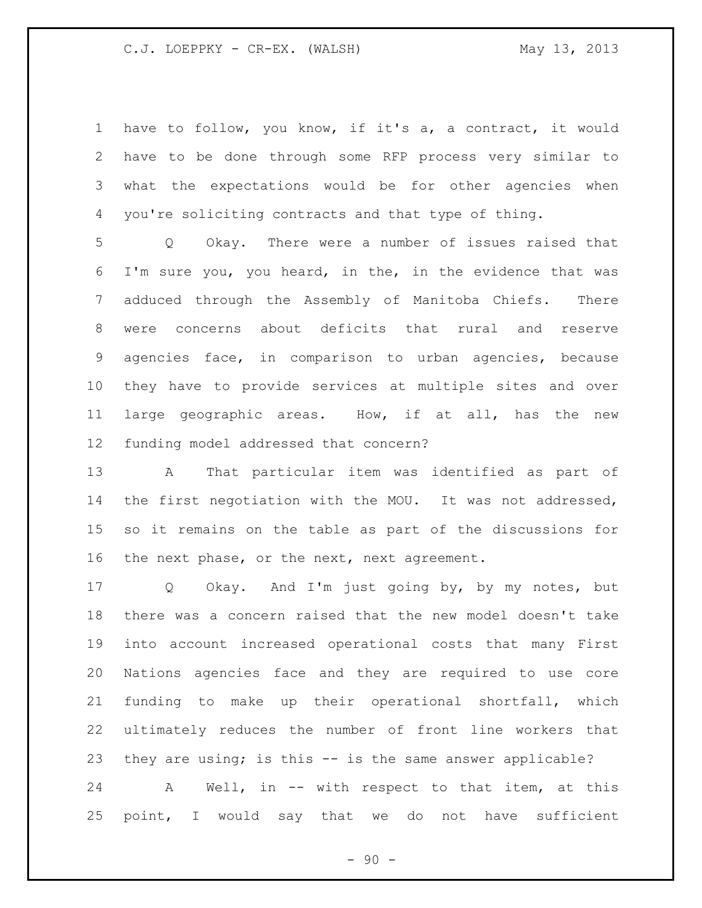have to follow, you know, if it's a, a contract, it would have to be done through some RFP process very similar to what the expectations would be for other agencies when you're soliciting contracts and that type of thing.

 Q Okay. There were a number of issues raised that I'm sure you, you heard, in the, in the evidence that was adduced through the Assembly of Manitoba Chiefs. There were concerns about deficits that rural and reserve agencies face, in comparison to urban agencies, because they have to provide services at multiple sites and over large geographic areas. How, if at all, has the new funding model addressed that concern?

 A That particular item was identified as part of the first negotiation with the MOU. It was not addressed, so it remains on the table as part of the discussions for 16 the next phase, or the next, next agreement.

 Q Okay. And I'm just going by, by my notes, but there was a concern raised that the new model doesn't take into account increased operational costs that many First Nations agencies face and they are required to use core funding to make up their operational shortfall, which ultimately reduces the number of front line workers that they are using; is this -- is the same answer applicable?

 A Well, in -- with respect to that item, at this point, I would say that we do not have sufficient

 $-90 -$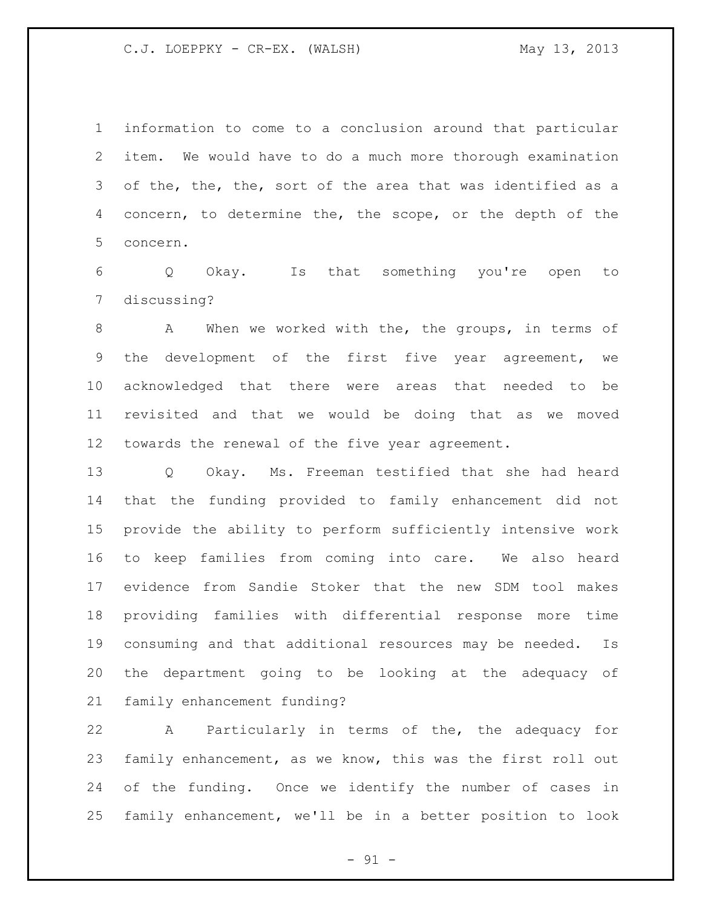information to come to a conclusion around that particular item. We would have to do a much more thorough examination of the, the, the, sort of the area that was identified as a concern, to determine the, the scope, or the depth of the concern.

 Q Okay. Is that something you're open to discussing?

8 A When we worked with the, the groups, in terms of the development of the first five year agreement, we acknowledged that there were areas that needed to be revisited and that we would be doing that as we moved towards the renewal of the five year agreement.

 Q Okay. Ms. Freeman testified that she had heard that the funding provided to family enhancement did not provide the ability to perform sufficiently intensive work to keep families from coming into care. We also heard evidence from Sandie Stoker that the new SDM tool makes providing families with differential response more time consuming and that additional resources may be needed. Is the department going to be looking at the adequacy of family enhancement funding?

 A Particularly in terms of the, the adequacy for family enhancement, as we know, this was the first roll out of the funding. Once we identify the number of cases in family enhancement, we'll be in a better position to look

 $-91 -$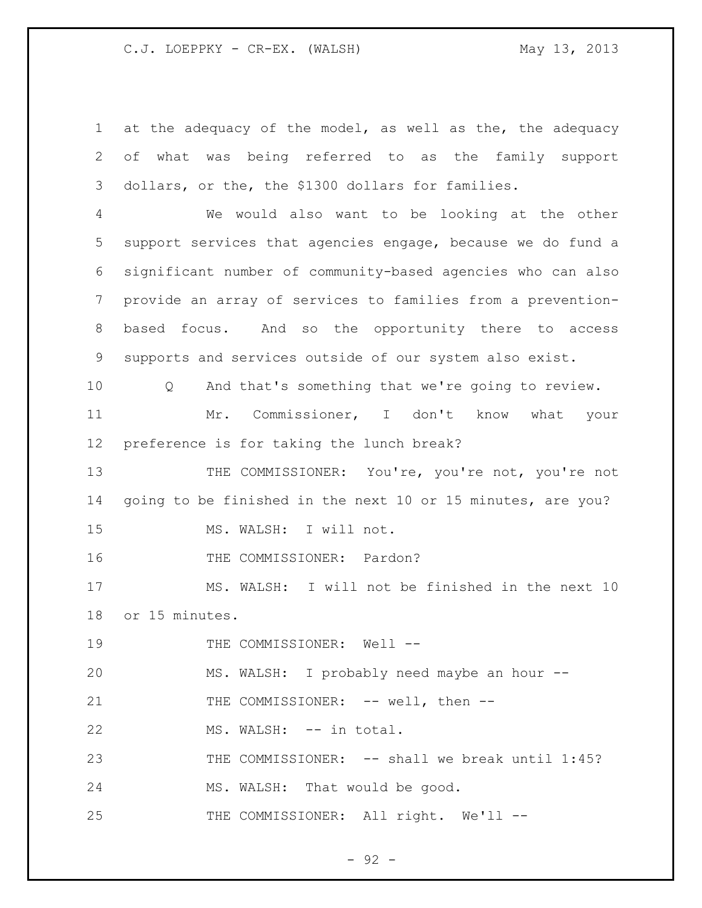at the adequacy of the model, as well as the, the adequacy of what was being referred to as the family support dollars, or the, the \$1300 dollars for families. We would also want to be looking at the other support services that agencies engage, because we do fund a significant number of community-based agencies who can also provide an array of services to families from a prevention- based focus. And so the opportunity there to access supports and services outside of our system also exist. Q And that's something that we're going to review. Mr. Commissioner, I don't know what your preference is for taking the lunch break? 13 THE COMMISSIONER: You're, you're not, you're not going to be finished in the next 10 or 15 minutes, are you? MS. WALSH: I will not. 16 THE COMMISSIONER: Pardon? MS. WALSH: I will not be finished in the next 10 or 15 minutes. 19 THE COMMISSIONER: Well -- MS. WALSH: I probably need maybe an hour -- 21 THE COMMISSIONER: -- well, then --22 MS. WALSH: -- in total. 23 THE COMMISSIONER: -- shall we break until 1:45? MS. WALSH: That would be good. 25 THE COMMISSIONER: All right. We'll --

 $-92 -$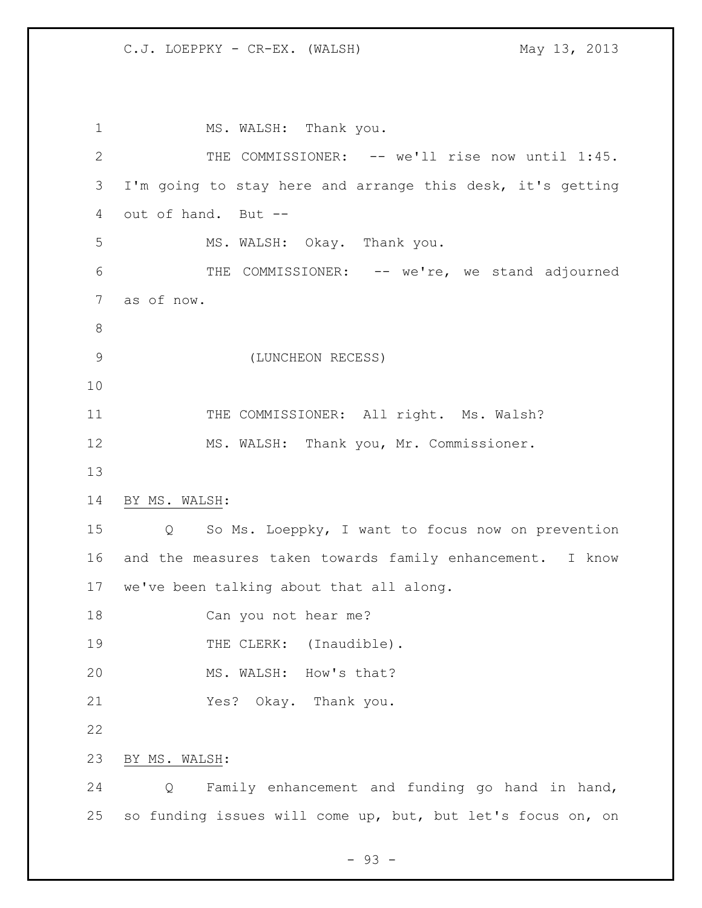MS. WALSH: Thank you. THE COMMISSIONER: -- we'll rise now until 1:45. I'm going to stay here and arrange this desk, it's getting out of hand. But -- MS. WALSH: Okay. Thank you. THE COMMISSIONER: -- we're, we stand adjourned as of now. (LUNCHEON RECESS) 11 THE COMMISSIONER: All right. Ms. Walsh? MS. WALSH: Thank you, Mr. Commissioner. BY MS. WALSH: Q So Ms. Loeppky, I want to focus now on prevention and the measures taken towards family enhancement. I know we've been talking about that all along. Can you not hear me? 19 THE CLERK: (Inaudible). MS. WALSH: How's that? Yes? Okay. Thank you. BY MS. WALSH: Q Family enhancement and funding go hand in hand, so funding issues will come up, but, but let's focus on, on

- 93 -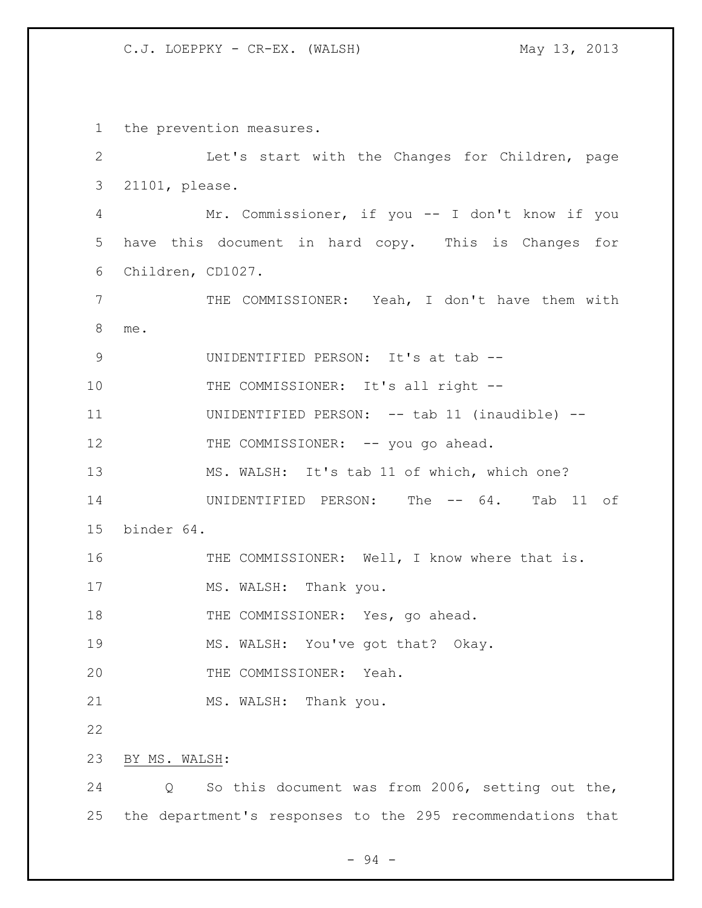the prevention measures. Let's start with the Changes for Children, page 21101, please. Mr. Commissioner, if you -- I don't know if you have this document in hard copy. This is Changes for Children, CD1027. THE COMMISSIONER: Yeah, I don't have them with me. 9 UNIDENTIFIED PERSON: It's at tab --10 THE COMMISSIONER: It's all right -- UNIDENTIFIED PERSON: -- tab 11 (inaudible) -- 12 THE COMMISSIONER: -- you go ahead. MS. WALSH: It's tab 11 of which, which one? 14 UNIDENTIFIED PERSON: The -- 64. Tab 11 of binder 64. THE COMMISSIONER: Well, I know where that is. 17 MS. WALSH: Thank you. 18 THE COMMISSIONER: Yes, go ahead. MS. WALSH: You've got that? Okay. THE COMMISSIONER: Yeah. 21 MS. WALSH: Thank you. BY MS. WALSH: Q So this document was from 2006, setting out the, the department's responses to the 295 recommendations that

- 94 -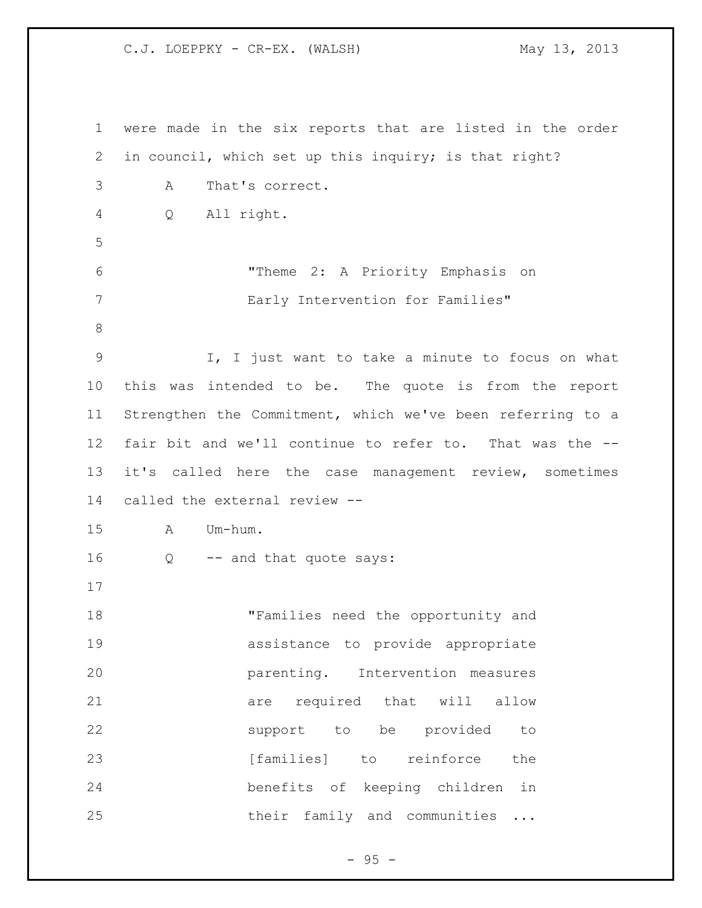were made in the six reports that are listed in the order in council, which set up this inquiry; is that right? A That's correct. Q All right. "Theme 2: A Priority Emphasis on Early Intervention for Families" I, I just want to take a minute to focus on what this was intended to be. The quote is from the report Strengthen the Commitment, which we've been referring to a fair bit and we'll continue to refer to. That was the -- it's called here the case management review, sometimes called the external review -- A Um-hum. Q -- and that quote says: "Families need the opportunity and assistance to provide appropriate parenting. Intervention measures 21 are required that will allow support to be provided to **[families]** to reinforce the benefits of keeping children in 25 their family and communities ...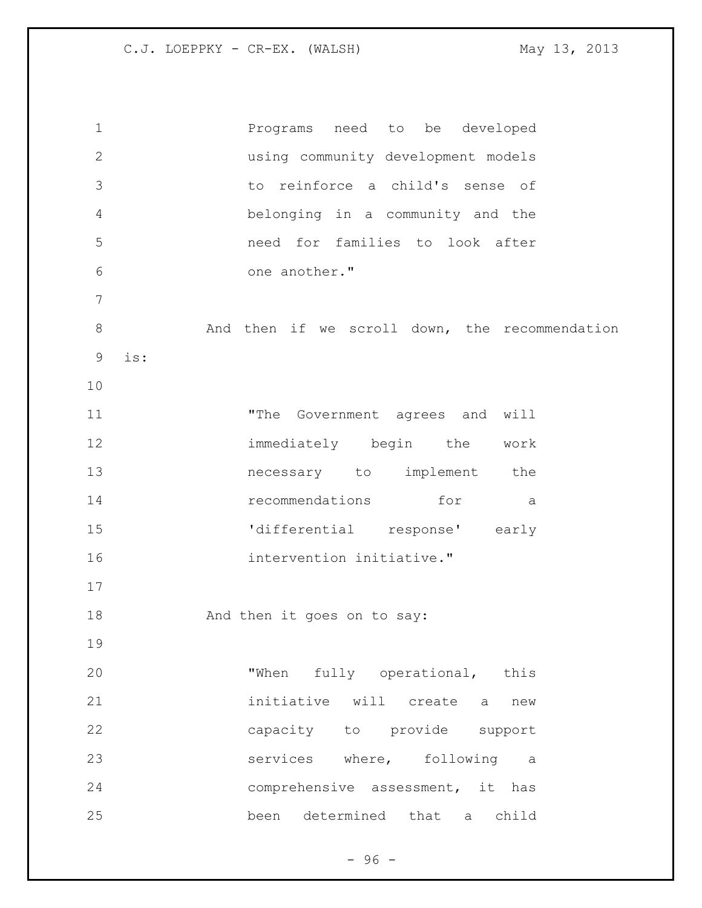Programs need to be developed using community development models to reinforce a child's sense of belonging in a community and the need for families to look after one another." And then if we scroll down, the recommendation is: 11 The Government agrees and will immediately begin the work necessary to implement the 14 recommendations for a 'differential response' early intervention initiative." 18 And then it goes on to say: 20 "When fully operational, this initiative will create a new capacity to provide support services where, following a comprehensive assessment, it has been determined that a child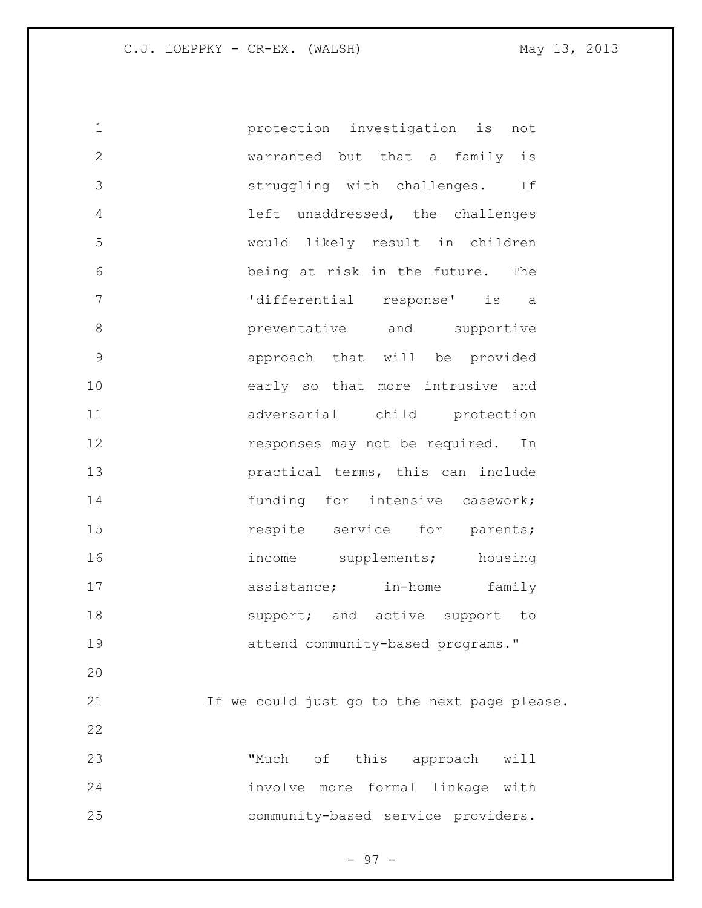protection investigation is not warranted but that a family is struggling with challenges. If left unaddressed, the challenges would likely result in children being at risk in the future. The 'differential response' is a **b** preventative and supportive approach that will be provided early so that more intrusive and adversarial child protection **responses may not be required.** In **practical terms, this can include** 14 funding for intensive casework; **15** respite service for parents; 16 income supplements; housing 17 assistance; in-home family **Support;** and active support to attend community-based programs." If we could just go to the next page please. "Much of this approach will involve more formal linkage with community-based service providers.

- 97 -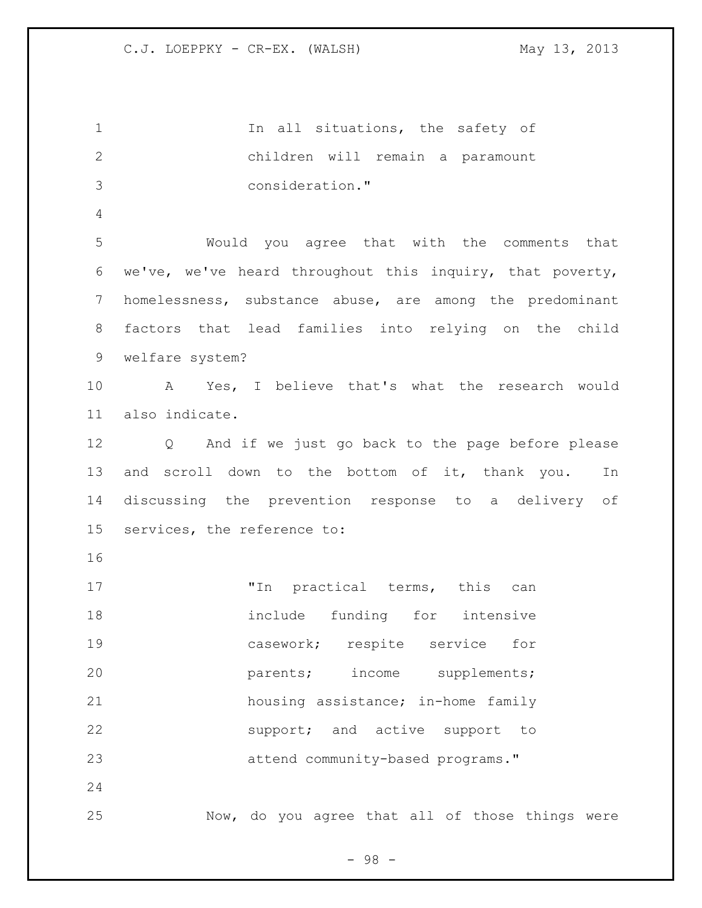1 1 In all situations, the safety of children will remain a paramount consideration." Would you agree that with the comments that we've, we've heard throughout this inquiry, that poverty, homelessness, substance abuse, are among the predominant factors that lead families into relying on the child welfare system? A Yes, I believe that's what the research would also indicate. Q And if we just go back to the page before please and scroll down to the bottom of it, thank you. In discussing the prevention response to a delivery of services, the reference to: 17 Th practical terms, this can 18 include funding for intensive casework; respite service for **parents;** income supplements; housing assistance; in-home family support; and active support to attend community-based programs." Now, do you agree that all of those things were

- 98 -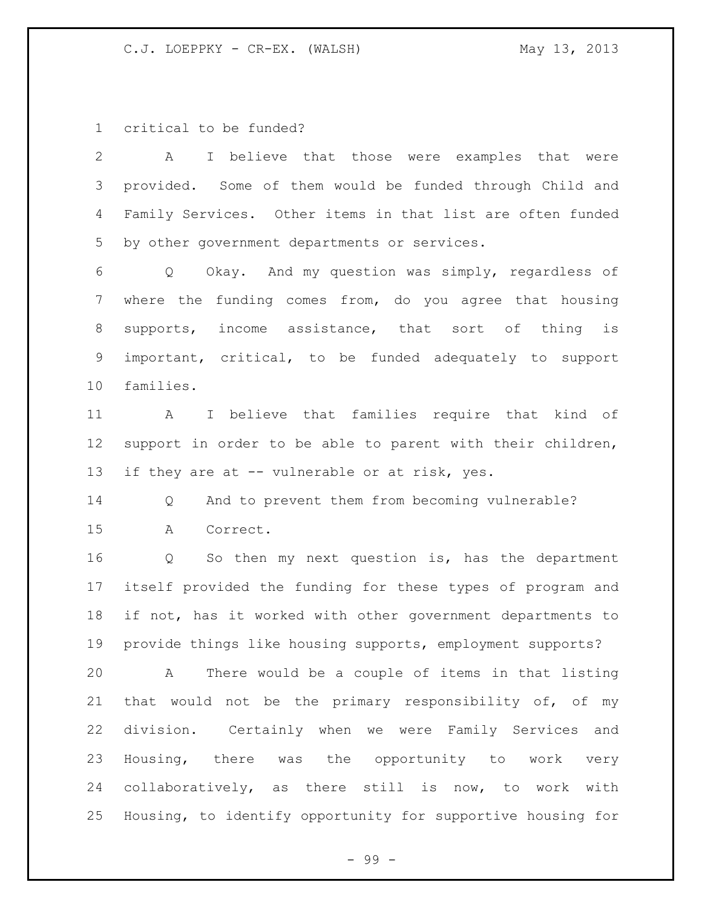critical to be funded?

 A I believe that those were examples that were provided. Some of them would be funded through Child and Family Services. Other items in that list are often funded by other government departments or services. Q Okay. And my question was simply, regardless of where the funding comes from, do you agree that housing supports, income assistance, that sort of thing is important, critical, to be funded adequately to support families. A I believe that families require that kind of support in order to be able to parent with their children, 13 if they are at -- vulnerable or at risk, yes. Q And to prevent them from becoming vulnerable? A Correct. Q So then my next question is, has the department itself provided the funding for these types of program and if not, has it worked with other government departments to provide things like housing supports, employment supports? A There would be a couple of items in that listing that would not be the primary responsibility of, of my division. Certainly when we were Family Services and Housing, there was the opportunity to work very collaboratively, as there still is now, to work with Housing, to identify opportunity for supportive housing for

- 99 -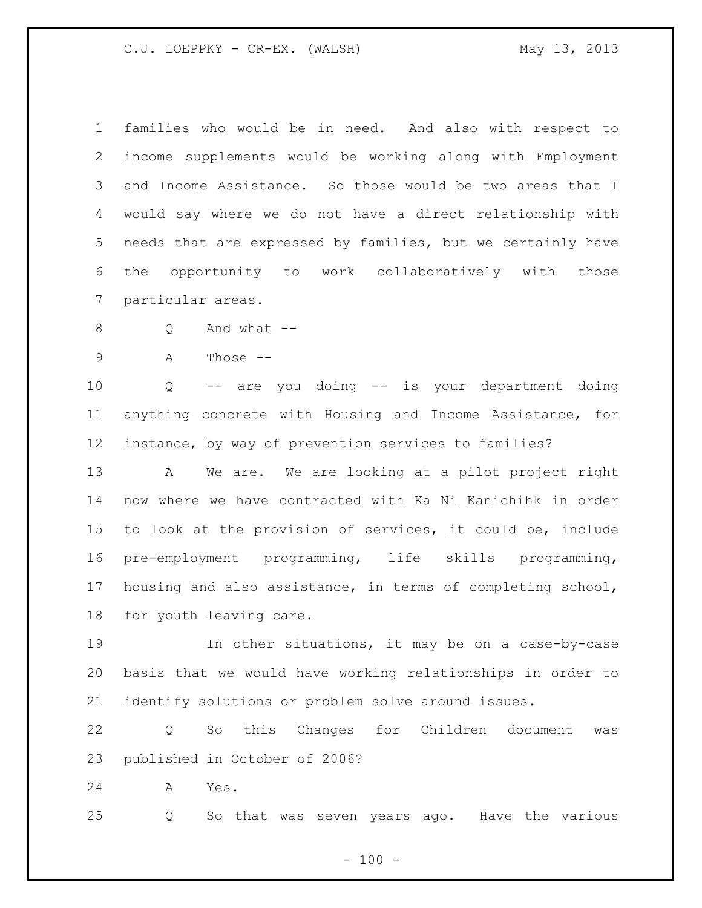families who would be in need. And also with respect to income supplements would be working along with Employment and Income Assistance. So those would be two areas that I would say where we do not have a direct relationship with needs that are expressed by families, but we certainly have the opportunity to work collaboratively with those particular areas.

Q And what --

A Those --

 Q -- are you doing -- is your department doing anything concrete with Housing and Income Assistance, for instance, by way of prevention services to families?

 A We are. We are looking at a pilot project right now where we have contracted with Ka Ni Kanichihk in order to look at the provision of services, it could be, include pre-employment programming, life skills programming, housing and also assistance, in terms of completing school, for youth leaving care.

 In other situations, it may be on a case-by-case basis that we would have working relationships in order to identify solutions or problem solve around issues.

 Q So this Changes for Children document was published in October of 2006?

A Yes.

Q So that was seven years ago. Have the various

 $- 100 -$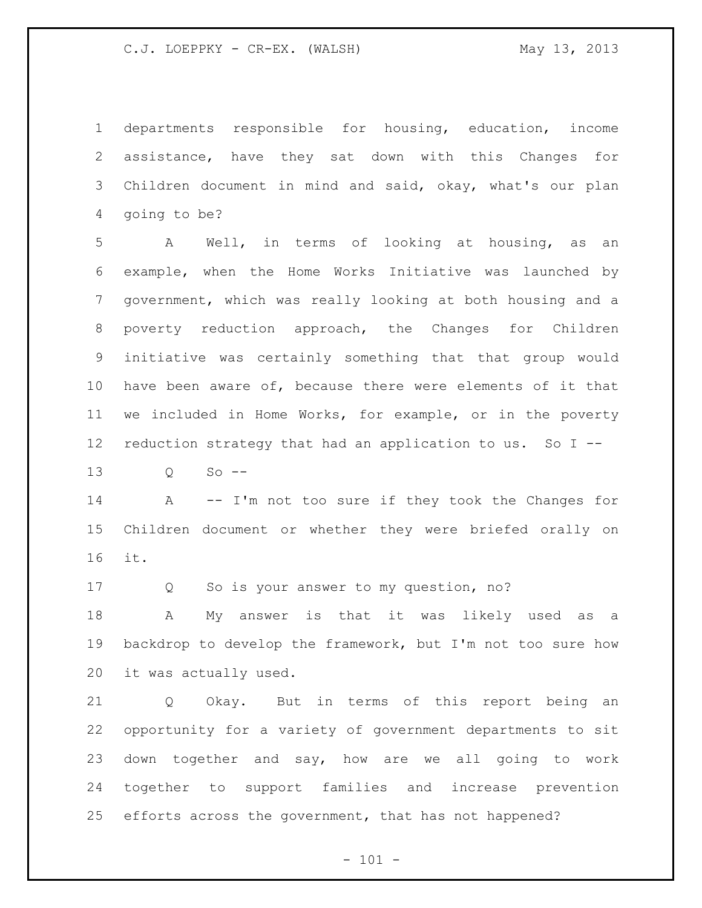departments responsible for housing, education, income assistance, have they sat down with this Changes for Children document in mind and said, okay, what's our plan going to be?

 A Well, in terms of looking at housing, as an example, when the Home Works Initiative was launched by government, which was really looking at both housing and a poverty reduction approach, the Changes for Children initiative was certainly something that that group would have been aware of, because there were elements of it that we included in Home Works, for example, or in the poverty reduction strategy that had an application to us. So I --

Q So --

14 A -- I'm not too sure if they took the Changes for Children document or whether they were briefed orally on it.

Q So is your answer to my question, no?

 A My answer is that it was likely used as a backdrop to develop the framework, but I'm not too sure how it was actually used.

 Q Okay. But in terms of this report being an opportunity for a variety of government departments to sit down together and say, how are we all going to work together to support families and increase prevention efforts across the government, that has not happened?

 $- 101 -$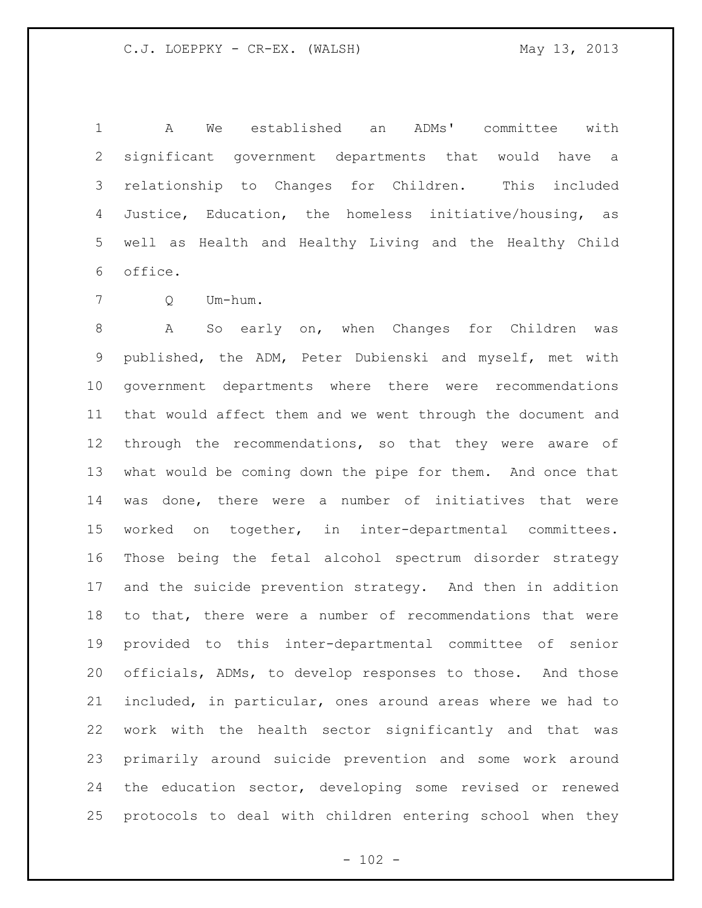A We established an ADMs' committee with significant government departments that would have a relationship to Changes for Children. This included Justice, Education, the homeless initiative/housing, as well as Health and Healthy Living and the Healthy Child office.

Q Um-hum.

 A So early on, when Changes for Children was published, the ADM, Peter Dubienski and myself, met with government departments where there were recommendations that would affect them and we went through the document and through the recommendations, so that they were aware of what would be coming down the pipe for them. And once that was done, there were a number of initiatives that were worked on together, in inter-departmental committees. Those being the fetal alcohol spectrum disorder strategy and the suicide prevention strategy. And then in addition to that, there were a number of recommendations that were provided to this inter-departmental committee of senior officials, ADMs, to develop responses to those. And those included, in particular, ones around areas where we had to work with the health sector significantly and that was primarily around suicide prevention and some work around the education sector, developing some revised or renewed protocols to deal with children entering school when they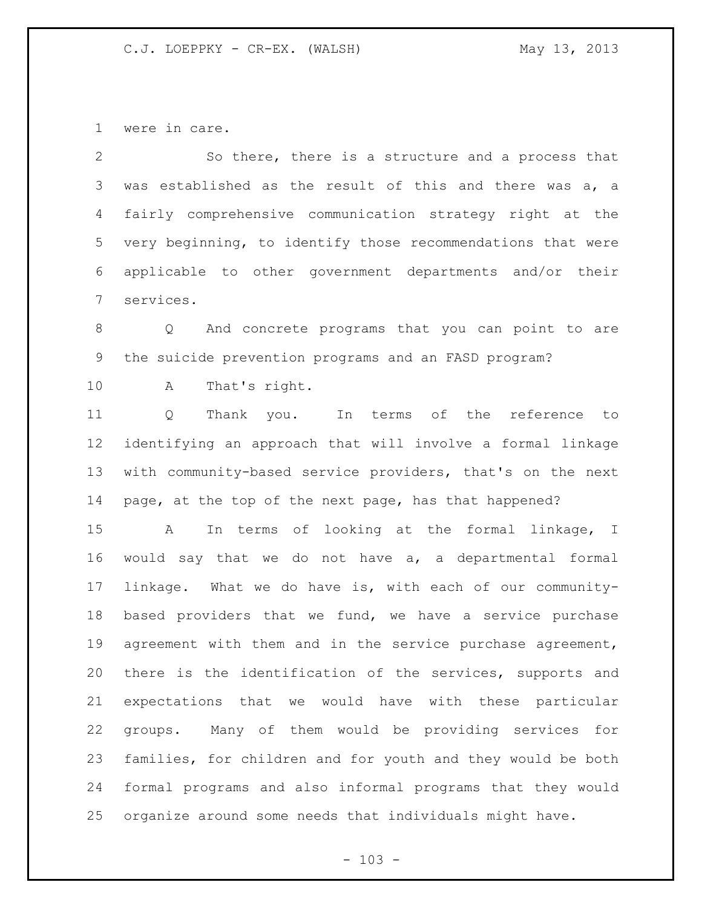were in care.

 So there, there is a structure and a process that was established as the result of this and there was a, a fairly comprehensive communication strategy right at the very beginning, to identify those recommendations that were applicable to other government departments and/or their services.

 Q And concrete programs that you can point to are the suicide prevention programs and an FASD program?

A That's right.

 Q Thank you. In terms of the reference to identifying an approach that will involve a formal linkage with community-based service providers, that's on the next 14 page, at the top of the next page, has that happened?

 A In terms of looking at the formal linkage, I would say that we do not have a, a departmental formal linkage. What we do have is, with each of our community- based providers that we fund, we have a service purchase 19 agreement with them and in the service purchase agreement, there is the identification of the services, supports and expectations that we would have with these particular groups. Many of them would be providing services for families, for children and for youth and they would be both formal programs and also informal programs that they would organize around some needs that individuals might have.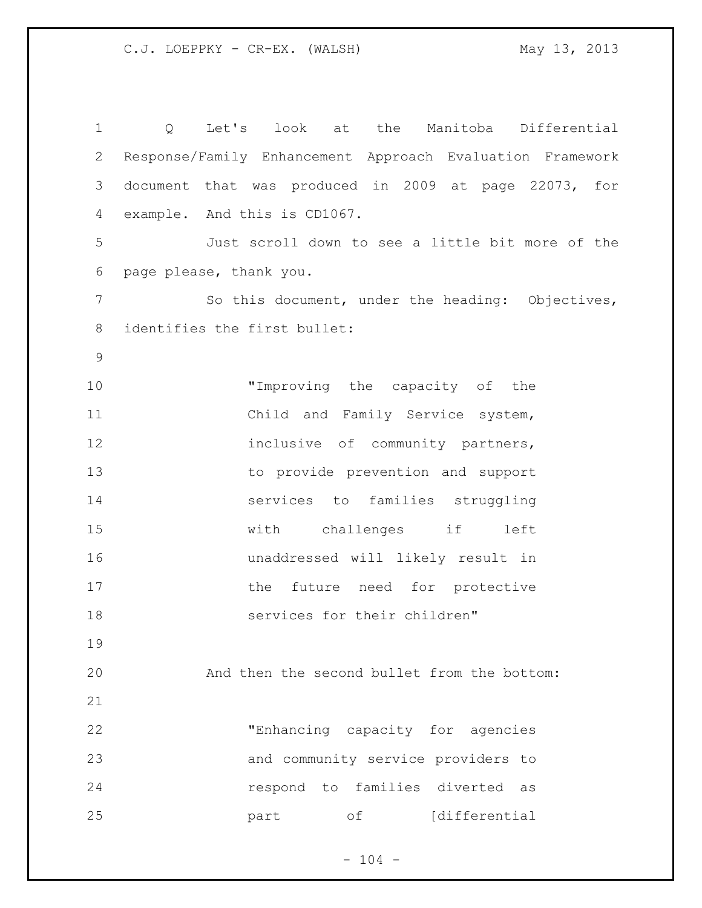Q Let's look at the Manitoba Differential Response/Family Enhancement Approach Evaluation Framework document that was produced in 2009 at page 22073, for example. And this is CD1067. Just scroll down to see a little bit more of the page please, thank you. 7 So this document, under the heading: Objectives, identifies the first bullet: 10 "Improving the capacity of the Child and Family Service system, 12 inclusive of community partners, to provide prevention and support services to families struggling with challenges if left unaddressed will likely result in 17 the future need for protective 18 services for their children" And then the second bullet from the bottom: "Enhancing capacity for agencies and community service providers to respond to families diverted as **part** of [differential]

 $- 104 -$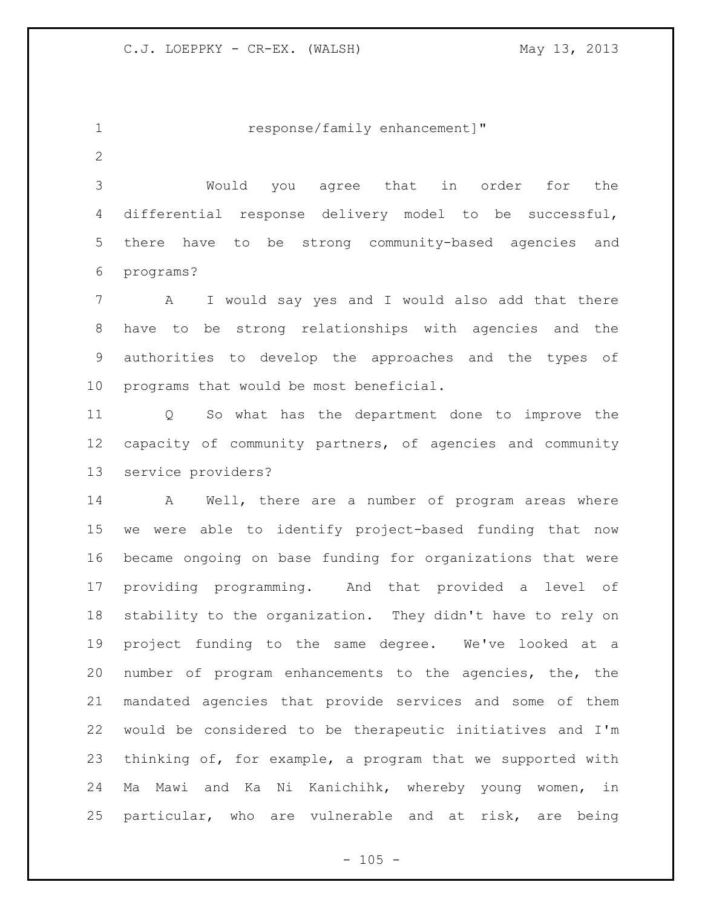1 response/family enhancement]"

 Would you agree that in order for the differential response delivery model to be successful, there have to be strong community-based agencies and programs?

 A I would say yes and I would also add that there have to be strong relationships with agencies and the authorities to develop the approaches and the types of programs that would be most beneficial.

 Q So what has the department done to improve the capacity of community partners, of agencies and community service providers?

 A Well, there are a number of program areas where we were able to identify project-based funding that now became ongoing on base funding for organizations that were providing programming. And that provided a level of stability to the organization. They didn't have to rely on project funding to the same degree. We've looked at a number of program enhancements to the agencies, the, the mandated agencies that provide services and some of them would be considered to be therapeutic initiatives and I'm thinking of, for example, a program that we supported with Ma Mawi and Ka Ni Kanichihk, whereby young women, in particular, who are vulnerable and at risk, are being

 $- 105 -$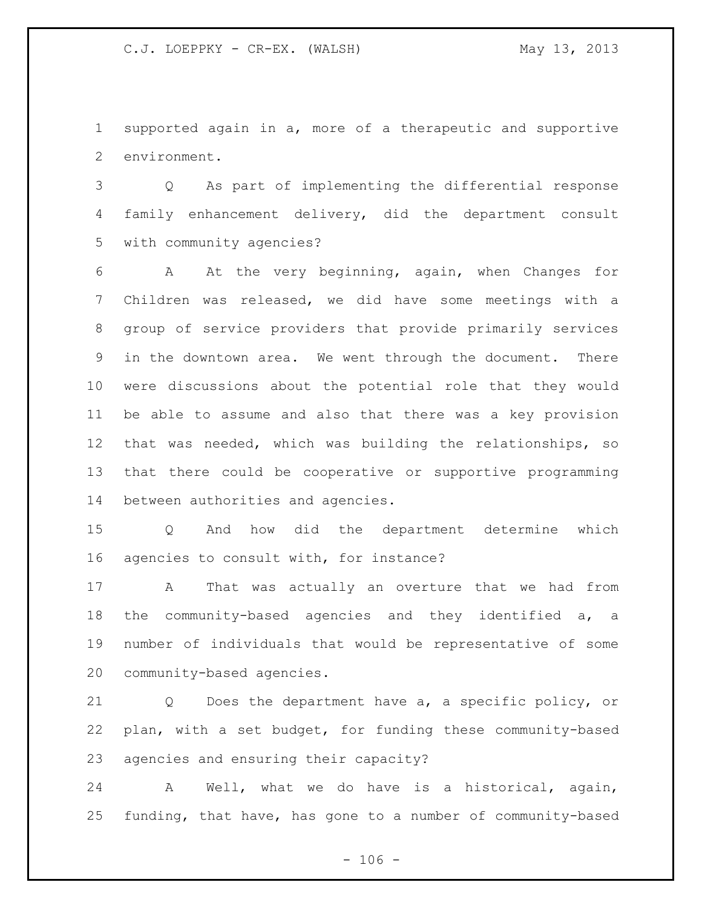supported again in a, more of a therapeutic and supportive environment.

 Q As part of implementing the differential response family enhancement delivery, did the department consult with community agencies?

 A At the very beginning, again, when Changes for Children was released, we did have some meetings with a group of service providers that provide primarily services in the downtown area. We went through the document. There were discussions about the potential role that they would be able to assume and also that there was a key provision that was needed, which was building the relationships, so that there could be cooperative or supportive programming between authorities and agencies.

 Q And how did the department determine which agencies to consult with, for instance?

 A That was actually an overture that we had from the community-based agencies and they identified a, a number of individuals that would be representative of some community-based agencies.

 Q Does the department have a, a specific policy, or plan, with a set budget, for funding these community-based agencies and ensuring their capacity?

 A Well, what we do have is a historical, again, funding, that have, has gone to a number of community-based

 $- 106 -$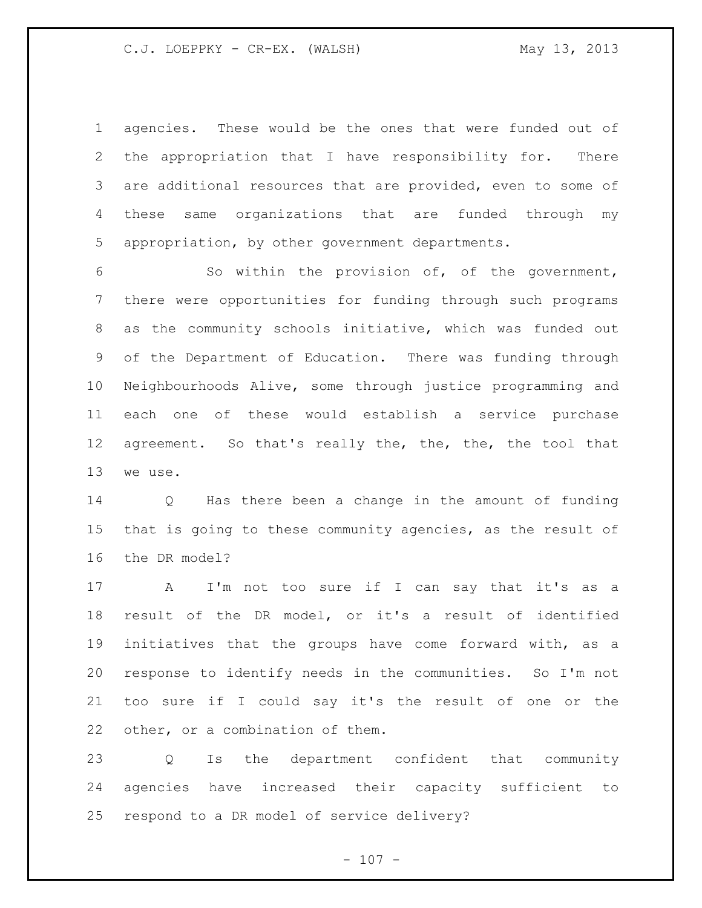agencies. These would be the ones that were funded out of the appropriation that I have responsibility for. There 3 are additional resources that are provided, even to some of these same organizations that are funded through my appropriation, by other government departments.

 So within the provision of, of the government, there were opportunities for funding through such programs as the community schools initiative, which was funded out of the Department of Education. There was funding through Neighbourhoods Alive, some through justice programming and each one of these would establish a service purchase 12 agreement. So that's really the, the, the, the tool that we use.

 Q Has there been a change in the amount of funding that is going to these community agencies, as the result of the DR model?

 A I'm not too sure if I can say that it's as a result of the DR model, or it's a result of identified initiatives that the groups have come forward with, as a response to identify needs in the communities. So I'm not too sure if I could say it's the result of one or the other, or a combination of them.

 Q Is the department confident that community agencies have increased their capacity sufficient to respond to a DR model of service delivery?

 $- 107 -$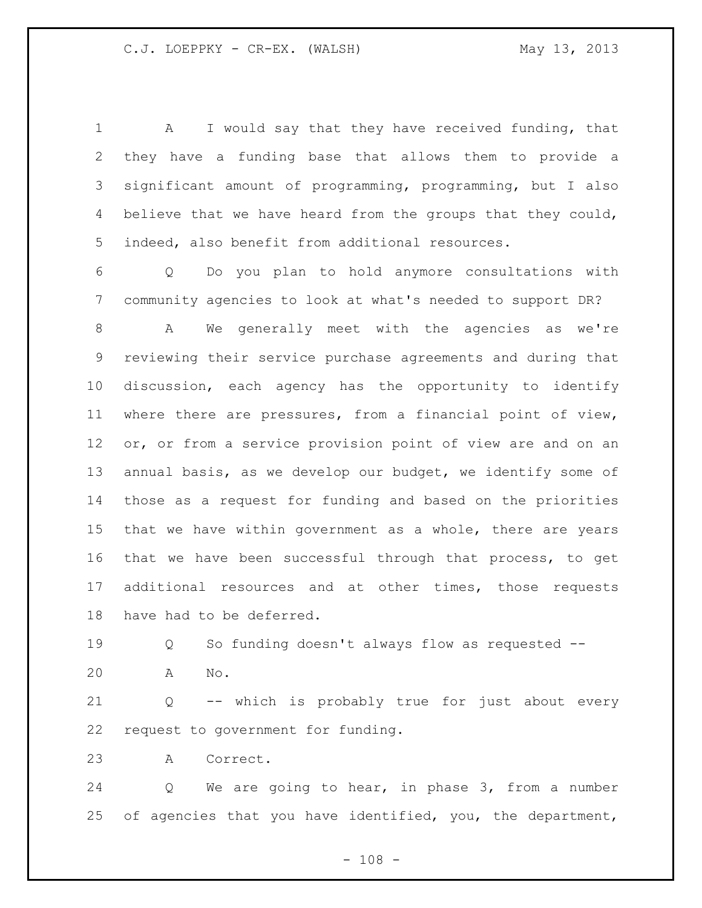A I would say that they have received funding, that they have a funding base that allows them to provide a significant amount of programming, programming, but I also 4 believe that we have heard from the groups that they could, indeed, also benefit from additional resources.

 Q Do you plan to hold anymore consultations with community agencies to look at what's needed to support DR?

 A We generally meet with the agencies as we're reviewing their service purchase agreements and during that discussion, each agency has the opportunity to identify where there are pressures, from a financial point of view, or, or from a service provision point of view are and on an annual basis, as we develop our budget, we identify some of those as a request for funding and based on the priorities that we have within government as a whole, there are years that we have been successful through that process, to get additional resources and at other times, those requests have had to be deferred.

Q So funding doesn't always flow as requested --

A No.

 Q -- which is probably true for just about every request to government for funding.

A Correct.

 Q We are going to hear, in phase 3, from a number of agencies that you have identified, you, the department,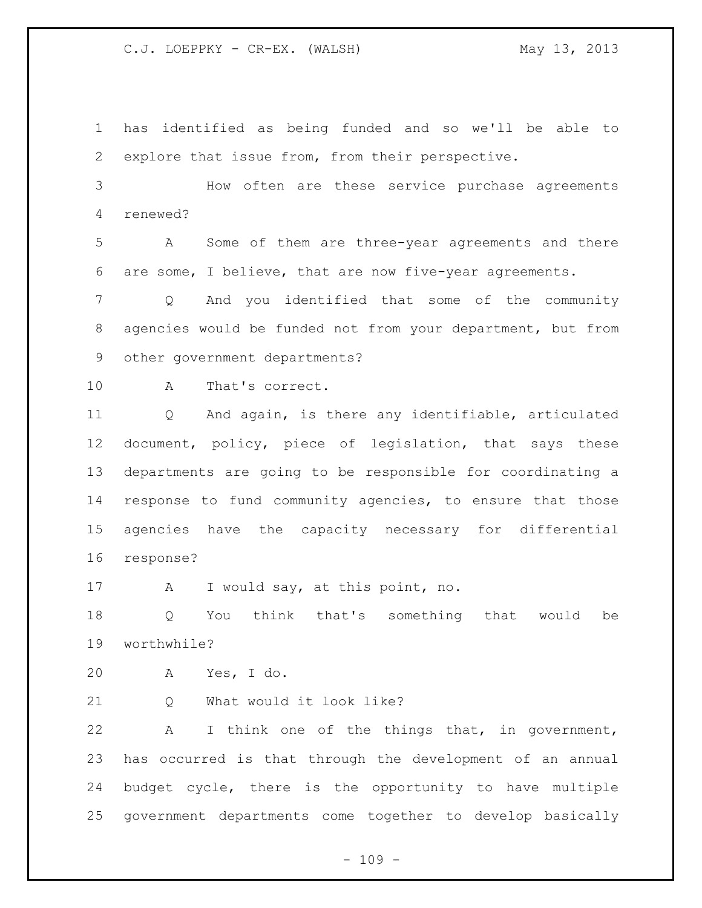has identified as being funded and so we'll be able to explore that issue from, from their perspective.

 How often are these service purchase agreements renewed?

 A Some of them are three-year agreements and there are some, I believe, that are now five-year agreements.

 Q And you identified that some of the community agencies would be funded not from your department, but from other government departments?

A That's correct.

 Q And again, is there any identifiable, articulated document, policy, piece of legislation, that says these departments are going to be responsible for coordinating a response to fund community agencies, to ensure that those agencies have the capacity necessary for differential response?

A I would say, at this point, no.

 Q You think that's something that would be worthwhile?

A Yes, I do.

21 O What would it look like?

 A I think one of the things that, in government, has occurred is that through the development of an annual budget cycle, there is the opportunity to have multiple government departments come together to develop basically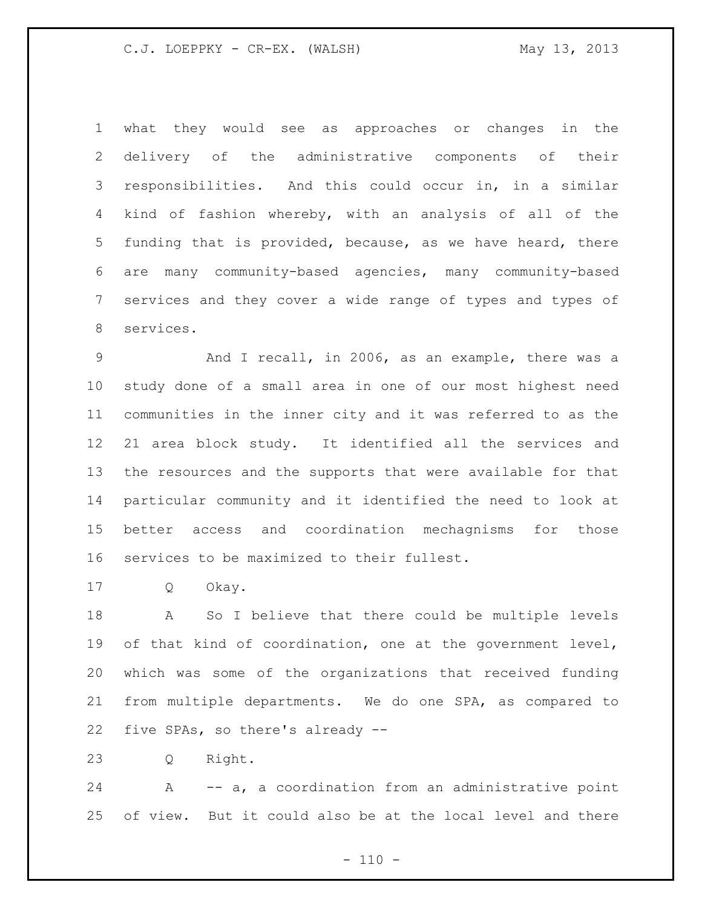what they would see as approaches or changes in the delivery of the administrative components of their responsibilities. And this could occur in, in a similar kind of fashion whereby, with an analysis of all of the funding that is provided, because, as we have heard, there are many community-based agencies, many community-based services and they cover a wide range of types and types of services.

 And I recall, in 2006, as an example, there was a study done of a small area in one of our most highest need communities in the inner city and it was referred to as the 21 area block study. It identified all the services and the resources and the supports that were available for that particular community and it identified the need to look at better access and coordination mechagnisms for those services to be maximized to their fullest.

Q Okay.

 A So I believe that there could be multiple levels 19 of that kind of coordination, one at the government level, which was some of the organizations that received funding from multiple departments. We do one SPA, as compared to five SPAs, so there's already --

Q Right.

 A -- a, a coordination from an administrative point of view. But it could also be at the local level and there

 $- 110 -$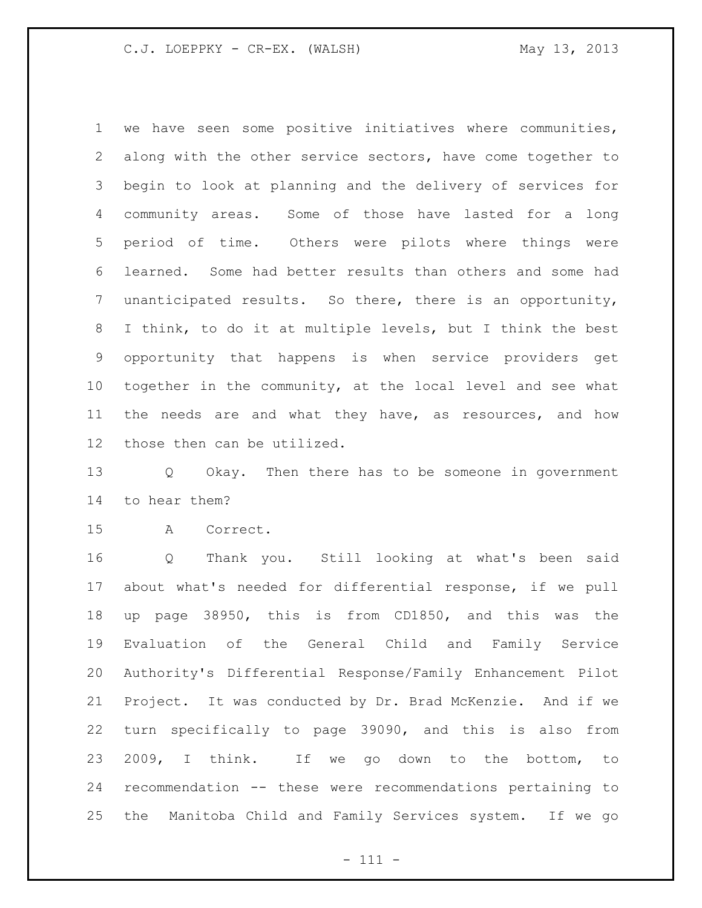we have seen some positive initiatives where communities, along with the other service sectors, have come together to begin to look at planning and the delivery of services for community areas. Some of those have lasted for a long period of time. Others were pilots where things were learned. Some had better results than others and some had unanticipated results. So there, there is an opportunity, I think, to do it at multiple levels, but I think the best opportunity that happens is when service providers get together in the community, at the local level and see what the needs are and what they have, as resources, and how those then can be utilized.

 Q Okay. Then there has to be someone in government to hear them?

A Correct.

 Q Thank you. Still looking at what's been said about what's needed for differential response, if we pull up page 38950, this is from CD1850, and this was the Evaluation of the General Child and Family Service Authority's Differential Response/Family Enhancement Pilot Project. It was conducted by Dr. Brad McKenzie. And if we turn specifically to page 39090, and this is also from 2009, I think. If we go down to the bottom, to recommendation -- these were recommendations pertaining to the Manitoba Child and Family Services system. If we go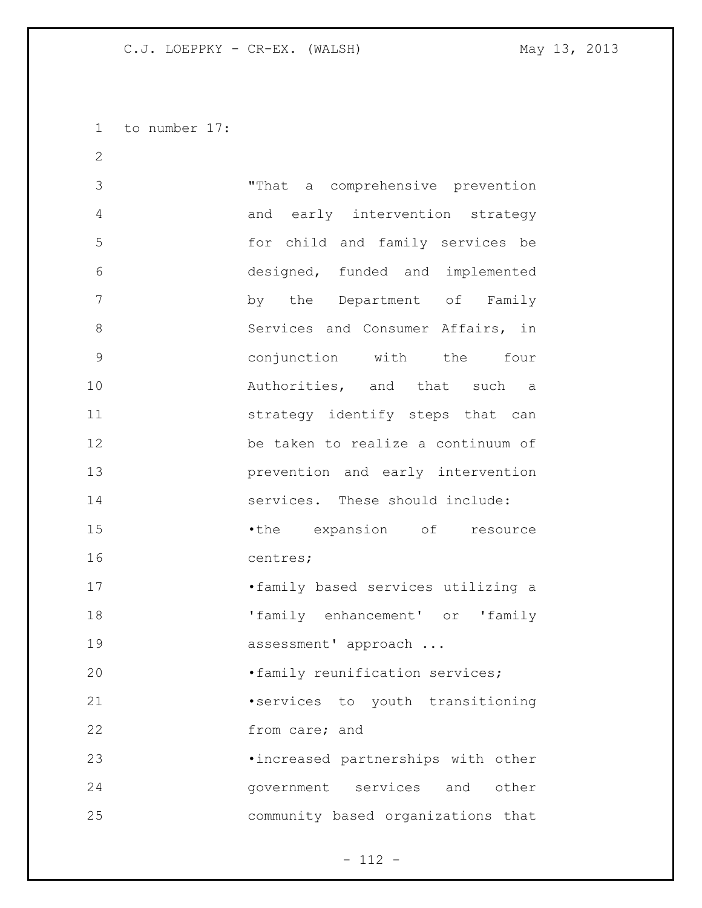to number 17:

| $\mathbf{2}$  |                                    |
|---------------|------------------------------------|
| 3             | "That a comprehensive prevention   |
| 4             | and early intervention strategy    |
| 5             | for child and family services be   |
| 6             | designed, funded and implemented   |
| 7             | by the Department of Family        |
| 8             | Services and Consumer Affairs, in  |
| $\mathcal{G}$ | conjunction with the four          |
| 10            | Authorities, and that such a       |
| 11            | strategy identify steps that can   |
| 12            | be taken to realize a continuum of |
| 13            | prevention and early intervention  |
| 14            | services. These should include:    |
| 15            | •the expansion of resource         |
| 16            | centres;                           |
| 17            | .family based services utilizing a |
| 18            | 'family enhancement' or 'family    |
| 19            | assessment' approach               |
| 20            | .family reunification services;    |
| 21            | services to youth transitioning    |
| 22            | from care; and                     |
| 23            | .increased partnerships with other |
| 24            | government services and<br>other   |
| 25            | community based organizations that |

- 112 -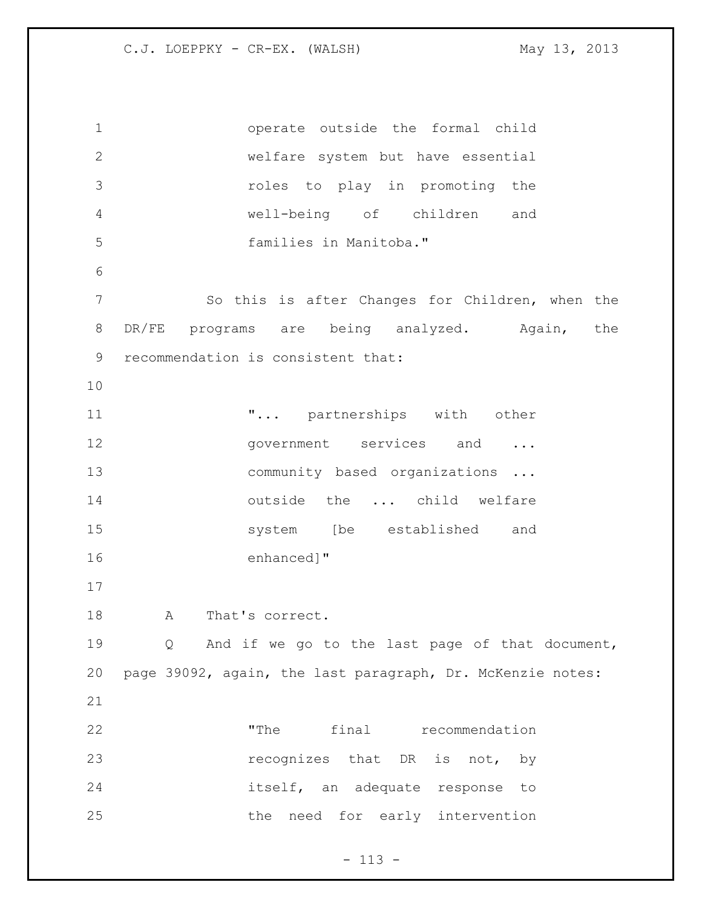operate outside the formal child welfare system but have essential roles to play in promoting the well-being of children and families in Manitoba." So this is after Changes for Children, when the 8 DR/FE programs are being analyzed. Again, the recommendation is consistent that: **...** partnerships with other 12 government services and ... 13 community based organizations ... 14 outside the ... child welfare system [be established and enhanced]" 18 A That's correct. Q And if we go to the last page of that document, page 39092, again, the last paragraph, Dr. McKenzie notes: "The final recommendation **recognizes** that DR is not, by itself, an adequate response to 25 the need for early intervention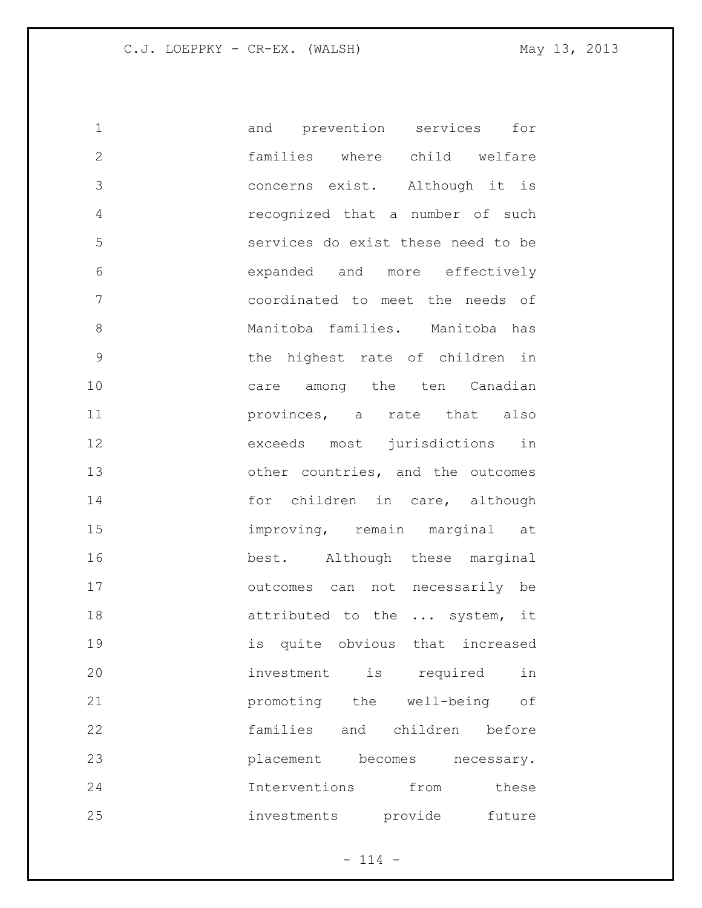| $\mathbf 1$  | and prevention services | for                                |
|--------------|-------------------------|------------------------------------|
| $\mathbf{2}$ |                         | families where child welfare       |
| 3            |                         | concerns exist. Although it is     |
| 4            |                         | recognized that a number of such   |
| 5            |                         | services do exist these need to be |
| 6            |                         | expanded and more effectively      |
| 7            |                         | coordinated to meet the needs of   |
| 8            |                         | Manitoba families. Manitoba has    |
| 9            |                         | the highest rate of children in    |
| 10           |                         | care among the ten Canadian        |
| 11           |                         | provinces, a rate that also        |
| 12           |                         | exceeds most jurisdictions in      |
| 13           |                         | other countries, and the outcomes  |
| 14           |                         | for children in care, although     |
| 15           |                         | improving, remain marginal at      |
| 16           |                         | best. Although these marginal      |
| 17           |                         | outcomes can not necessarily be    |
| 18           |                         | attributed to the  system, it      |
| 19           |                         | is quite obvious that increased    |
| 20           | investment is required  | in                                 |
| 21           |                         | promoting the well-being of        |
| 22           |                         | families and children before       |
| 23           | placement becomes       | necessary.                         |
| 24           | Interventions from      | these                              |
| 25           | investments provide     | future                             |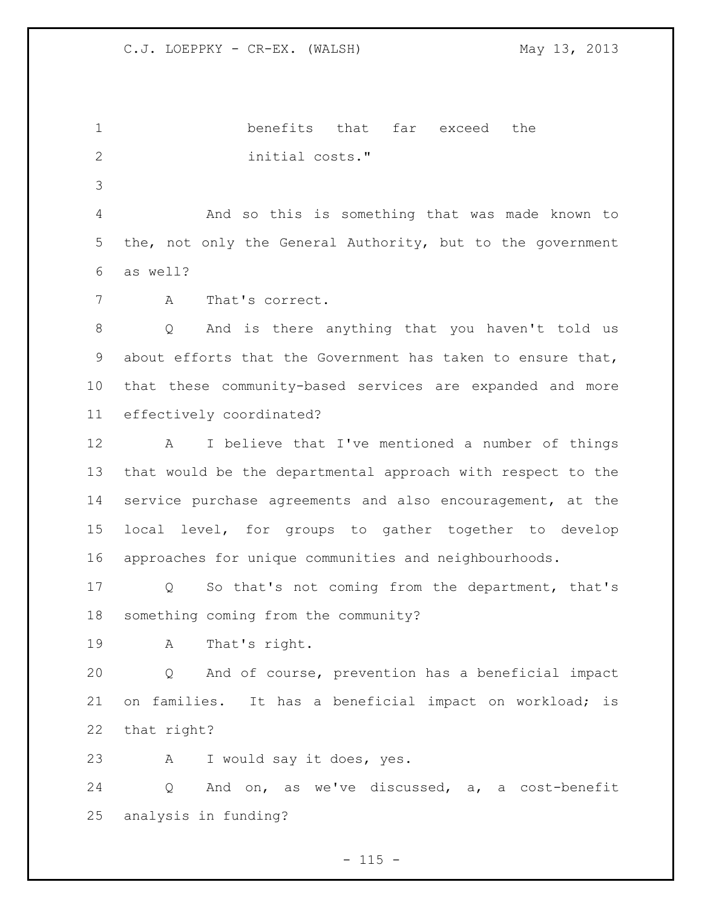benefits that far exceed the 2 initial costs." And so this is something that was made known to the, not only the General Authority, but to the government as well? A That's correct. Q And is there anything that you haven't told us about efforts that the Government has taken to ensure that, that these community-based services are expanded and more effectively coordinated? A I believe that I've mentioned a number of things that would be the departmental approach with respect to the service purchase agreements and also encouragement, at the local level, for groups to gather together to develop approaches for unique communities and neighbourhoods. Q So that's not coming from the department, that's something coming from the community? A That's right. Q And of course, prevention has a beneficial impact on families. It has a beneficial impact on workload; is that right? A I would say it does, yes. Q And on, as we've discussed, a, a cost-benefit analysis in funding?

 $- 115 -$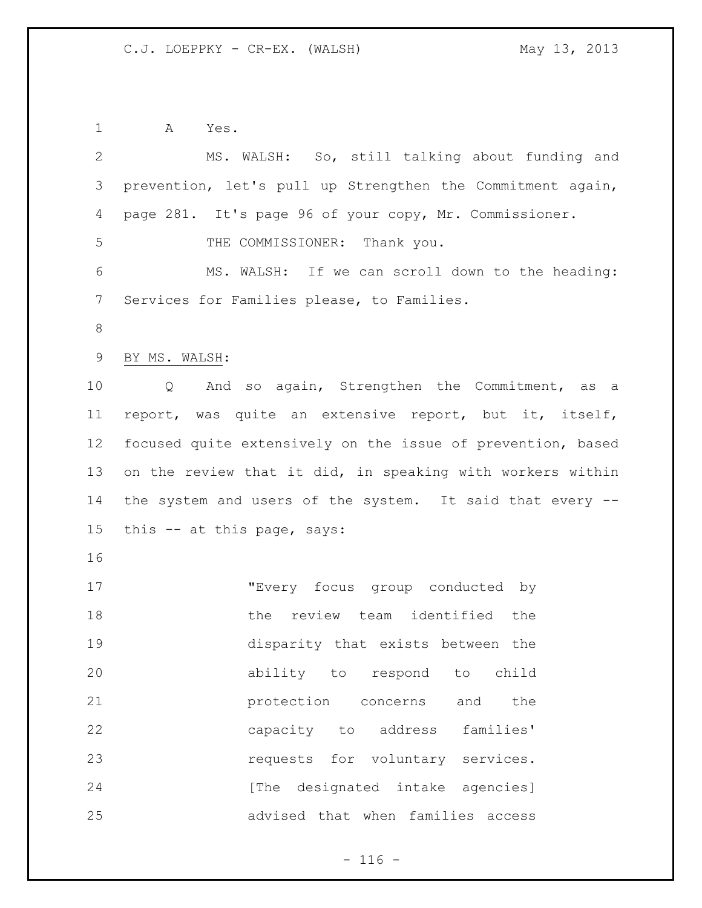A Yes. MS. WALSH: So, still talking about funding and prevention, let's pull up Strengthen the Commitment again, page 281. It's page 96 of your copy, Mr. Commissioner. 5 THE COMMISSIONER: Thank you. MS. WALSH: If we can scroll down to the heading: Services for Families please, to Families. BY MS. WALSH: Q And so again, Strengthen the Commitment, as a report, was quite an extensive report, but it, itself, focused quite extensively on the issue of prevention, based on the review that it did, in speaking with workers within the system and users of the system. It said that every -- this -- at this page, says: "Every focus group conducted by 18 the review team identified the disparity that exists between the ability to respond to child **protection** concerns and the capacity to address families' **requests** for voluntary services. **120 I** [The designated intake agencies] advised that when families access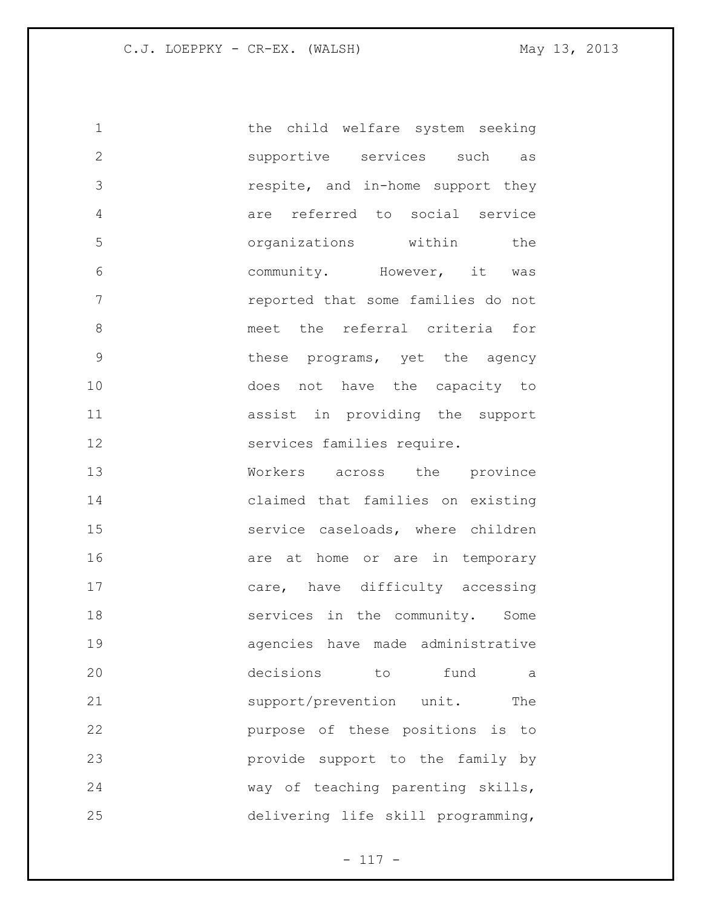1 the child welfare system seeking supportive services such as respite, and in-home support they are referred to social service organizations within the community. However, it was reported that some families do not meet the referral criteria for **blue these programs,** yet the agency does not have the capacity to assist in providing the support services families require. Workers across the province claimed that families on existing service caseloads, where children 16 are at home or are in temporary 17 care, have difficulty accessing 18 services in the community. Some agencies have made administrative decisions to fund a 21 support/prevention unit. The purpose of these positions is to provide support to the family by way of teaching parenting skills, delivering life skill programming,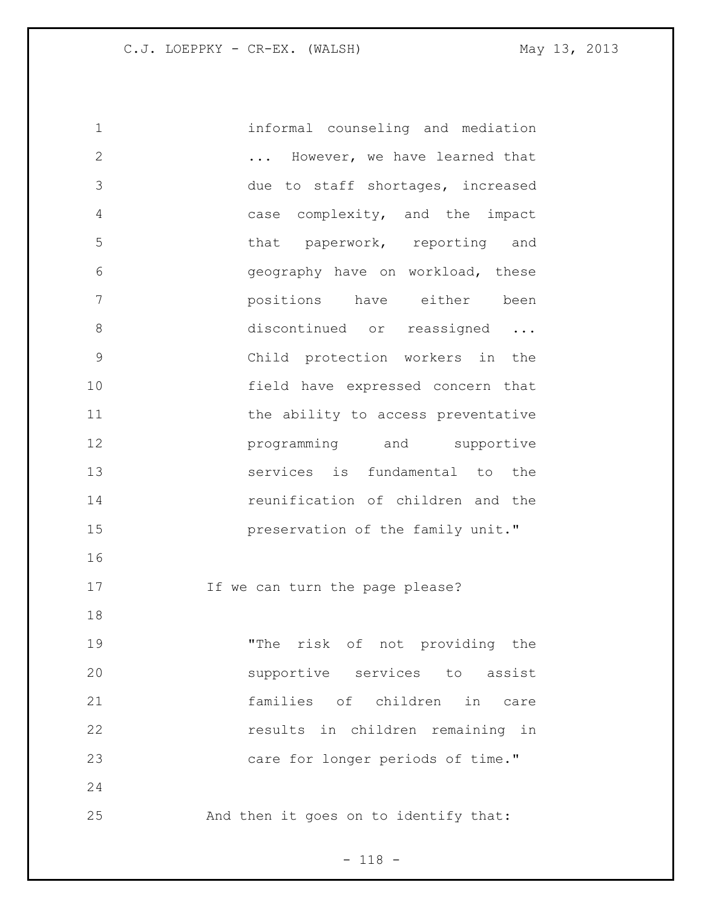informal counseling and mediation ... However, we have learned that due to staff shortages, increased case complexity, and the impact 5 that paperwork, reporting and geography have on workload, these positions have either been 8 discontinued or reassigned ... Child protection workers in the field have expressed concern that 11 the ability to access preventative **programming** and supportive services is fundamental to the reunification of children and the **preservation of the family unit."**  17 17 If we can turn the page please? "The risk of not providing the supportive services to assist families of children in care results in children remaining in 23 care for longer periods of time." And then it goes on to identify that:

- 118 -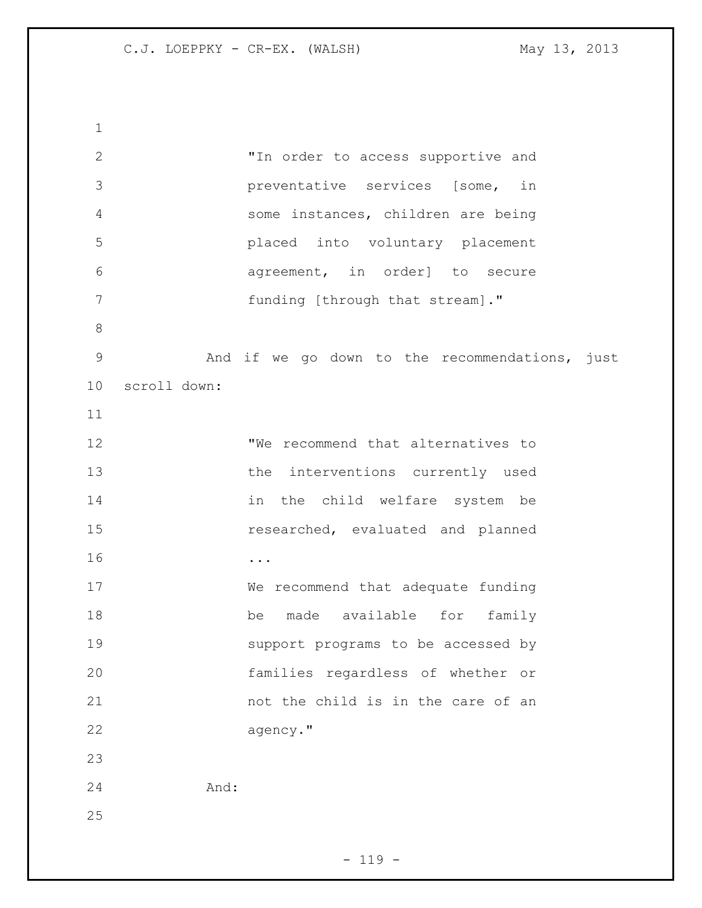"In order to access supportive and preventative services [some, in some instances, children are being placed into voluntary placement agreement, in order] to secure 7 funding [through that stream]." And if we go down to the recommendations, just scroll down: **We recommend that alternatives to**  the interventions currently used in the child welfare system be researched, evaluated and planned ... We recommend that adequate funding be made available for family support programs to be accessed by families regardless of whether or 21 hot the child is in the care of an agency." And: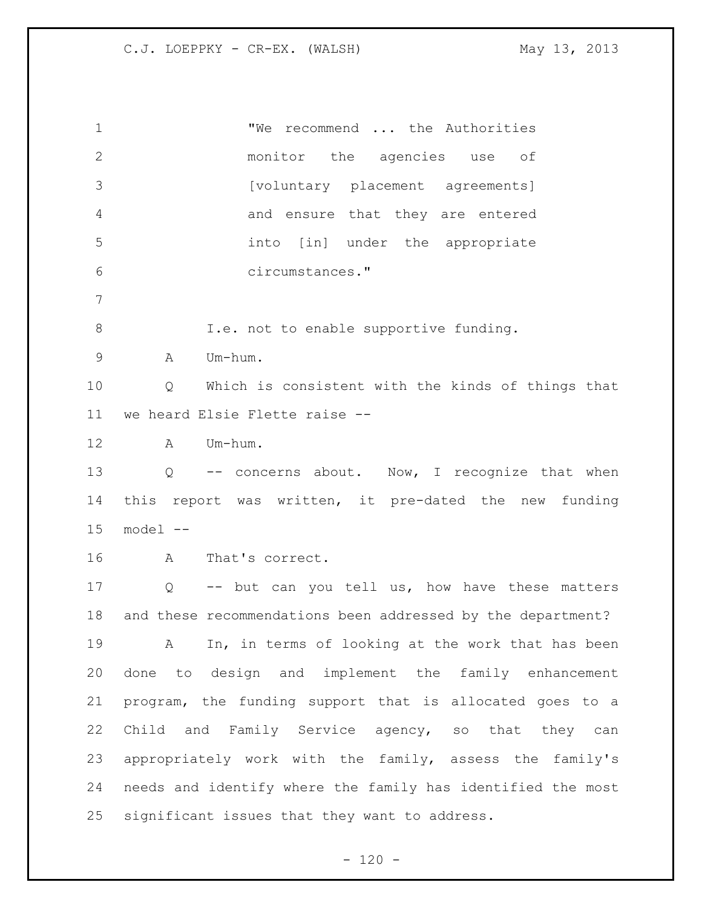| $\mathbf 1$  | "We recommend  the Authorities                                      |
|--------------|---------------------------------------------------------------------|
| $\mathbf{2}$ | monitor<br>the agencies use<br>оf                                   |
| 3            | [voluntary placement agreements]                                    |
| 4            | and ensure that they are entered                                    |
| 5            | into [in] under the appropriate                                     |
| 6            | circumstances."                                                     |
| 7            |                                                                     |
| $\,8\,$      | I.e. not to enable supportive funding.                              |
| $\mathsf 9$  | Um-hum.<br>A                                                        |
| 10           | Which is consistent with the kinds of things that<br>Q              |
| 11           | we heard Elsie Flette raise --                                      |
| 12           | A Um-hum.                                                           |
| 13           | -- concerns about. Now, I recognize that when<br>$Q \qquad \qquad$  |
| 14           | this report was written, it pre-dated the new funding               |
| 15           | model --                                                            |
| 16           | That's correct.<br>$\mathbf{A}$                                     |
| 17           | -- but can you tell us, how have these matters<br>$Q \qquad \qquad$ |
| 18           | and these recommendations been addressed by the department?         |
| 19           | In, in terms of looking at the work that has been<br>A              |
| 20           | done to design and implement the family enhancement                 |
| 21           | program, the funding support that is allocated goes to a            |
| 22           | Child and Family Service agency, so that they can                   |
| 23           | appropriately work with the family, assess the family's             |
| 24           | needs and identify where the family has identified the most         |
| 25           | significant issues that they want to address.                       |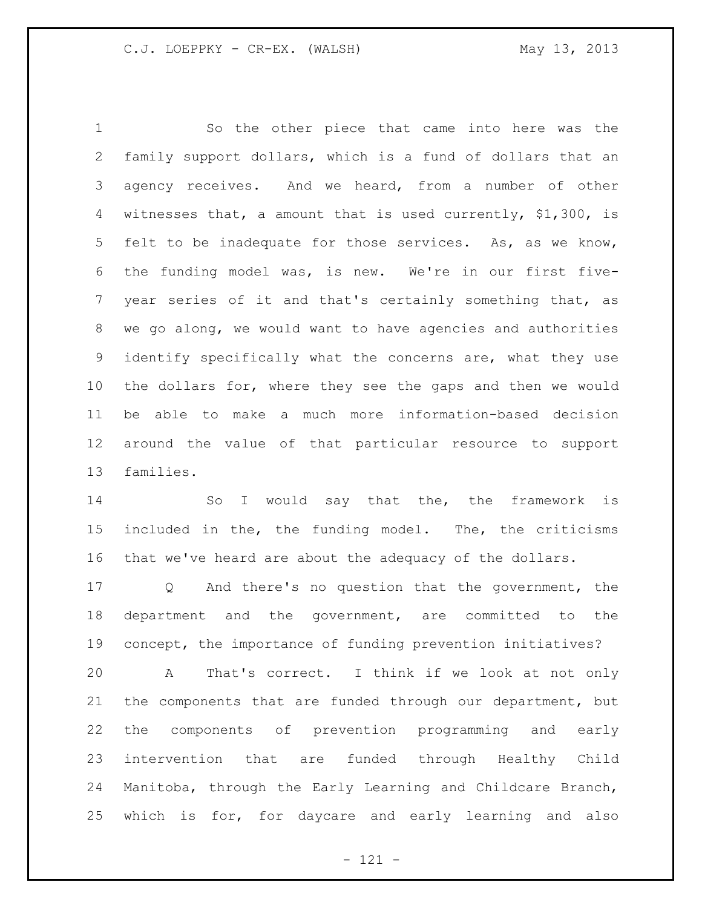So the other piece that came into here was the family support dollars, which is a fund of dollars that an agency receives. And we heard, from a number of other witnesses that, a amount that is used currently, \$1,300, is felt to be inadequate for those services. As, as we know, the funding model was, is new. We're in our first five- year series of it and that's certainly something that, as we go along, we would want to have agencies and authorities identify specifically what the concerns are, what they use the dollars for, where they see the gaps and then we would be able to make a much more information-based decision around the value of that particular resource to support families.

14 So I would say that the, the framework is included in the, the funding model. The, the criticisms that we've heard are about the adequacy of the dollars.

 Q And there's no question that the government, the department and the government, are committed to the concept, the importance of funding prevention initiatives?

 A That's correct. I think if we look at not only the components that are funded through our department, but the components of prevention programming and early intervention that are funded through Healthy Child Manitoba, through the Early Learning and Childcare Branch, which is for, for daycare and early learning and also

- 121 -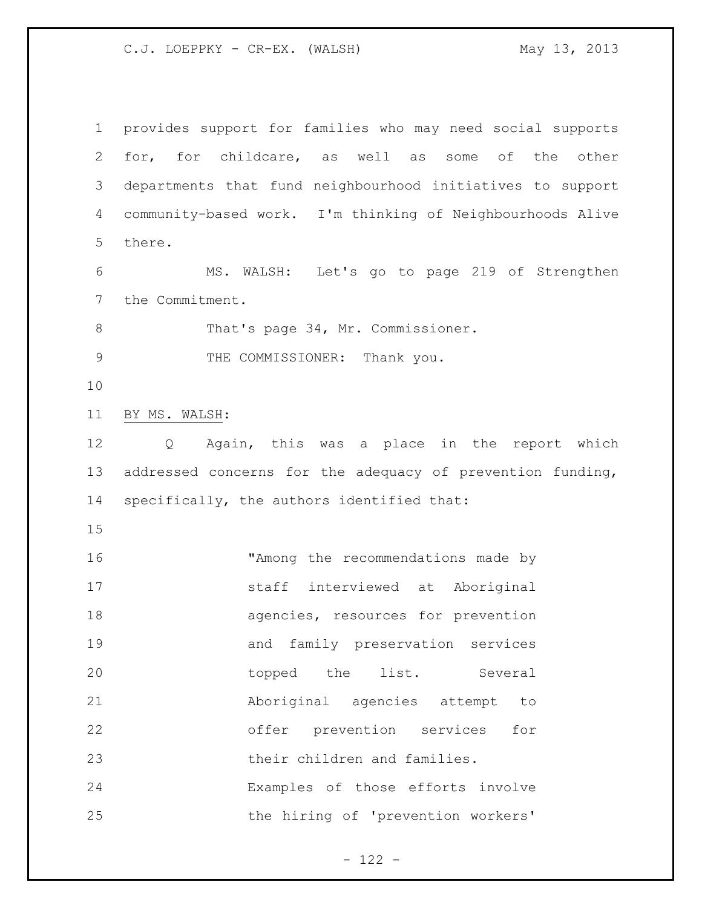provides support for families who may need social supports for, for childcare, as well as some of the other departments that fund neighbourhood initiatives to support community-based work. I'm thinking of Neighbourhoods Alive there. MS. WALSH: Let's go to page 219 of Strengthen the Commitment. 8 That's page 34, Mr. Commissioner. 9 THE COMMISSIONER: Thank you. BY MS. WALSH: Q Again, this was a place in the report which addressed concerns for the adequacy of prevention funding, specifically, the authors identified that: 16 The mong the recommendations made by staff interviewed at Aboriginal agencies, resources for prevention and family preservation services 20 topped the list. Several Aboriginal agencies attempt to offer prevention services for their children and families. Examples of those efforts involve 25 the hiring of 'prevention workers'

- 122 -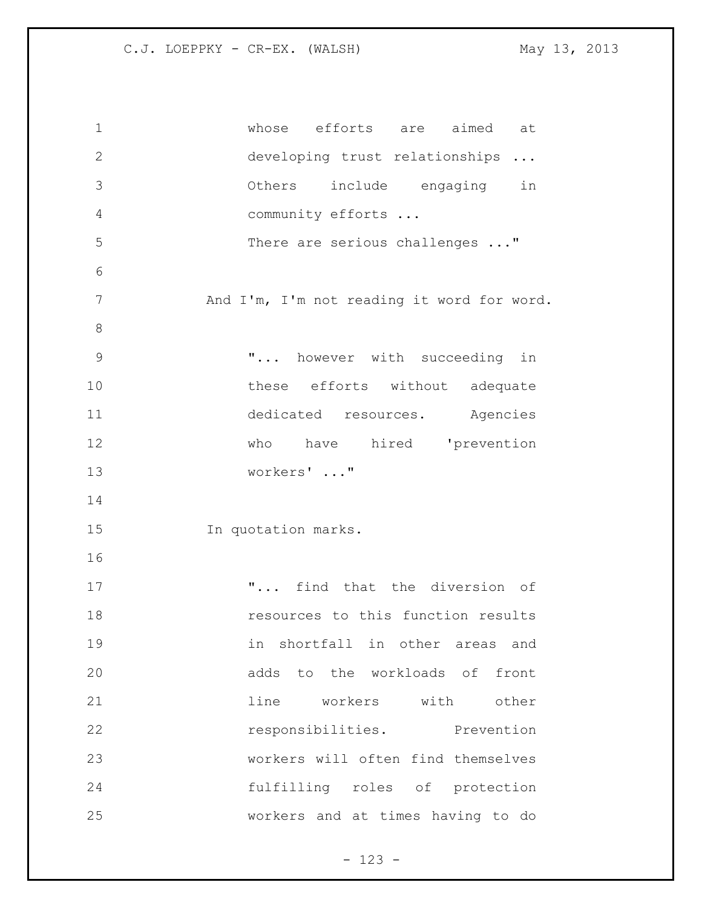| $\mathbf 1$    | whose efforts are aimed at                 |
|----------------|--------------------------------------------|
| $\mathbf{2}$   | developing trust relationships             |
| 3              | Others include engaging in                 |
| 4              | community efforts                          |
| 5              | There are serious challenges "             |
| 6              |                                            |
| $\overline{7}$ | And I'm, I'm not reading it word for word. |
| 8              |                                            |
| $\mathcal{G}$  | " however with succeeding in               |
| 10             | these efforts without adequate             |
| 11             | dedicated resources. Agencies              |
| 12             | who have hired 'prevention                 |
| 13             | workers' "                                 |
| 14             |                                            |
| 15             | In quotation marks.                        |
| 16             |                                            |
| 17             | " find that the diversion of               |
| 18             | resources to this function results         |
| 19             | shortfall in other areas and<br>in         |
| 20             | adds to the workloads of front             |
| 21             | workers with<br>line<br>other              |
| 22             | responsibilities. Prevention               |
| 23             | workers will often find themselves         |
| 24             | fulfilling roles of protection             |
| 25             | workers and at times having to do          |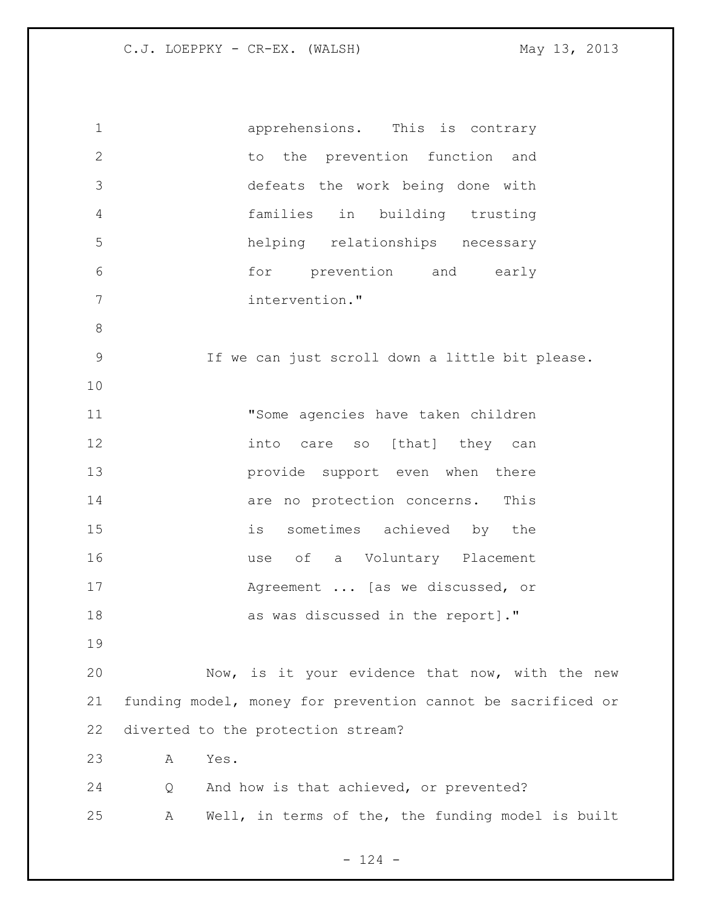apprehensions. This is contrary 2 to the prevention function and defeats the work being done with families in building trusting helping relationships necessary for prevention and early intervention." If we can just scroll down a little bit please. "Some agencies have taken children **into** care so [that] they can **provide** support even when there **are no protection concerns.** This is sometimes achieved by the use of a Voluntary Placement Agreement ... [as we discussed, or as was discussed in the report]." Now, is it your evidence that now, with the new funding model, money for prevention cannot be sacrificed or diverted to the protection stream? A Yes. Q And how is that achieved, or prevented? A Well, in terms of the, the funding model is built

 $- 124 -$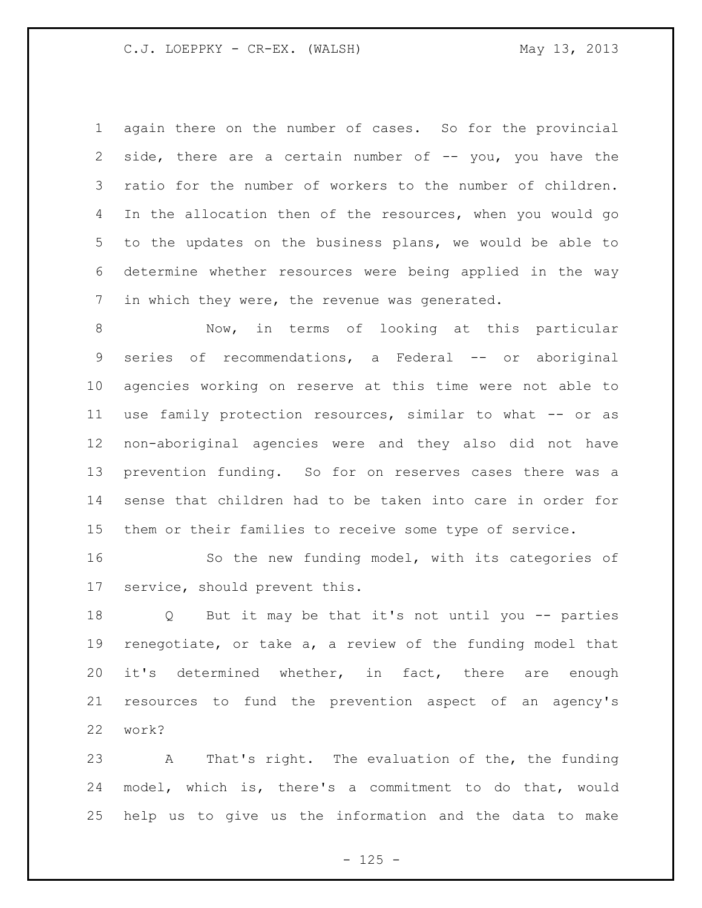again there on the number of cases. So for the provincial 2 side, there are a certain number of -- you, you have the ratio for the number of workers to the number of children. In the allocation then of the resources, when you would go to the updates on the business plans, we would be able to determine whether resources were being applied in the way in which they were, the revenue was generated.

 Now, in terms of looking at this particular series of recommendations, a Federal -- or aboriginal agencies working on reserve at this time were not able to use family protection resources, similar to what -- or as non-aboriginal agencies were and they also did not have prevention funding. So for on reserves cases there was a sense that children had to be taken into care in order for them or their families to receive some type of service.

 So the new funding model, with its categories of service, should prevent this.

 Q But it may be that it's not until you -- parties renegotiate, or take a, a review of the funding model that it's determined whether, in fact, there are enough resources to fund the prevention aspect of an agency's work?

 A That's right. The evaluation of the, the funding model, which is, there's a commitment to do that, would help us to give us the information and the data to make

 $- 125 -$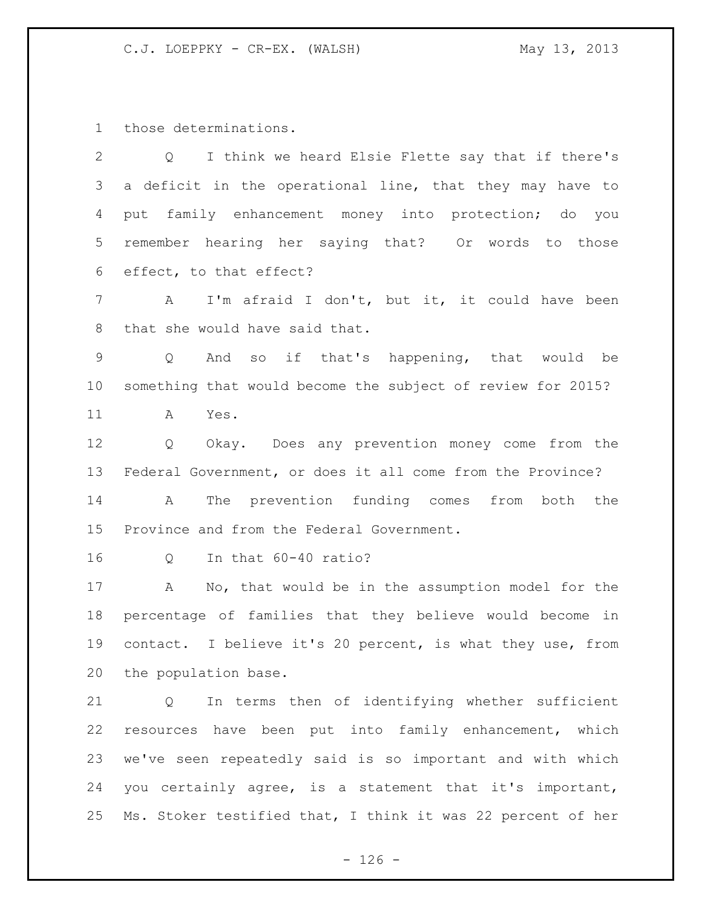those determinations.

| $\overline{2}$  | I think we heard Elsie Flette say that if there's<br>$Q \qquad \qquad$ |
|-----------------|------------------------------------------------------------------------|
| 3               | a deficit in the operational line, that they may have to               |
| 4               | put family enhancement money into protection; do you                   |
| 5 <sup>5</sup>  | remember hearing her saying that? Or words to those                    |
| 6               | effect, to that effect?                                                |
| 7               | I'm afraid I don't, but it, it could have been<br>$\mathbf{A}$         |
| 8               | that she would have said that.                                         |
| 9               | And so if that's happening, that would be<br>$Q \qquad \qquad$         |
| 10 <sub>o</sub> | something that would become the subject of review for 2015?            |
| 11              | Yes.<br>A                                                              |
| 12              | Okay. Does any prevention money come from the<br>$Q \qquad \qquad$     |
| 13              | Federal Government, or does it all come from the Province?             |
| 14              | The prevention funding comes from<br>both the<br>A                     |
| 15              | Province and from the Federal Government.                              |
| 16              | In that 60-40 ratio?<br>Q                                              |
| 17              | No, that would be in the assumption model for the<br>A                 |
| 18              | percentage of families that they believe would become in               |
| 19              | contact. I believe it's 20 percent, is what they use, from             |
| 20              | the population base.                                                   |
| 21              | In terms then of identifying whether sufficient<br>Q                   |
| 22              | resources have been put into family enhancement, which                 |
| 23              | we've seen repeatedly said is so important and with which              |
| 24              | you certainly agree, is a statement that it's important,               |

Ms. Stoker testified that, I think it was 22 percent of her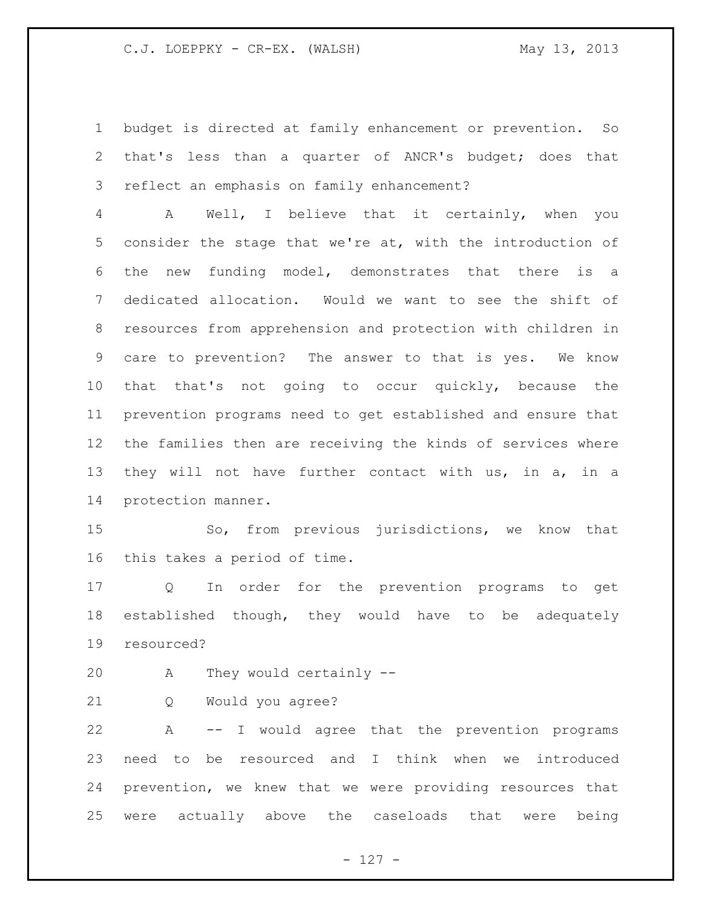budget is directed at family enhancement or prevention. So that's less than a quarter of ANCR's budget; does that reflect an emphasis on family enhancement?

 A Well, I believe that it certainly, when you consider the stage that we're at, with the introduction of the new funding model, demonstrates that there is a dedicated allocation. Would we want to see the shift of resources from apprehension and protection with children in care to prevention? The answer to that is yes. We know that that's not going to occur quickly, because the prevention programs need to get established and ensure that the families then are receiving the kinds of services where they will not have further contact with us, in a, in a protection manner.

 So, from previous jurisdictions, we know that this takes a period of time.

 Q In order for the prevention programs to get established though, they would have to be adequately resourced?

A They would certainly --

Q Would you agree?

 A -- I would agree that the prevention programs need to be resourced and I think when we introduced prevention, we knew that we were providing resources that were actually above the caseloads that were being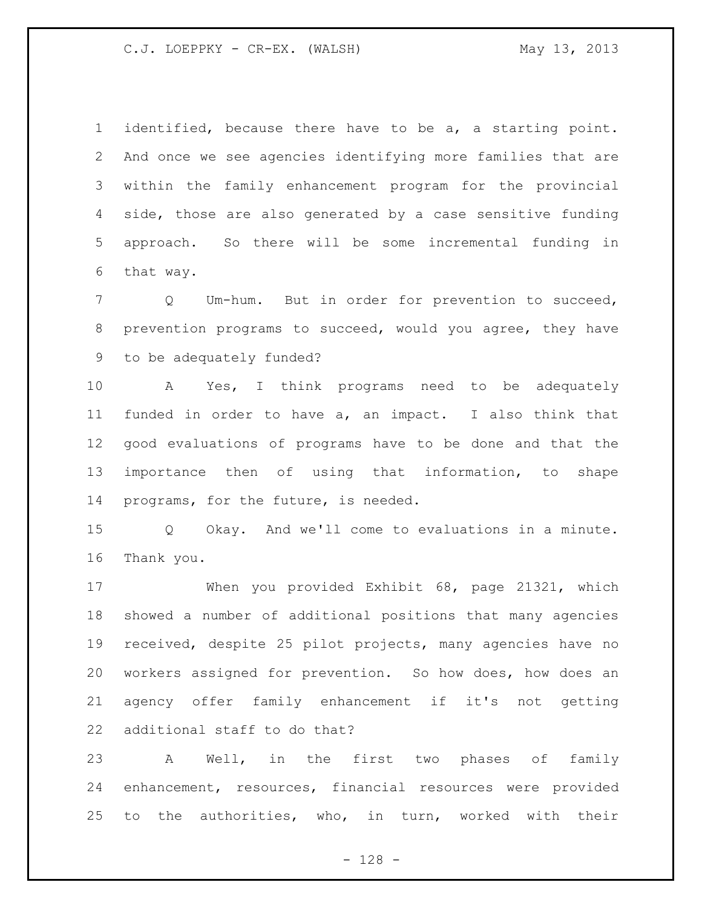identified, because there have to be a, a starting point. And once we see agencies identifying more families that are within the family enhancement program for the provincial side, those are also generated by a case sensitive funding approach. So there will be some incremental funding in that way.

 Q Um-hum. But in order for prevention to succeed, prevention programs to succeed, would you agree, they have to be adequately funded?

 A Yes, I think programs need to be adequately funded in order to have a, an impact. I also think that good evaluations of programs have to be done and that the importance then of using that information, to shape programs, for the future, is needed.

 Q Okay. And we'll come to evaluations in a minute. Thank you.

 When you provided Exhibit 68, page 21321, which showed a number of additional positions that many agencies received, despite 25 pilot projects, many agencies have no workers assigned for prevention. So how does, how does an agency offer family enhancement if it's not getting additional staff to do that?

 A Well, in the first two phases of family enhancement, resources, financial resources were provided to the authorities, who, in turn, worked with their

- 128 -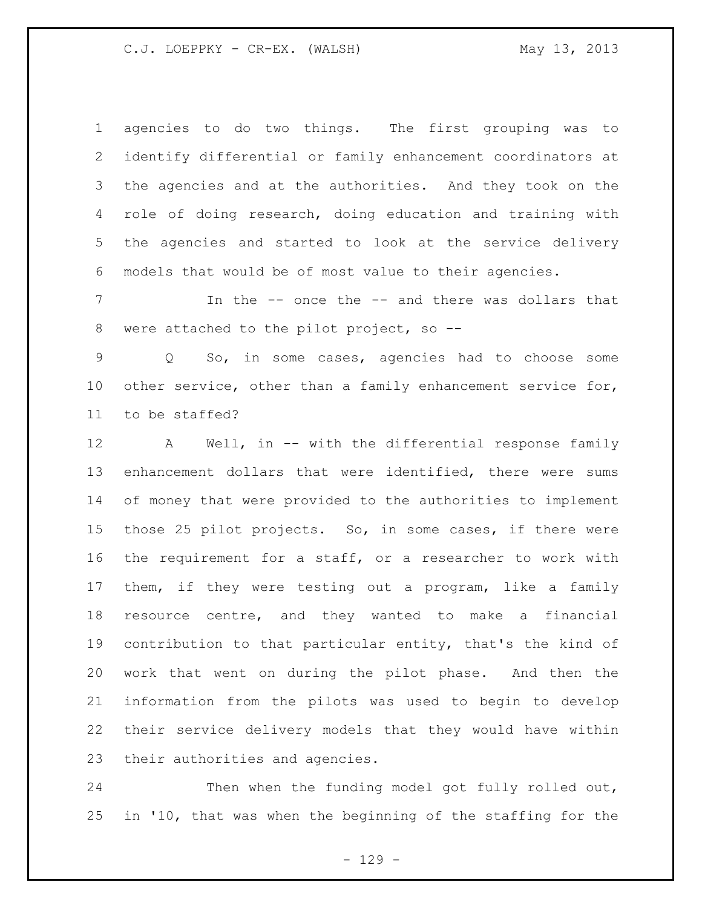agencies to do two things. The first grouping was to identify differential or family enhancement coordinators at the agencies and at the authorities. And they took on the role of doing research, doing education and training with the agencies and started to look at the service delivery models that would be of most value to their agencies.

 In the -- once the -- and there was dollars that were attached to the pilot project, so --

 Q So, in some cases, agencies had to choose some 10 other service, other than a family enhancement service for, to be staffed?

 A Well, in -- with the differential response family enhancement dollars that were identified, there were sums of money that were provided to the authorities to implement those 25 pilot projects. So, in some cases, if there were the requirement for a staff, or a researcher to work with them, if they were testing out a program, like a family resource centre, and they wanted to make a financial contribution to that particular entity, that's the kind of work that went on during the pilot phase. And then the information from the pilots was used to begin to develop their service delivery models that they would have within their authorities and agencies.

 Then when the funding model got fully rolled out, in '10, that was when the beginning of the staffing for the

- 129 -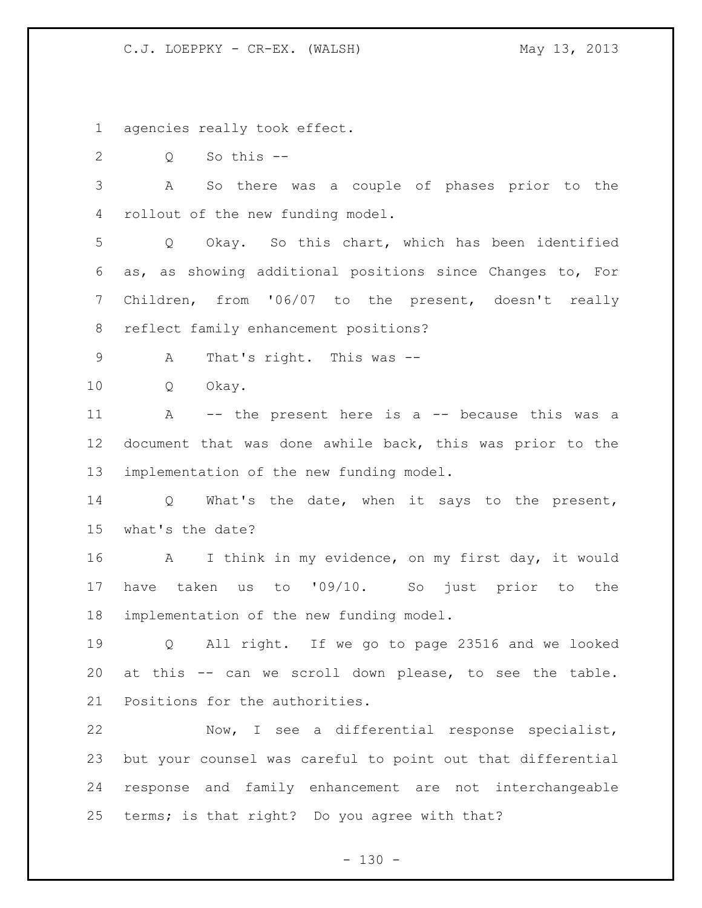agencies really took effect.

Q So this --

 A So there was a couple of phases prior to the rollout of the new funding model.

 Q Okay. So this chart, which has been identified as, as showing additional positions since Changes to, For Children, from '06/07 to the present, doesn't really reflect family enhancement positions?

A That's right. This was --

Q Okay.

 A -- the present here is a -- because this was a document that was done awhile back, this was prior to the implementation of the new funding model.

 Q What's the date, when it says to the present, what's the date?

 A I think in my evidence, on my first day, it would have taken us to '09/10. So just prior to the implementation of the new funding model.

 Q All right. If we go to page 23516 and we looked at this -- can we scroll down please, to see the table. Positions for the authorities.

 Now, I see a differential response specialist, but your counsel was careful to point out that differential response and family enhancement are not interchangeable terms; is that right? Do you agree with that?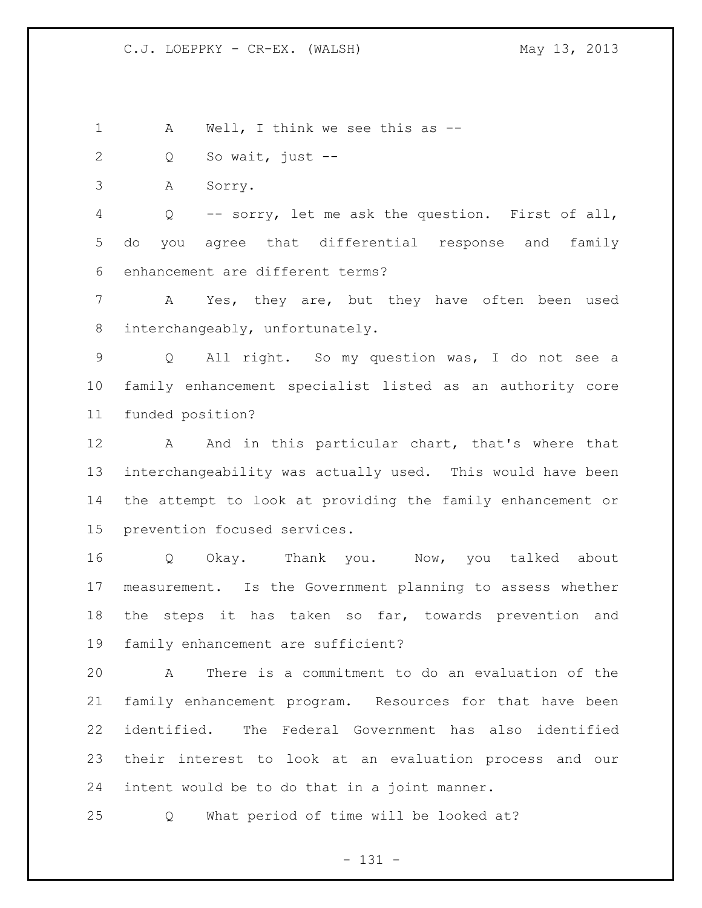1 A Well, I think we see this as --

Q So wait, just --

A Sorry.

 Q -- sorry, let me ask the question. First of all, do you agree that differential response and family enhancement are different terms?

 A Yes, they are, but they have often been used interchangeably, unfortunately.

 Q All right. So my question was, I do not see a family enhancement specialist listed as an authority core funded position?

12 A And in this particular chart, that's where that interchangeability was actually used. This would have been the attempt to look at providing the family enhancement or prevention focused services.

 Q Okay. Thank you. Now, you talked about measurement. Is the Government planning to assess whether the steps it has taken so far, towards prevention and family enhancement are sufficient?

 A There is a commitment to do an evaluation of the family enhancement program. Resources for that have been identified. The Federal Government has also identified their interest to look at an evaluation process and our intent would be to do that in a joint manner.

Q What period of time will be looked at?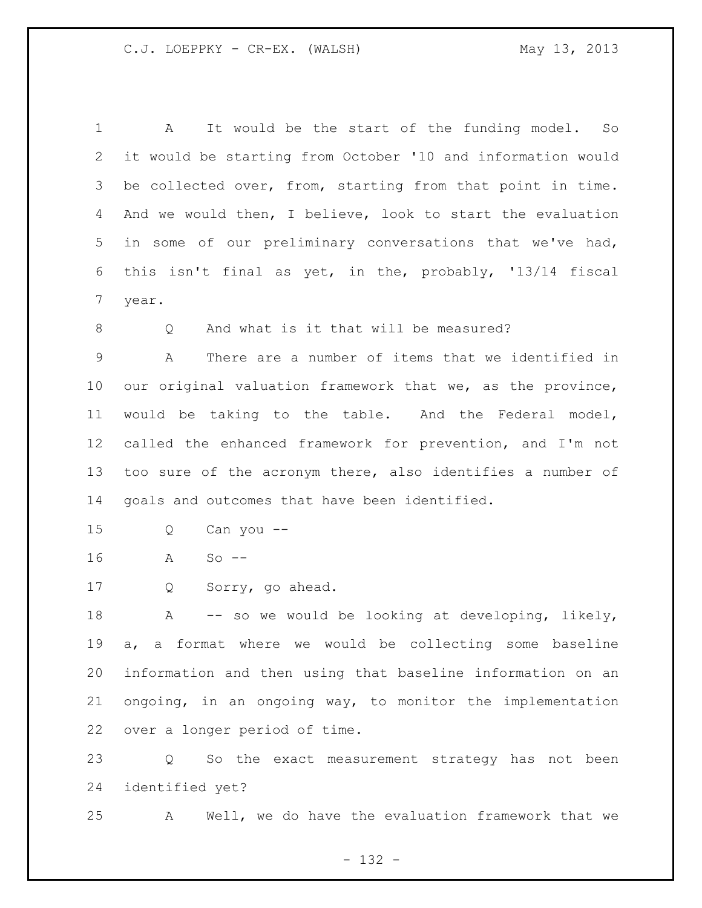A It would be the start of the funding model. So it would be starting from October '10 and information would be collected over, from, starting from that point in time. And we would then, I believe, look to start the evaluation in some of our preliminary conversations that we've had, this isn't final as yet, in the, probably, '13/14 fiscal year.

8 Q And what is it that will be measured?

 A There are a number of items that we identified in our original valuation framework that we, as the province, would be taking to the table. And the Federal model, called the enhanced framework for prevention, and I'm not too sure of the acronym there, also identifies a number of goals and outcomes that have been identified.

- Q Can you --
- A So --
- Q Sorry, go ahead.

18 A -- so we would be looking at developing, likely, a, a format where we would be collecting some baseline information and then using that baseline information on an ongoing, in an ongoing way, to monitor the implementation over a longer period of time.

 Q So the exact measurement strategy has not been identified yet?

A Well, we do have the evaluation framework that we

- 132 -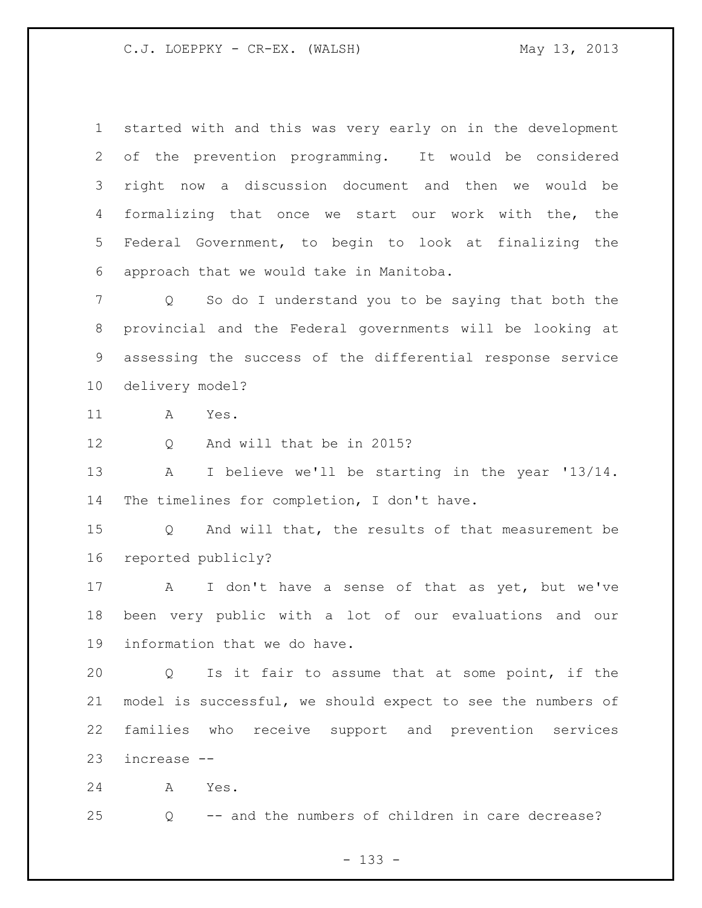started with and this was very early on in the development of the prevention programming. It would be considered right now a discussion document and then we would be formalizing that once we start our work with the, the Federal Government, to begin to look at finalizing the approach that we would take in Manitoba.

 Q So do I understand you to be saying that both the provincial and the Federal governments will be looking at assessing the success of the differential response service delivery model?

A Yes.

12 O And will that be in 2015?

 A I believe we'll be starting in the year '13/14. The timelines for completion, I don't have.

 Q And will that, the results of that measurement be reported publicly?

 A I don't have a sense of that as yet, but we've been very public with a lot of our evaluations and our information that we do have.

 Q Is it fair to assume that at some point, if the model is successful, we should expect to see the numbers of families who receive support and prevention services increase --

A Yes.

Q -- and the numbers of children in care decrease?

- 133 -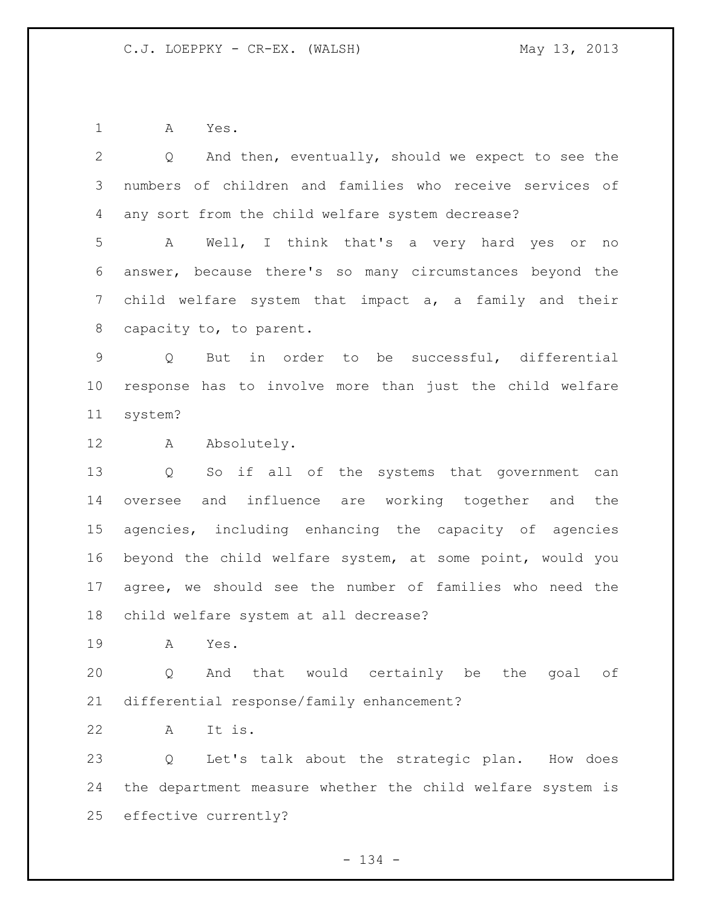A Yes.

| $\mathbf{2}$    | Q And then, eventually, should we expect to see the               |
|-----------------|-------------------------------------------------------------------|
| 3               | numbers of children and families who receive services of          |
| 4               | any sort from the child welfare system decrease?                  |
| 5               | Well, I think that's a very hard yes or no<br>A                   |
| 6               | answer, because there's so many circumstances beyond the          |
| 7               | child welfare system that impact a, a family and their            |
| 8               | capacity to, to parent.                                           |
| 9               | But in order to be successful, differential<br>$Q \qquad$         |
| 10 <sub>o</sub> | response has to involve more than just the child welfare          |
| 11              | system?                                                           |
| 12              | A Absolutely.                                                     |
| 13              | So if all of the systems that government can<br>$Q \qquad \qquad$ |
| 14              | oversee and influence are working together and the                |
| 15 <sub>1</sub> | agencies, including enhancing the capacity of agencies            |
| 16              | beyond the child welfare system, at some point, would you         |
| 17              | agree, we should see the number of families who need the          |
| 18              | child welfare system at all decrease?                             |
| 19              | A<br>Yes.                                                         |
| 20              | And that would certainly be the goal of<br>Q                      |
| 21              | differential response/family enhancement?                         |
| 22              | It is.<br>A                                                       |
| 23              | Let's talk about the strategic plan. How does<br>Q                |
| 24              | the department measure whether the child welfare system is        |
| 25              | effective currently?                                              |

- 134 -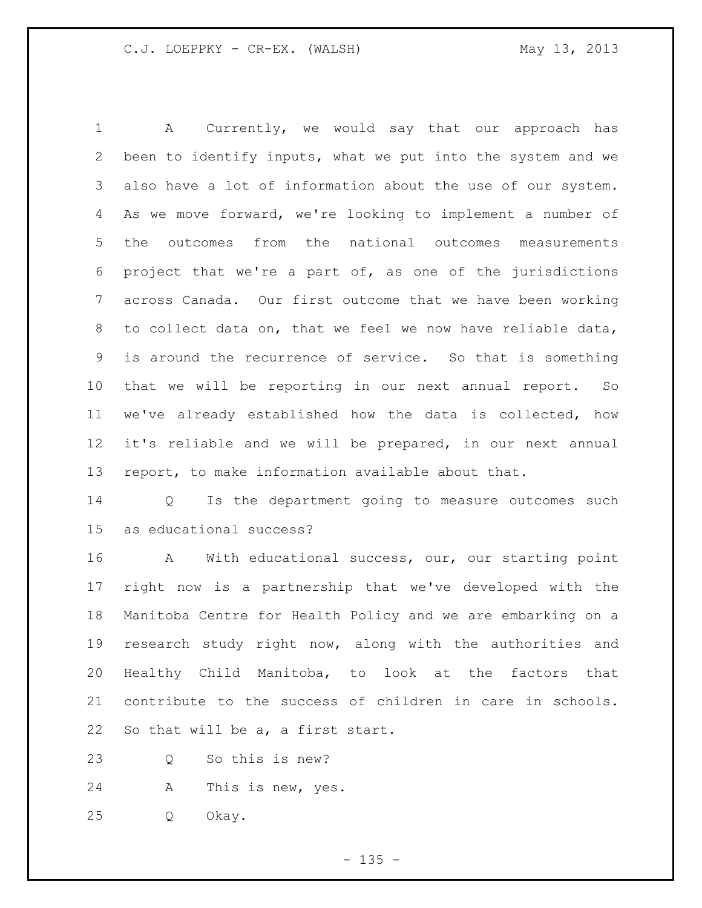A Currently, we would say that our approach has been to identify inputs, what we put into the system and we also have a lot of information about the use of our system. As we move forward, we're looking to implement a number of the outcomes from the national outcomes measurements project that we're a part of, as one of the jurisdictions across Canada. Our first outcome that we have been working to collect data on, that we feel we now have reliable data, is around the recurrence of service. So that is something that we will be reporting in our next annual report. So we've already established how the data is collected, how it's reliable and we will be prepared, in our next annual report, to make information available about that.

 Q Is the department going to measure outcomes such as educational success?

 A With educational success, our, our starting point right now is a partnership that we've developed with the Manitoba Centre for Health Policy and we are embarking on a research study right now, along with the authorities and Healthy Child Manitoba, to look at the factors that contribute to the success of children in care in schools. So that will be a, a first start.

Q So this is new?

A This is new, yes.

Q Okay.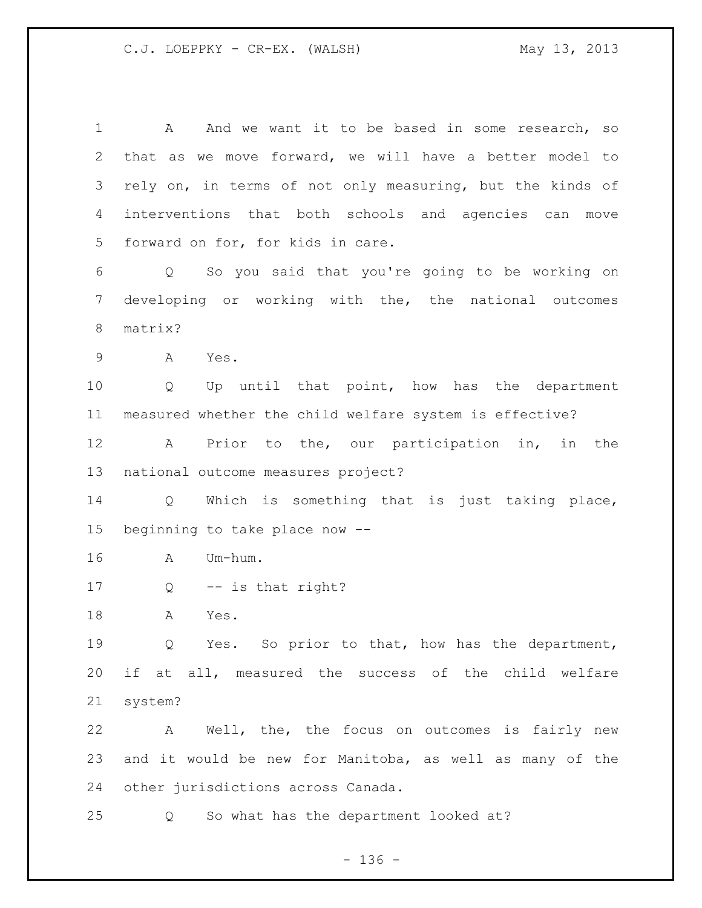1 A And we want it to be based in some research, so that as we move forward, we will have a better model to rely on, in terms of not only measuring, but the kinds of interventions that both schools and agencies can move forward on for, for kids in care. Q So you said that you're going to be working on developing or working with the, the national outcomes matrix? A Yes. Q Up until that point, how has the department measured whether the child welfare system is effective? A Prior to the, our participation in, in the national outcome measures project? Q Which is something that is just taking place, beginning to take place now -- A Um-hum. Q -- is that right? A Yes. Q Yes. So prior to that, how has the department, if at all, measured the success of the child welfare system? A Well, the, the focus on outcomes is fairly new and it would be new for Manitoba, as well as many of the other jurisdictions across Canada. Q So what has the department looked at?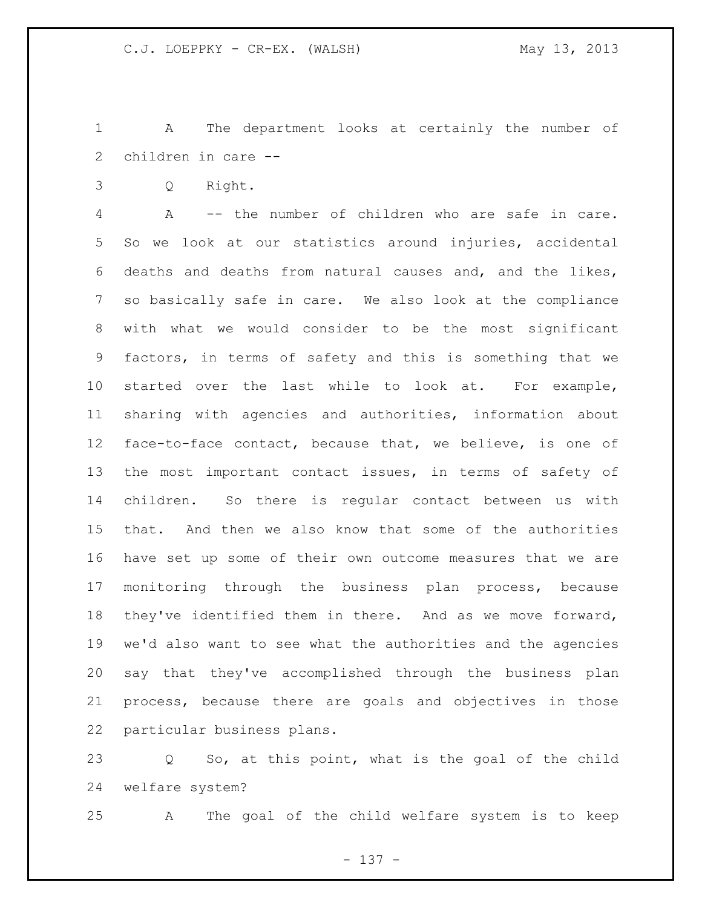A The department looks at certainly the number of children in care --

Q Right.

 A -- the number of children who are safe in care. So we look at our statistics around injuries, accidental deaths and deaths from natural causes and, and the likes, so basically safe in care. We also look at the compliance with what we would consider to be the most significant factors, in terms of safety and this is something that we started over the last while to look at. For example, sharing with agencies and authorities, information about face-to-face contact, because that, we believe, is one of the most important contact issues, in terms of safety of children. So there is regular contact between us with that. And then we also know that some of the authorities have set up some of their own outcome measures that we are monitoring through the business plan process, because they've identified them in there. And as we move forward, we'd also want to see what the authorities and the agencies say that they've accomplished through the business plan process, because there are goals and objectives in those particular business plans.

 Q So, at this point, what is the goal of the child welfare system?

A The goal of the child welfare system is to keep

- 137 -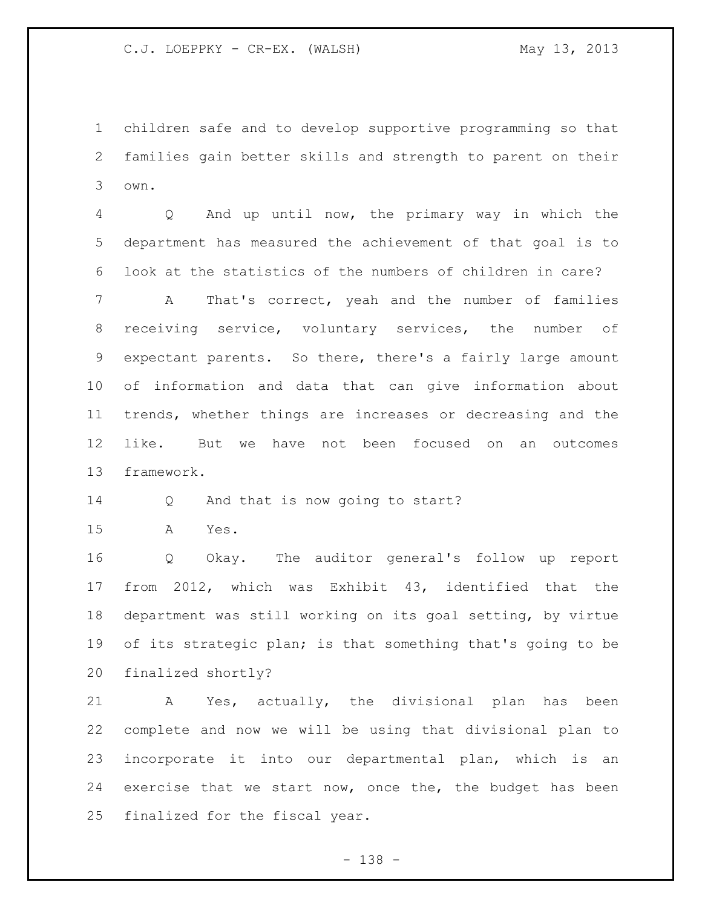children safe and to develop supportive programming so that families gain better skills and strength to parent on their own.

 Q And up until now, the primary way in which the department has measured the achievement of that goal is to look at the statistics of the numbers of children in care?

 A That's correct, yeah and the number of families receiving service, voluntary services, the number of expectant parents. So there, there's a fairly large amount of information and data that can give information about trends, whether things are increases or decreasing and the like. But we have not been focused on an outcomes framework.

14 Q And that is now going to start?

A Yes.

 Q Okay. The auditor general's follow up report from 2012, which was Exhibit 43, identified that the department was still working on its goal setting, by virtue 19 of its strategic plan; is that something that's going to be finalized shortly?

 A Yes, actually, the divisional plan has been complete and now we will be using that divisional plan to incorporate it into our departmental plan, which is an exercise that we start now, once the, the budget has been finalized for the fiscal year.

- 138 -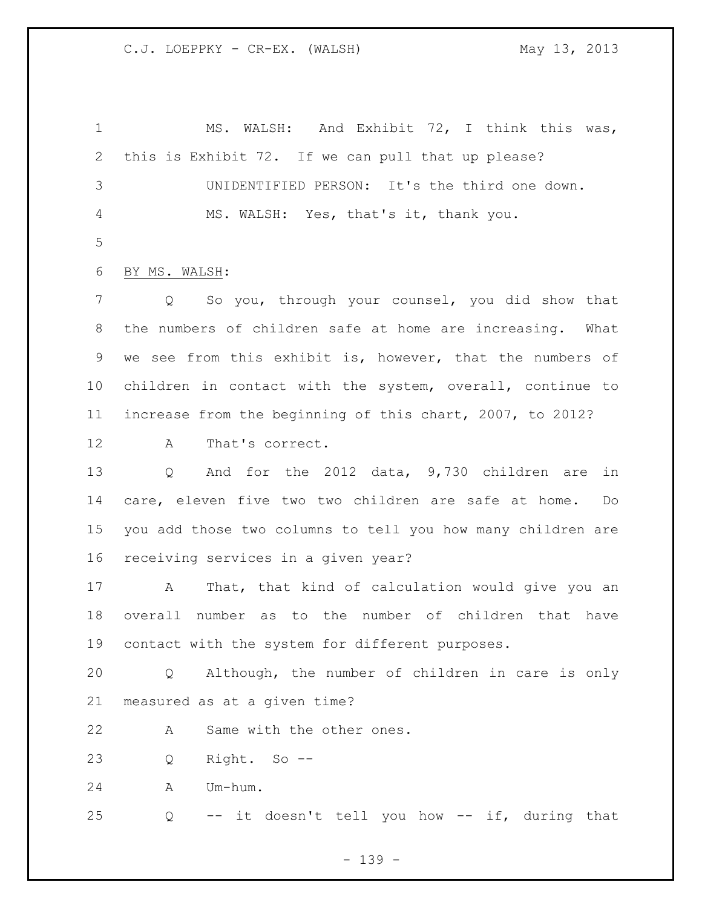MS. WALSH: And Exhibit 72, I think this was, this is Exhibit 72. If we can pull that up please? UNIDENTIFIED PERSON: It's the third one down. MS. WALSH: Yes, that's it, thank you. BY MS. WALSH: Q So you, through your counsel, you did show that the numbers of children safe at home are increasing. What we see from this exhibit is, however, that the numbers of children in contact with the system, overall, continue to increase from the beginning of this chart, 2007, to 2012? A That's correct. Q And for the 2012 data, 9,730 children are in care, eleven five two two children are safe at home. Do you add those two columns to tell you how many children are receiving services in a given year? A That, that kind of calculation would give you an overall number as to the number of children that have contact with the system for different purposes. Q Although, the number of children in care is only measured as at a given time? A Same with the other ones. Q Right. So -- A Um-hum. Q -- it doesn't tell you how -- if, during that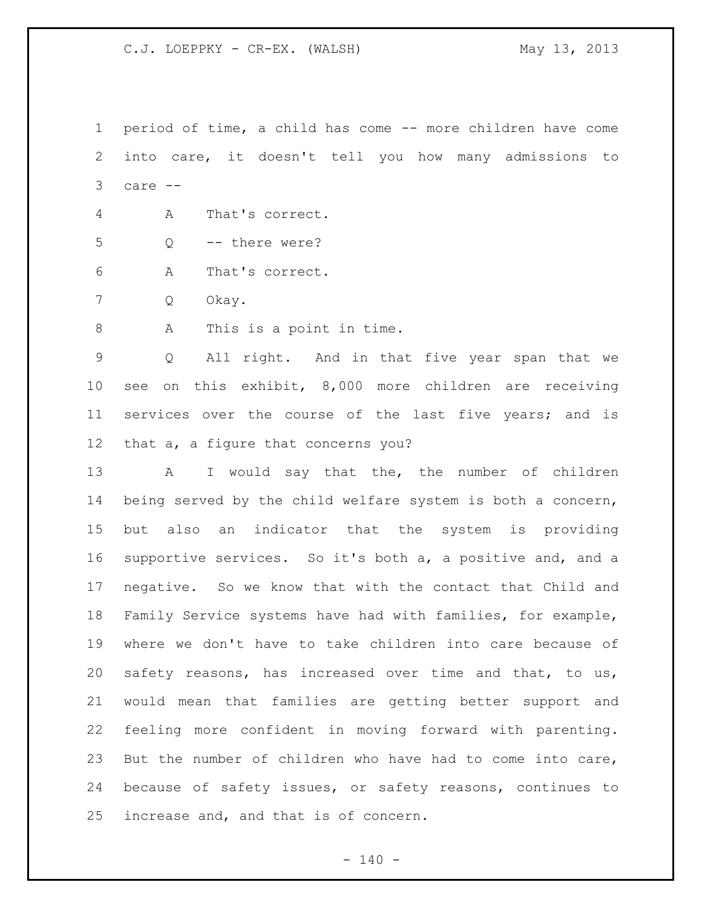period of time, a child has come -- more children have come into care, it doesn't tell you how many admissions to care --

- A That's correct.
- Q -- there were?
- A That's correct.
- Q Okay.

8 A This is a point in time.

 Q All right. And in that five year span that we see on this exhibit, 8,000 more children are receiving services over the course of the last five years; and is that a, a figure that concerns you?

13 A I would say that the, the number of children being served by the child welfare system is both a concern, but also an indicator that the system is providing supportive services. So it's both a, a positive and, and a negative. So we know that with the contact that Child and Family Service systems have had with families, for example, where we don't have to take children into care because of safety reasons, has increased over time and that, to us, would mean that families are getting better support and feeling more confident in moving forward with parenting. But the number of children who have had to come into care, because of safety issues, or safety reasons, continues to increase and, and that is of concern.

 $- 140 -$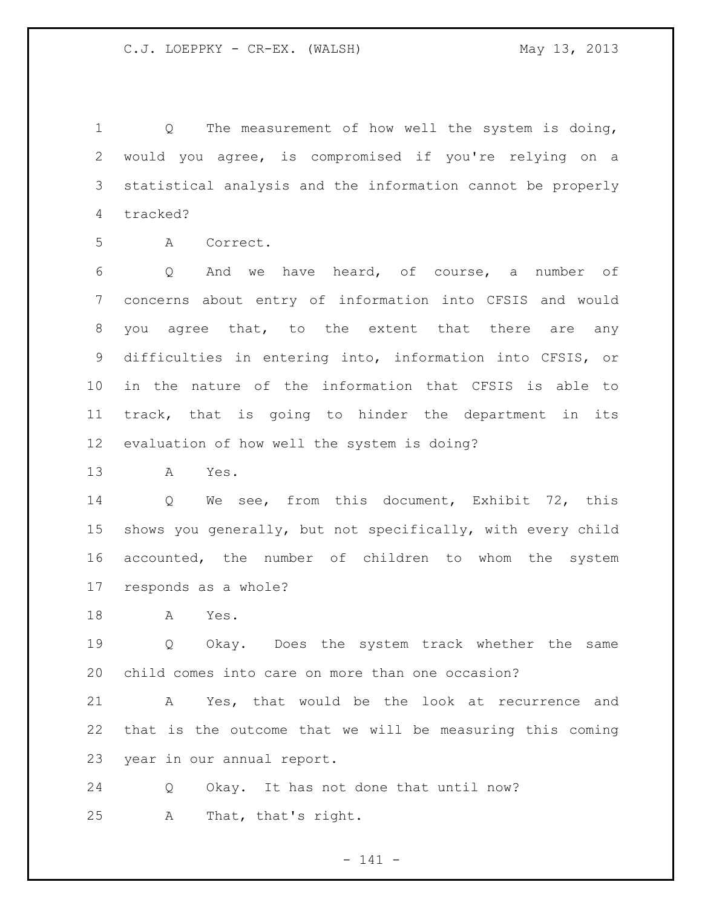Q The measurement of how well the system is doing, would you agree, is compromised if you're relying on a statistical analysis and the information cannot be properly tracked?

A Correct.

 Q And we have heard, of course, a number of concerns about entry of information into CFSIS and would you agree that, to the extent that there are any difficulties in entering into, information into CFSIS, or in the nature of the information that CFSIS is able to track, that is going to hinder the department in its evaluation of how well the system is doing?

A Yes.

 Q We see, from this document, Exhibit 72, this shows you generally, but not specifically, with every child accounted, the number of children to whom the system responds as a whole?

A Yes.

 Q Okay. Does the system track whether the same child comes into care on more than one occasion?

 A Yes, that would be the look at recurrence and that is the outcome that we will be measuring this coming year in our annual report.

 Q Okay. It has not done that until now? A That, that's right.

- 141 -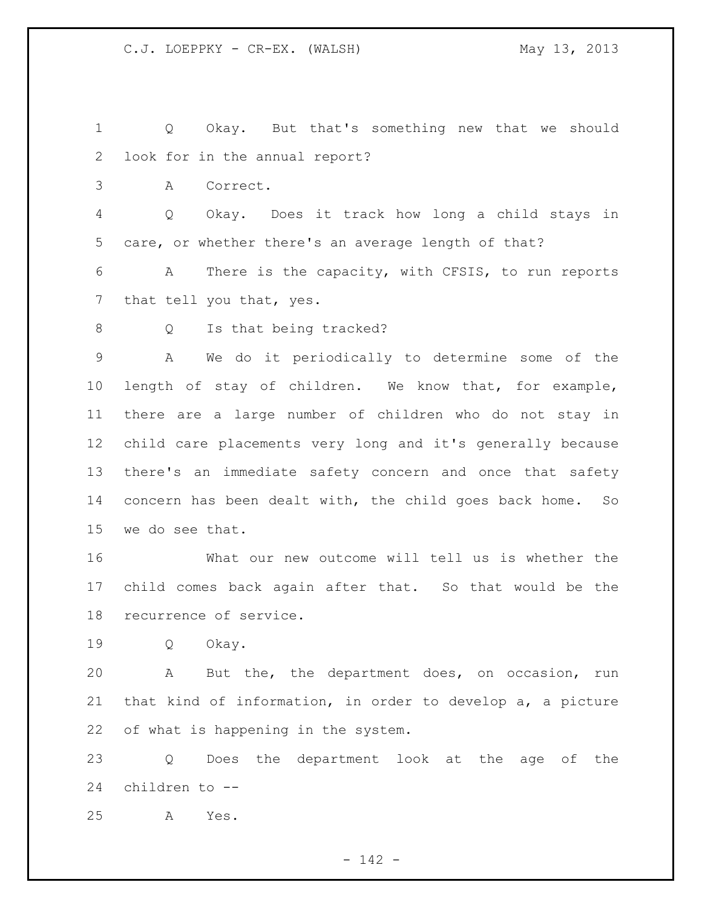Q Okay. But that's something new that we should look for in the annual report?

A Correct.

 Q Okay. Does it track how long a child stays in care, or whether there's an average length of that?

 A There is the capacity, with CFSIS, to run reports 7 that tell you that, yes.

8 Q Is that being tracked?

 A We do it periodically to determine some of the length of stay of children. We know that, for example, there are a large number of children who do not stay in child care placements very long and it's generally because there's an immediate safety concern and once that safety concern has been dealt with, the child goes back home. So we do see that.

 What our new outcome will tell us is whether the child comes back again after that. So that would be the recurrence of service.

Q Okay.

 A But the, the department does, on occasion, run that kind of information, in order to develop a, a picture of what is happening in the system.

 Q Does the department look at the age of the children to --

A Yes.

- 142 -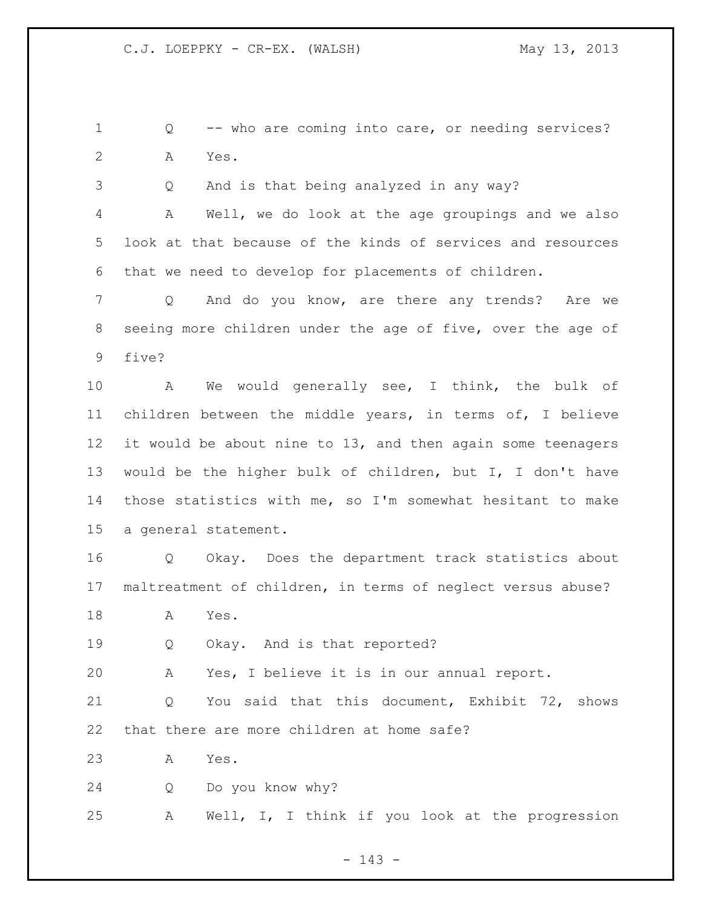Q -- who are coming into care, or needing services? A Yes.

Q And is that being analyzed in any way?

 A Well, we do look at the age groupings and we also look at that because of the kinds of services and resources that we need to develop for placements of children.

 Q And do you know, are there any trends? Are we seeing more children under the age of five, over the age of five?

 A We would generally see, I think, the bulk of children between the middle years, in terms of, I believe it would be about nine to 13, and then again some teenagers would be the higher bulk of children, but I, I don't have those statistics with me, so I'm somewhat hesitant to make a general statement.

 Q Okay. Does the department track statistics about maltreatment of children, in terms of neglect versus abuse?

A Yes.

Q Okay. And is that reported?

A Yes, I believe it is in our annual report.

 Q You said that this document, Exhibit 72, shows that there are more children at home safe?

A Yes.

Q Do you know why?

A Well, I, I think if you look at the progression

- 143 -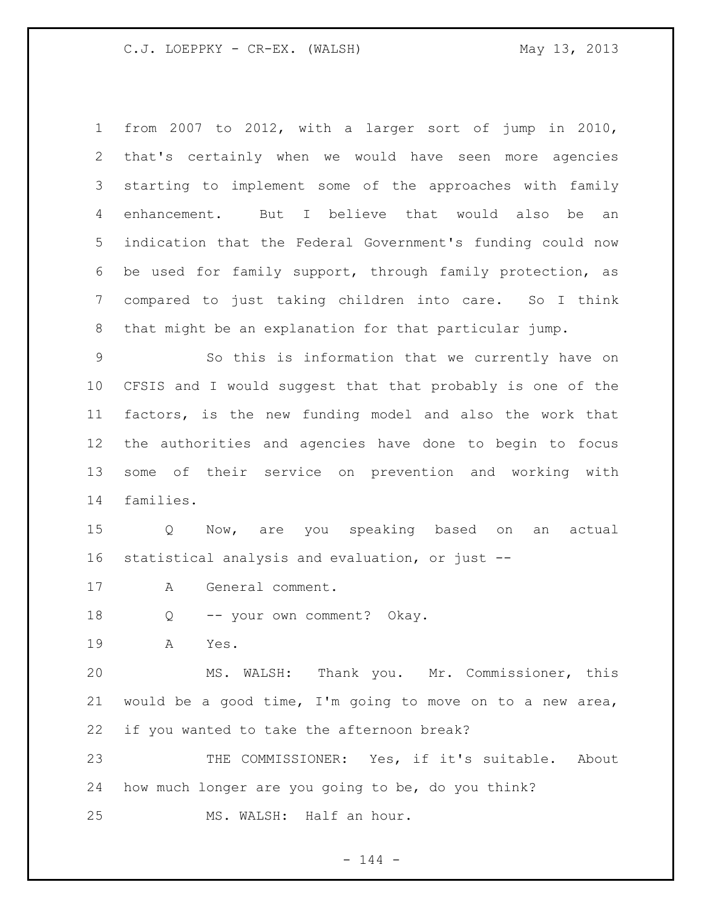from 2007 to 2012, with a larger sort of jump in 2010, that's certainly when we would have seen more agencies starting to implement some of the approaches with family enhancement. But I believe that would also be an indication that the Federal Government's funding could now be used for family support, through family protection, as compared to just taking children into care. So I think that might be an explanation for that particular jump.

 So this is information that we currently have on CFSIS and I would suggest that that probably is one of the factors, is the new funding model and also the work that the authorities and agencies have done to begin to focus some of their service on prevention and working with families.

 Q Now, are you speaking based on an actual statistical analysis and evaluation, or just --

A General comment.

18 Q -- your own comment? Okay.

A Yes.

 MS. WALSH: Thank you. Mr. Commissioner, this would be a good time, I'm going to move on to a new area, if you wanted to take the afternoon break?

 THE COMMISSIONER: Yes, if it's suitable. About how much longer are you going to be, do you think? MS. WALSH: Half an hour.

 $- 144 -$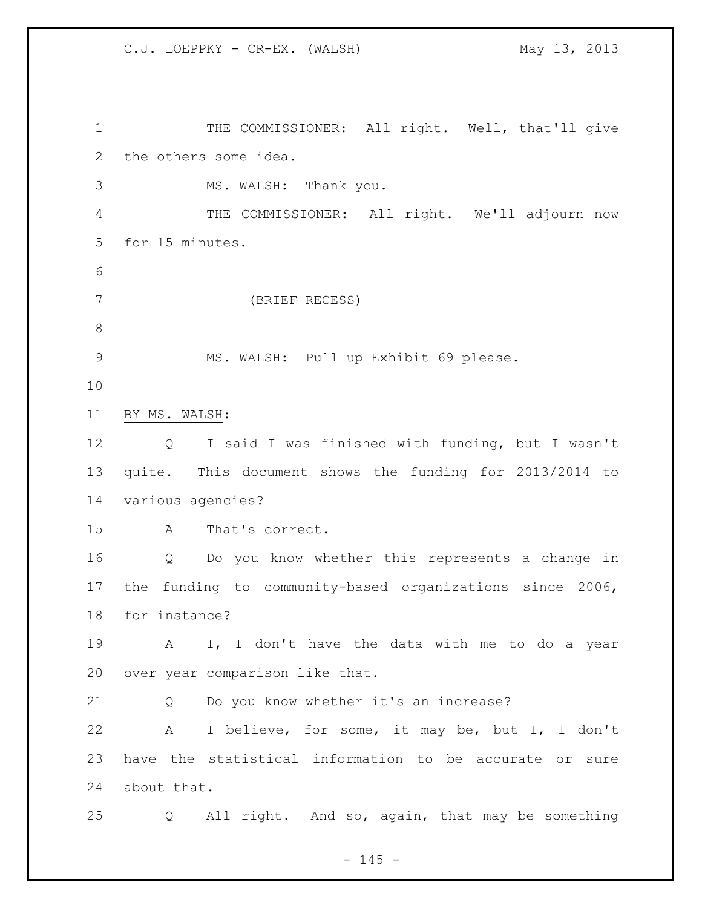1 THE COMMISSIONER: All right. Well, that'll give the others some idea. MS. WALSH: Thank you. THE COMMISSIONER: All right. We'll adjourn now for 15 minutes. (BRIEF RECESS) MS. WALSH: Pull up Exhibit 69 please. BY MS. WALSH: Q I said I was finished with funding, but I wasn't quite. This document shows the funding for 2013/2014 to various agencies? A That's correct. Q Do you know whether this represents a change in the funding to community-based organizations since 2006, for instance? A I, I don't have the data with me to do a year over year comparison like that. Q Do you know whether it's an increase? A I believe, for some, it may be, but I, I don't have the statistical information to be accurate or sure about that. Q All right. And so, again, that may be something

 $- 145 -$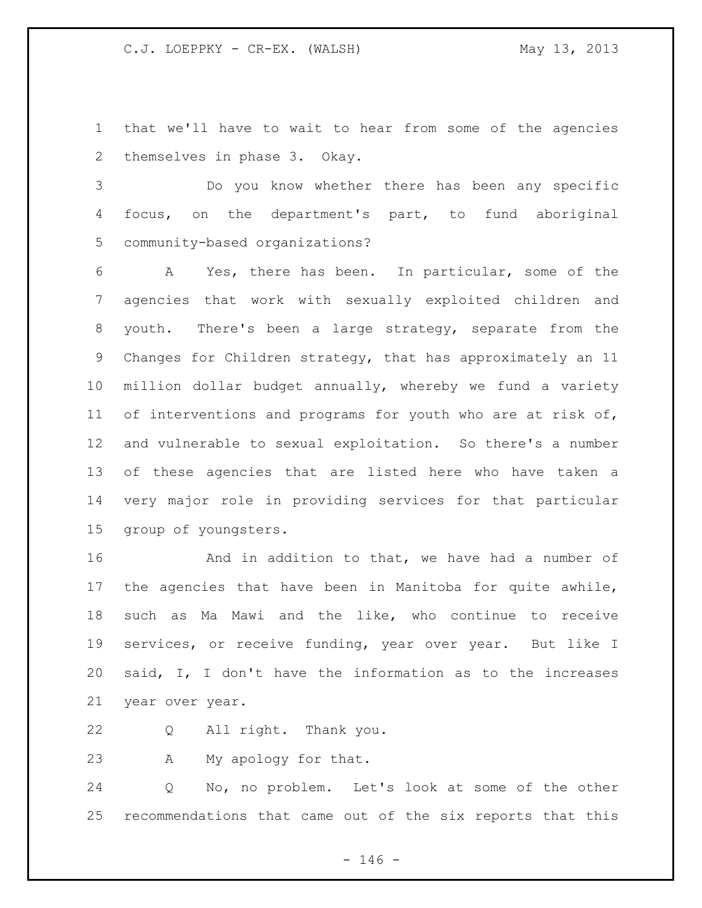that we'll have to wait to hear from some of the agencies themselves in phase 3. Okay.

 Do you know whether there has been any specific focus, on the department's part, to fund aboriginal community-based organizations?

 A Yes, there has been. In particular, some of the agencies that work with sexually exploited children and youth. There's been a large strategy, separate from the Changes for Children strategy, that has approximately an 11 million dollar budget annually, whereby we fund a variety 11 of interventions and programs for youth who are at risk of, and vulnerable to sexual exploitation. So there's a number of these agencies that are listed here who have taken a very major role in providing services for that particular group of youngsters.

**And in addition to that, we have had a number of**  the agencies that have been in Manitoba for quite awhile, such as Ma Mawi and the like, who continue to receive services, or receive funding, year over year. But like I said, I, I don't have the information as to the increases year over year.

Q All right. Thank you.

A My apology for that.

 Q No, no problem. Let's look at some of the other recommendations that came out of the six reports that this

 $- 146 -$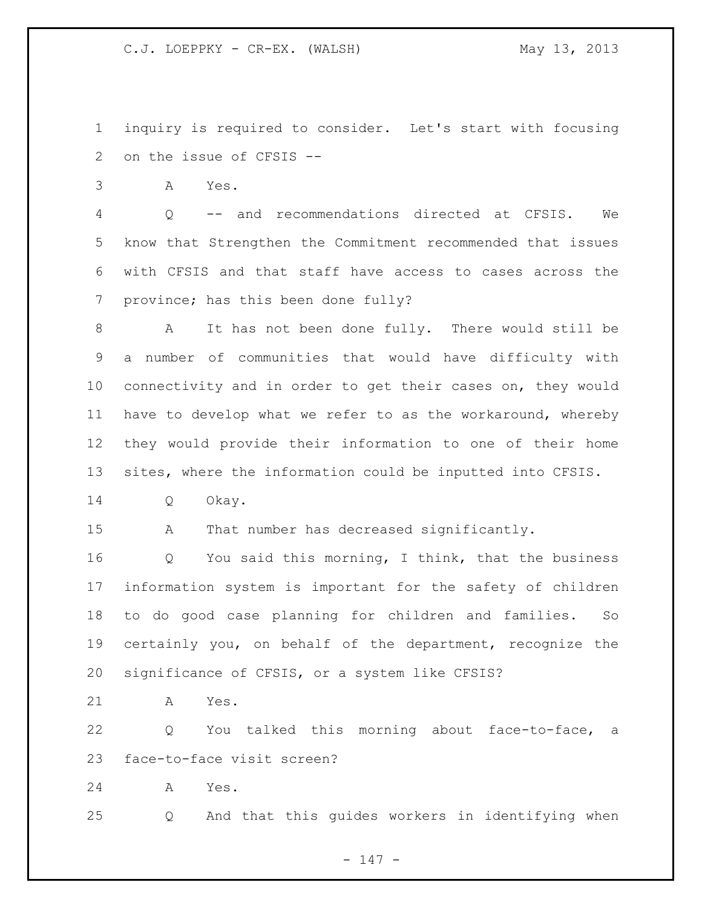inquiry is required to consider. Let's start with focusing on the issue of CFSIS --

A Yes.

 Q -- and recommendations directed at CFSIS. We know that Strengthen the Commitment recommended that issues with CFSIS and that staff have access to cases across the province; has this been done fully?

 A It has not been done fully. There would still be a number of communities that would have difficulty with connectivity and in order to get their cases on, they would have to develop what we refer to as the workaround, whereby they would provide their information to one of their home sites, where the information could be inputted into CFSIS.

Q Okay.

A That number has decreased significantly.

 Q You said this morning, I think, that the business information system is important for the safety of children to do good case planning for children and families. So certainly you, on behalf of the department, recognize the significance of CFSIS, or a system like CFSIS?

A Yes.

 Q You talked this morning about face-to-face, a face-to-face visit screen?

A Yes.

Q And that this guides workers in identifying when

- 147 -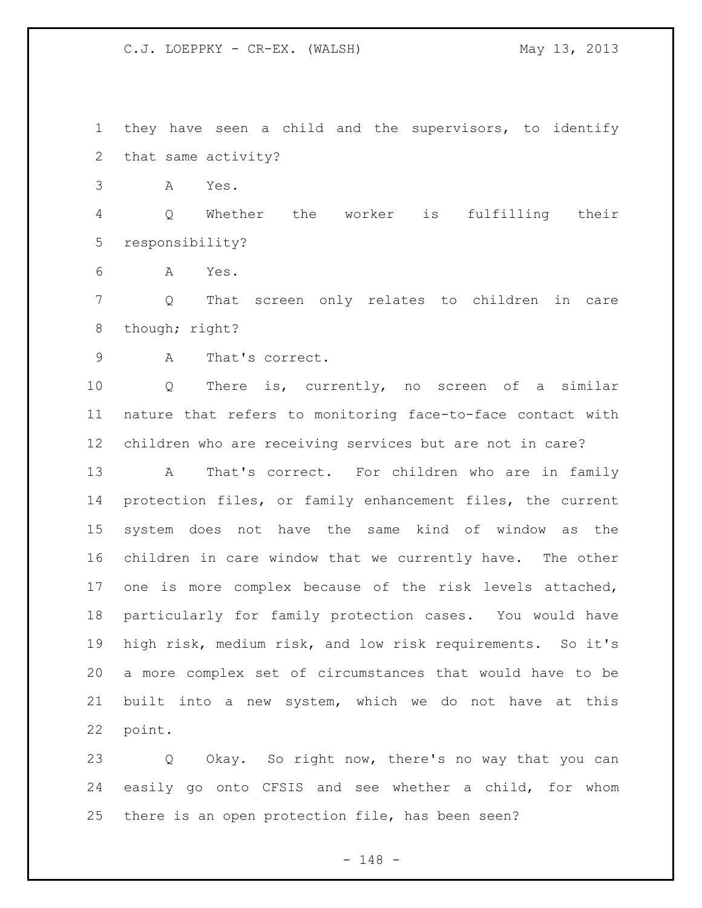they have seen a child and the supervisors, to identify that same activity?

A Yes.

 Q Whether the worker is fulfilling their responsibility?

A Yes.

 Q That screen only relates to children in care 8 though; right?

A That's correct.

 Q There is, currently, no screen of a similar nature that refers to monitoring face-to-face contact with children who are receiving services but are not in care?

 A That's correct. For children who are in family protection files, or family enhancement files, the current system does not have the same kind of window as the children in care window that we currently have. The other one is more complex because of the risk levels attached, particularly for family protection cases. You would have high risk, medium risk, and low risk requirements. So it's a more complex set of circumstances that would have to be built into a new system, which we do not have at this point.

 Q Okay. So right now, there's no way that you can easily go onto CFSIS and see whether a child, for whom there is an open protection file, has been seen?

- 148 -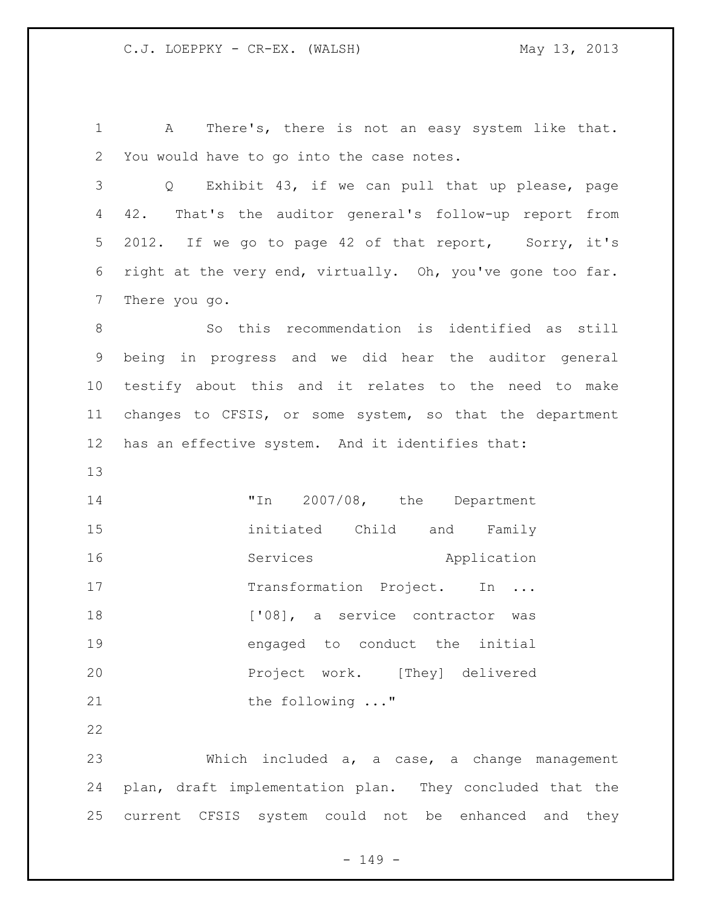A There's, there is not an easy system like that. You would have to go into the case notes.

 Q Exhibit 43, if we can pull that up please, page 42. That's the auditor general's follow-up report from 2012. If we go to page 42 of that report, Sorry, it's right at the very end, virtually. Oh, you've gone too far. There you go.

 So this recommendation is identified as still being in progress and we did hear the auditor general testify about this and it relates to the need to make changes to CFSIS, or some system, so that the department has an effective system. And it identifies that:

 "In 2007/08, the Department initiated Child and Family 16 Services Application 17 Transformation Project. In ... 18 ['08], a service contractor was engaged to conduct the initial Project work. [They] delivered 21 the following ..."

 Which included a, a case, a change management plan, draft implementation plan. They concluded that the current CFSIS system could not be enhanced and they

- 149 -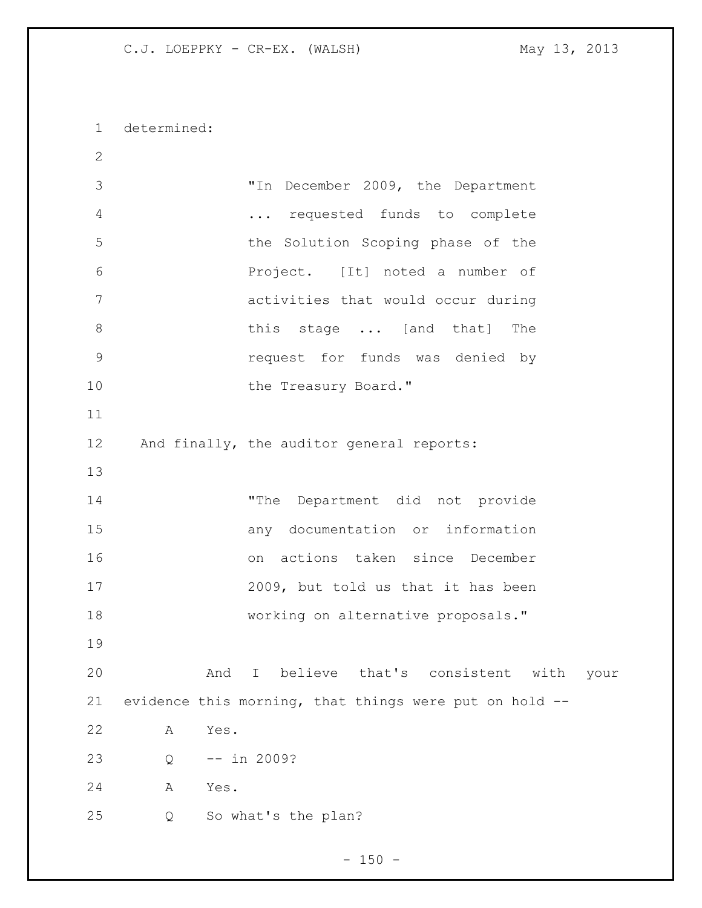determined:

 "In December 2009, the Department ... requested funds to complete the Solution Scoping phase of the Project. [It] noted a number of activities that would occur during 8 bhis stage ... [and that] The request for funds was denied by 10 the Treasury Board." 12 And finally, the auditor general reports: "The Department did not provide any documentation or information on actions taken since December 2009, but told us that it has been working on alternative proposals." And I believe that's consistent with your evidence this morning, that things were put on hold -- A Yes. Q -- in 2009? A Yes. Q So what's the plan?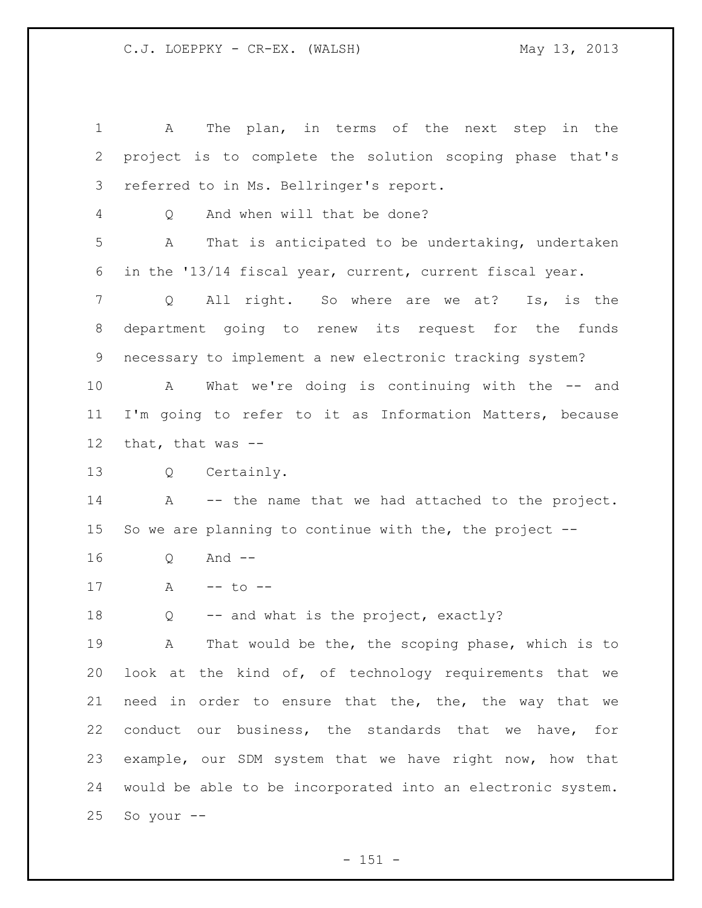A The plan, in terms of the next step in the project is to complete the solution scoping phase that's referred to in Ms. Bellringer's report. Q And when will that be done? A That is anticipated to be undertaking, undertaken in the '13/14 fiscal year, current, current fiscal year. Q All right. So where are we at? Is, is the department going to renew its request for the funds necessary to implement a new electronic tracking system? A What we're doing is continuing with the -- and I'm going to refer to it as Information Matters, because that, that was -- Q Certainly. A -- the name that we had attached to the project. So we are planning to continue with the, the project -- Q And -- 17 A -- to -- Q -- and what is the project, exactly? A That would be the, the scoping phase, which is to look at the kind of, of technology requirements that we need in order to ensure that the, the, the way that we conduct our business, the standards that we have, for example, our SDM system that we have right now, how that would be able to be incorporated into an electronic system. So your  $--$ 

 $- 151 -$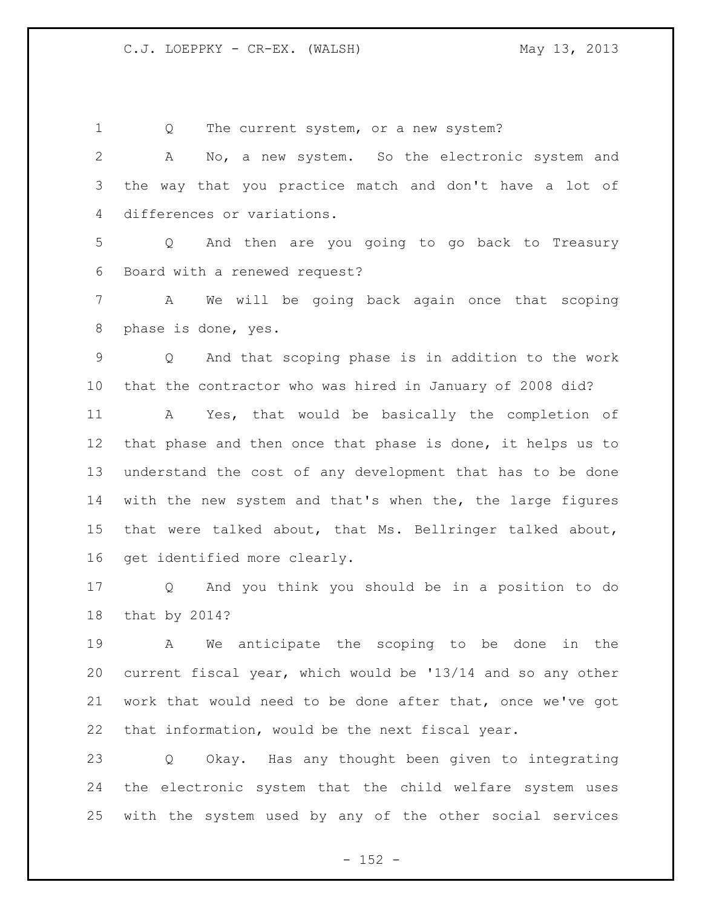Q The current system, or a new system? A No, a new system. So the electronic system and the way that you practice match and don't have a lot of differences or variations. Q And then are you going to go back to Treasury Board with a renewed request? A We will be going back again once that scoping phase is done, yes. Q And that scoping phase is in addition to the work that the contractor who was hired in January of 2008 did? A Yes, that would be basically the completion of that phase and then once that phase is done, it helps us to understand the cost of any development that has to be done with the new system and that's when the, the large figures that were talked about, that Ms. Bellringer talked about, get identified more clearly. Q And you think you should be in a position to do that by 2014? A We anticipate the scoping to be done in the current fiscal year, which would be '13/14 and so any other work that would need to be done after that, once we've got that information, would be the next fiscal year. Q Okay. Has any thought been given to integrating the electronic system that the child welfare system uses with the system used by any of the other social services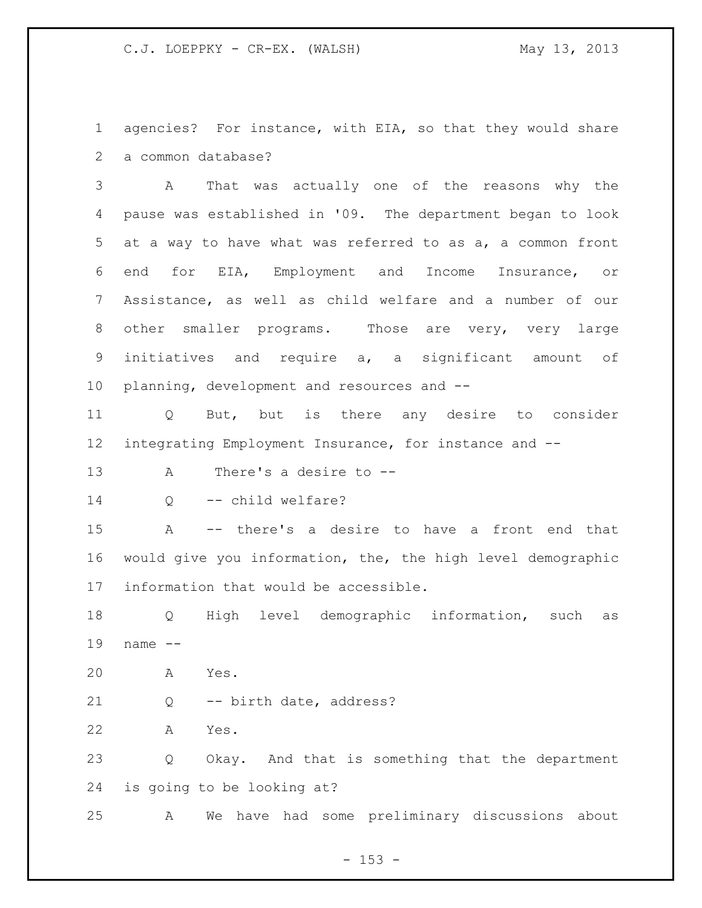agencies? For instance, with EIA, so that they would share a common database?

 A That was actually one of the reasons why the pause was established in '09. The department began to look at a way to have what was referred to as a, a common front end for EIA, Employment and Income Insurance, or Assistance, as well as child welfare and a number of our other smaller programs. Those are very, very large initiatives and require a, a significant amount of planning, development and resources and --

 Q But, but is there any desire to consider integrating Employment Insurance, for instance and --

A There's a desire to --

14 Q -- child welfare?

 A -- there's a desire to have a front end that would give you information, the, the high level demographic information that would be accessible.

 Q High level demographic information, such as name --

A Yes.

Q -- birth date, address?

A Yes.

 Q Okay. And that is something that the department is going to be looking at?

A We have had some preliminary discussions about

 $- 153 -$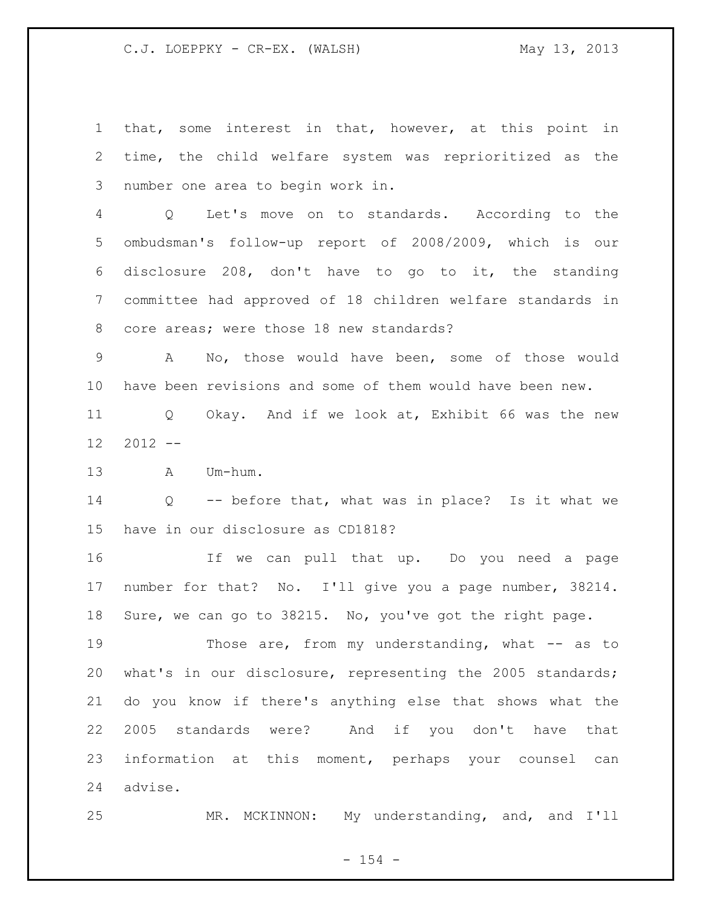that, some interest in that, however, at this point in time, the child welfare system was reprioritized as the number one area to begin work in.

 Q Let's move on to standards. According to the ombudsman's follow-up report of 2008/2009, which is our disclosure 208, don't have to go to it, the standing committee had approved of 18 children welfare standards in core areas; were those 18 new standards?

 A No, those would have been, some of those would have been revisions and some of them would have been new.

 Q Okay. And if we look at, Exhibit 66 was the new  $12 \quad 2012 \quad --$ 

A Um-hum.

 Q -- before that, what was in place? Is it what we have in our disclosure as CD1818?

 If we can pull that up. Do you need a page number for that? No. I'll give you a page number, 38214. Sure, we can go to 38215. No, you've got the right page.

19 Those are, from my understanding, what -- as to what's in our disclosure, representing the 2005 standards; do you know if there's anything else that shows what the 2005 standards were? And if you don't have that information at this moment, perhaps your counsel can advise.

MR. MCKINNON: My understanding, and, and I'll

 $- 154 -$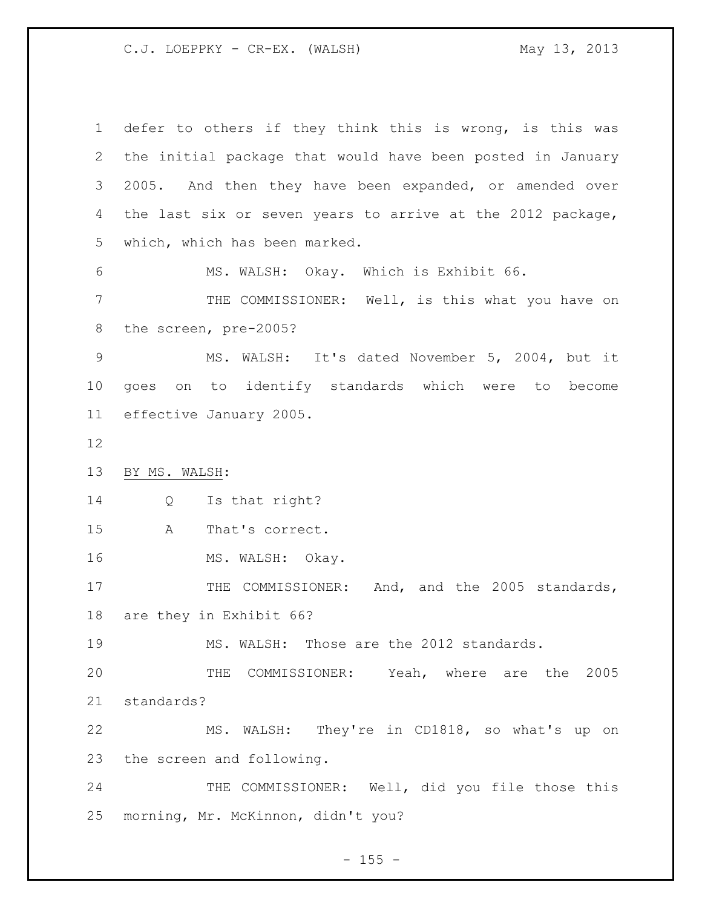defer to others if they think this is wrong, is this was the initial package that would have been posted in January 2005. And then they have been expanded, or amended over the last six or seven years to arrive at the 2012 package, which, which has been marked. MS. WALSH: Okay. Which is Exhibit 66. THE COMMISSIONER: Well, is this what you have on the screen, pre-2005? MS. WALSH: It's dated November 5, 2004, but it goes on to identify standards which were to become effective January 2005. BY MS. WALSH: Q Is that right? A That's correct. 16 MS. WALSH: Okay. 17 THE COMMISSIONER: And, and the 2005 standards, are they in Exhibit 66? MS. WALSH: Those are the 2012 standards. THE COMMISSIONER: Yeah, where are the 2005 standards? MS. WALSH: They're in CD1818, so what's up on the screen and following. 24 THE COMMISSIONER: Well, did you file those this morning, Mr. McKinnon, didn't you?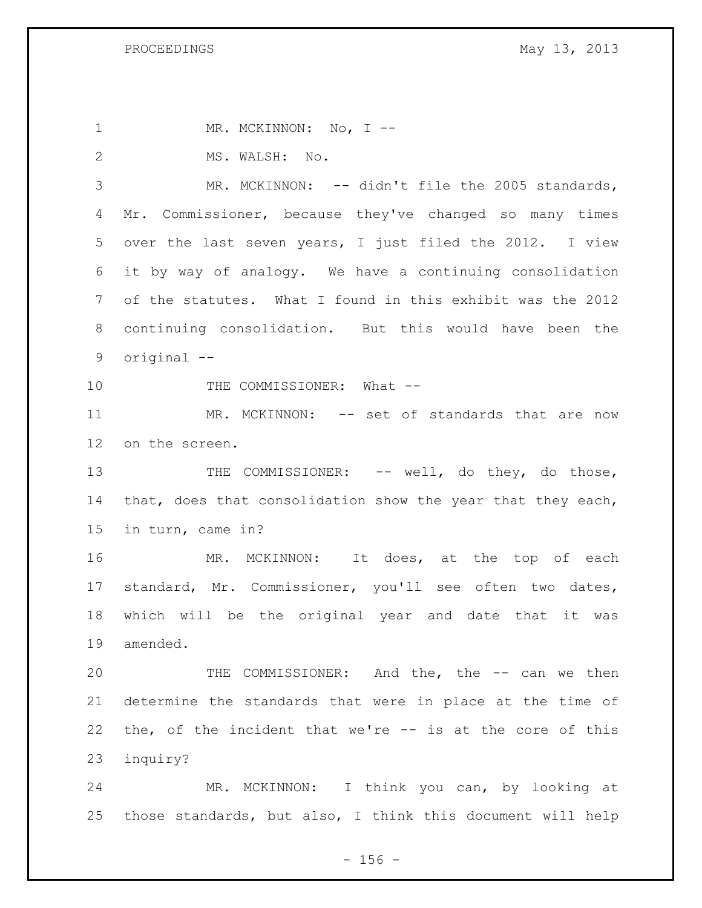1 MR. MCKINNON: No, I --2 MS. WALSH: No. MR. MCKINNON: -- didn't file the 2005 standards, Mr. Commissioner, because they've changed so many times over the last seven years, I just filed the 2012. I view it by way of analogy. We have a continuing consolidation of the statutes. What I found in this exhibit was the 2012 continuing consolidation. But this would have been the original -- 10 THE COMMISSIONER: What --11 MR. MCKINNON: -- set of standards that are now on the screen. 13 THE COMMISSIONER: -- well, do they, do those, 14 that, does that consolidation show the year that they each, in turn, came in? 16 MR. MCKINNON: It does, at the top of each standard, Mr. Commissioner, you'll see often two dates, which will be the original year and date that it was amended. THE COMMISSIONER: And the, the -- can we then determine the standards that were in place at the time of the, of the incident that we're -- is at the core of this inquiry? MR. MCKINNON: I think you can, by looking at those standards, but also, I think this document will help

 $- 156 -$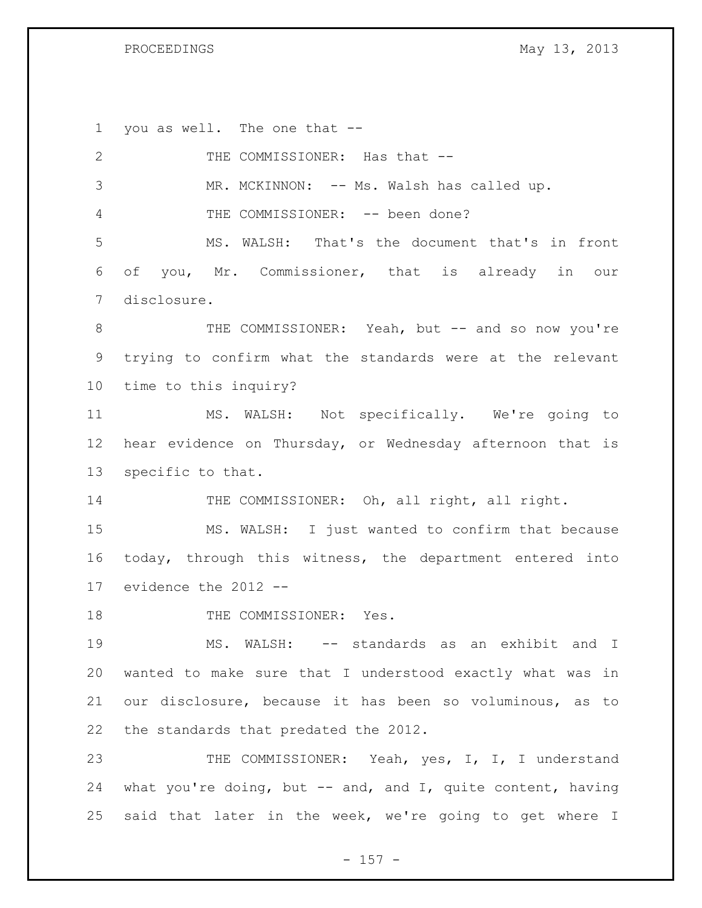PROCEEDINGS May 13, 2013

 you as well. The one that -- 2 THE COMMISSIONER: Has that -- MR. MCKINNON: -- Ms. Walsh has called up. 4 THE COMMISSIONER: -- been done? MS. WALSH: That's the document that's in front of you, Mr. Commissioner, that is already in our disclosure. 8 THE COMMISSIONER: Yeah, but -- and so now you're trying to confirm what the standards were at the relevant time to this inquiry? MS. WALSH: Not specifically. We're going to hear evidence on Thursday, or Wednesday afternoon that is specific to that. 14 THE COMMISSIONER: Oh, all right, all right. MS. WALSH: I just wanted to confirm that because today, through this witness, the department entered into evidence the 2012 -- 18 THE COMMISSIONER: Yes. MS. WALSH: -- standards as an exhibit and I wanted to make sure that I understood exactly what was in our disclosure, because it has been so voluminous, as to the standards that predated the 2012. 23 THE COMMISSIONER: Yeah, yes, I, I, I understand what you're doing, but -- and, and I, quite content, having said that later in the week, we're going to get where I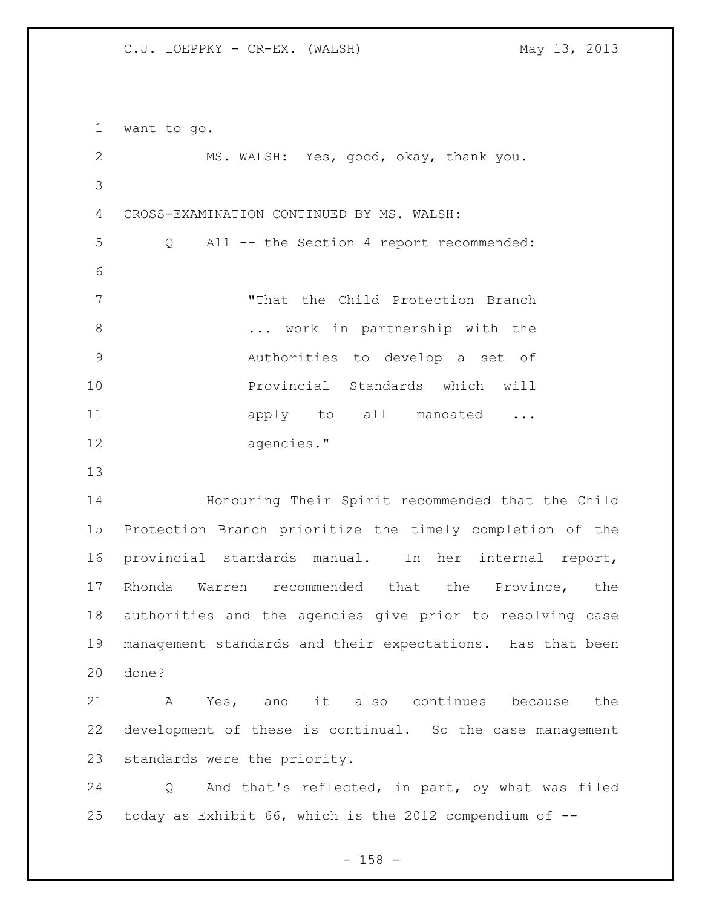want to go. MS. WALSH: Yes, good, okay, thank you. CROSS-EXAMINATION CONTINUED BY MS. WALSH: Q All -- the Section 4 report recommended: "That the Child Protection Branch **...** work in partnership with the Authorities to develop a set of **Provincial Standards which will** 11 apply to all mandated ... agencies." Honouring Their Spirit recommended that the Child Protection Branch prioritize the timely completion of the provincial standards manual. In her internal report, Rhonda Warren recommended that the Province, the authorities and the agencies give prior to resolving case management standards and their expectations. Has that been done? A Yes, and it also continues because the development of these is continual. So the case management standards were the priority. Q And that's reflected, in part, by what was filed today as Exhibit 66, which is the 2012 compendium of --

- 158 -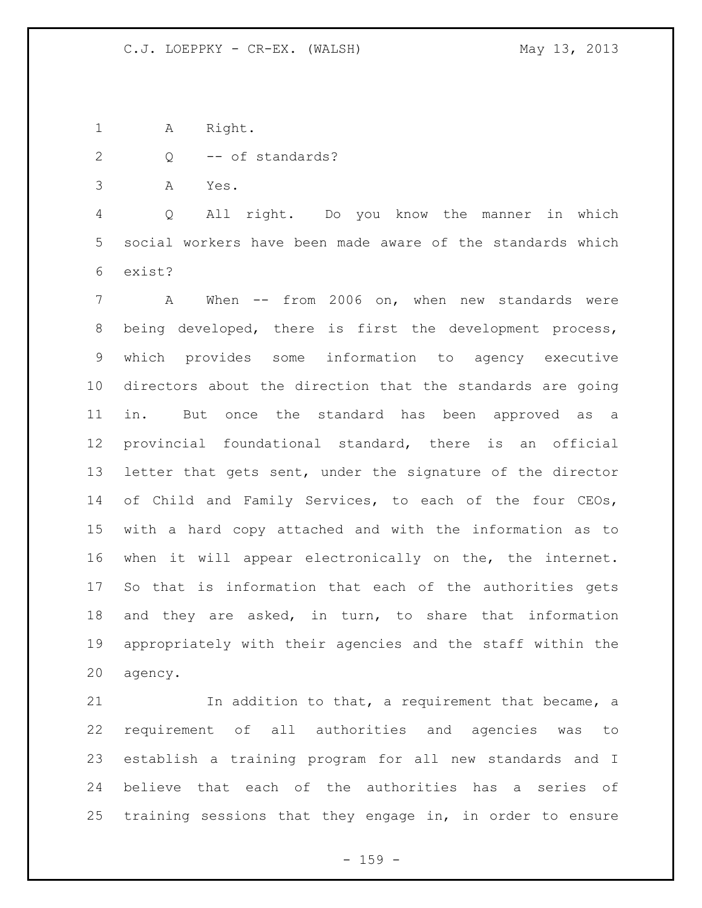1 A Right.

2 Q -- of standards?

A Yes.

 Q All right. Do you know the manner in which social workers have been made aware of the standards which exist?

 A When -- from 2006 on, when new standards were being developed, there is first the development process, which provides some information to agency executive directors about the direction that the standards are going in. But once the standard has been approved as a provincial foundational standard, there is an official letter that gets sent, under the signature of the director of Child and Family Services, to each of the four CEOs, with a hard copy attached and with the information as to when it will appear electronically on the, the internet. So that is information that each of the authorities gets and they are asked, in turn, to share that information appropriately with their agencies and the staff within the agency.

 In addition to that, a requirement that became, a requirement of all authorities and agencies was to establish a training program for all new standards and I believe that each of the authorities has a series of training sessions that they engage in, in order to ensure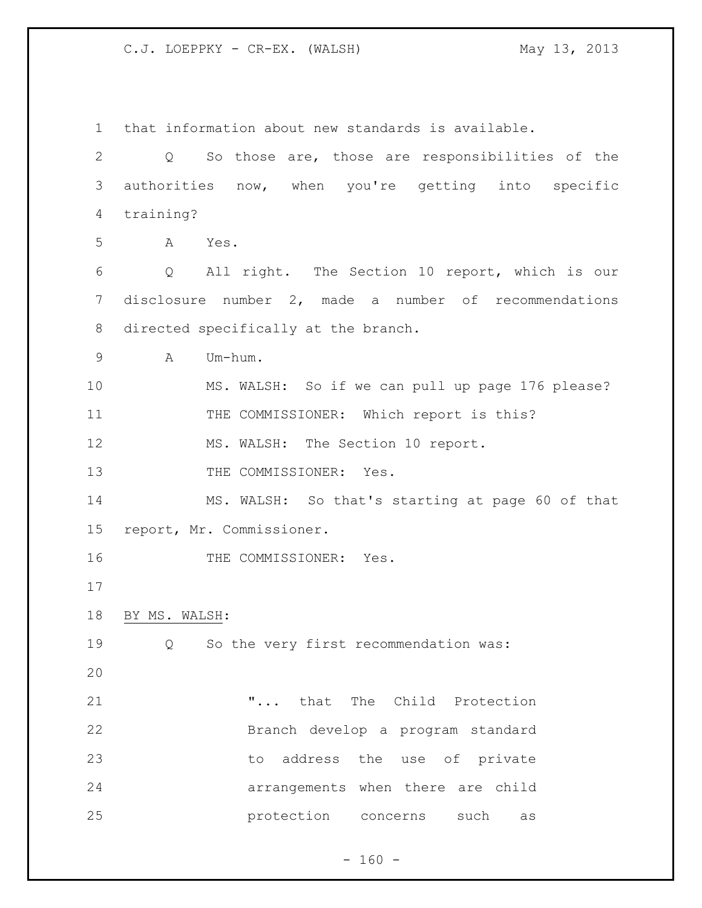that information about new standards is available. Q So those are, those are responsibilities of the authorities now, when you're getting into specific training? A Yes. Q All right. The Section 10 report, which is our disclosure number 2, made a number of recommendations directed specifically at the branch. A Um-hum. MS. WALSH: So if we can pull up page 176 please? 11 THE COMMISSIONER: Which report is this? 12 MS. WALSH: The Section 10 report. 13 THE COMMISSIONER: Yes. MS. WALSH: So that's starting at page 60 of that report, Mr. Commissioner. 16 THE COMMISSIONER: Yes. BY MS. WALSH: Q So the very first recommendation was: "... that The Child Protection Branch develop a program standard to address the use of private arrangements when there are child protection concerns such as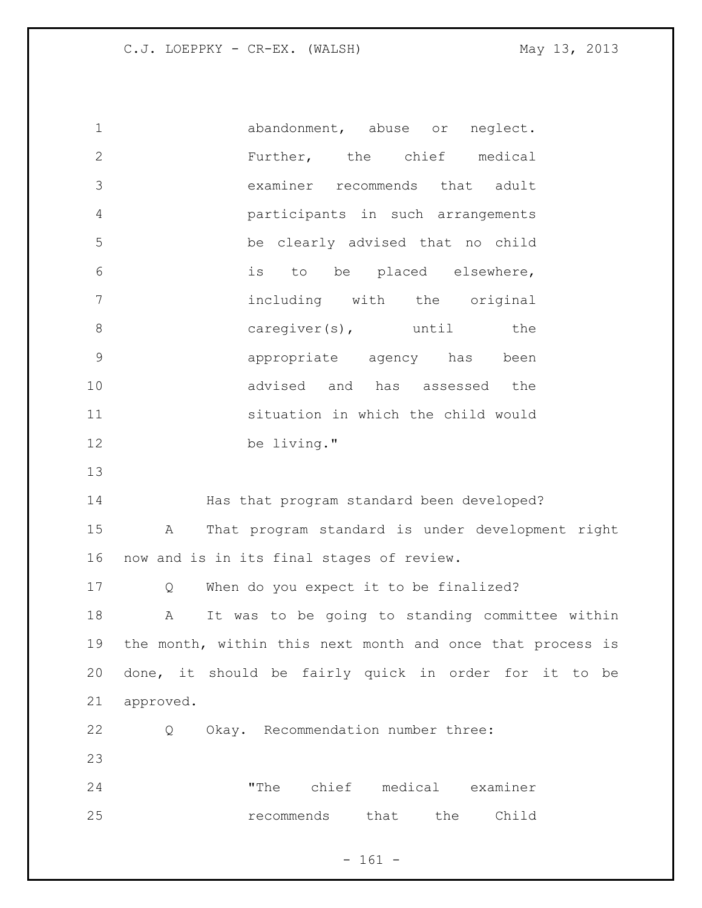abandonment, abuse or neglect. Further, the chief medical examiner recommends that adult participants in such arrangements be clearly advised that no child is to be placed elsewhere, including with the original 8 caregiver(s), until the appropriate agency has been advised and has assessed the situation in which the child would be living." Has that program standard been developed? A That program standard is under development right now and is in its final stages of review. 17 Q When do you expect it to be finalized? A It was to be going to standing committee within the month, within this next month and once that process is done, it should be fairly quick in order for it to be approved. Q Okay. Recommendation number three: "The chief medical examiner recommends that the Child

- 161 -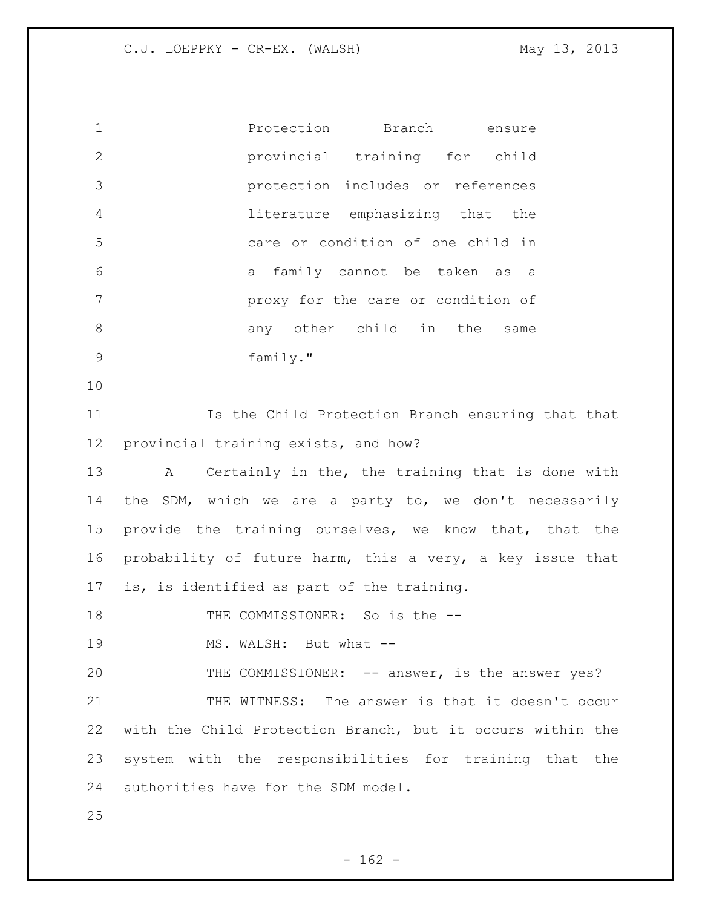| $\mathbf 1$  | Protection Branch<br>ensure                                |
|--------------|------------------------------------------------------------|
| $\mathbf{2}$ | provincial training for child                              |
| 3            | protection includes or references                          |
| 4            | literature emphasizing that the                            |
| 5            | care or condition of one child in                          |
| 6            | a family cannot be taken as a                              |
| 7            | proxy for the care or condition of                         |
| $8\,$        | any other child in the same                                |
| 9            | family."                                                   |
| 10           |                                                            |
| 11           | Is the Child Protection Branch ensuring that that          |
| 12           | provincial training exists, and how?                       |
| 13           | A Certainly in the, the training that is done with         |
| 14           | the SDM, which we are a party to, we don't necessarily     |
| 15           | provide the training ourselves, we know that, that the     |
| 16           | probability of future harm, this a very, a key issue that  |
| 17           | is, is identified as part of the training.                 |
| 18           | THE COMMISSIONER: So is the --                             |
| 19           | MS. WALSH: But what --                                     |
| 20           | THE COMMISSIONER: -- answer, is the answer yes?            |
| 21           | THE WITNESS: The answer is that it doesn't occur           |
| 22           | with the Child Protection Branch, but it occurs within the |
| 23           | system with the responsibilities for training that the     |
| 24           | authorities have for the SDM model.                        |
| 25           |                                                            |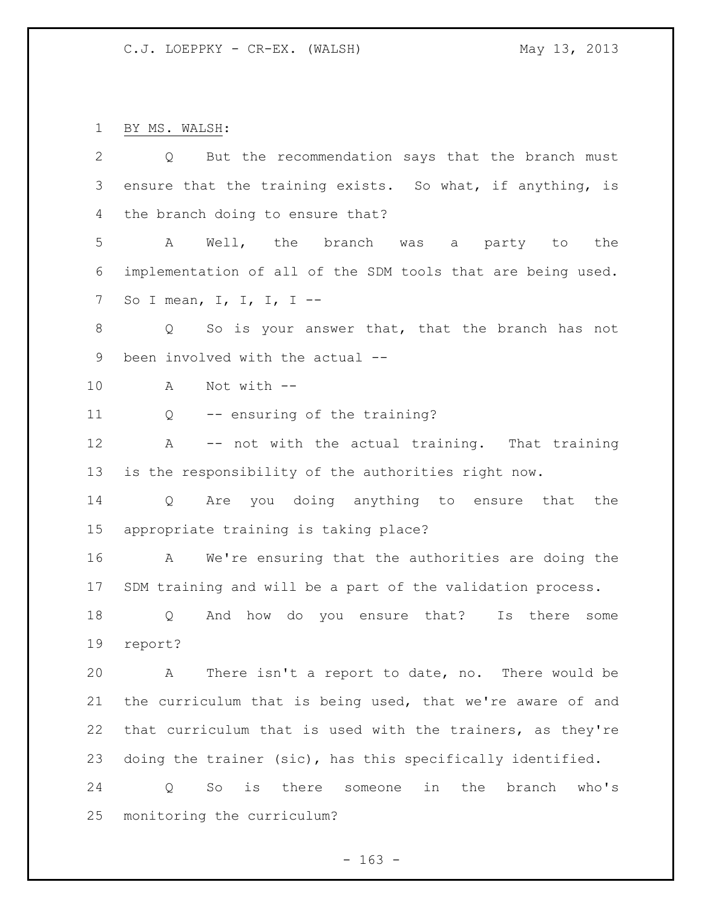BY MS. WALSH:

| $\mathbf{2}$   | But the recommendation says that the branch must<br>Q          |
|----------------|----------------------------------------------------------------|
| $\mathcal{S}$  | ensure that the training exists. So what, if anything, is      |
| 4              | the branch doing to ensure that?                               |
| 5              | Α<br>Well, the branch<br>the<br>was a<br>party to              |
| 6              | implementation of all of the SDM tools that are being used.    |
| $\overline{7}$ | So I mean, I, I, I, I --                                       |
| $\,8\,$        | So is your answer that, that the branch has not<br>Q           |
| $\mathsf 9$    | been involved with the actual --                               |
| 10             | Not with --<br>A                                               |
| 11             | -- ensuring of the training?<br>Q                              |
| 12             | -- not with the actual training. That training<br>Α            |
| 13             | is the responsibility of the authorities right now.            |
| 14             | Are you doing anything to ensure that<br>Q<br>the              |
| 15             | appropriate training is taking place?                          |
| 16             | We're ensuring that the authorities are doing the<br>A         |
| 17             | SDM training and will be a part of the validation process.     |
| 18             | And how do you ensure that? Is there<br>Q<br>some              |
| 19             | report?                                                        |
| 20             | There isn't a report to date, no. There would be<br>A          |
| 21             | the curriculum that is being used, that we're aware of and     |
| 22             | that curriculum that is used with the trainers, as they're     |
| 23             | doing the trainer (sic), has this specifically identified.     |
| 24             | is there<br>in<br>the<br>So<br>someone<br>branch<br>who's<br>Q |
| 25             | monitoring the curriculum?                                     |

- 163 -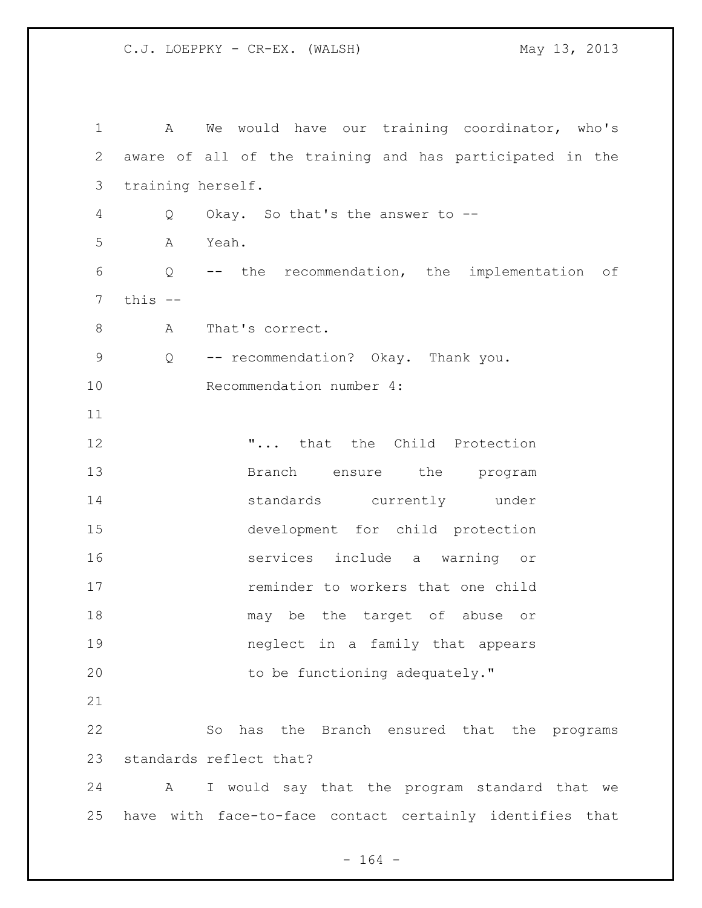| $\mathbf 1$    | We would have our training coordinator, who's<br>$\mathbf{A}$ |
|----------------|---------------------------------------------------------------|
| $\overline{2}$ | aware of all of the training and has participated in the      |
| 3              | training herself.                                             |
| 4              | Okay. So that's the answer to --<br>Q                         |
| 5              | Yeah.<br>Α                                                    |
| 6              | -- the recommendation, the implementation of<br>Q             |
| 7              | this $--$                                                     |
| 8              | That's correct.<br>Α                                          |
| 9              | -- recommendation? Okay. Thank you.<br>Q                      |
| 10             | Recommendation number 4:                                      |
| 11             |                                                               |
| 12             | " that the Child Protection                                   |
| 13             | Branch ensure the<br>program                                  |
| 14             | standards currently under                                     |
| 15             | development for child protection                              |
| 16             | services include a warning or                                 |
| 17             | reminder to workers that one child                            |
| 18             | may be the target of abuse or                                 |
| 19             | neglect in a family that appears                              |
| 20             | to be functioning adequately."                                |
| 21             |                                                               |
| 22             | has the Branch ensured that the programs<br>So                |
| 23             | standards reflect that?                                       |
| 24             | A I would say that the program standard that we               |
| 25             | have with face-to-face contact certainly identifies that      |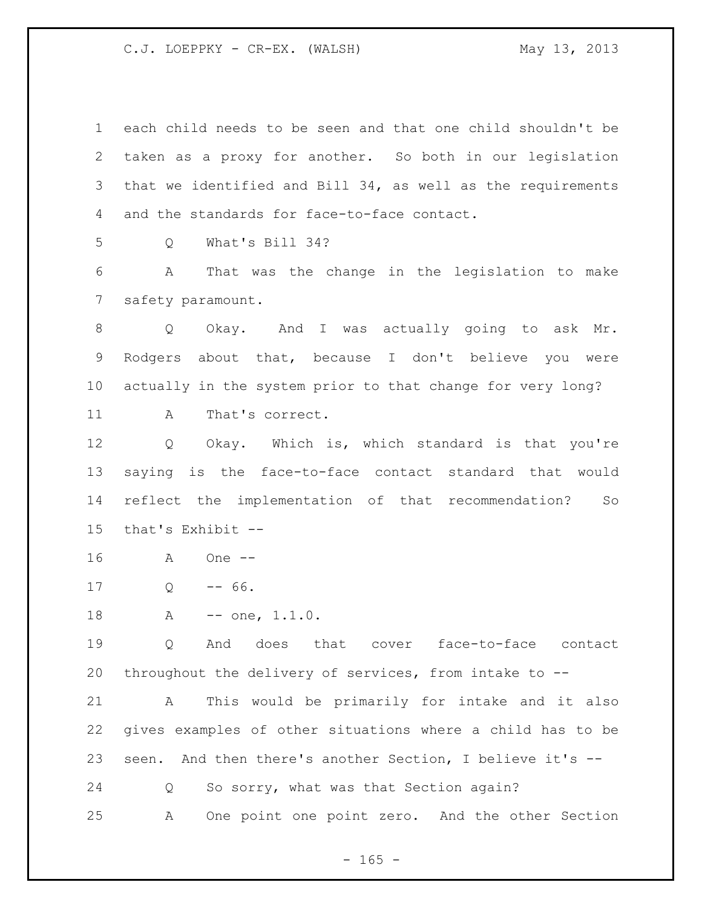each child needs to be seen and that one child shouldn't be taken as a proxy for another. So both in our legislation that we identified and Bill 34, as well as the requirements and the standards for face-to-face contact.

Q What's Bill 34?

 A That was the change in the legislation to make safety paramount.

 Q Okay. And I was actually going to ask Mr. Rodgers about that, because I don't believe you were actually in the system prior to that change for very long? 11 A That's correct.

 Q Okay. Which is, which standard is that you're saying is the face-to-face contact standard that would reflect the implementation of that recommendation? So that's Exhibit --

A One --

Q  $-66$ .

18 A -- one, 1.1.0.

 Q And does that cover face-to-face contact throughout the delivery of services, from intake to --

 A This would be primarily for intake and it also gives examples of other situations where a child has to be seen. And then there's another Section, I believe it's --

Q So sorry, what was that Section again?

A One point one point zero. And the other Section

 $- 165 -$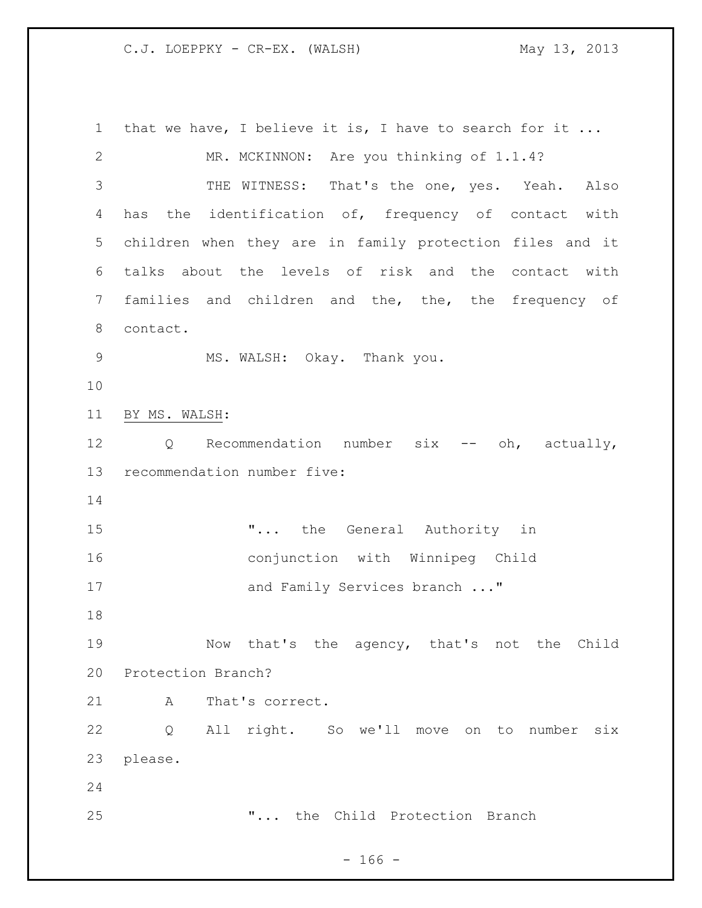that we have, I believe it is, I have to search for it ... MR. MCKINNON: Are you thinking of 1.1.4? THE WITNESS: That's the one, yes. Yeah. Also has the identification of, frequency of contact with children when they are in family protection files and it talks about the levels of risk and the contact with families and children and the, the, the frequency of contact. MS. WALSH: Okay. Thank you. BY MS. WALSH: 12 Q Recommendation number six -- oh, actually, recommendation number five: **"...** the General Authority in conjunction with Winnipeg Child 17 and Family Services branch ..." Now that's the agency, that's not the Child Protection Branch? 21 A That's correct. Q All right. So we'll move on to number six please. "... the Child Protection Branch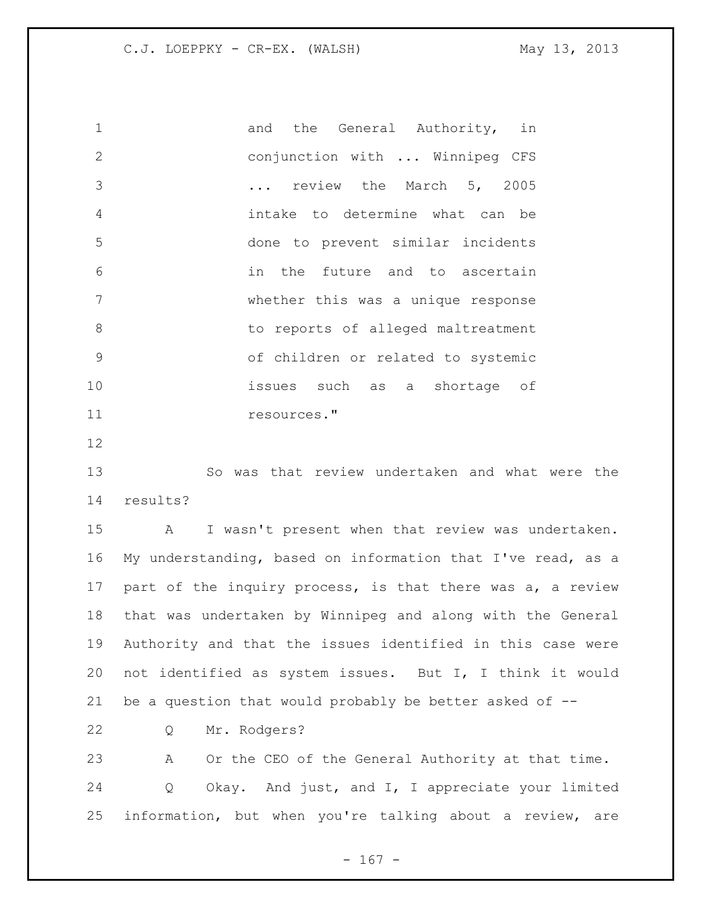1 and the General Authority, in conjunction with ... Winnipeg CFS ... review the March 5, 2005 intake to determine what can be done to prevent similar incidents in the future and to ascertain whether this was a unique response 8 b to reports of alleged maltreatment of children or related to systemic issues such as a shortage of resources."

 So was that review undertaken and what were the results?

 A I wasn't present when that review was undertaken. My understanding, based on information that I've read, as a 17 part of the inquiry process, is that there was a, a review that was undertaken by Winnipeg and along with the General Authority and that the issues identified in this case were not identified as system issues. But I, I think it would be a question that would probably be better asked of --

Q Mr. Rodgers?

 A Or the CEO of the General Authority at that time. Q Okay. And just, and I, I appreciate your limited information, but when you're talking about a review, are

- 167 -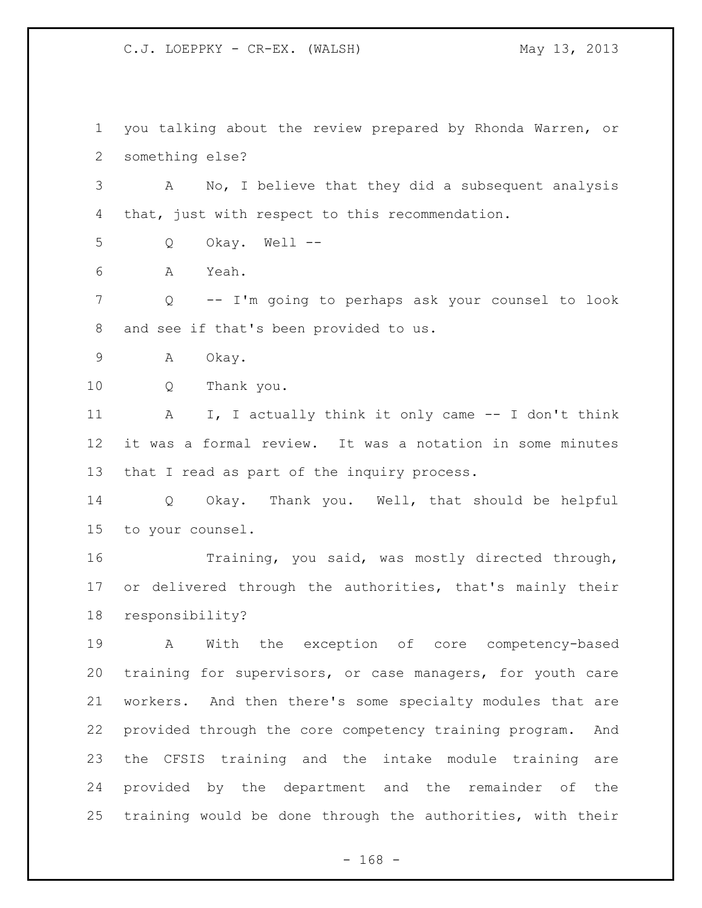you talking about the review prepared by Rhonda Warren, or something else?

 A No, I believe that they did a subsequent analysis that, just with respect to this recommendation.

- Q Okay. Well --
- A Yeah.

 Q -- I'm going to perhaps ask your counsel to look and see if that's been provided to us.

A Okay.

Q Thank you.

11 A I, I actually think it only came -- I don't think it was a formal review. It was a notation in some minutes that I read as part of the inquiry process.

 Q Okay. Thank you. Well, that should be helpful to your counsel.

 Training, you said, was mostly directed through, or delivered through the authorities, that's mainly their responsibility?

 A With the exception of core competency-based training for supervisors, or case managers, for youth care workers. And then there's some specialty modules that are provided through the core competency training program. And the CFSIS training and the intake module training are provided by the department and the remainder of the training would be done through the authorities, with their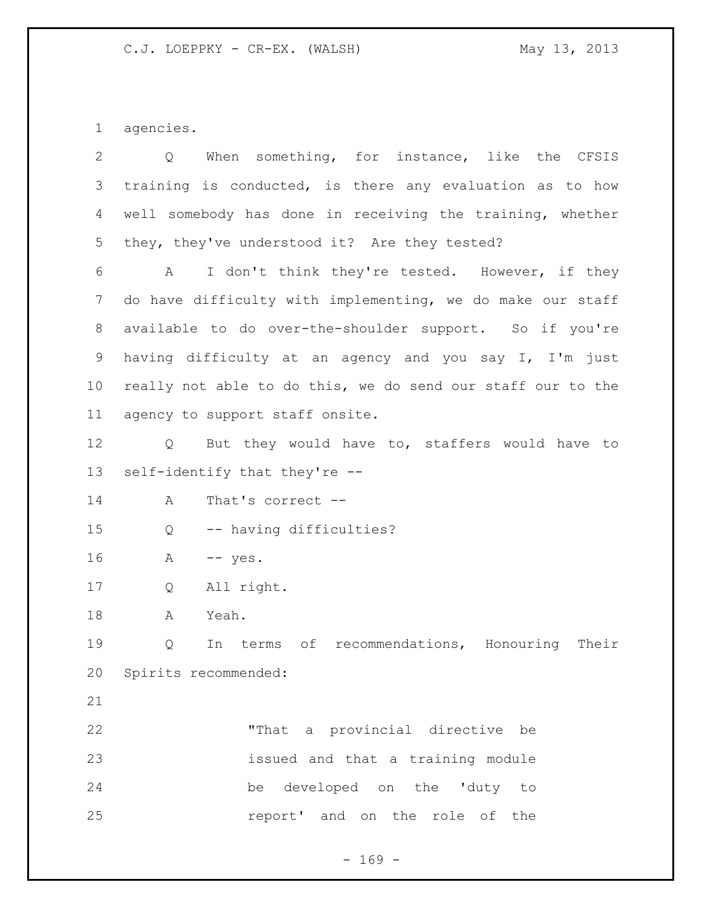agencies.

| $\overline{2}$ | When something, for instance, like the CFSIS<br>Q             |
|----------------|---------------------------------------------------------------|
| 3              | training is conducted, is there any evaluation as to how      |
| 4              | well somebody has done in receiving the training, whether     |
| 5              | they, they've understood it? Are they tested?                 |
| 6              | I don't think they're tested. However, if they<br>A           |
| 7              | do have difficulty with implementing, we do make our staff    |
| 8              | available to do over-the-shoulder support. So if you're       |
| $\mathsf 9$    | having difficulty at an agency and you say I, I'm just        |
| 10             | really not able to do this, we do send our staff our to the   |
| 11             | agency to support staff onsite.                               |
| 12             | But they would have to, staffers would have to<br>Q           |
| 13             | self-identify that they're --                                 |
| 14             | That's correct --<br>A                                        |
| 15             | -- having difficulties?<br>Q                                  |
| 16             | $--$ yes.<br>A                                                |
| 17             | All right.<br>Q                                               |
| 18             | Yeah.<br>A                                                    |
| 19             | of<br>recommendations, Honouring<br>Their<br>Q<br>In<br>terms |
| 20             | Spirits recommended:                                          |
| 21             |                                                               |
| 22             | "That a provincial directive be                               |
| 23             | issued and that a training module                             |
| 24             | be developed on the 'duty to                                  |
| 25             | report' and on the role of<br>the                             |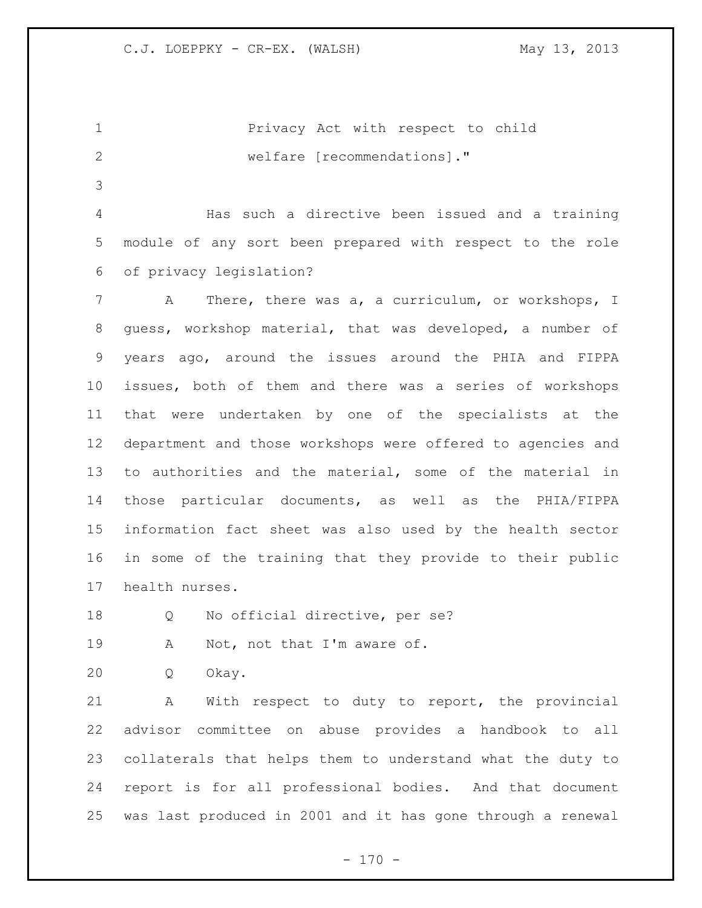|               |                             |  | Privacy Act with respect to child |  |
|---------------|-----------------------------|--|-----------------------------------|--|
| $\mathcal{L}$ | welfare [recommendations]." |  |                                   |  |
|               |                             |  |                                   |  |

 Has such a directive been issued and a training module of any sort been prepared with respect to the role of privacy legislation?

 A There, there was a, a curriculum, or workshops, I guess, workshop material, that was developed, a number of years ago, around the issues around the PHIA and FIPPA issues, both of them and there was a series of workshops that were undertaken by one of the specialists at the department and those workshops were offered to agencies and to authorities and the material, some of the material in those particular documents, as well as the PHIA/FIPPA information fact sheet was also used by the health sector in some of the training that they provide to their public health nurses.

18 Q No official directive, per se?

19 A Not, not that I'm aware of.

Q Okay.

 A With respect to duty to report, the provincial advisor committee on abuse provides a handbook to all collaterals that helps them to understand what the duty to report is for all professional bodies. And that document was last produced in 2001 and it has gone through a renewal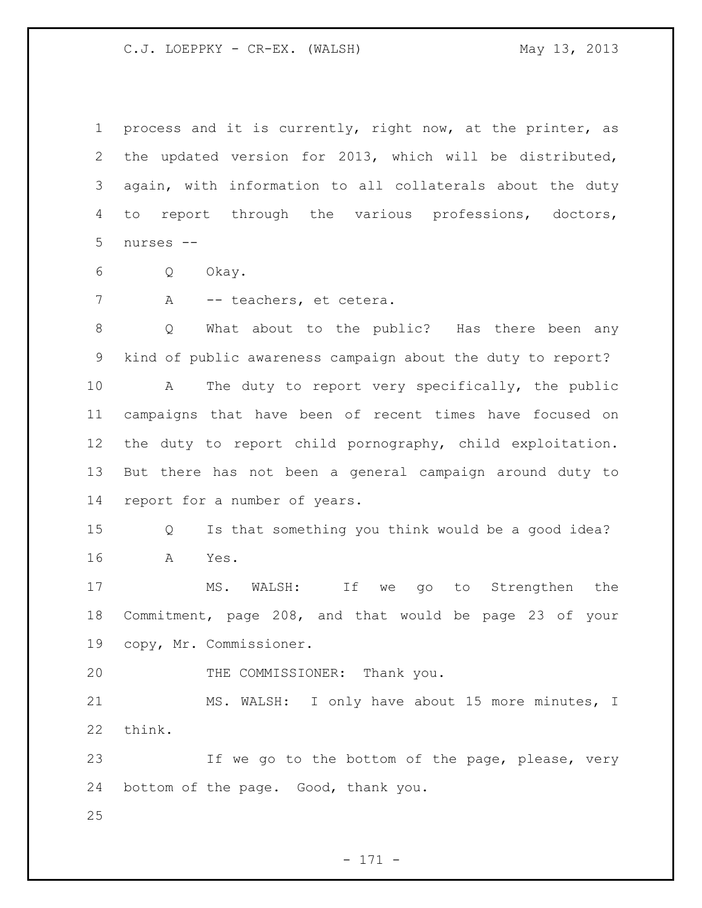process and it is currently, right now, at the printer, as the updated version for 2013, which will be distributed, again, with information to all collaterals about the duty to report through the various professions, doctors, nurses --

- Q Okay.
- 7 A -- teachers, et cetera.

 Q What about to the public? Has there been any kind of public awareness campaign about the duty to report? A The duty to report very specifically, the public campaigns that have been of recent times have focused on the duty to report child pornography, child exploitation. But there has not been a general campaign around duty to report for a number of years.

 Q Is that something you think would be a good idea? A Yes.

 MS. WALSH: If we go to Strengthen the Commitment, page 208, and that would be page 23 of your copy, Mr. Commissioner.

20 THE COMMISSIONER: Thank you.

 MS. WALSH: I only have about 15 more minutes, I think.

 If we go to the bottom of the page, please, very bottom of the page. Good, thank you.

- 171 -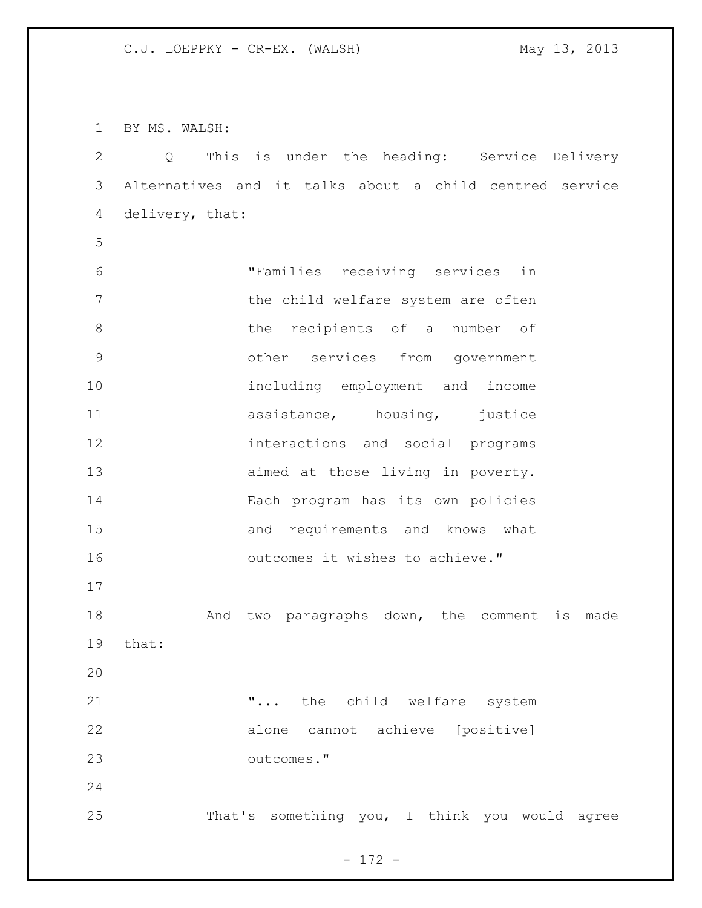BY MS. WALSH:

| $\mathbf{2}$   | Q                                                       |            |  |                                 |                                    | This is under the heading: Service Delivery   |
|----------------|---------------------------------------------------------|------------|--|---------------------------------|------------------------------------|-----------------------------------------------|
| $\mathcal{S}$  | Alternatives and it talks about a child centred service |            |  |                                 |                                    |                                               |
| 4              | delivery, that:                                         |            |  |                                 |                                    |                                               |
| 5              |                                                         |            |  |                                 |                                    |                                               |
| 6              |                                                         |            |  |                                 | "Families receiving services in    |                                               |
| $\overline{7}$ |                                                         |            |  |                                 | the child welfare system are often |                                               |
| $8\,$          |                                                         |            |  |                                 | the recipients of a number of      |                                               |
| $\mathcal{G}$  |                                                         |            |  |                                 | other services from government     |                                               |
| 10             |                                                         |            |  |                                 | including employment and income    |                                               |
| 11             |                                                         |            |  |                                 | assistance, housing, justice       |                                               |
| 12             |                                                         |            |  |                                 | interactions and social programs   |                                               |
| 13             |                                                         |            |  |                                 | aimed at those living in poverty.  |                                               |
| 14             |                                                         |            |  |                                 | Each program has its own policies  |                                               |
| 15             |                                                         |            |  |                                 | and requirements and knows what    |                                               |
| 16             |                                                         |            |  | outcomes it wishes to achieve." |                                    |                                               |
| 17             |                                                         |            |  |                                 |                                    |                                               |
| 18             |                                                         |            |  |                                 |                                    | And two paragraphs down, the comment is made  |
| 19             | that:                                                   |            |  |                                 |                                    |                                               |
| 20             |                                                         |            |  |                                 |                                    |                                               |
| 21             |                                                         |            |  |                                 | " the child welfare system         |                                               |
| 22             |                                                         |            |  |                                 | alone cannot achieve [positive]    |                                               |
| 23             |                                                         | outcomes." |  |                                 |                                    |                                               |
| 24             |                                                         |            |  |                                 |                                    |                                               |
| 25             |                                                         |            |  |                                 |                                    | That's something you, I think you would agree |

- 172 -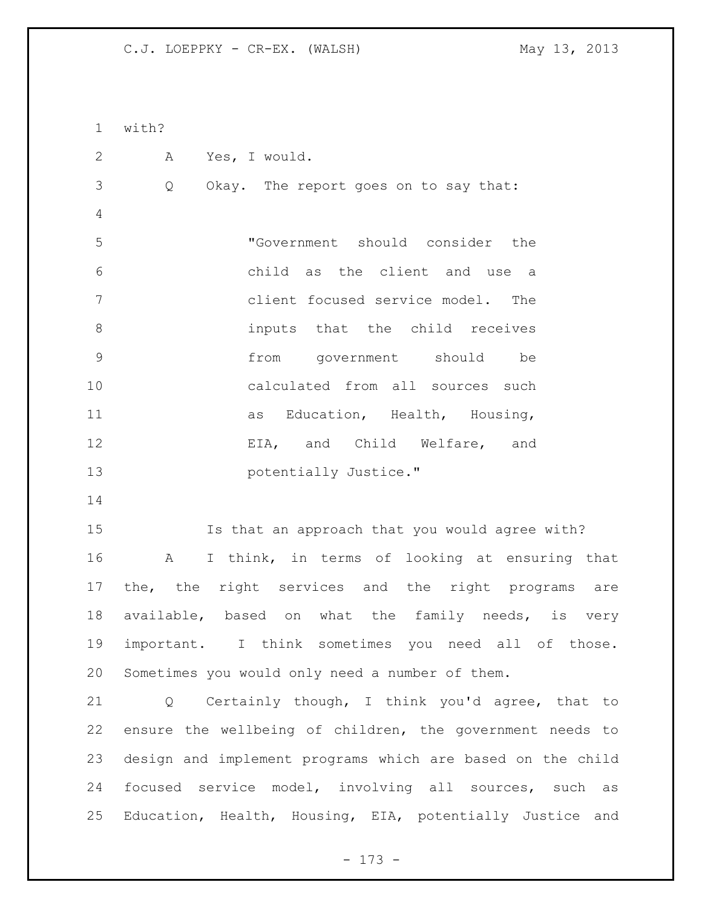with? A Yes, I would. Q Okay. The report goes on to say that: "Government should consider the child as the client and use a client focused service model. The inputs that the child receives from government should be calculated from all sources such 11 as Education, Health, Housing, EIA, and Child Welfare, and **potentially Justice."**  Is that an approach that you would agree with? A I think, in terms of looking at ensuring that the, the right services and the right programs are available, based on what the family needs, is very important. I think sometimes you need all of those. Sometimes you would only need a number of them. Q Certainly though, I think you'd agree, that to ensure the wellbeing of children, the government needs to design and implement programs which are based on the child focused service model, involving all sources, such as Education, Health, Housing, EIA, potentially Justice and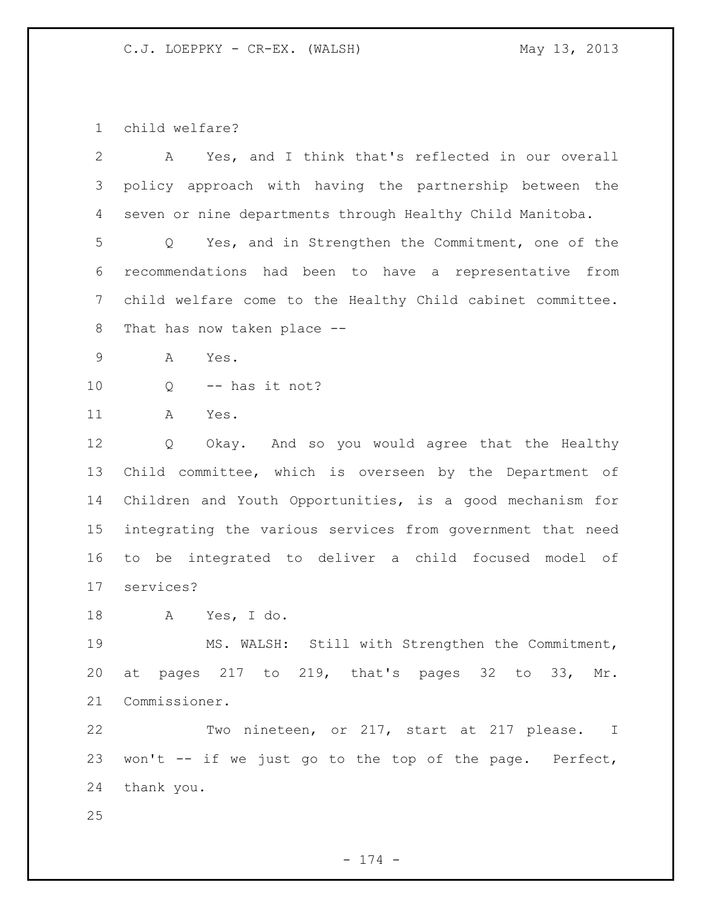child welfare?

| 2  | Yes, and I think that's reflected in our overall<br>A                  |
|----|------------------------------------------------------------------------|
| 3  | policy approach with having the partnership between the                |
| 4  | seven or nine departments through Healthy Child Manitoba.              |
| 5  | Yes, and in Strengthen the Commitment, one of the<br>$Q \qquad \qquad$ |
| 6  | recommendations had been to have a representative from                 |
| 7  | child welfare come to the Healthy Child cabinet committee.             |
| 8  | That has now taken place --                                            |
| 9  | Α<br>Yes.                                                              |
| 10 | -- has it not?<br>Q                                                    |
| 11 | Α<br>Yes.                                                              |
| 12 | Okay. And so you would agree that the Healthy<br>Q                     |
| 13 | Child committee, which is overseen by the Department of                |
| 14 | Children and Youth Opportunities, is a good mechanism for              |
| 15 | integrating the various services from government that need             |
| 16 | to be integrated to deliver a child focused model of                   |
| 17 | services?                                                              |
| 18 | Yes, I do.<br>A                                                        |
| 19 | Still with Strengthen the Commitment,<br>MS. WALSH:                    |
| 20 | at pages 217 to 219, that's pages 32 to 33, Mr.                        |
| 21 | Commissioner.                                                          |
| 22 | Two nineteen, or 217, start at 217 please. I                           |
| 23 | won't -- if we just go to the top of the page. Perfect,                |
| 24 | thank you.                                                             |
| 25 |                                                                        |

- 174 -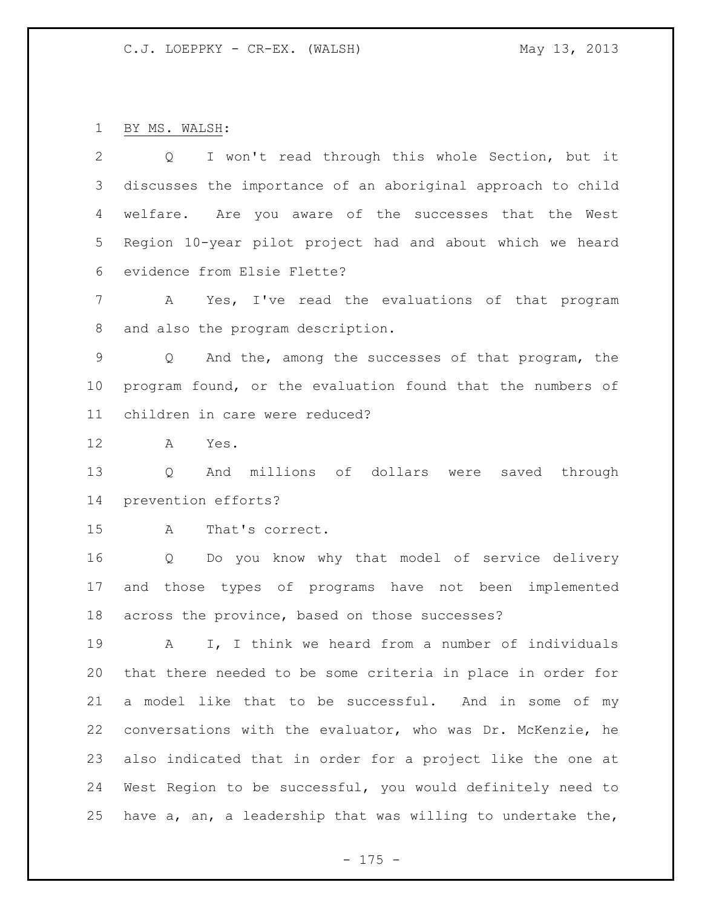BY MS. WALSH:

| 2               | I won't read through this whole Section, but it<br>Q        |
|-----------------|-------------------------------------------------------------|
| 3               | discusses the importance of an aboriginal approach to child |
| 4               | welfare. Are you aware of the successes that the West       |
| 5               | Region 10-year pilot project had and about which we heard   |
| 6               | evidence from Elsie Flette?                                 |
| 7               | Yes, I've read the evaluations of that program<br>A         |
| 8               | and also the program description.                           |
| 9               | And the, among the successes of that program, the<br>Q      |
| 10 <sub>o</sub> | program found, or the evaluation found that the numbers of  |
| 11              | children in care were reduced?                              |
| 12              | A<br>Yes.                                                   |
| 13              | And millions of dollars were<br>Q<br>saved through          |
| 14              | prevention efforts?                                         |
| 15              | That's correct.<br>A                                        |
| 16              | Do you know why that model of service delivery<br>Q         |
| 17              | and those types of programs have not been implemented       |
| 18              | across the province, based on those successes?              |
| 19              | I, I think we heard from a number of individuals<br>А       |
| 20              | that there needed to be some criteria in place in order for |
| 21              | a model like that to be successful. And in some of my       |
| 22              | conversations with the evaluator, who was Dr. McKenzie, he  |
| 23              | also indicated that in order for a project like the one at  |
| 24              | West Region to be successful, you would definitely need to  |
| 25              | have a, an, a leadership that was willing to undertake the, |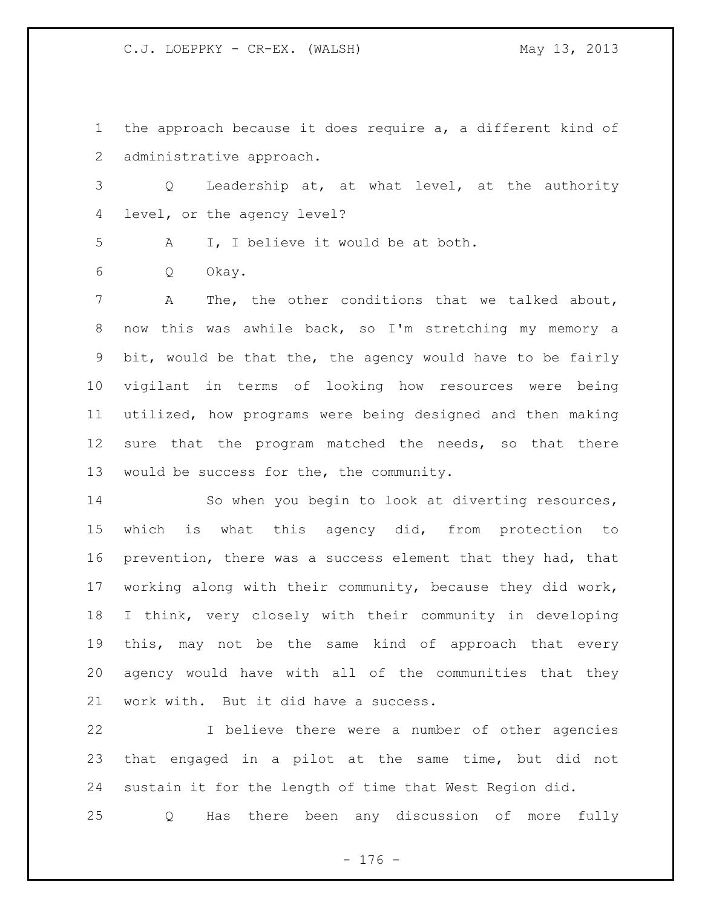the approach because it does require a, a different kind of administrative approach.

 Q Leadership at, at what level, at the authority level, or the agency level?

A I, I believe it would be at both.

Q Okay.

 A The, the other conditions that we talked about, now this was awhile back, so I'm stretching my memory a bit, would be that the, the agency would have to be fairly vigilant in terms of looking how resources were being utilized, how programs were being designed and then making 12 sure that the program matched the needs, so that there would be success for the, the community.

 So when you begin to look at diverting resources, which is what this agency did, from protection to prevention, there was a success element that they had, that working along with their community, because they did work, I think, very closely with their community in developing this, may not be the same kind of approach that every agency would have with all of the communities that they work with. But it did have a success.

 I believe there were a number of other agencies that engaged in a pilot at the same time, but did not sustain it for the length of time that West Region did.

Q Has there been any discussion of more fully

- 176 -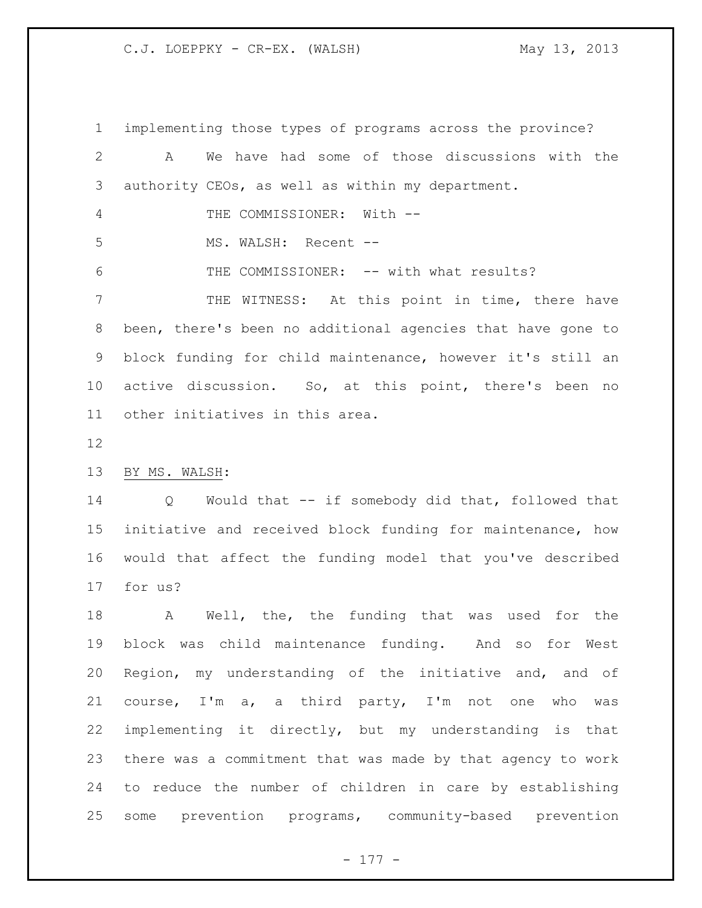implementing those types of programs across the province? A We have had some of those discussions with the authority CEOs, as well as within my department. THE COMMISSIONER: With -- MS. WALSH: Recent -- THE COMMISSIONER: -- with what results? THE WITNESS: At this point in time, there have been, there's been no additional agencies that have gone to block funding for child maintenance, however it's still an active discussion. So, at this point, there's been no other initiatives in this area.

BY MS. WALSH:

 Q Would that -- if somebody did that, followed that initiative and received block funding for maintenance, how would that affect the funding model that you've described for us?

 A Well, the, the funding that was used for the block was child maintenance funding. And so for West Region, my understanding of the initiative and, and of course, I'm a, a third party, I'm not one who was implementing it directly, but my understanding is that there was a commitment that was made by that agency to work to reduce the number of children in care by establishing some prevention programs, community-based prevention

- 177 -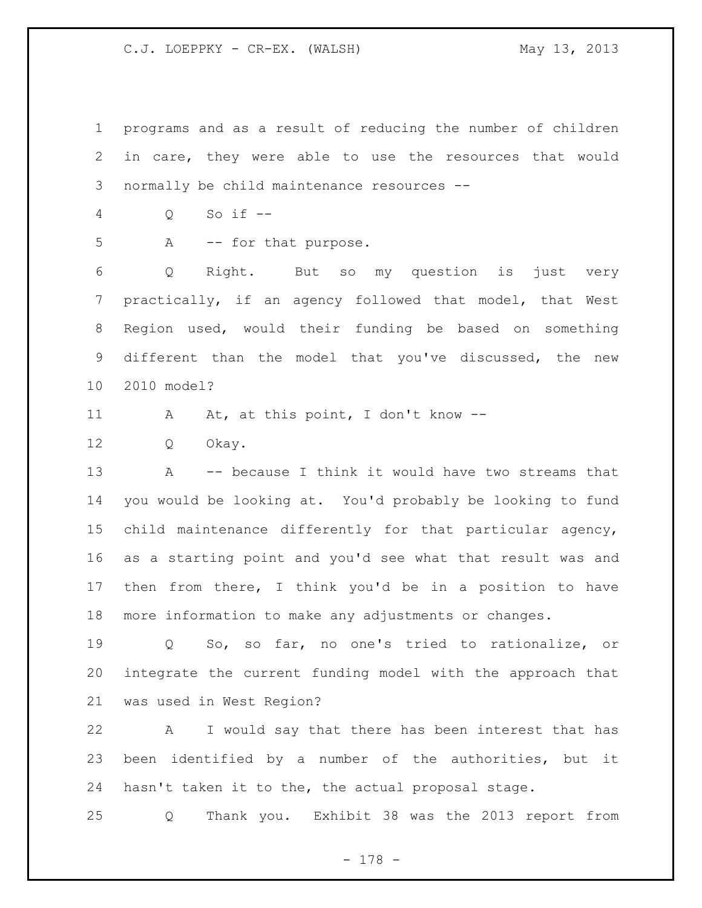programs and as a result of reducing the number of children in care, they were able to use the resources that would normally be child maintenance resources --

Q So if --

5 A -- for that purpose.

 Q Right. But so my question is just very practically, if an agency followed that model, that West Region used, would their funding be based on something different than the model that you've discussed, the new 2010 model?

11 A At, at this point, I don't know --

Q Okay.

 A -- because I think it would have two streams that you would be looking at. You'd probably be looking to fund child maintenance differently for that particular agency, as a starting point and you'd see what that result was and then from there, I think you'd be in a position to have more information to make any adjustments or changes.

 Q So, so far, no one's tried to rationalize, or integrate the current funding model with the approach that was used in West Region?

 A I would say that there has been interest that has been identified by a number of the authorities, but it hasn't taken it to the, the actual proposal stage.

Q Thank you. Exhibit 38 was the 2013 report from

- 178 -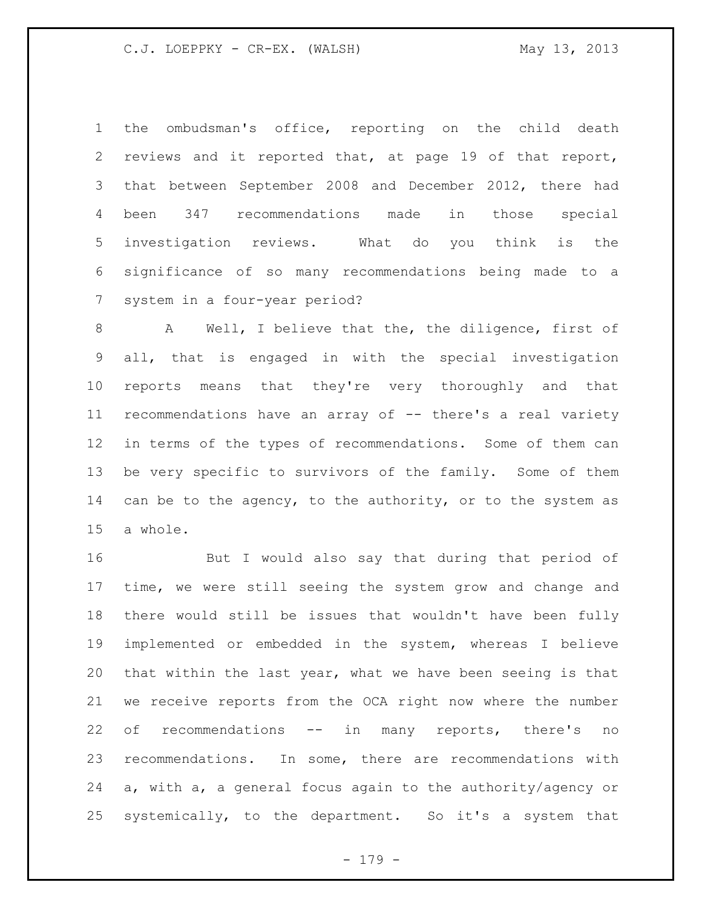the ombudsman's office, reporting on the child death reviews and it reported that, at page 19 of that report, that between September 2008 and December 2012, there had been 347 recommendations made in those special investigation reviews. What do you think is the significance of so many recommendations being made to a system in a four-year period?

 A Well, I believe that the, the diligence, first of all, that is engaged in with the special investigation reports means that they're very thoroughly and that recommendations have an array of -- there's a real variety in terms of the types of recommendations. Some of them can be very specific to survivors of the family. Some of them 14 can be to the agency, to the authority, or to the system as a whole.

 But I would also say that during that period of time, we were still seeing the system grow and change and there would still be issues that wouldn't have been fully implemented or embedded in the system, whereas I believe that within the last year, what we have been seeing is that we receive reports from the OCA right now where the number of recommendations -- in many reports, there's no recommendations. In some, there are recommendations with a, with a, a general focus again to the authority/agency or systemically, to the department. So it's a system that

- 179 -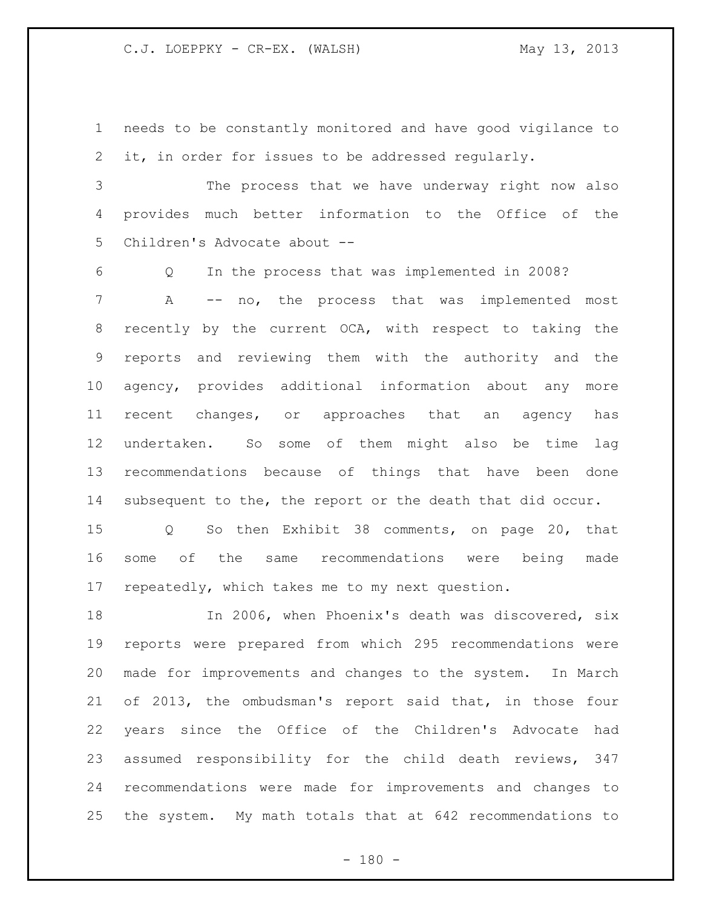needs to be constantly monitored and have good vigilance to it, in order for issues to be addressed regularly.

 The process that we have underway right now also provides much better information to the Office of the Children's Advocate about --

 Q In the process that was implemented in 2008? A -- no, the process that was implemented most recently by the current OCA, with respect to taking the reports and reviewing them with the authority and the agency, provides additional information about any more recent changes, or approaches that an agency has undertaken. So some of them might also be time lag recommendations because of things that have been done subsequent to the, the report or the death that did occur.

 Q So then Exhibit 38 comments, on page 20, that some of the same recommendations were being made repeatedly, which takes me to my next question.

 In 2006, when Phoenix's death was discovered, six reports were prepared from which 295 recommendations were made for improvements and changes to the system. In March of 2013, the ombudsman's report said that, in those four years since the Office of the Children's Advocate had assumed responsibility for the child death reviews, 347 recommendations were made for improvements and changes to the system. My math totals that at 642 recommendations to

 $- 180 -$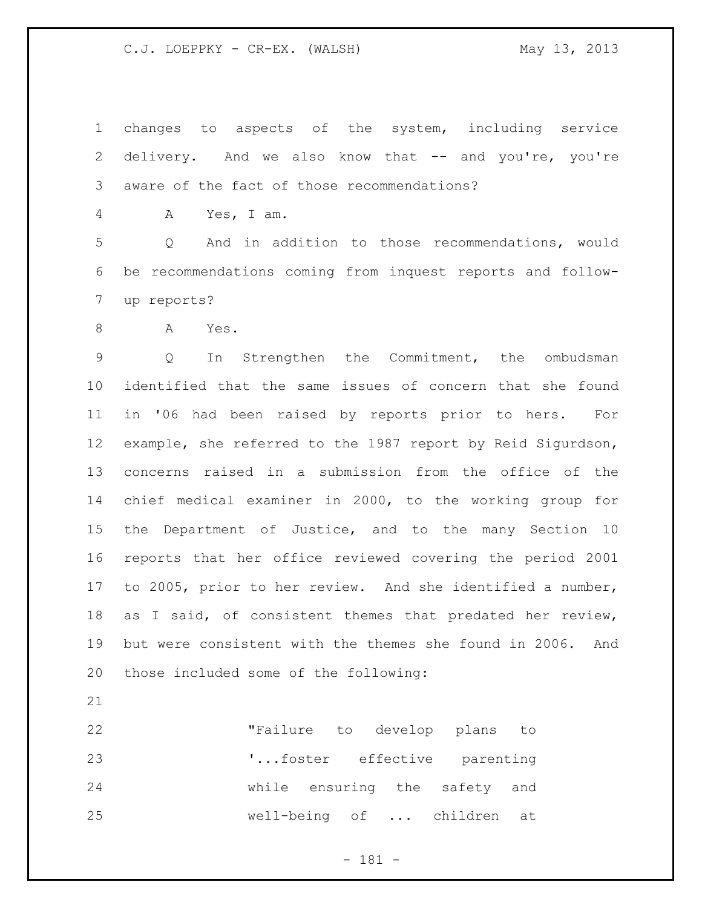changes to aspects of the system, including service delivery. And we also know that -- and you're, you're aware of the fact of those recommendations?

A Yes, I am.

 Q And in addition to those recommendations, would be recommendations coming from inquest reports and follow-up reports?

A Yes.

 Q In Strengthen the Commitment, the ombudsman identified that the same issues of concern that she found in '06 had been raised by reports prior to hers. For example, she referred to the 1987 report by Reid Sigurdson, concerns raised in a submission from the office of the chief medical examiner in 2000, to the working group for the Department of Justice, and to the many Section 10 reports that her office reviewed covering the period 2001 to 2005, prior to her review. And she identified a number, as I said, of consistent themes that predated her review, but were consistent with the themes she found in 2006. And those included some of the following:

 "Failure to develop plans to '...foster effective parenting while ensuring the safety and well-being of ... children at

- 181 -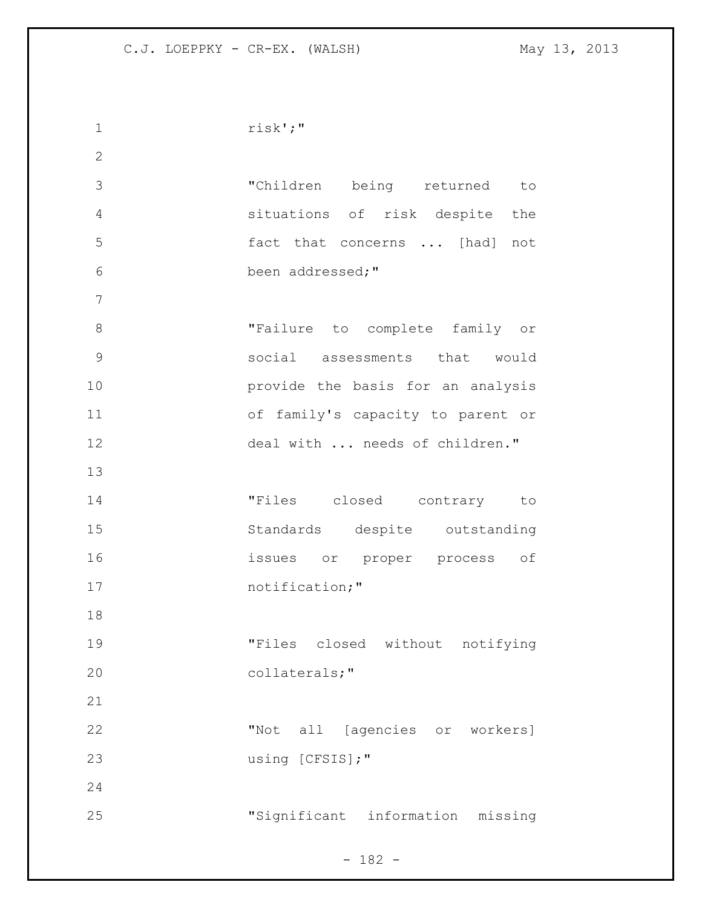risk';" "Children being returned to situations of risk despite the fact that concerns ... [had] not been addressed;" 8 Trailure to complete family or social assessments that would provide the basis for an analysis of family's capacity to parent or 12 deal with ... needs of children." "Files closed contrary to Standards despite outstanding issues or proper process of 17 notification;" "Files closed without notifying collaterals;" "Not all [agencies or workers] 23 using [CFSIS];" "Significant information missing

 $- 182 -$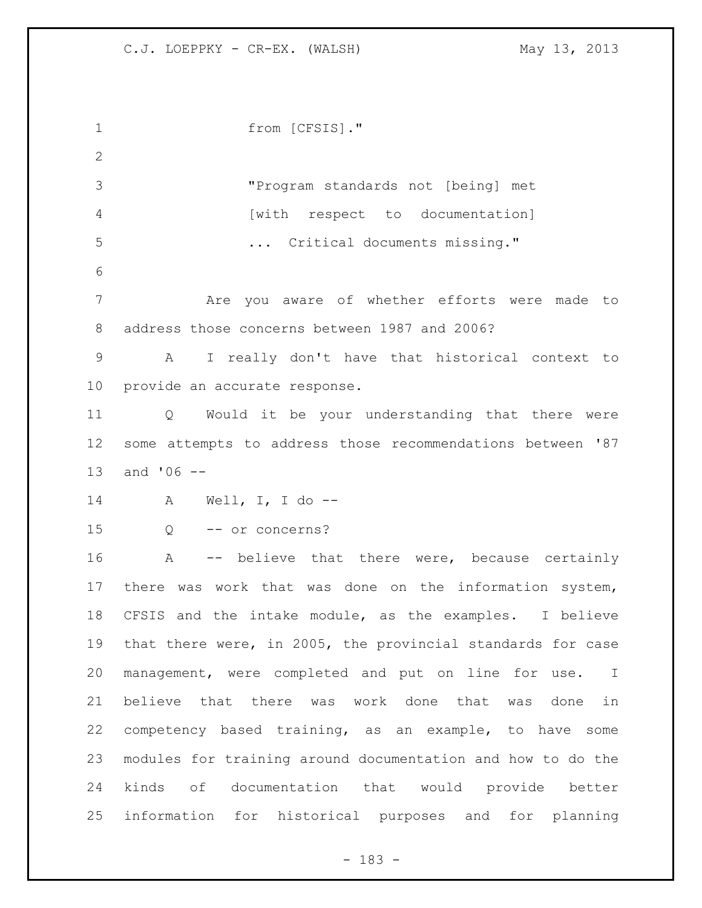from [CFSIS]." "Program standards not [being] met [with respect to documentation] **...** Critical documents missing." Are you aware of whether efforts were made to address those concerns between 1987 and 2006? A I really don't have that historical context to provide an accurate response. Q Would it be your understanding that there were some attempts to address those recommendations between '87 and '06 -- A Well, I, I do -- Q -- or concerns? A -- believe that there were, because certainly there was work that was done on the information system, CFSIS and the intake module, as the examples. I believe that there were, in 2005, the provincial standards for case management, were completed and put on line for use. I believe that there was work done that was done in competency based training, as an example, to have some modules for training around documentation and how to do the kinds of documentation that would provide better information for historical purposes and for planning

- 183 -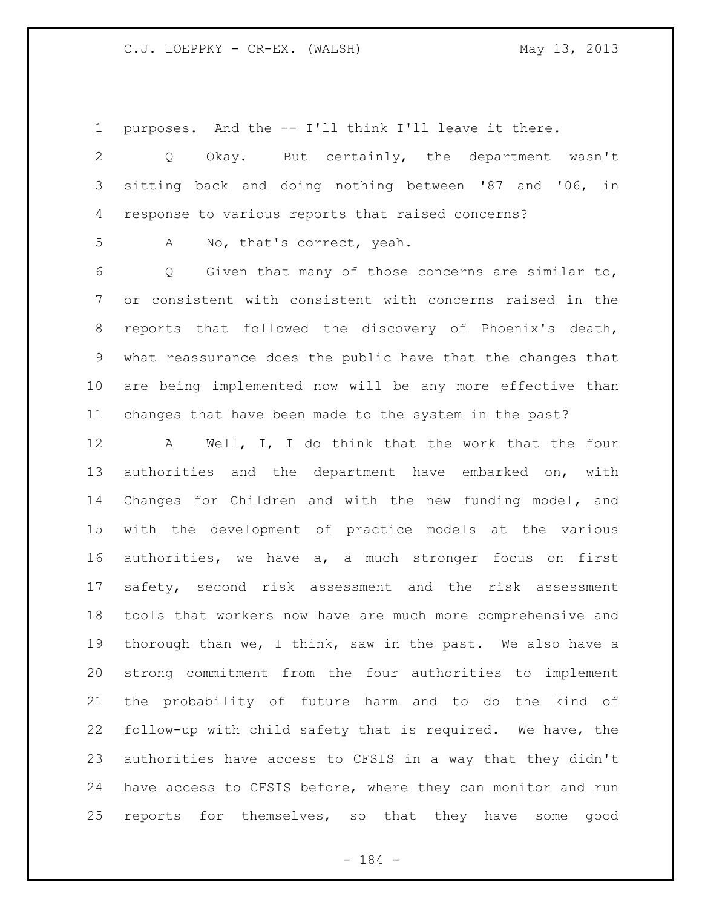purposes. And the -- I'll think I'll leave it there.

 Q Okay. But certainly, the department wasn't sitting back and doing nothing between '87 and '06, in response to various reports that raised concerns?

A No, that's correct, yeah.

 Q Given that many of those concerns are similar to, or consistent with consistent with concerns raised in the reports that followed the discovery of Phoenix's death, what reassurance does the public have that the changes that are being implemented now will be any more effective than changes that have been made to the system in the past?

 A Well, I, I do think that the work that the four authorities and the department have embarked on, with Changes for Children and with the new funding model, and with the development of practice models at the various authorities, we have a, a much stronger focus on first safety, second risk assessment and the risk assessment tools that workers now have are much more comprehensive and thorough than we, I think, saw in the past. We also have a strong commitment from the four authorities to implement the probability of future harm and to do the kind of follow-up with child safety that is required. We have, the authorities have access to CFSIS in a way that they didn't have access to CFSIS before, where they can monitor and run reports for themselves, so that they have some good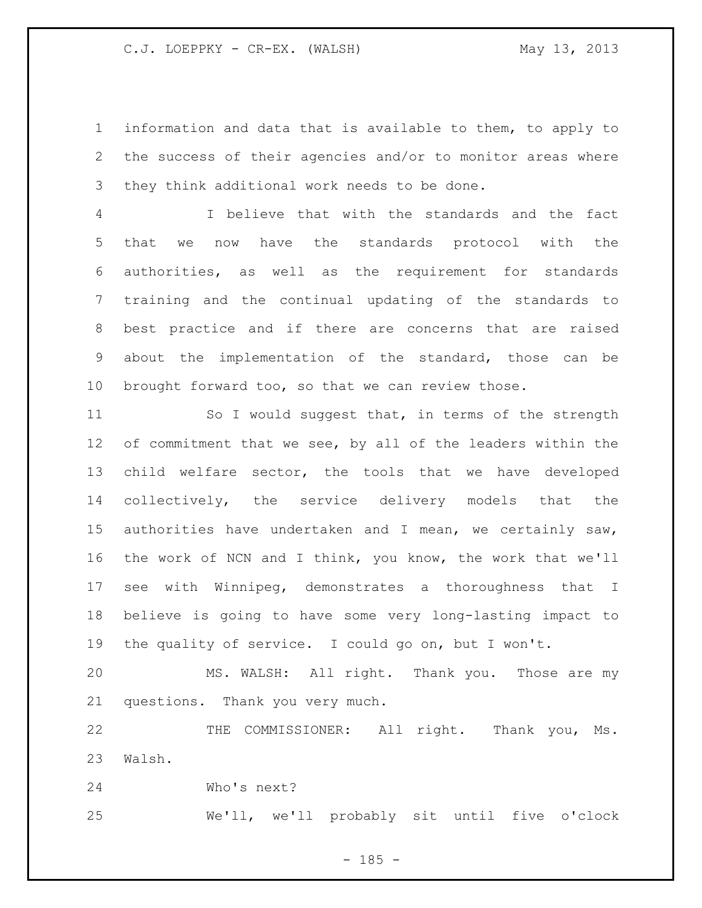information and data that is available to them, to apply to the success of their agencies and/or to monitor areas where they think additional work needs to be done.

 I believe that with the standards and the fact that we now have the standards protocol with the authorities, as well as the requirement for standards training and the continual updating of the standards to best practice and if there are concerns that are raised about the implementation of the standard, those can be brought forward too, so that we can review those.

 So I would suggest that, in terms of the strength 12 of commitment that we see, by all of the leaders within the child welfare sector, the tools that we have developed collectively, the service delivery models that the authorities have undertaken and I mean, we certainly saw, the work of NCN and I think, you know, the work that we'll see with Winnipeg, demonstrates a thoroughness that I believe is going to have some very long-lasting impact to the quality of service. I could go on, but I won't.

 MS. WALSH: All right. Thank you. Those are my questions. Thank you very much.

 THE COMMISSIONER: All right. Thank you, Ms. Walsh.

Who's next?

We'll, we'll probably sit until five o'clock

 $- 185 -$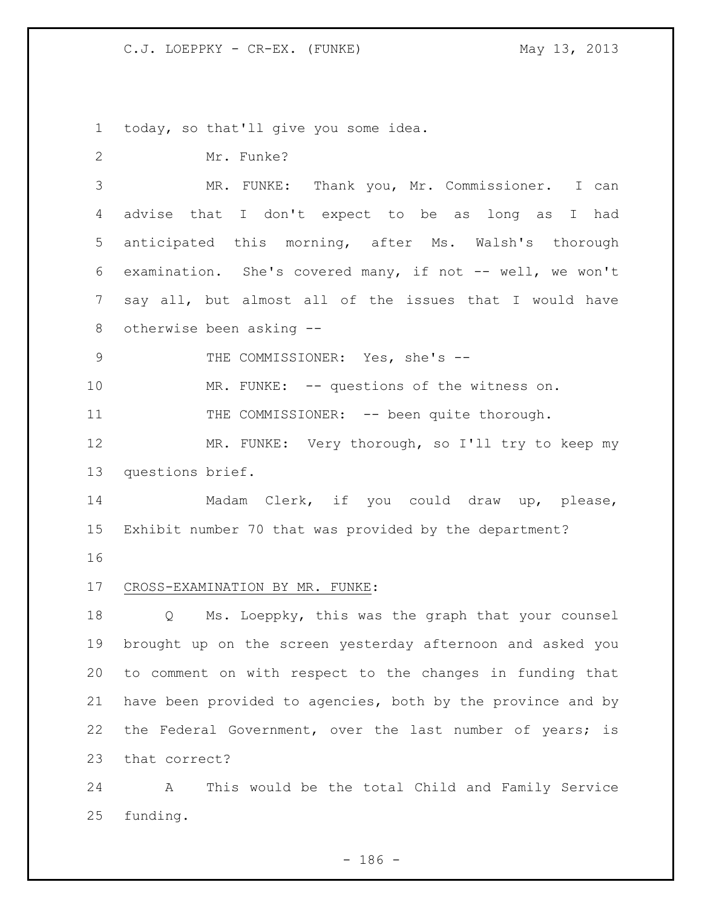today, so that'll give you some idea.

| $\mathbf{2}$   | Mr. Funke?                                                  |
|----------------|-------------------------------------------------------------|
| 3              | MR. FUNKE: Thank you, Mr. Commissioner. I can               |
| 4              | advise that I don't expect to be as long as I had           |
| 5              | anticipated this morning, after Ms. Walsh's thorough        |
| 6              | examination. She's covered many, if not -- well, we won't   |
| $\overline{7}$ | say all, but almost all of the issues that I would have     |
| 8              | otherwise been asking --                                    |
| $\mathcal{G}$  | THE COMMISSIONER: Yes, she's --                             |
| 10             | MR. FUNKE: -- questions of the witness on.                  |
| 11             | THE COMMISSIONER: -- been quite thorough.                   |
| 12             | MR. FUNKE: Very thorough, so I'll try to keep my            |
| 13             | questions brief.                                            |
| 14             | Madam Clerk, if you could draw up, please,                  |
| 15             | Exhibit number 70 that was provided by the department?      |
| 16             |                                                             |
| 17             | CROSS-EXAMINATION BY MR. FUNKE:                             |
| 18             | Q Ms. Loeppky, this was the graph that your counsel         |
| 19             | brought up on the screen yesterday afternoon and asked you  |
| 20             | to comment on with respect to the changes in funding that   |
| 21             | have been provided to agencies, both by the province and by |
| 22             | the Federal Government, over the last number of years; is   |
| 23             | that correct?                                               |
| 24             | This would be the total Child and Family Service<br>A       |

funding.

- 186 -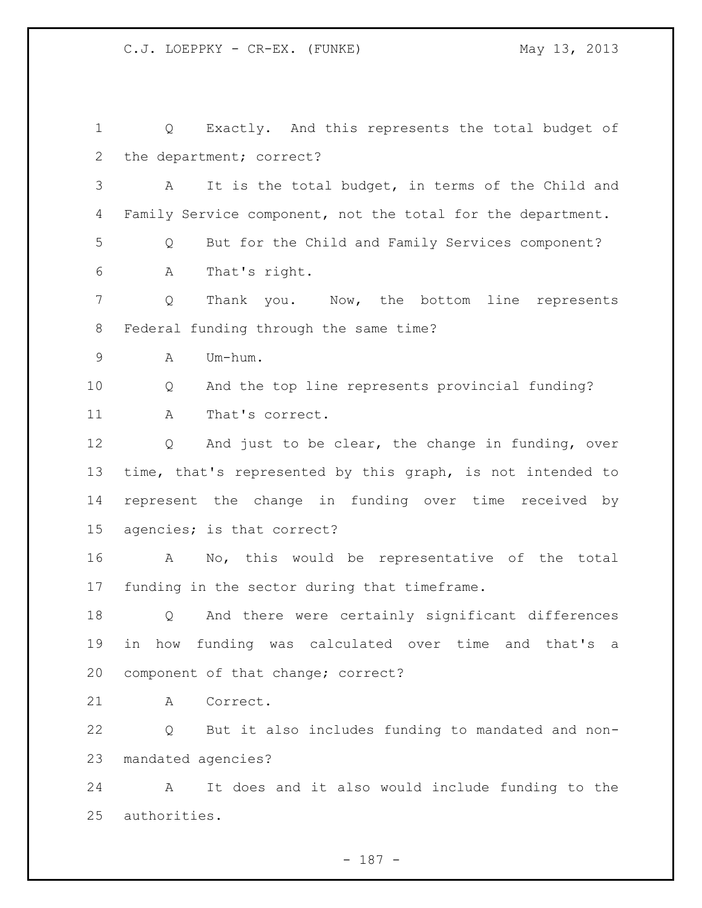Q Exactly. And this represents the total budget of the department; correct? A It is the total budget, in terms of the Child and 4 Family Service component, not the total for the department. Q But for the Child and Family Services component? A That's right. Q Thank you. Now, the bottom line represents Federal funding through the same time? A Um-hum. Q And the top line represents provincial funding? 11 A That's correct. Q And just to be clear, the change in funding, over time, that's represented by this graph, is not intended to represent the change in funding over time received by agencies; is that correct? A No, this would be representative of the total funding in the sector during that timeframe. Q And there were certainly significant differences in how funding was calculated over time and that's a component of that change; correct? A Correct. Q But it also includes funding to mandated and non- mandated agencies? A It does and it also would include funding to the authorities.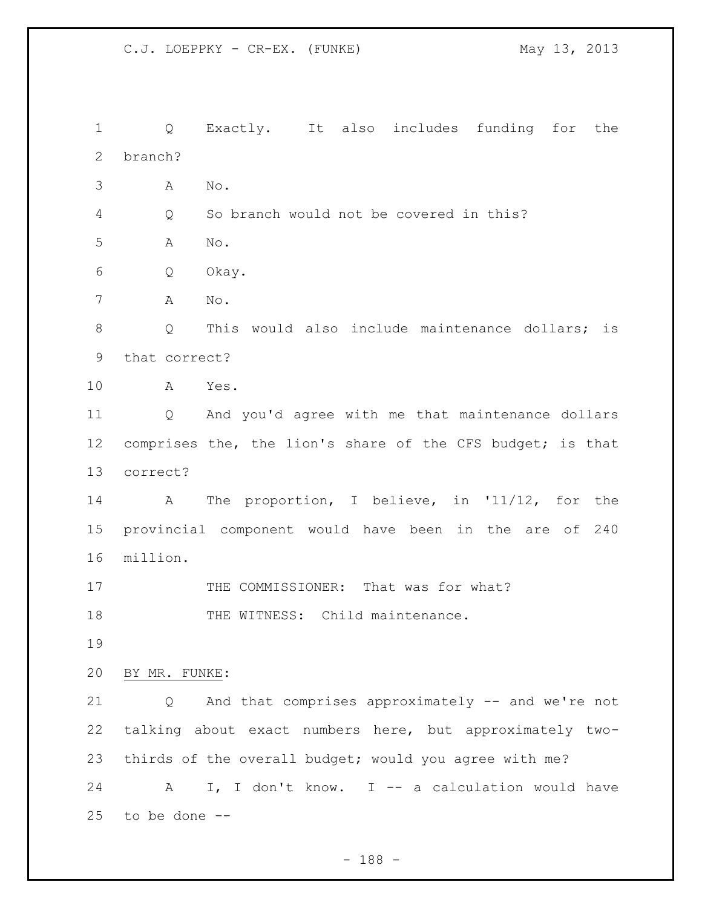Q Exactly. It also includes funding for the branch? A No. Q So branch would not be covered in this? A No. Q Okay. A No. 8 O This would also include maintenance dollars; is that correct? A Yes. Q And you'd agree with me that maintenance dollars 12 comprises the, the lion's share of the CFS budget; is that correct? A The proportion, I believe, in '11/12, for the provincial component would have been in the are of 240 million. 17 THE COMMISSIONER: That was for what? 18 THE WITNESS: Child maintenance. BY MR. FUNKE: Q And that comprises approximately -- and we're not talking about exact numbers here, but approximately two- thirds of the overall budget; would you agree with me? 24 A I, I don't know. I -- a calculation would have to be done --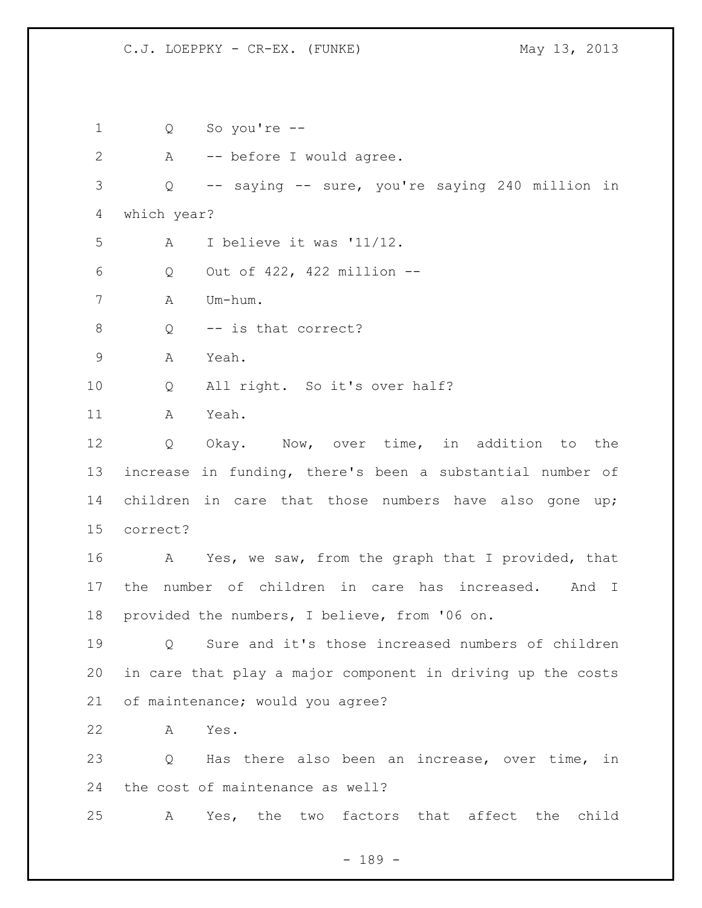Q So you're -- A -- before I would agree. Q -- saying -- sure, you're saying 240 million in which year? A I believe it was '11/12. Q Out of 422, 422 million -- A Um-hum. 8 Q -- is that correct? A Yeah. Q All right. So it's over half? A Yeah. Q Okay. Now, over time, in addition to the increase in funding, there's been a substantial number of children in care that those numbers have also gone up; correct? 16 A Yes, we saw, from the graph that I provided, that the number of children in care has increased. And I provided the numbers, I believe, from '06 on. Q Sure and it's those increased numbers of children in care that play a major component in driving up the costs of maintenance; would you agree? A Yes. Q Has there also been an increase, over time, in the cost of maintenance as well? A Yes, the two factors that affect the child

- 189 -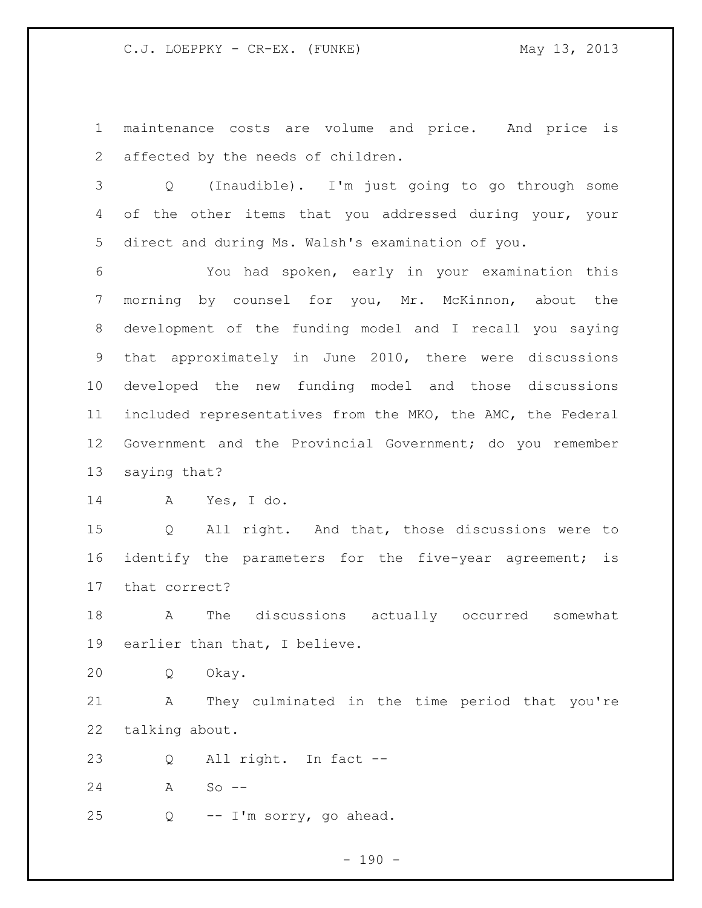maintenance costs are volume and price. And price is affected by the needs of children.

 Q (Inaudible). I'm just going to go through some 4 of the other items that you addressed during your, your direct and during Ms. Walsh's examination of you.

 You had spoken, early in your examination this morning by counsel for you, Mr. McKinnon, about the development of the funding model and I recall you saying that approximately in June 2010, there were discussions developed the new funding model and those discussions included representatives from the MKO, the AMC, the Federal Government and the Provincial Government; do you remember saying that?

A Yes, I do.

 Q All right. And that, those discussions were to identify the parameters for the five-year agreement; is that correct?

 A The discussions actually occurred somewhat earlier than that, I believe.

Q Okay.

 A They culminated in the time period that you're talking about.

Q All right. In fact --

A So --

Q -- I'm sorry, go ahead.

 $- 190 -$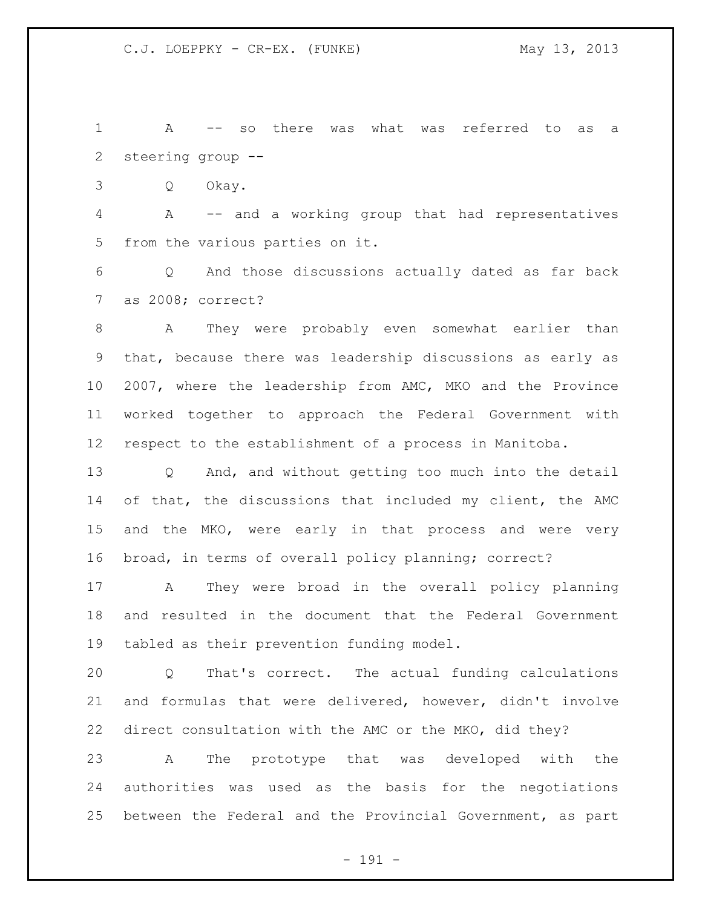A -- so there was what was referred to as a steering group --

Q Okay.

 A -- and a working group that had representatives from the various parties on it.

 Q And those discussions actually dated as far back as 2008; correct?

 A They were probably even somewhat earlier than that, because there was leadership discussions as early as 2007, where the leadership from AMC, MKO and the Province worked together to approach the Federal Government with respect to the establishment of a process in Manitoba.

 Q And, and without getting too much into the detail of that, the discussions that included my client, the AMC and the MKO, were early in that process and were very broad, in terms of overall policy planning; correct?

 A They were broad in the overall policy planning and resulted in the document that the Federal Government tabled as their prevention funding model.

 Q That's correct. The actual funding calculations and formulas that were delivered, however, didn't involve direct consultation with the AMC or the MKO, did they?

 A The prototype that was developed with the authorities was used as the basis for the negotiations between the Federal and the Provincial Government, as part

- 191 -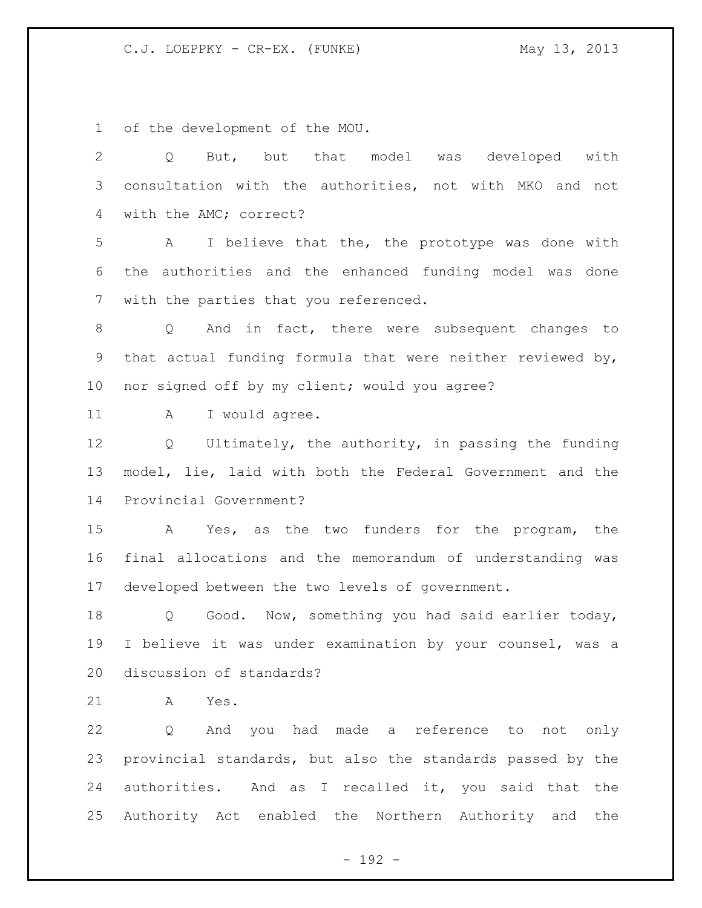of the development of the MOU.

| $\overline{2}$ | But, but that model was developed with<br>Q                           |
|----------------|-----------------------------------------------------------------------|
| 3              | consultation with the authorities, not with MKO and not               |
| 4              | with the AMC; correct?                                                |
| 5              | I believe that the, the prototype was done with<br>A                  |
| 6              | the authorities and the enhanced funding model was done               |
| 7              | with the parties that you referenced.                                 |
| 8              | Q And in fact, there were subsequent changes to                       |
| 9              | that actual funding formula that were neither reviewed by,            |
| 10             | nor signed off by my client; would you agree?                         |
| 11             | I would agree.<br>A                                                   |
| 12             | Q Ultimately, the authority, in passing the funding                   |
| 13             | model, lie, laid with both the Federal Government and the             |
| 14             | Provincial Government?                                                |
| 15             | A Yes, as the two funders for the program, the                        |
| 16             | final allocations and the memorandum of understanding was             |
| 17             | developed between the two levels of government.                       |
| 18             | Good. Now, something you had said earlier today,<br>$Q \qquad \qquad$ |
| 19             | I believe it was under examination by your counsel, was a             |
| 20             | discussion of standards?                                              |
| 21             | A<br>Yes.                                                             |
| 22             | And you had made a reference to not only<br>Q                         |
| 23             | provincial standards, but also the standards passed by the            |
| 24             | authorities. And as I recalled it, you said that the                  |
| 25             | Authority Act enabled the Northern Authority and the                  |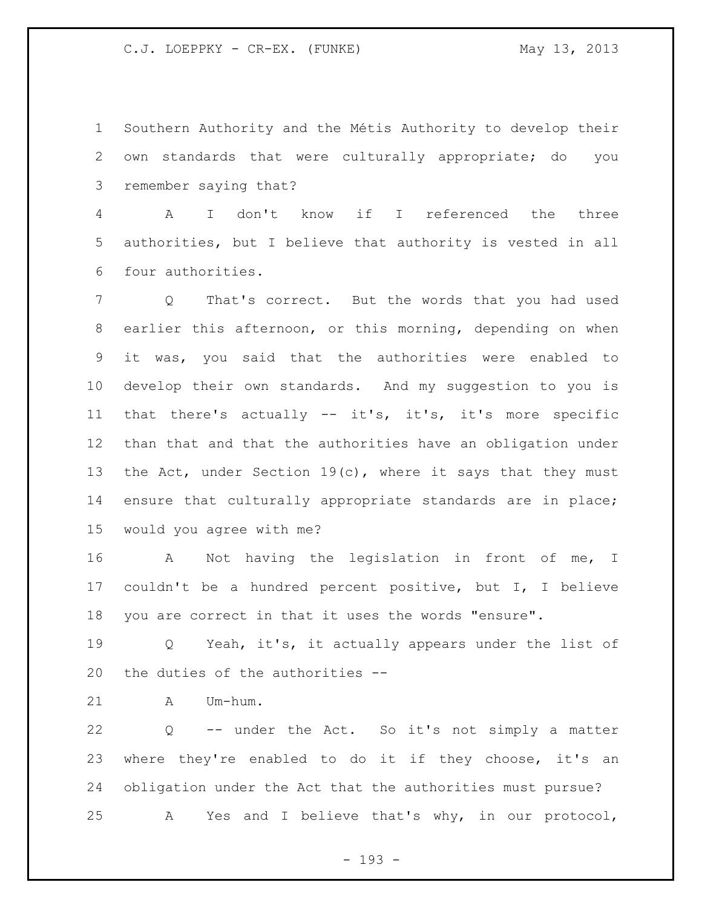Southern Authority and the Métis Authority to develop their own standards that were culturally appropriate; do you remember saying that?

 A I don't know if I referenced the three authorities, but I believe that authority is vested in all four authorities.

 Q That's correct. But the words that you had used earlier this afternoon, or this morning, depending on when it was, you said that the authorities were enabled to develop their own standards. And my suggestion to you is that there's actually -- it's, it's, it's more specific than that and that the authorities have an obligation under 13 the Act, under Section 19(c), where it says that they must ensure that culturally appropriate standards are in place; would you agree with me?

 A Not having the legislation in front of me, I couldn't be a hundred percent positive, but I, I believe you are correct in that it uses the words "ensure".

19 0 Yeah, it's, it actually appears under the list of the duties of the authorities --

A Um-hum.

 Q -- under the Act. So it's not simply a matter where they're enabled to do it if they choose, it's an obligation under the Act that the authorities must pursue? A Yes and I believe that's why, in our protocol,

- 193 -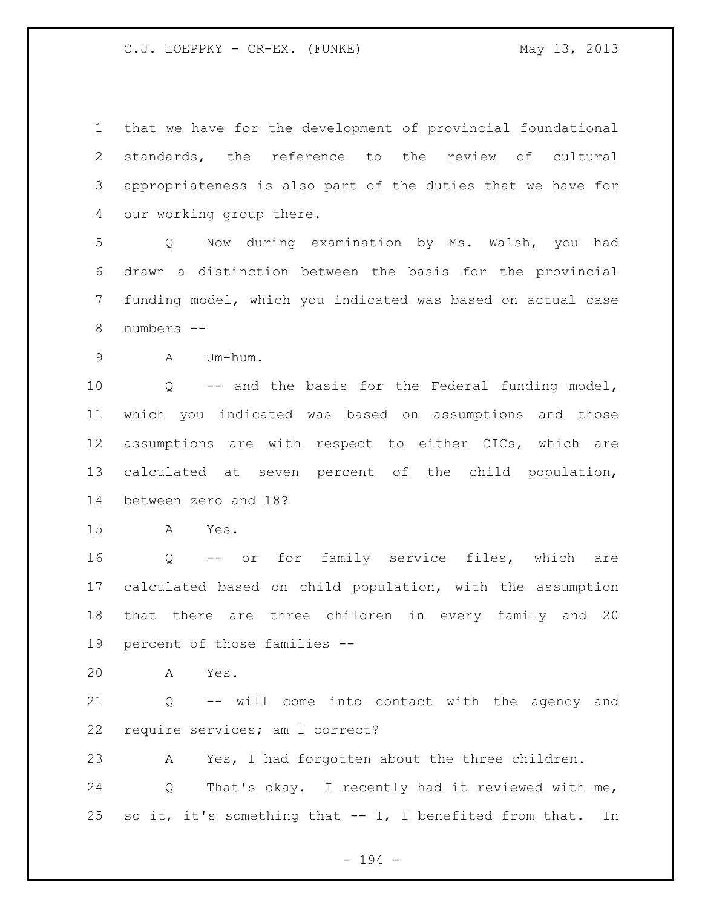that we have for the development of provincial foundational standards, the reference to the review of cultural appropriateness is also part of the duties that we have for our working group there.

 Q Now during examination by Ms. Walsh, you had drawn a distinction between the basis for the provincial funding model, which you indicated was based on actual case numbers --

A Um-hum.

 Q -- and the basis for the Federal funding model, which you indicated was based on assumptions and those assumptions are with respect to either CICs, which are calculated at seven percent of the child population, between zero and 18?

A Yes.

 Q -- or for family service files, which are calculated based on child population, with the assumption that there are three children in every family and 20 percent of those families --

A Yes.

 Q -- will come into contact with the agency and require services; am I correct?

A Yes, I had forgotten about the three children.

 Q That's okay. I recently had it reviewed with me, so it, it's something that -- I, I benefited from that. In

- 194 -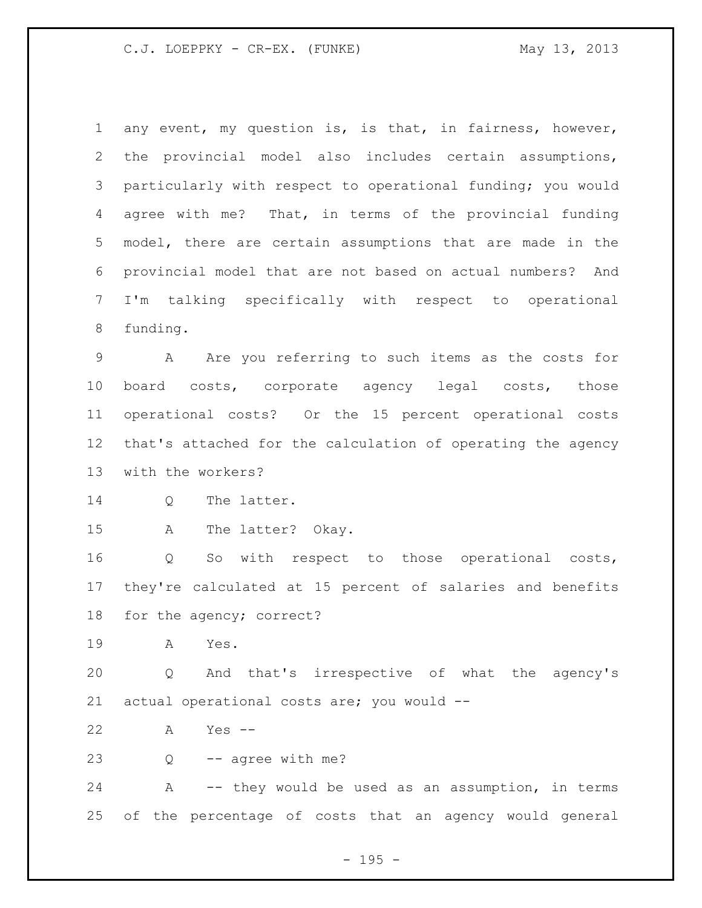any event, my question is, is that, in fairness, however, the provincial model also includes certain assumptions, particularly with respect to operational funding; you would agree with me? That, in terms of the provincial funding model, there are certain assumptions that are made in the provincial model that are not based on actual numbers? And I'm talking specifically with respect to operational funding.

 A Are you referring to such items as the costs for board costs, corporate agency legal costs, those operational costs? Or the 15 percent operational costs that's attached for the calculation of operating the agency with the workers?

Q The latter.

A The latter? Okay.

 Q So with respect to those operational costs, they're calculated at 15 percent of salaries and benefits for the agency; correct?

A Yes.

 Q And that's irrespective of what the agency's actual operational costs are; you would --

A Yes --

Q -- agree with me?

 A -- they would be used as an assumption, in terms of the percentage of costs that an agency would general

 $- 195 -$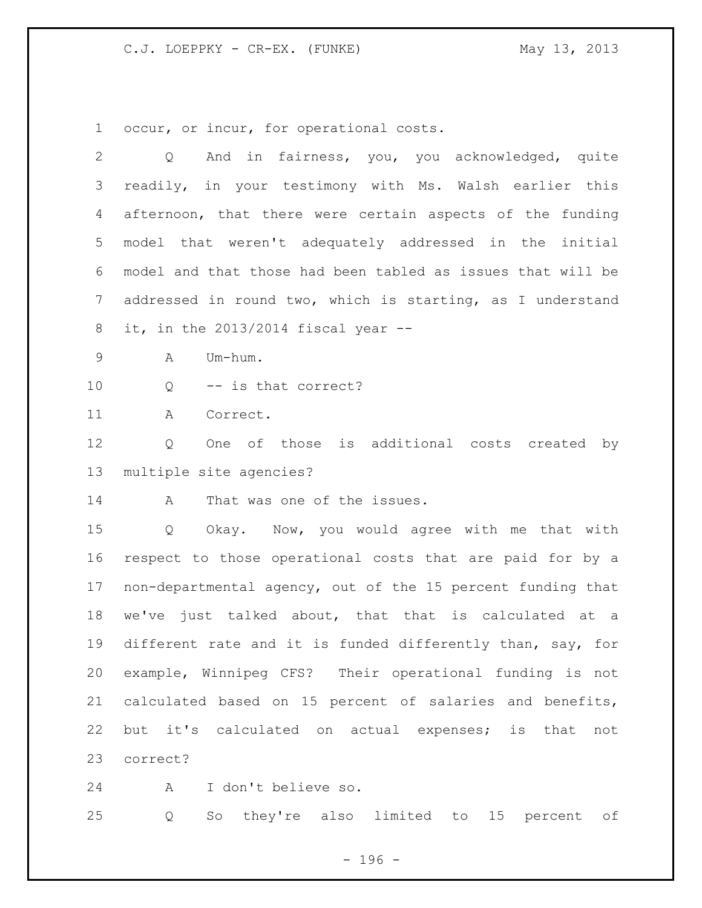occur, or incur, for operational costs.

| $\overline{2}$ | And in fairness, you, you acknowledged, quite<br>Q          |
|----------------|-------------------------------------------------------------|
| 3              | readily, in your testimony with Ms. Walsh earlier this      |
| 4              | afternoon, that there were certain aspects of the funding   |
| 5              | model that weren't adequately addressed in the initial      |
| 6              | model and that those had been tabled as issues that will be |
| 7              | addressed in round two, which is starting, as I understand  |
| 8              | it, in the $2013/2014$ fiscal year $-$                      |
| $\mathsf 9$    | Um-hum.<br>Α                                                |
| 10             | -- is that correct?<br>Q                                    |
| 11             | Correct.<br>A                                               |
| 12             | One of those is additional costs created by<br>Q            |
| 13             | multiple site agencies?                                     |
| 14             | That was one of the issues.<br>A                            |
| 15             | Okay. Now, you would agree with me that with<br>Q           |
| 16             | respect to those operational costs that are paid for by a   |
| 17             | non-departmental agency, out of the 15 percent funding that |
| 18             | we've just talked about, that that is calculated at a       |
| 19             | different rate and it is funded differently than, say, for  |
| 20             | example, Winnipeg CFS? Their operational funding is not     |
| 21             | calculated based on 15 percent of salaries and benefits,    |
| 22             | but it's calculated on actual expenses; is that<br>not      |
| 23             | correct?                                                    |

A I don't believe so.

Q So they're also limited to 15 percent of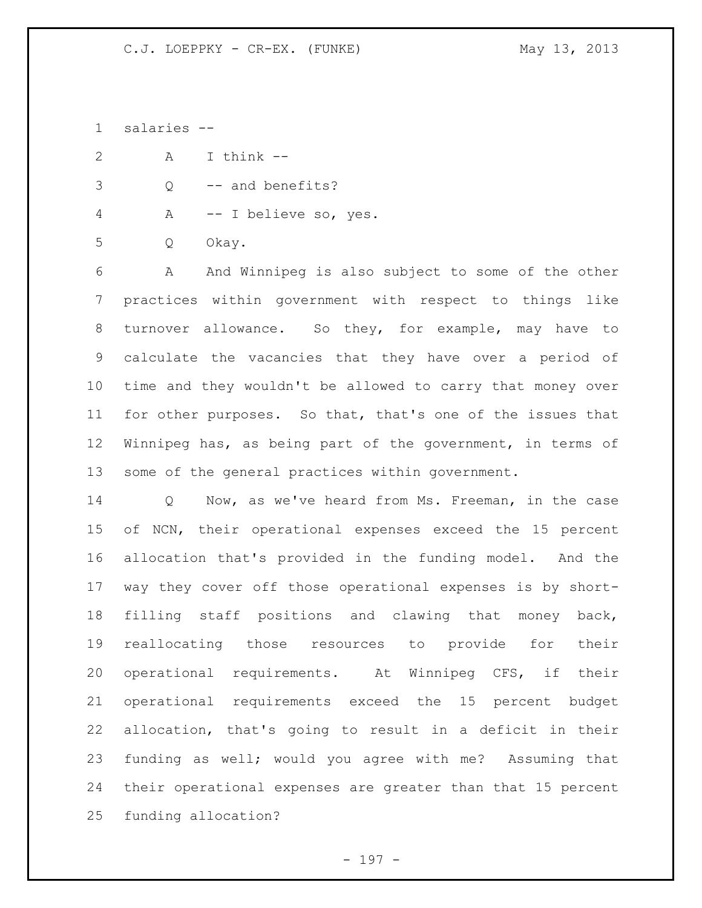salaries --

A I think --

Q -- and benefits?

A -- I believe so, yes.

Q Okay.

 A And Winnipeg is also subject to some of the other practices within government with respect to things like turnover allowance. So they, for example, may have to calculate the vacancies that they have over a period of time and they wouldn't be allowed to carry that money over for other purposes. So that, that's one of the issues that Winnipeg has, as being part of the government, in terms of some of the general practices within government.

 Q Now, as we've heard from Ms. Freeman, in the case of NCN, their operational expenses exceed the 15 percent allocation that's provided in the funding model. And the way they cover off those operational expenses is by short- filling staff positions and clawing that money back, reallocating those resources to provide for their operational requirements. At Winnipeg CFS, if their operational requirements exceed the 15 percent budget allocation, that's going to result in a deficit in their funding as well; would you agree with me? Assuming that their operational expenses are greater than that 15 percent funding allocation?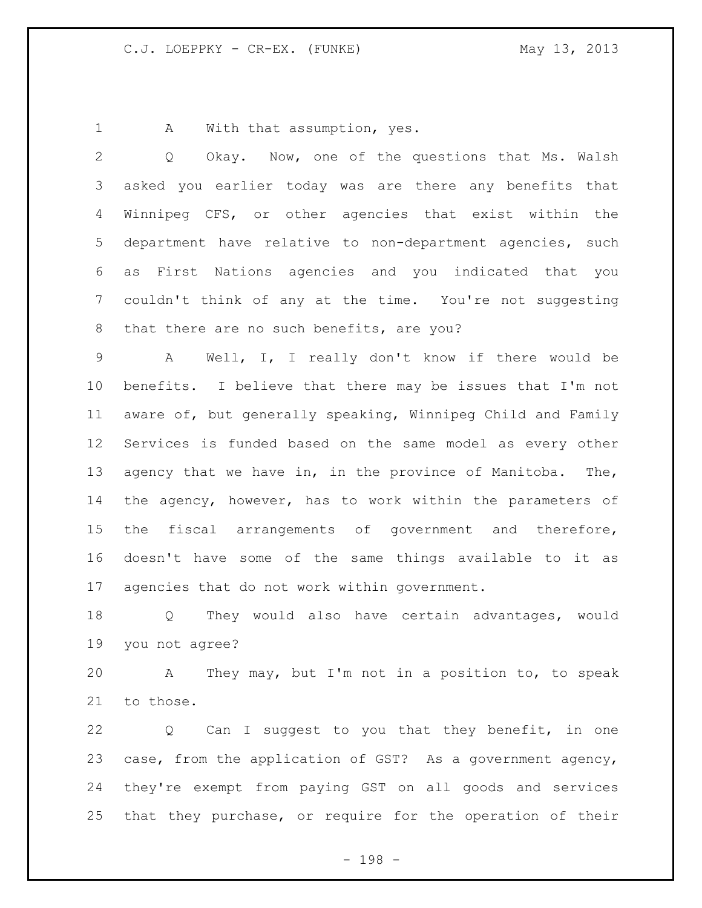1 A With that assumption, yes.

 Q Okay. Now, one of the questions that Ms. Walsh asked you earlier today was are there any benefits that Winnipeg CFS, or other agencies that exist within the department have relative to non-department agencies, such as First Nations agencies and you indicated that you couldn't think of any at the time. You're not suggesting 8 that there are no such benefits, are you? A Well, I, I really don't know if there would be benefits. I believe that there may be issues that I'm not aware of, but generally speaking, Winnipeg Child and Family Services is funded based on the same model as every other agency that we have in, in the province of Manitoba. The, the agency, however, has to work within the parameters of the fiscal arrangements of government and therefore, doesn't have some of the same things available to it as agencies that do not work within government.

 Q They would also have certain advantages, would you not agree?

 A They may, but I'm not in a position to, to speak to those.

 Q Can I suggest to you that they benefit, in one case, from the application of GST? As a government agency, they're exempt from paying GST on all goods and services that they purchase, or require for the operation of their

- 198 -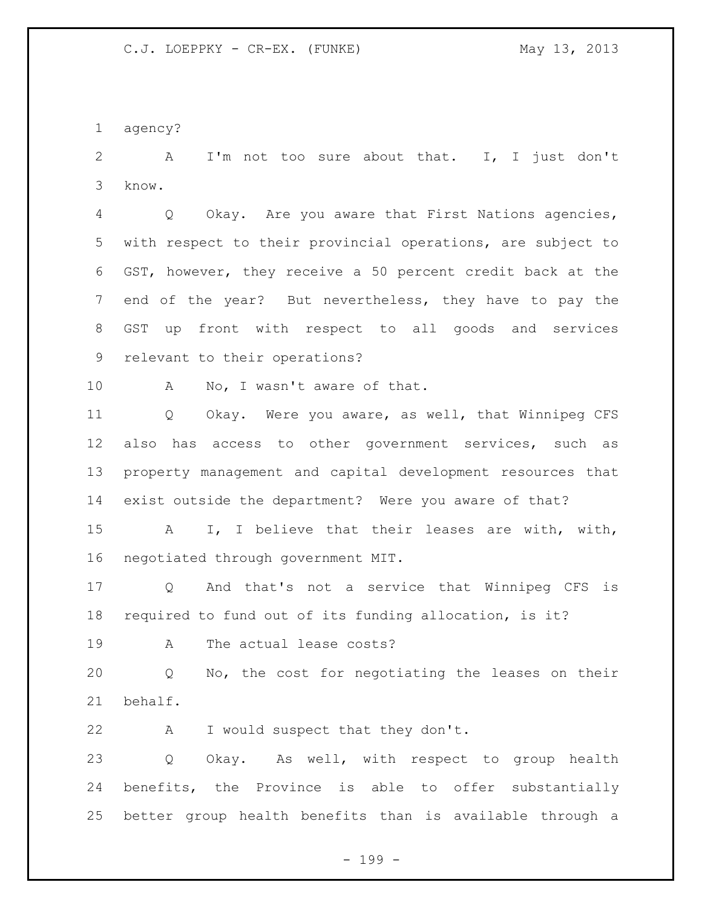agency?

 A I'm not too sure about that. I, I just don't know.

 Q Okay. Are you aware that First Nations agencies, with respect to their provincial operations, are subject to GST, however, they receive a 50 percent credit back at the end of the year? But nevertheless, they have to pay the GST up front with respect to all goods and services relevant to their operations?

10 A No, I wasn't aware of that.

 Q Okay. Were you aware, as well, that Winnipeg CFS also has access to other government services, such as property management and capital development resources that exist outside the department? Were you aware of that?

 A I, I believe that their leases are with, with, negotiated through government MIT.

 Q And that's not a service that Winnipeg CFS is required to fund out of its funding allocation, is it?

A The actual lease costs?

 Q No, the cost for negotiating the leases on their behalf.

22 A I would suspect that they don't.

 Q Okay. As well, with respect to group health benefits, the Province is able to offer substantially better group health benefits than is available through a

- 199 -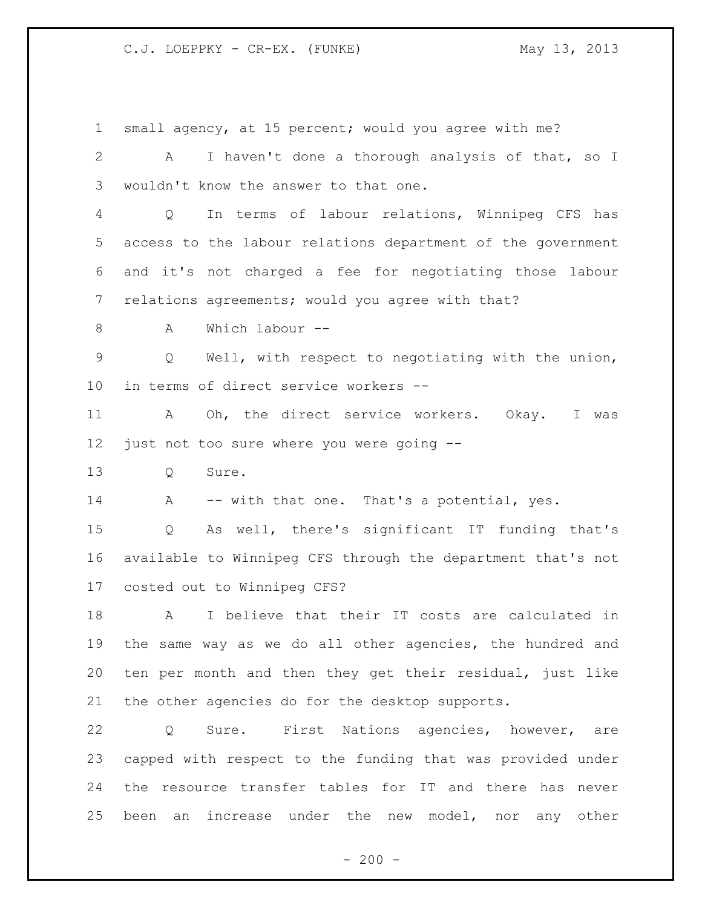small agency, at 15 percent; would you agree with me? A I haven't done a thorough analysis of that, so I wouldn't know the answer to that one. Q In terms of labour relations, Winnipeg CFS has access to the labour relations department of the government and it's not charged a fee for negotiating those labour relations agreements; would you agree with that? A Which labour -- Q Well, with respect to negotiating with the union, in terms of direct service workers -- A Oh, the direct service workers. Okay. I was just not too sure where you were going -- 13 0 Sure. 14 A -- with that one. That's a potential, yes. Q As well, there's significant IT funding that's available to Winnipeg CFS through the department that's not costed out to Winnipeg CFS? A I believe that their IT costs are calculated in the same way as we do all other agencies, the hundred and ten per month and then they get their residual, just like the other agencies do for the desktop supports. Q Sure. First Nations agencies, however, are capped with respect to the funding that was provided under the resource transfer tables for IT and there has never been an increase under the new model, nor any other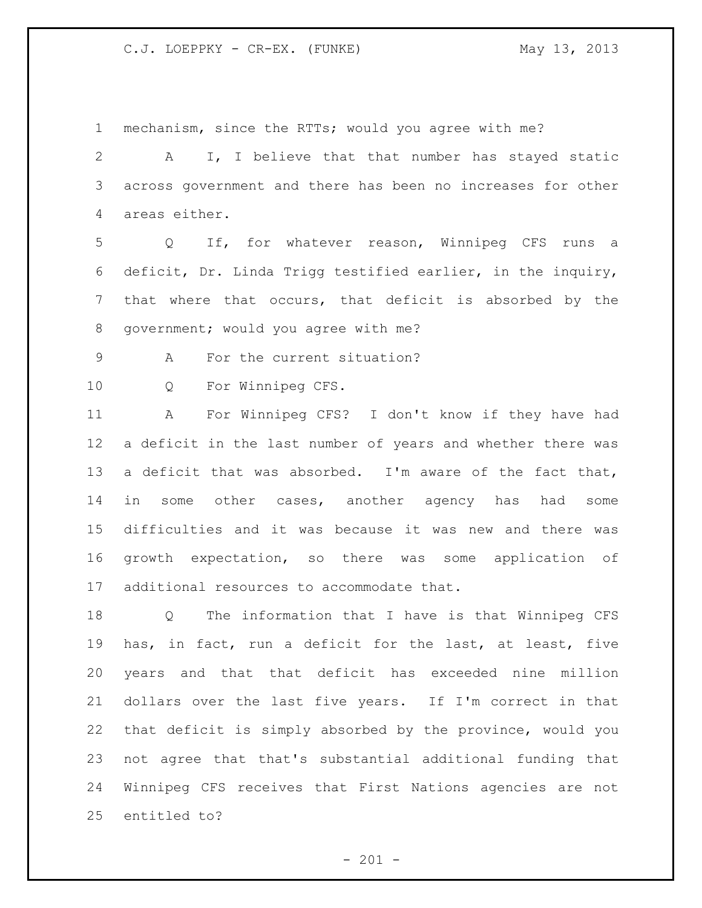mechanism, since the RTTs; would you agree with me?

 A I, I believe that that number has stayed static across government and there has been no increases for other areas either.

 Q If, for whatever reason, Winnipeg CFS runs a deficit, Dr. Linda Trigg testified earlier, in the inquiry, that where that occurs, that deficit is absorbed by the government; would you agree with me?

A For the current situation?

Q For Winnipeg CFS.

 A For Winnipeg CFS? I don't know if they have had a deficit in the last number of years and whether there was a deficit that was absorbed. I'm aware of the fact that, in some other cases, another agency has had some difficulties and it was because it was new and there was growth expectation, so there was some application of additional resources to accommodate that.

 Q The information that I have is that Winnipeg CFS has, in fact, run a deficit for the last, at least, five years and that that deficit has exceeded nine million dollars over the last five years. If I'm correct in that that deficit is simply absorbed by the province, would you not agree that that's substantial additional funding that Winnipeg CFS receives that First Nations agencies are not entitled to?

 $- 201 -$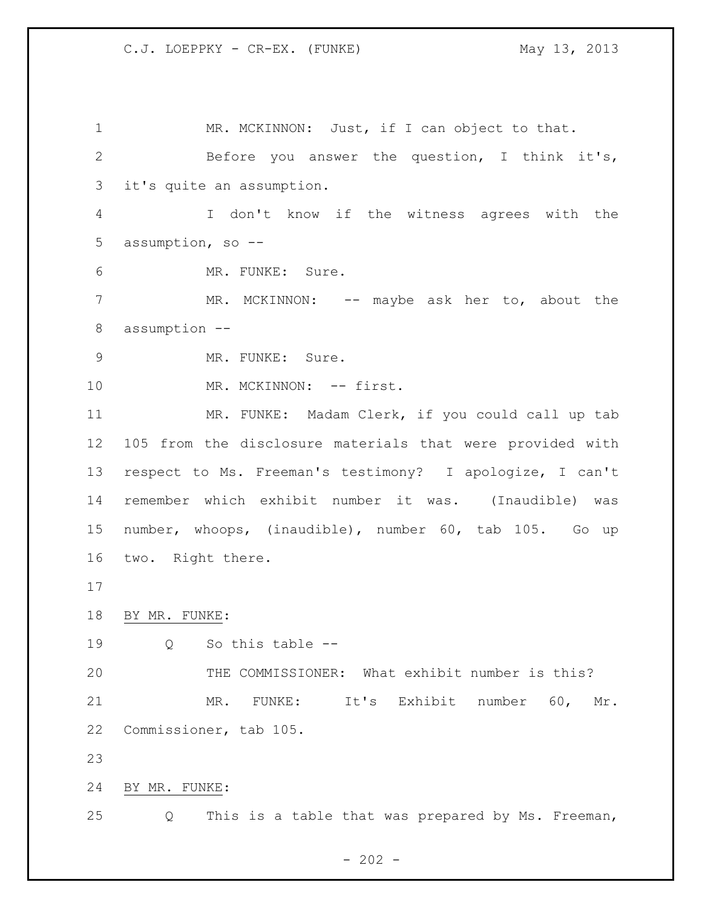1 MR. MCKINNON: Just, if I can object to that. Before you answer the question, I think it's, it's quite an assumption. I don't know if the witness agrees with the assumption, so -- MR. FUNKE: Sure. 7 MR. MCKINNON: -- maybe ask her to, about the assumption -- 9 MR. FUNKE: Sure. 10 MR. MCKINNON: -- first. MR. FUNKE: Madam Clerk, if you could call up tab 105 from the disclosure materials that were provided with respect to Ms. Freeman's testimony? I apologize, I can't remember which exhibit number it was. (Inaudible) was number, whoops, (inaudible), number 60, tab 105. Go up two. Right there. BY MR. FUNKE: Q So this table -- THE COMMISSIONER: What exhibit number is this? MR. FUNKE: It's Exhibit number 60, Mr. Commissioner, tab 105. BY MR. FUNKE: Q This is a table that was prepared by Ms. Freeman,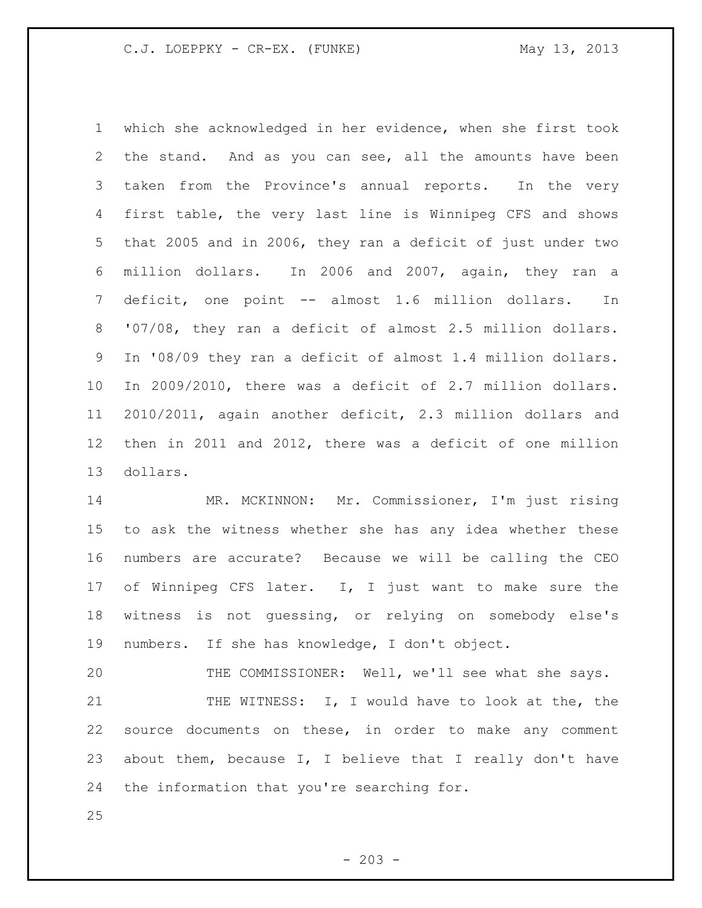which she acknowledged in her evidence, when she first took the stand. And as you can see, all the amounts have been taken from the Province's annual reports. In the very first table, the very last line is Winnipeg CFS and shows that 2005 and in 2006, they ran a deficit of just under two million dollars. In 2006 and 2007, again, they ran a deficit, one point -- almost 1.6 million dollars. In '07/08, they ran a deficit of almost 2.5 million dollars. In '08/09 they ran a deficit of almost 1.4 million dollars. In 2009/2010, there was a deficit of 2.7 million dollars. 2010/2011, again another deficit, 2.3 million dollars and then in 2011 and 2012, there was a deficit of one million dollars.

 MR. MCKINNON: Mr. Commissioner, I'm just rising to ask the witness whether she has any idea whether these numbers are accurate? Because we will be calling the CEO 17 of Winnipeg CFS later. I, I just want to make sure the witness is not guessing, or relying on somebody else's numbers. If she has knowledge, I don't object.

 THE COMMISSIONER: Well, we'll see what she says. 21 THE WITNESS: I, I would have to look at the, the source documents on these, in order to make any comment about them, because I, I believe that I really don't have the information that you're searching for.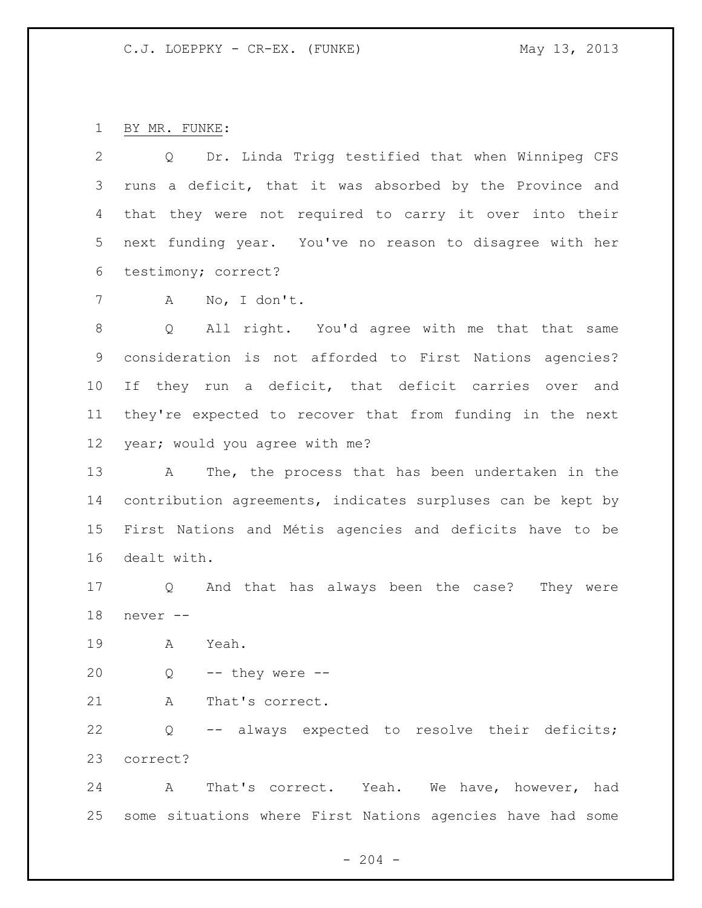BY MR. FUNKE:

 Q Dr. Linda Trigg testified that when Winnipeg CFS runs a deficit, that it was absorbed by the Province and that they were not required to carry it over into their next funding year. You've no reason to disagree with her testimony; correct?

A No, I don't.

 Q All right. You'd agree with me that that same consideration is not afforded to First Nations agencies? If they run a deficit, that deficit carries over and they're expected to recover that from funding in the next year; would you agree with me?

 A The, the process that has been undertaken in the contribution agreements, indicates surpluses can be kept by First Nations and Métis agencies and deficits have to be dealt with.

 Q And that has always been the case? They were never --

A Yeah.

Q  $-$  they were  $-$ 

21 A That's correct.

 Q -- always expected to resolve their deficits; correct?

 A That's correct. Yeah. We have, however, had some situations where First Nations agencies have had some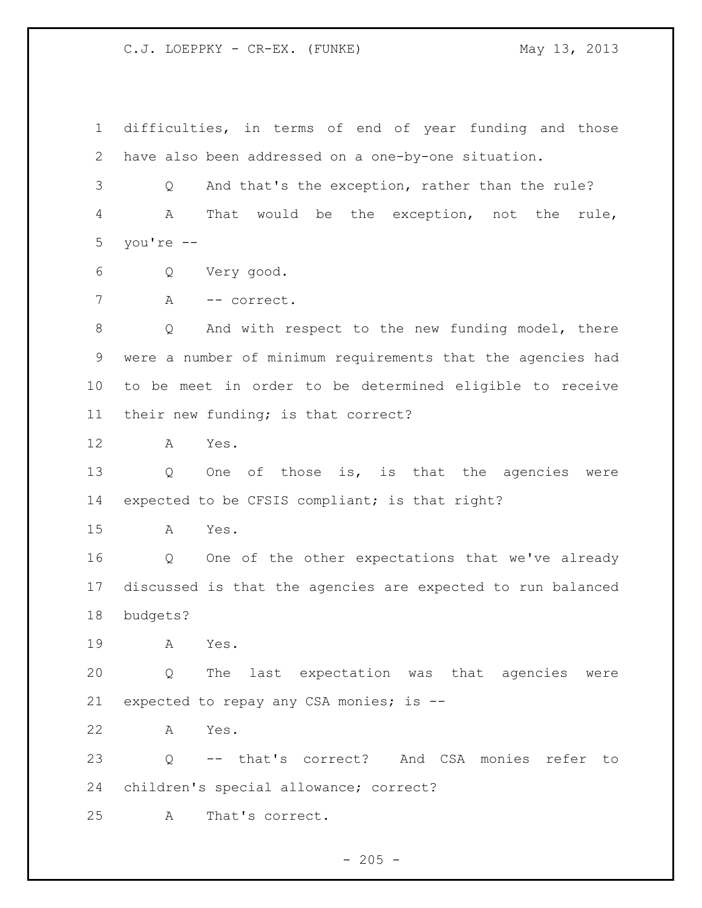difficulties, in terms of end of year funding and those have also been addressed on a one-by-one situation.

 Q And that's the exception, rather than the rule? A That would be the exception, not the rule, you're --

- Q Very good.
- A -- correct.

 Q And with respect to the new funding model, there were a number of minimum requirements that the agencies had to be meet in order to be determined eligible to receive their new funding; is that correct?

A Yes.

 Q One of those is, is that the agencies were expected to be CFSIS compliant; is that right?

A Yes.

 Q One of the other expectations that we've already discussed is that the agencies are expected to run balanced budgets?

A Yes.

 Q The last expectation was that agencies were expected to repay any CSA monies; is --

A Yes.

 Q -- that's correct? And CSA monies refer to children's special allowance; correct?

A That's correct.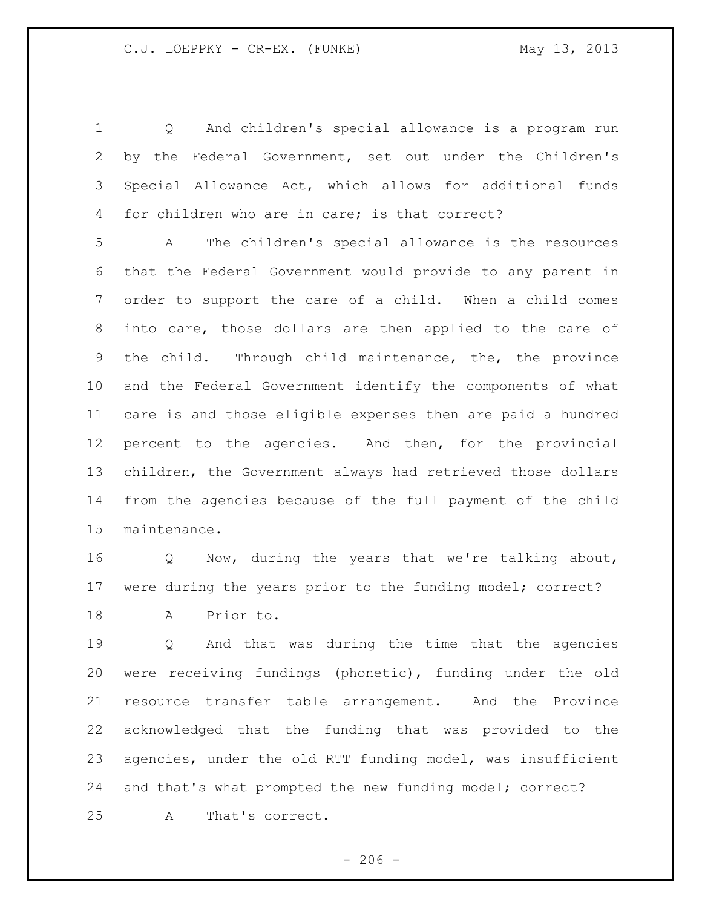Q And children's special allowance is a program run by the Federal Government, set out under the Children's Special Allowance Act, which allows for additional funds for children who are in care; is that correct?

 A The children's special allowance is the resources that the Federal Government would provide to any parent in order to support the care of a child. When a child comes into care, those dollars are then applied to the care of the child. Through child maintenance, the, the province and the Federal Government identify the components of what care is and those eligible expenses then are paid a hundred percent to the agencies. And then, for the provincial children, the Government always had retrieved those dollars from the agencies because of the full payment of the child maintenance.

 Q Now, during the years that we're talking about, were during the years prior to the funding model; correct?

A Prior to.

 Q And that was during the time that the agencies were receiving fundings (phonetic), funding under the old resource transfer table arrangement. And the Province acknowledged that the funding that was provided to the agencies, under the old RTT funding model, was insufficient and that's what prompted the new funding model; correct? A That's correct.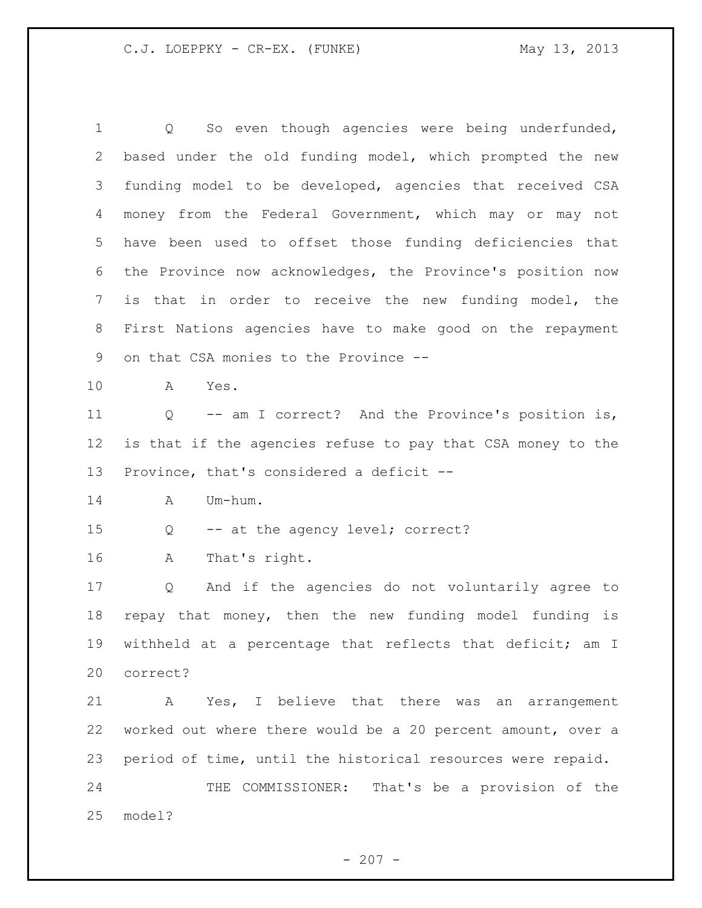Q So even though agencies were being underfunded, based under the old funding model, which prompted the new funding model to be developed, agencies that received CSA money from the Federal Government, which may or may not have been used to offset those funding deficiencies that the Province now acknowledges, the Province's position now is that in order to receive the new funding model, the First Nations agencies have to make good on the repayment on that CSA monies to the Province -- A Yes. Q -- am I correct? And the Province's position is, is that if the agencies refuse to pay that CSA money to the Province, that's considered a deficit -- A Um-hum. Q -- at the agency level; correct? A That's right. Q And if the agencies do not voluntarily agree to repay that money, then the new funding model funding is withheld at a percentage that reflects that deficit; am I correct? A Yes, I believe that there was an arrangement worked out where there would be a 20 percent amount, over a period of time, until the historical resources were repaid. THE COMMISSIONER: That's be a provision of the model?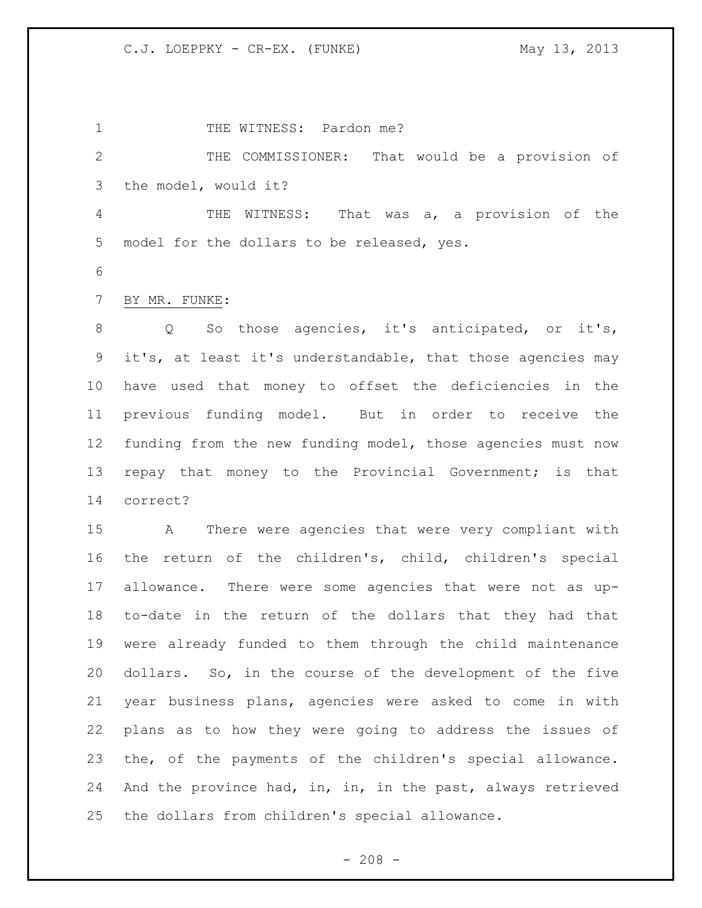1 THE WITNESS: Pardon me? THE COMMISSIONER: That would be a provision of the model, would it? THE WITNESS: That was a, a provision of the model for the dollars to be released, yes. BY MR. FUNKE: Q So those agencies, it's anticipated, or it's, it's, at least it's understandable, that those agencies may have used that money to offset the deficiencies in the previous funding model. But in order to receive the funding from the new funding model, those agencies must now repay that money to the Provincial Government; is that correct? A There were agencies that were very compliant with the return of the children's, child, children's special allowance. There were some agencies that were not as up- to-date in the return of the dollars that they had that were already funded to them through the child maintenance dollars. So, in the course of the development of the five year business plans, agencies were asked to come in with plans as to how they were going to address the issues of the, of the payments of the children's special allowance. 24 And the province had, in, in, in the past, always retrieved the dollars from children's special allowance.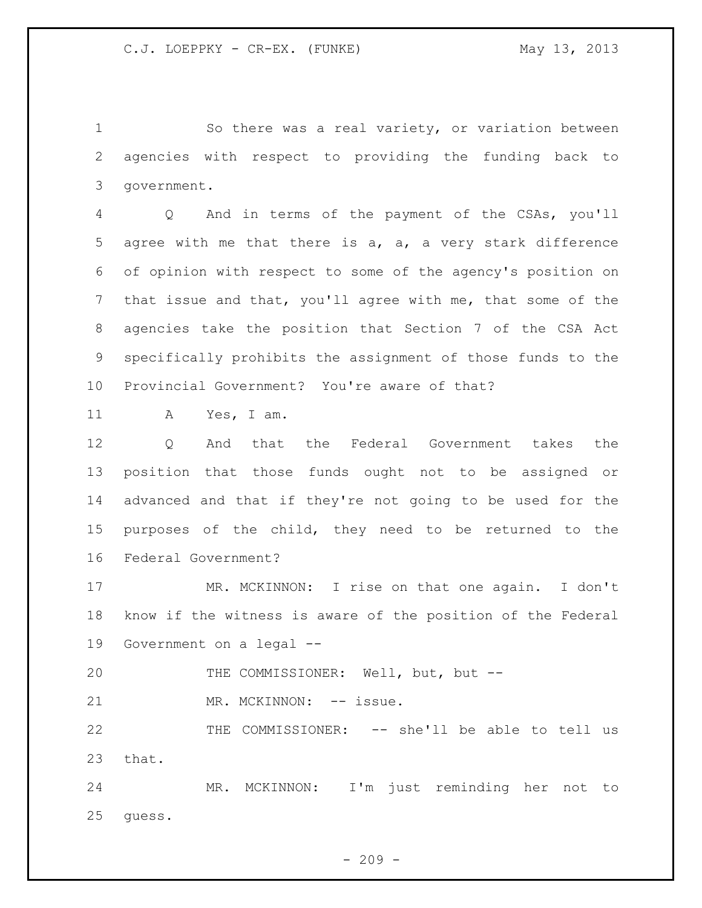So there was a real variety, or variation between agencies with respect to providing the funding back to government.

 Q And in terms of the payment of the CSAs, you'll agree with me that there is a, a, a very stark difference of opinion with respect to some of the agency's position on that issue and that, you'll agree with me, that some of the agencies take the position that Section 7 of the CSA Act specifically prohibits the assignment of those funds to the Provincial Government? You're aware of that?

A Yes, I am.

 Q And that the Federal Government takes the position that those funds ought not to be assigned or advanced and that if they're not going to be used for the purposes of the child, they need to be returned to the Federal Government?

 MR. MCKINNON: I rise on that one again. I don't know if the witness is aware of the position of the Federal Government on a legal --

20 THE COMMISSIONER: Well, but, but --21 MR. MCKINNON: -- issue.

 THE COMMISSIONER: -- she'll be able to tell us that.

 MR. MCKINNON: I'm just reminding her not to guess.

 $-209 -$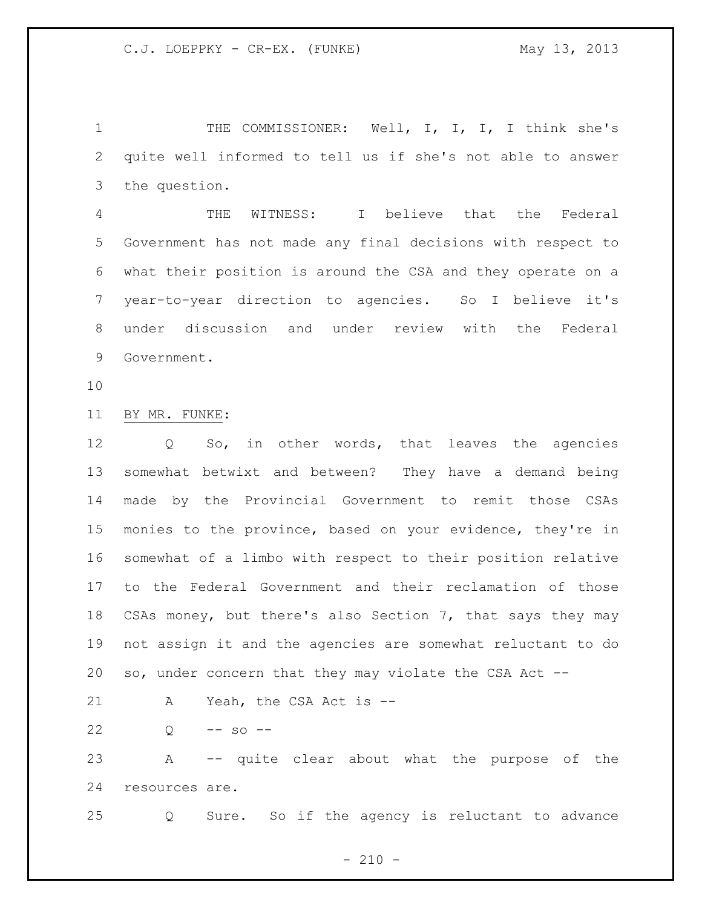1 THE COMMISSIONER: Well, I, I, I, I think she's quite well informed to tell us if she's not able to answer the question.

 THE WITNESS: I believe that the Federal Government has not made any final decisions with respect to what their position is around the CSA and they operate on a year-to-year direction to agencies. So I believe it's under discussion and under review with the Federal Government.

BY MR. FUNKE:

 Q So, in other words, that leaves the agencies somewhat betwixt and between? They have a demand being made by the Provincial Government to remit those CSAs monies to the province, based on your evidence, they're in somewhat of a limbo with respect to their position relative to the Federal Government and their reclamation of those CSAs money, but there's also Section 7, that says they may not assign it and the agencies are somewhat reluctant to do so, under concern that they may violate the CSA Act --

A Yeah, the CSA Act is --

22  $Q = -50$  -

 A -- quite clear about what the purpose of the resources are.

Q Sure. So if the agency is reluctant to advance

 $- 210 -$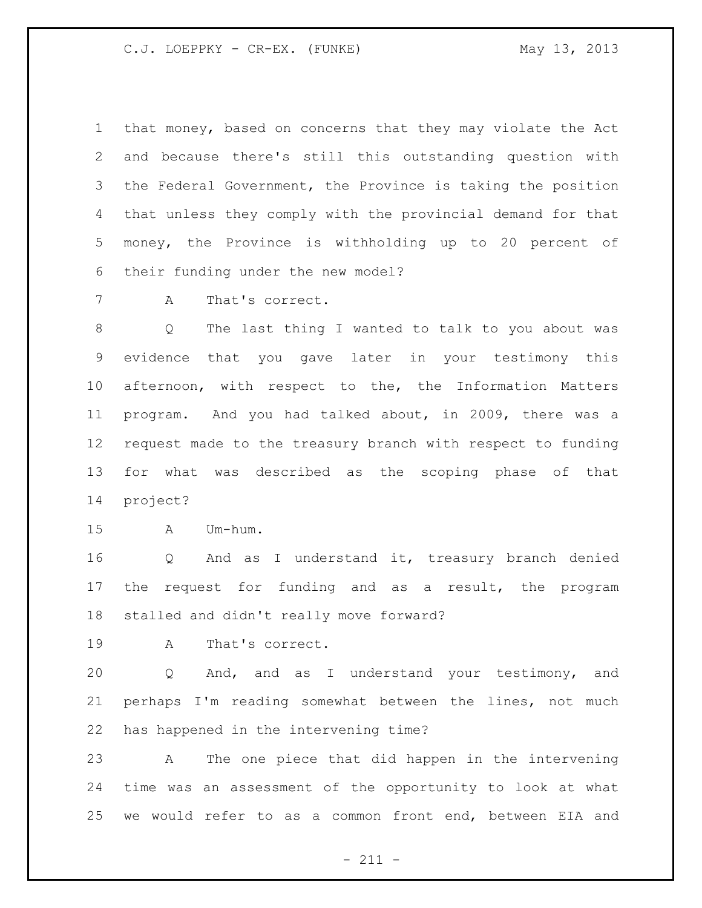that money, based on concerns that they may violate the Act and because there's still this outstanding question with the Federal Government, the Province is taking the position that unless they comply with the provincial demand for that money, the Province is withholding up to 20 percent of their funding under the new model?

A That's correct.

 Q The last thing I wanted to talk to you about was evidence that you gave later in your testimony this afternoon, with respect to the, the Information Matters program. And you had talked about, in 2009, there was a request made to the treasury branch with respect to funding for what was described as the scoping phase of that project?

A Um-hum.

 Q And as I understand it, treasury branch denied the request for funding and as a result, the program stalled and didn't really move forward?

A That's correct.

 Q And, and as I understand your testimony, and perhaps I'm reading somewhat between the lines, not much has happened in the intervening time?

 A The one piece that did happen in the intervening time was an assessment of the opportunity to look at what we would refer to as a common front end, between EIA and

- 211 -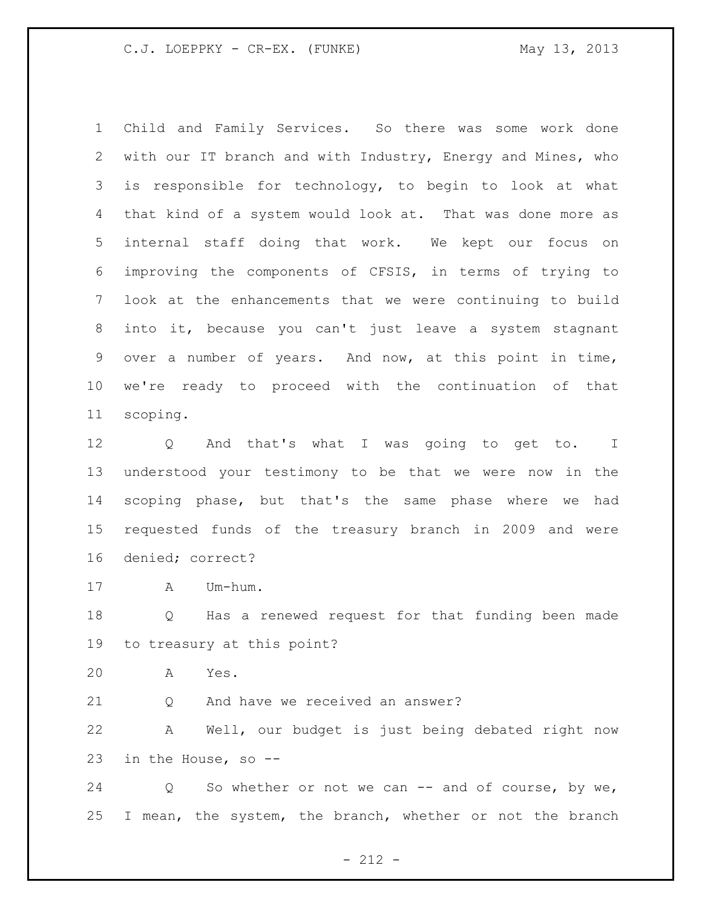Child and Family Services. So there was some work done with our IT branch and with Industry, Energy and Mines, who is responsible for technology, to begin to look at what that kind of a system would look at. That was done more as internal staff doing that work. We kept our focus on improving the components of CFSIS, in terms of trying to look at the enhancements that we were continuing to build into it, because you can't just leave a system stagnant over a number of years. And now, at this point in time, we're ready to proceed with the continuation of that scoping.

 Q And that's what I was going to get to. I understood your testimony to be that we were now in the scoping phase, but that's the same phase where we had requested funds of the treasury branch in 2009 and were denied; correct?

A Um-hum.

 Q Has a renewed request for that funding been made to treasury at this point?

A Yes.

Q And have we received an answer?

 A Well, our budget is just being debated right now in the House, so --

24 Q So whether or not we can -- and of course, by we, I mean, the system, the branch, whether or not the branch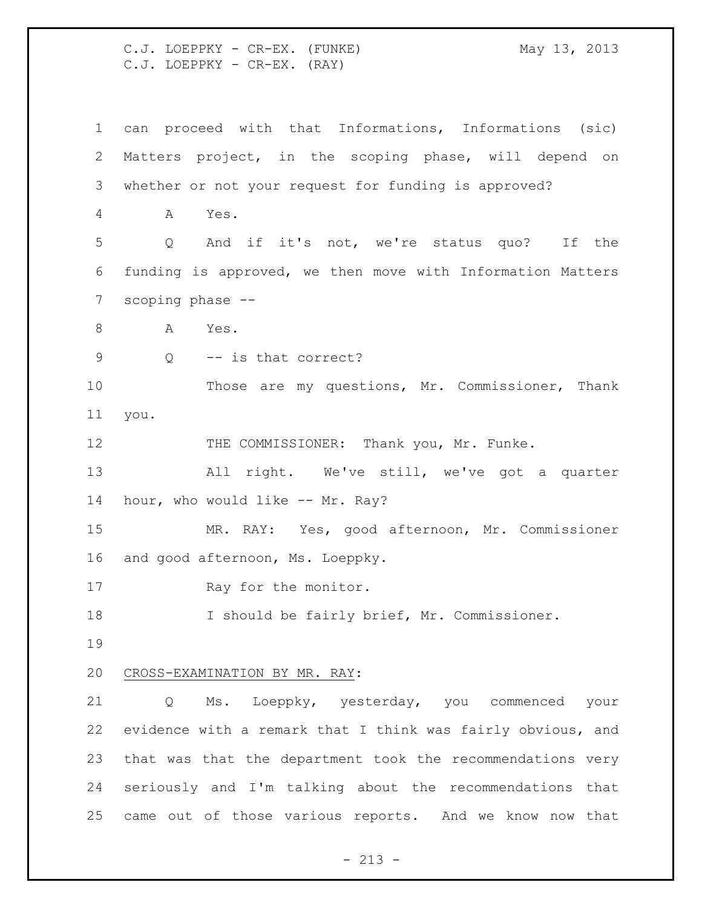C.J. LOEPPKY - CR-EX. (FUNKE) May 13, 2013 C.J. LOEPPKY - CR-EX. (RAY)

 can proceed with that Informations, Informations (sic) Matters project, in the scoping phase, will depend on whether or not your request for funding is approved? A Yes. Q And if it's not, we're status quo? If the funding is approved, we then move with Information Matters scoping phase -- 8 A Yes. Q -- is that correct? Those are my questions, Mr. Commissioner, Thank you. 12 THE COMMISSIONER: Thank you, Mr. Funke. All right. We've still, we've got a quarter hour, who would like -- Mr. Ray? MR. RAY: Yes, good afternoon, Mr. Commissioner and good afternoon, Ms. Loeppky. 17 Ray for the monitor. I should be fairly brief, Mr. Commissioner. CROSS-EXAMINATION BY MR. RAY: Q Ms. Loeppky, yesterday, you commenced your evidence with a remark that I think was fairly obvious, and that was that the department took the recommendations very seriously and I'm talking about the recommendations that came out of those various reports. And we know now that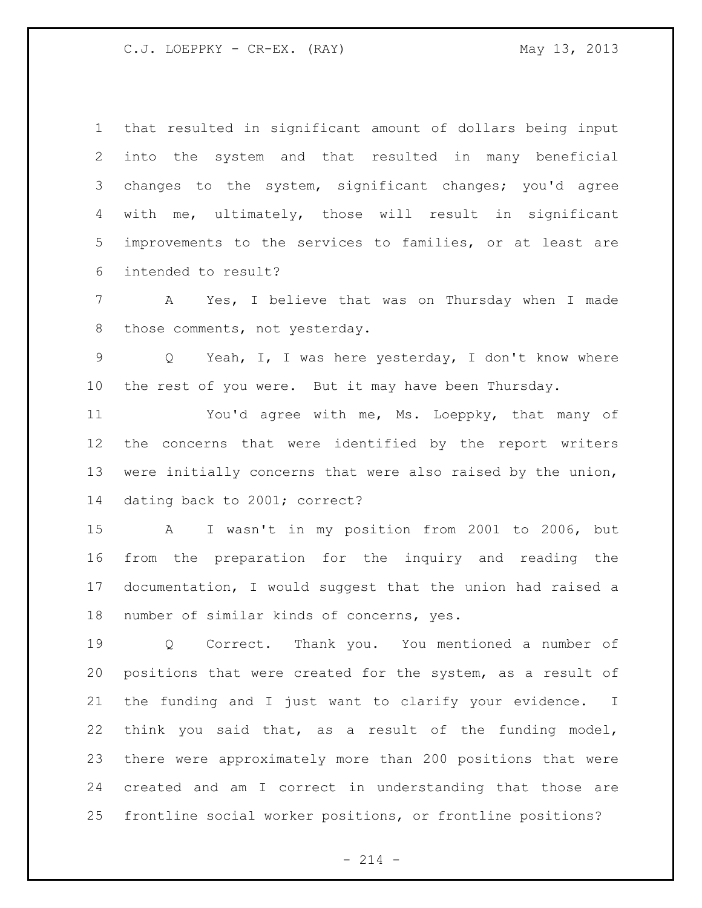C.J. LOEPPKY - CR-EX. (RAY) May 13, 2013

 that resulted in significant amount of dollars being input into the system and that resulted in many beneficial changes to the system, significant changes; you'd agree with me, ultimately, those will result in significant improvements to the services to families, or at least are intended to result?

 A Yes, I believe that was on Thursday when I made 8 those comments, not yesterday.

 Q Yeah, I, I was here yesterday, I don't know where the rest of you were. But it may have been Thursday.

 You'd agree with me, Ms. Loeppky, that many of the concerns that were identified by the report writers were initially concerns that were also raised by the union, dating back to 2001; correct?

 A I wasn't in my position from 2001 to 2006, but from the preparation for the inquiry and reading the documentation, I would suggest that the union had raised a number of similar kinds of concerns, yes.

 Q Correct. Thank you. You mentioned a number of positions that were created for the system, as a result of the funding and I just want to clarify your evidence. I think you said that, as a result of the funding model, there were approximately more than 200 positions that were created and am I correct in understanding that those are frontline social worker positions, or frontline positions?

 $- 214 -$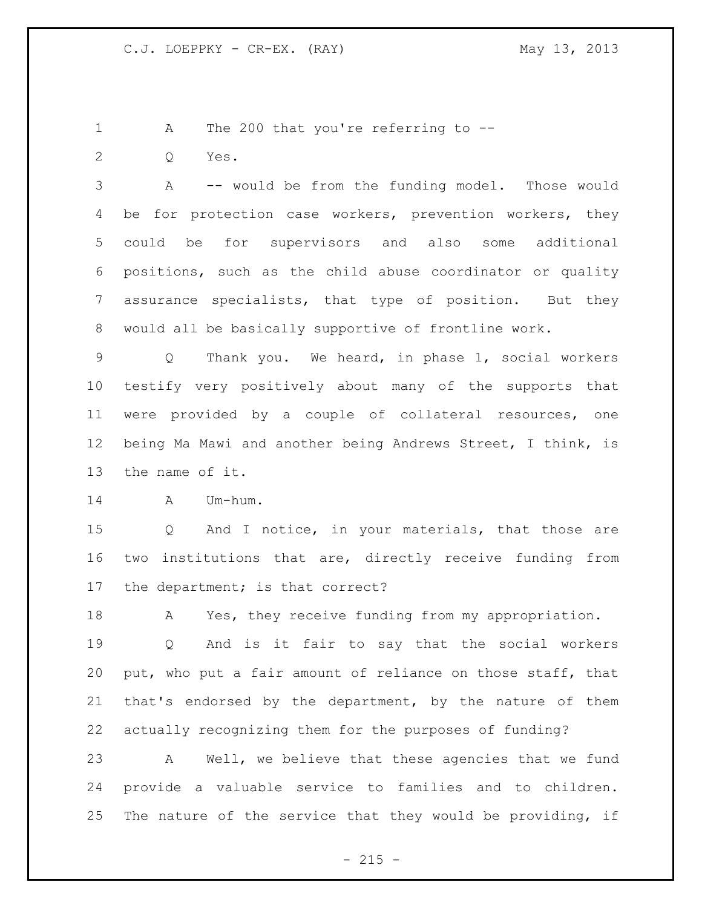```
1 A The 200 that you're referring to --
```
Q Yes.

 A -- would be from the funding model. Those would 4 be for protection case workers, prevention workers, they could be for supervisors and also some additional positions, such as the child abuse coordinator or quality assurance specialists, that type of position. But they would all be basically supportive of frontline work.

 Q Thank you. We heard, in phase 1, social workers testify very positively about many of the supports that were provided by a couple of collateral resources, one being Ma Mawi and another being Andrews Street, I think, is the name of it.

A Um-hum.

 Q And I notice, in your materials, that those are two institutions that are, directly receive funding from the department; is that correct?

A Yes, they receive funding from my appropriation.

 Q And is it fair to say that the social workers put, who put a fair amount of reliance on those staff, that that's endorsed by the department, by the nature of them actually recognizing them for the purposes of funding?

 A Well, we believe that these agencies that we fund provide a valuable service to families and to children. The nature of the service that they would be providing, if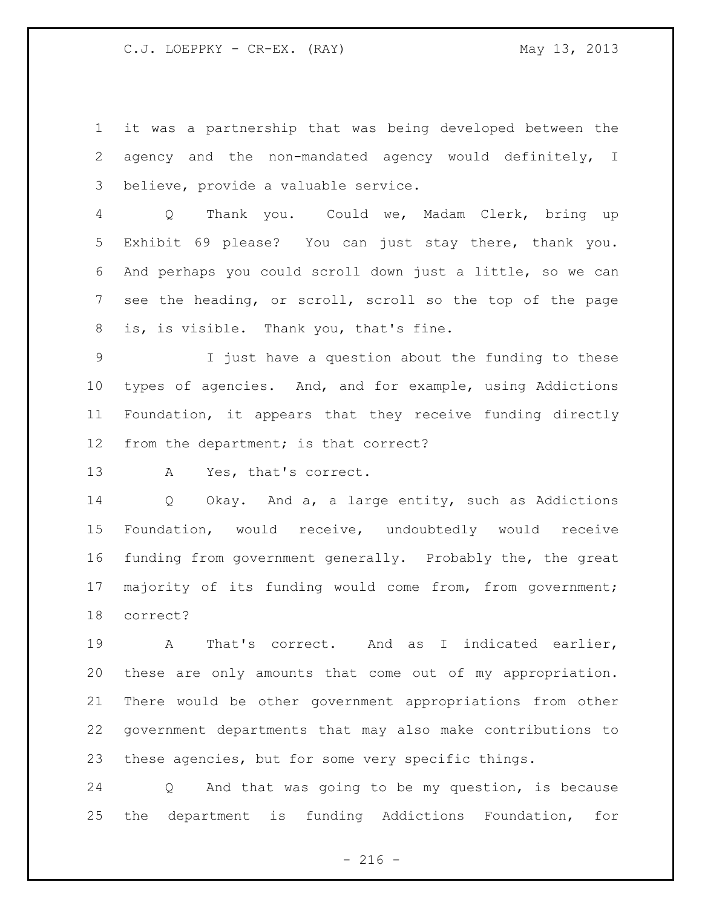it was a partnership that was being developed between the agency and the non-mandated agency would definitely, I believe, provide a valuable service.

 Q Thank you. Could we, Madam Clerk, bring up Exhibit 69 please? You can just stay there, thank you. And perhaps you could scroll down just a little, so we can see the heading, or scroll, scroll so the top of the page is, is visible. Thank you, that's fine.

 I just have a question about the funding to these types of agencies. And, and for example, using Addictions Foundation, it appears that they receive funding directly from the department; is that correct?

A Yes, that's correct.

 Q Okay. And a, a large entity, such as Addictions Foundation, would receive, undoubtedly would receive funding from government generally. Probably the, the great 17 majority of its funding would come from, from government; correct?

 A That's correct. And as I indicated earlier, these are only amounts that come out of my appropriation. There would be other government appropriations from other government departments that may also make contributions to these agencies, but for some very specific things.

 Q And that was going to be my question, is because the department is funding Addictions Foundation, for

 $- 216 -$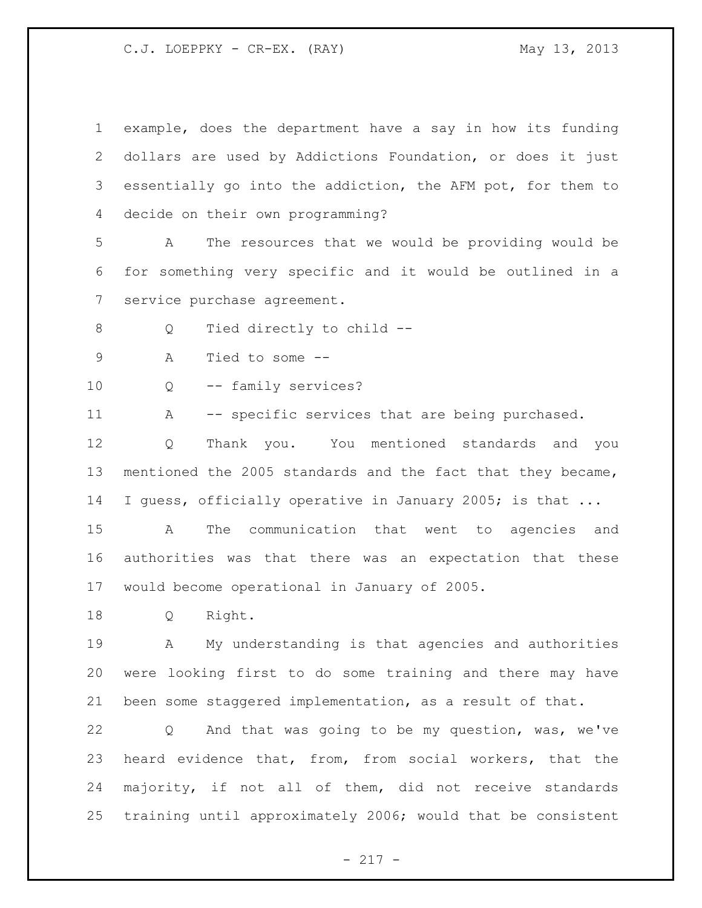C.J. LOEPPKY - CR-EX. (RAY) May 13, 2013

 example, does the department have a say in how its funding dollars are used by Addictions Foundation, or does it just essentially go into the addiction, the AFM pot, for them to decide on their own programming? A The resources that we would be providing would be for something very specific and it would be outlined in a service purchase agreement. 8 Q Tied directly to child -- A Tied to some -- Q -- family services? 11 A -- specific services that are being purchased. Q Thank you. You mentioned standards and you mentioned the 2005 standards and the fact that they became, 14 I guess, officially operative in January 2005; is that ... A The communication that went to agencies and authorities was that there was an expectation that these would become operational in January of 2005. Q Right. A My understanding is that agencies and authorities were looking first to do some training and there may have been some staggered implementation, as a result of that. Q And that was going to be my question, was, we've heard evidence that, from, from social workers, that the majority, if not all of them, did not receive standards training until approximately 2006; would that be consistent

## - 217 -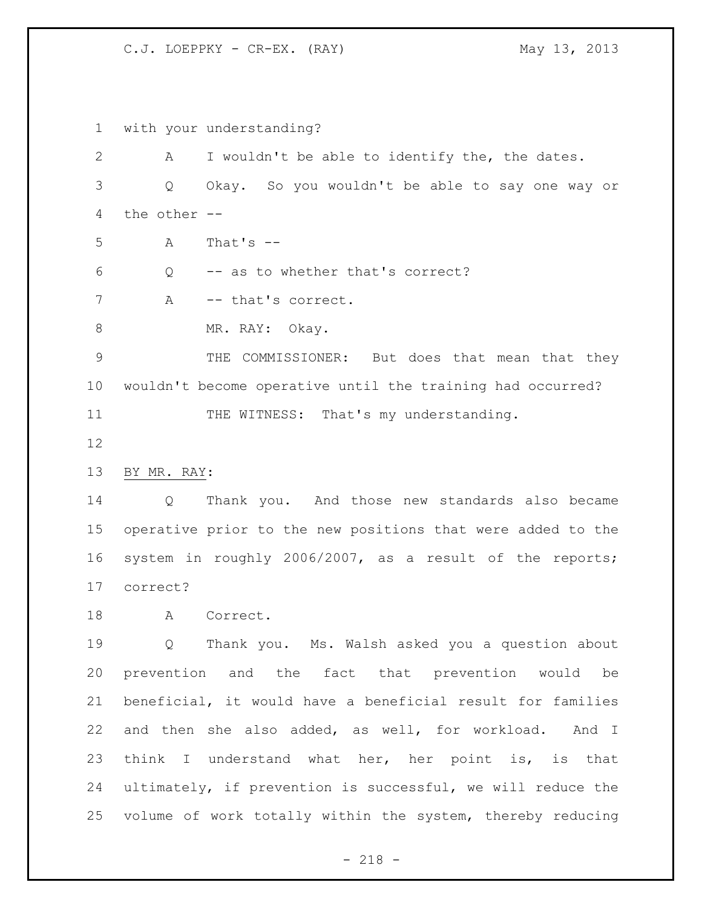C.J. LOEPPKY - CR-EX. (RAY) May 13, 2013

 with your understanding? A I wouldn't be able to identify the, the dates. Q Okay. So you wouldn't be able to say one way or the other -- A That's  $-$  Q -- as to whether that's correct? 7 A -- that's correct. 8 MR. RAY: Okay. THE COMMISSIONER: But does that mean that they wouldn't become operative until the training had occurred? 11 THE WITNESS: That's my understanding. BY MR. RAY: Q Thank you. And those new standards also became operative prior to the new positions that were added to the system in roughly 2006/2007, as a result of the reports; correct? 18 A Correct. Q Thank you. Ms. Walsh asked you a question about prevention and the fact that prevention would be beneficial, it would have a beneficial result for families and then she also added, as well, for workload. And I think I understand what her, her point is, is that ultimately, if prevention is successful, we will reduce the volume of work totally within the system, thereby reducing

- 218 -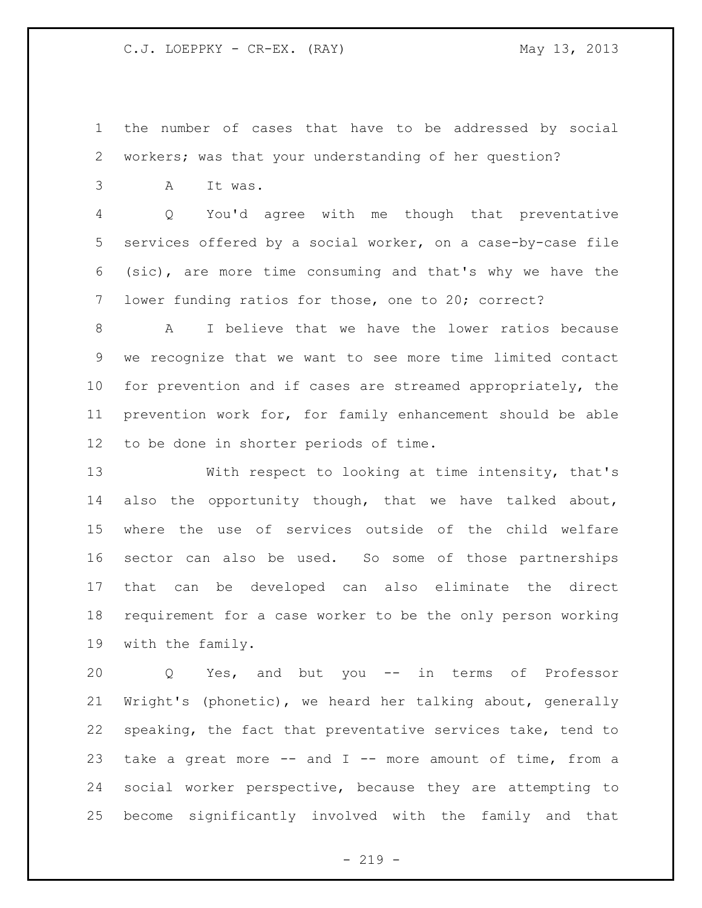the number of cases that have to be addressed by social workers; was that your understanding of her question?

A It was.

 Q You'd agree with me though that preventative services offered by a social worker, on a case-by-case file (sic), are more time consuming and that's why we have the lower funding ratios for those, one to 20; correct?

 A I believe that we have the lower ratios because we recognize that we want to see more time limited contact for prevention and if cases are streamed appropriately, the prevention work for, for family enhancement should be able to be done in shorter periods of time.

 With respect to looking at time intensity, that's also the opportunity though, that we have talked about, where the use of services outside of the child welfare sector can also be used. So some of those partnerships that can be developed can also eliminate the direct requirement for a case worker to be the only person working with the family.

 Q Yes, and but you -- in terms of Professor Wright's (phonetic), we heard her talking about, generally speaking, the fact that preventative services take, tend to take a great more -- and I -- more amount of time, from a social worker perspective, because they are attempting to become significantly involved with the family and that

 $-219 -$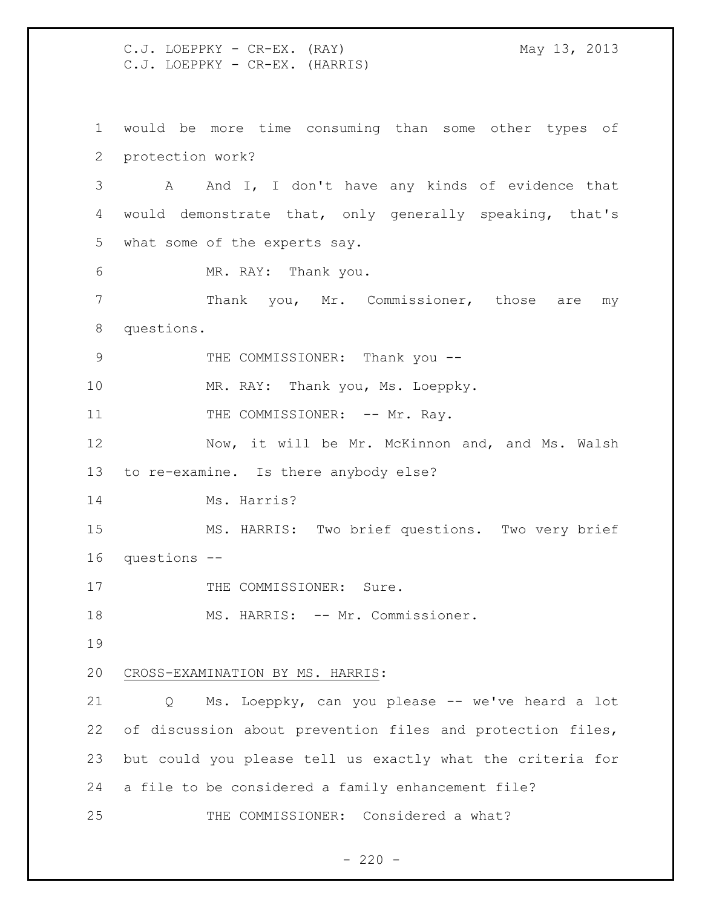C.J. LOEPPKY - CR-EX. (RAY) May 13, 2013 C.J. LOEPPKY - CR-EX. (HARRIS) would be more time consuming than some other types of protection work? A And I, I don't have any kinds of evidence that would demonstrate that, only generally speaking, that's what some of the experts say. MR. RAY: Thank you. Thank you, Mr. Commissioner, those are my questions. 9 THE COMMISSIONER: Thank you --10 MR. RAY: Thank you, Ms. Loeppky. 11 THE COMMISSIONER: -- Mr. Ray. 12 Now, it will be Mr. McKinnon and, and Ms. Walsh to re-examine. Is there anybody else? Ms. Harris? MS. HARRIS: Two brief questions. Two very brief questions -- 17 THE COMMISSIONER: Sure. 18 MS. HARRIS: -- Mr. Commissioner. CROSS-EXAMINATION BY MS. HARRIS: Q Ms. Loeppky, can you please -- we've heard a lot of discussion about prevention files and protection files, but could you please tell us exactly what the criteria for a file to be considered a family enhancement file? THE COMMISSIONER: Considered a what?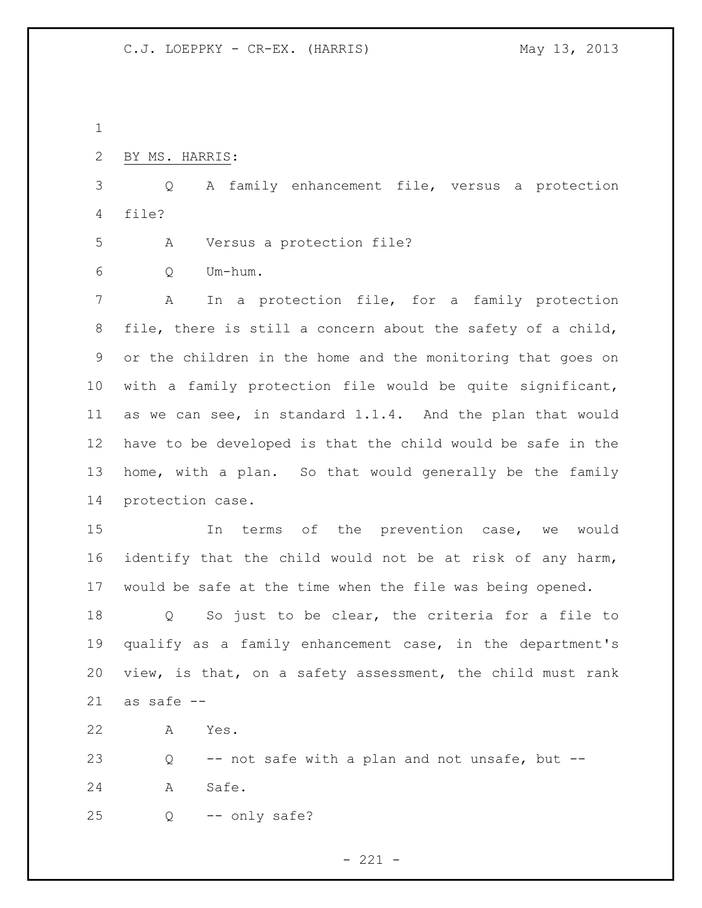| ٧ |
|---|
|   |
|   |

BY MS. HARRIS:

 Q A family enhancement file, versus a protection file?

A Versus a protection file?

Q Um-hum.

 A In a protection file, for a family protection file, there is still a concern about the safety of a child, or the children in the home and the monitoring that goes on with a family protection file would be quite significant, as we can see, in standard 1.1.4. And the plan that would have to be developed is that the child would be safe in the home, with a plan. So that would generally be the family protection case.

 In terms of the prevention case, we would identify that the child would not be at risk of any harm, would be safe at the time when the file was being opened.

 Q So just to be clear, the criteria for a file to qualify as a family enhancement case, in the department's view, is that, on a safety assessment, the child must rank as safe --

A Yes.

 Q -- not safe with a plan and not unsafe, but -- 24 A Safe.

Q -- only safe?

 $- 221 -$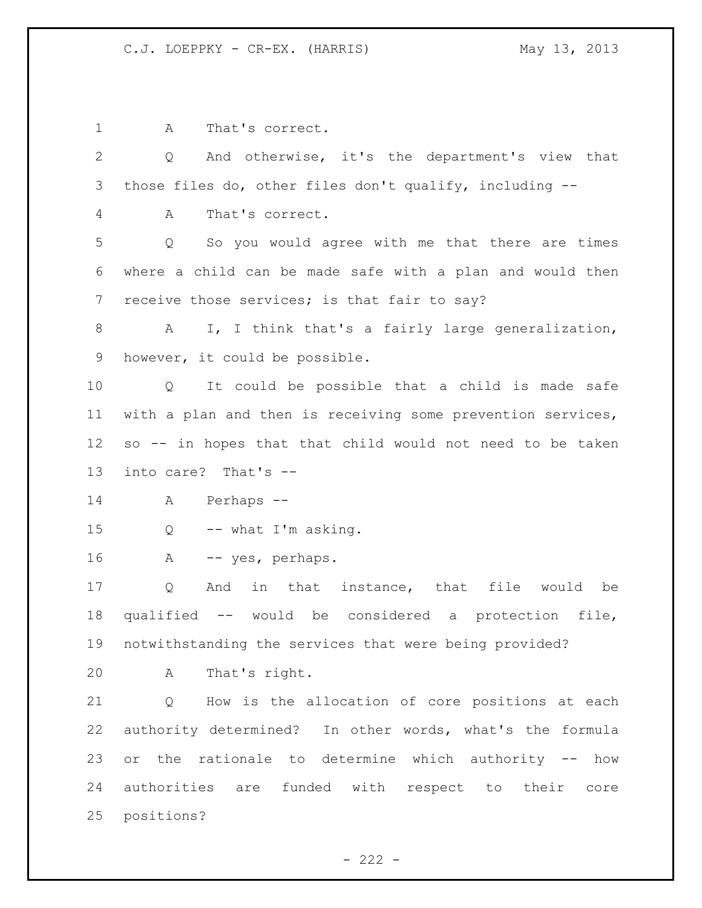A That's correct. Q And otherwise, it's the department's view that those files do, other files don't qualify, including -- A That's correct. Q So you would agree with me that there are times where a child can be made safe with a plan and would then 7 receive those services; is that fair to say? 8 A I, I think that's a fairly large generalization, however, it could be possible. Q It could be possible that a child is made safe with a plan and then is receiving some prevention services, so -- in hopes that that child would not need to be taken into care? That's -- A Perhaps -- Q -- what I'm asking. A -- yes, perhaps. Q And in that instance, that file would be qualified -- would be considered a protection file, notwithstanding the services that were being provided? A That's right. Q How is the allocation of core positions at each authority determined? In other words, what's the formula or the rationale to determine which authority -- how authorities are funded with respect to their core positions?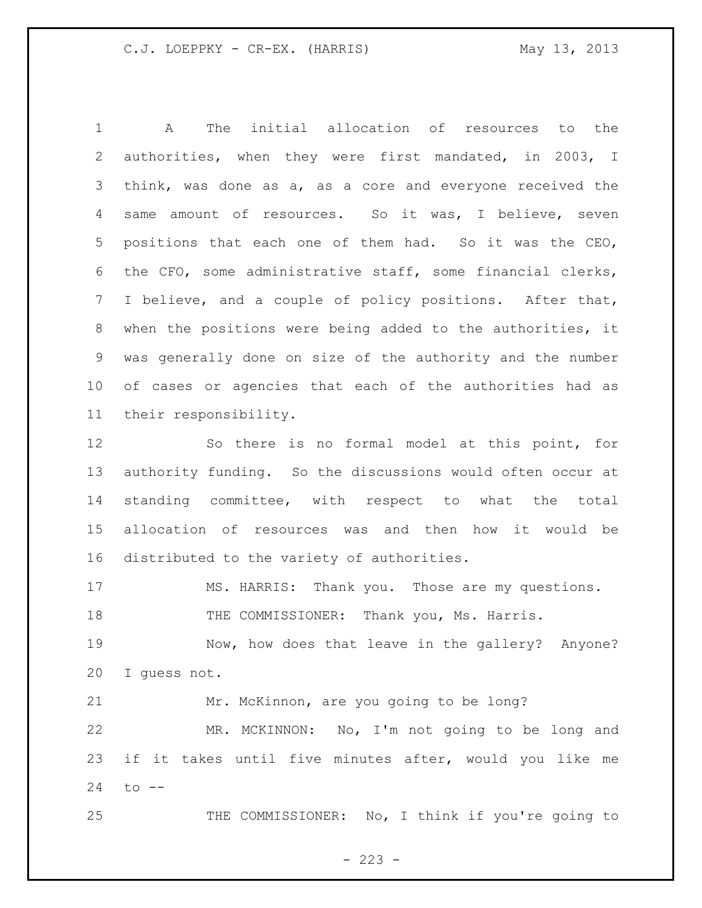A The initial allocation of resources to the authorities, when they were first mandated, in 2003, I think, was done as a, as a core and everyone received the same amount of resources. So it was, I believe, seven positions that each one of them had. So it was the CEO, the CFO, some administrative staff, some financial clerks, I believe, and a couple of policy positions. After that, when the positions were being added to the authorities, it was generally done on size of the authority and the number of cases or agencies that each of the authorities had as their responsibility.

 So there is no formal model at this point, for authority funding. So the discussions would often occur at standing committee, with respect to what the total allocation of resources was and then how it would be distributed to the variety of authorities.

MS. HARRIS: Thank you. Those are my questions.

18 THE COMMISSIONER: Thank you, Ms. Harris.

 Now, how does that leave in the gallery? Anyone? I guess not.

 Mr. McKinnon, are you going to be long? MR. MCKINNON: No, I'm not going to be long and if it takes until five minutes after, would you like me to --

THE COMMISSIONER: No, I think if you're going to

 $- 223 -$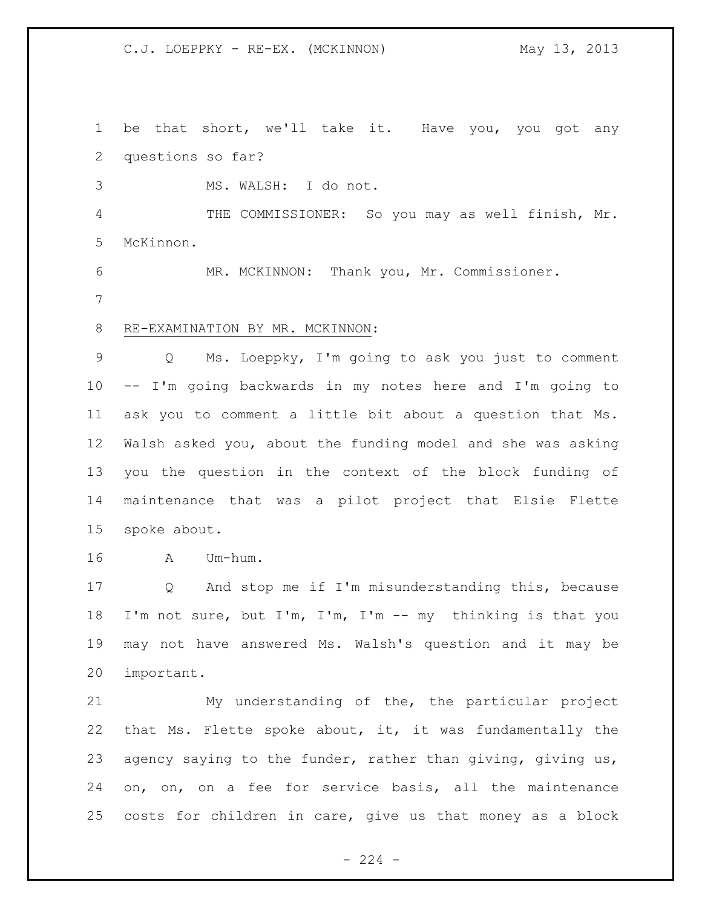C.J. LOEPPKY - RE-EX. (MCKINNON) May 13, 2013

 be that short, we'll take it. Have you, you got any questions so far? MS. WALSH: I do not. THE COMMISSIONER: So you may as well finish, Mr. McKinnon. MR. MCKINNON: Thank you, Mr. Commissioner. RE-EXAMINATION BY MR. MCKINNON: Q Ms. Loeppky, I'm going to ask you just to comment -- I'm going backwards in my notes here and I'm going to ask you to comment a little bit about a question that Ms. Walsh asked you, about the funding model and she was asking you the question in the context of the block funding of maintenance that was a pilot project that Elsie Flette spoke about. A Um-hum. Q And stop me if I'm misunderstanding this, because I'm not sure, but I'm, I'm, I'm -- my thinking is that you may not have answered Ms. Walsh's question and it may be important.

 My understanding of the, the particular project that Ms. Flette spoke about, it, it was fundamentally the 23 agency saying to the funder, rather than giving, giving us, on, on, on a fee for service basis, all the maintenance costs for children in care, give us that money as a block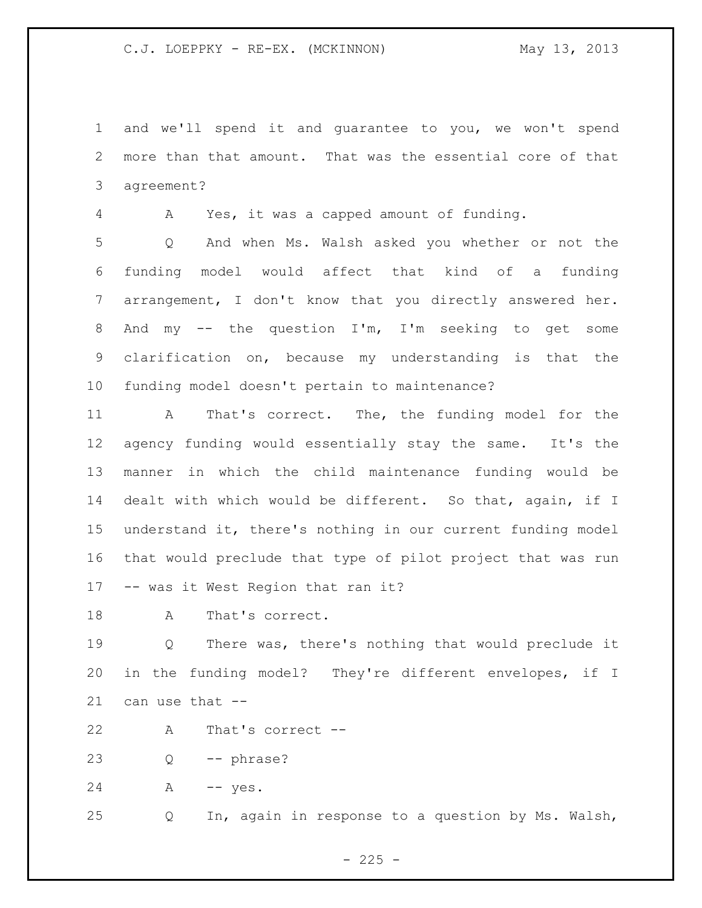C.J. LOEPPKY - RE-EX. (MCKINNON) May 13, 2013

 and we'll spend it and guarantee to you, we won't spend more than that amount. That was the essential core of that agreement?

A Yes, it was a capped amount of funding.

 Q And when Ms. Walsh asked you whether or not the funding model would affect that kind of a funding arrangement, I don't know that you directly answered her. And my -- the question I'm, I'm seeking to get some clarification on, because my understanding is that the funding model doesn't pertain to maintenance?

 A That's correct. The, the funding model for the agency funding would essentially stay the same. It's the manner in which the child maintenance funding would be dealt with which would be different. So that, again, if I understand it, there's nothing in our current funding model that would preclude that type of pilot project that was run -- was it West Region that ran it?

18 A That's correct.

 Q There was, there's nothing that would preclude it in the funding model? They're different envelopes, if I can use that --

A That's correct --

Q -- phrase?

24 A -- yes.

Q In, again in response to a question by Ms. Walsh,

 $- 225 -$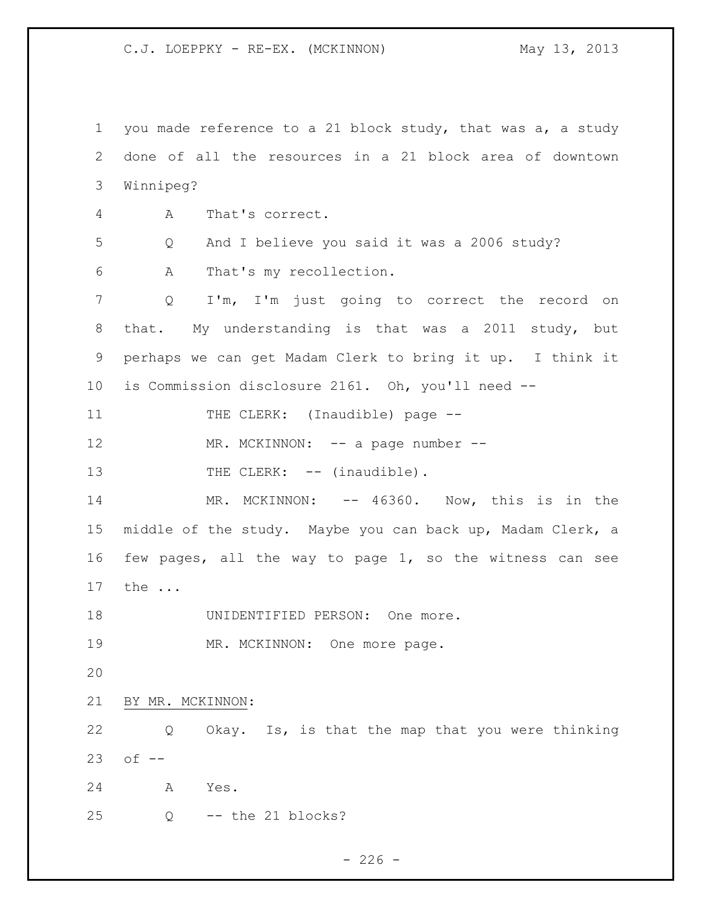C.J. LOEPPKY - RE-EX. (MCKINNON) May 13, 2013

 you made reference to a 21 block study, that was a, a study done of all the resources in a 21 block area of downtown Winnipeg? A That's correct. Q And I believe you said it was a 2006 study? A That's my recollection. Q I'm, I'm just going to correct the record on that. My understanding is that was a 2011 study, but perhaps we can get Madam Clerk to bring it up. I think it is Commission disclosure 2161. Oh, you'll need -- 11 THE CLERK: (Inaudible) page --12 MR. MCKINNON: -- a page number --13 THE CLERK: -- (inaudible). 14 MR. MCKINNON: -- 46360. Now, this is in the middle of the study. Maybe you can back up, Madam Clerk, a few pages, all the way to page 1, so the witness can see the ... 18 UNIDENTIFIED PERSON: One more. 19 MR. MCKINNON: One more page. BY MR. MCKINNON: Q Okay. Is, is that the map that you were thinking of -- A Yes. Q -- the 21 blocks?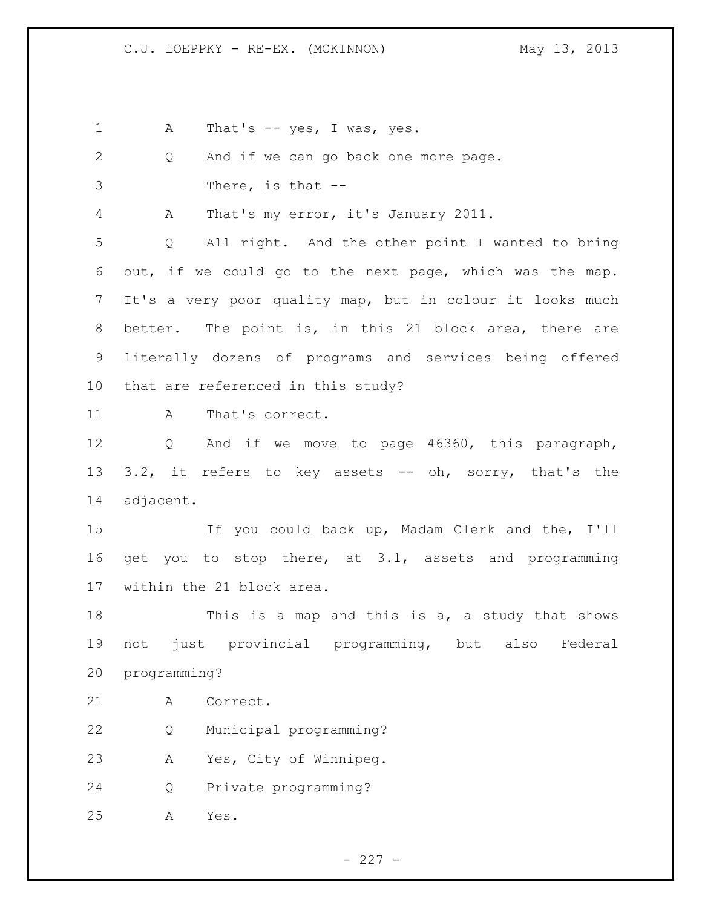1 A That's -- yes, I was, yes.

 Q And if we can go back one more page. There, is that -- A That's my error, it's January 2011. Q All right. And the other point I wanted to bring out, if we could go to the next page, which was the map. It's a very poor quality map, but in colour it looks much better. The point is, in this 21 block area, there are literally dozens of programs and services being offered that are referenced in this study? 11 A That's correct. Q And if we move to page 46360, this paragraph, 13 3.2, it refers to key assets -- oh, sorry, that's the adjacent. If you could back up, Madam Clerk and the, I'll get you to stop there, at 3.1, assets and programming within the 21 block area. This is a map and this is a, a study that shows not just provincial programming, but also Federal programming? A Correct. Q Municipal programming? A Yes, City of Winnipeg. Q Private programming? A Yes.

 $- 227 -$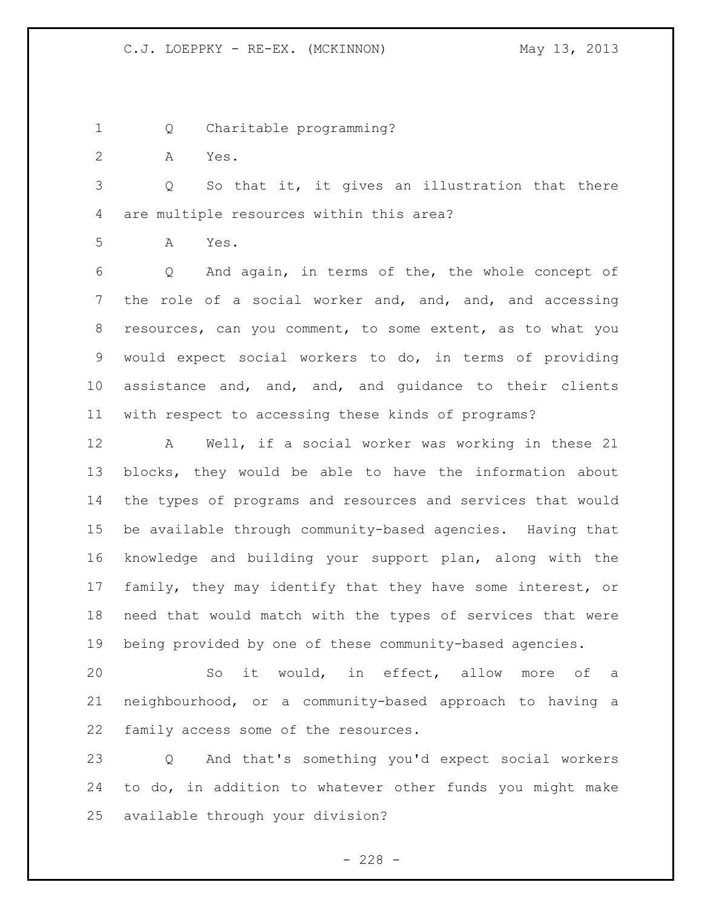- Q Charitable programming?
- A Yes.

 Q So that it, it gives an illustration that there are multiple resources within this area?

A Yes.

 Q And again, in terms of the, the whole concept of the role of a social worker and, and, and, and accessing resources, can you comment, to some extent, as to what you would expect social workers to do, in terms of providing assistance and, and, and, and guidance to their clients with respect to accessing these kinds of programs?

 A Well, if a social worker was working in these 21 blocks, they would be able to have the information about the types of programs and resources and services that would be available through community-based agencies. Having that knowledge and building your support plan, along with the family, they may identify that they have some interest, or need that would match with the types of services that were being provided by one of these community-based agencies.

 So it would, in effect, allow more of a neighbourhood, or a community-based approach to having a family access some of the resources.

 Q And that's something you'd expect social workers to do, in addition to whatever other funds you might make available through your division?

 $- 228 -$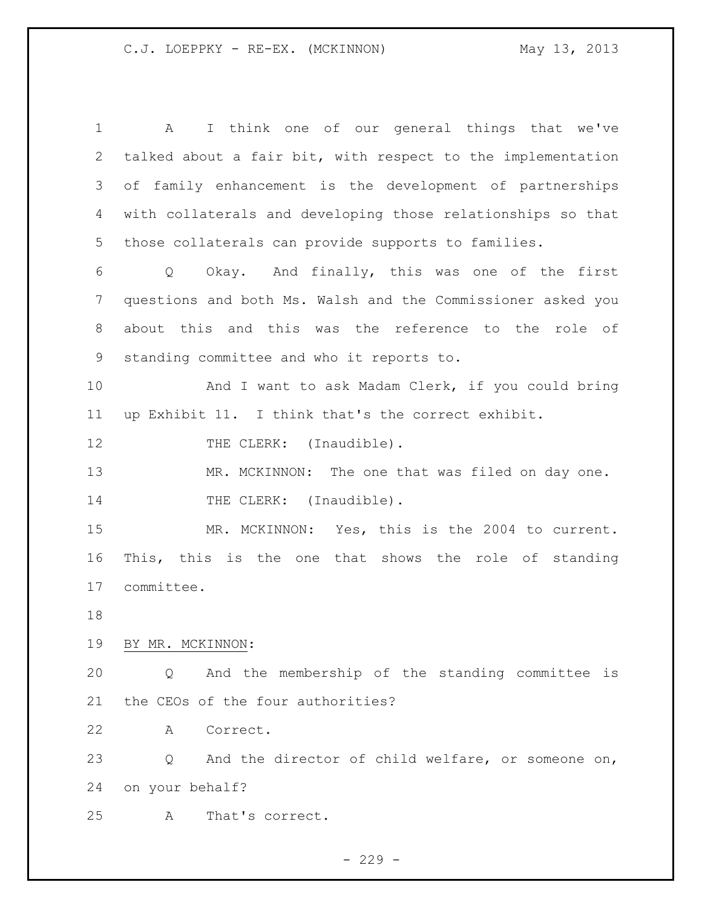A I think one of our general things that we've talked about a fair bit, with respect to the implementation of family enhancement is the development of partnerships with collaterals and developing those relationships so that those collaterals can provide supports to families. Q Okay. And finally, this was one of the first questions and both Ms. Walsh and the Commissioner asked you about this and this was the reference to the role of standing committee and who it reports to. 10 And I want to ask Madam Clerk, if you could bring up Exhibit 11. I think that's the correct exhibit. 12 THE CLERK: (Inaudible). 13 MR. MCKINNON: The one that was filed on day one. 14 THE CLERK: (Inaudible). MR. MCKINNON: Yes, this is the 2004 to current. This, this is the one that shows the role of standing committee. BY MR. MCKINNON: Q And the membership of the standing committee is the CEOs of the four authorities? A Correct. Q And the director of child welfare, or someone on, on your behalf? A That's correct.

 $-229 -$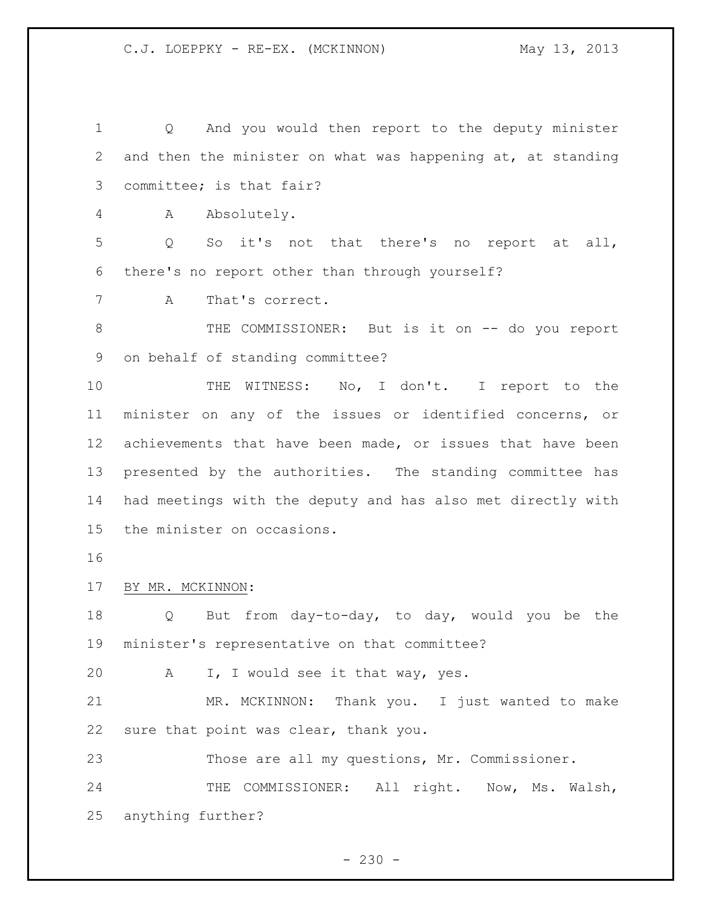Q And you would then report to the deputy minister and then the minister on what was happening at, at standing committee; is that fair? A Absolutely. Q So it's not that there's no report at all, there's no report other than through yourself? A That's correct. 8 THE COMMISSIONER: But is it on -- do you report on behalf of standing committee? 10 THE WITNESS: No, I don't. I report to the minister on any of the issues or identified concerns, or achievements that have been made, or issues that have been presented by the authorities. The standing committee has had meetings with the deputy and has also met directly with the minister on occasions. BY MR. MCKINNON: Q But from day-to-day, to day, would you be the minister's representative on that committee? A I, I would see it that way, yes. MR. MCKINNON: Thank you. I just wanted to make sure that point was clear, thank you. Those are all my questions, Mr. Commissioner. 24 THE COMMISSIONER: All right. Now, Ms. Walsh, anything further?

 $-230 -$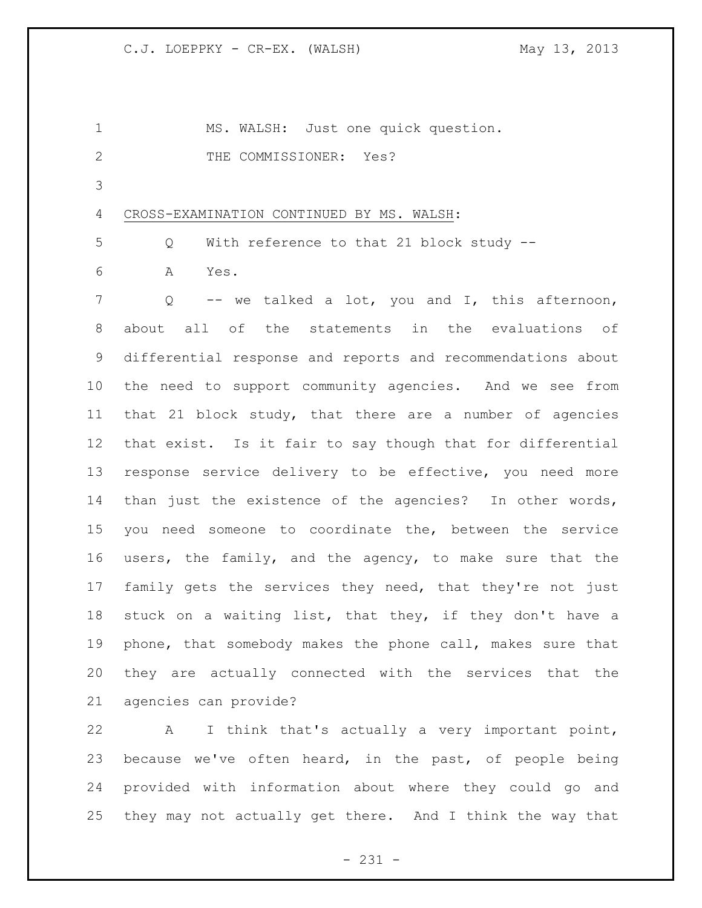| 1            | MS. WALSH: Just one quick question.                         |
|--------------|-------------------------------------------------------------|
| $\mathbf{2}$ | THE COMMISSIONER: Yes?                                      |
| 3            |                                                             |
| 4            | CROSS-EXAMINATION CONTINUED BY MS. WALSH:                   |
| 5            | With reference to that 21 block study --<br>Q               |
| 6            | Yes.<br>A                                                   |
| 7            | -- we talked a lot, you and I, this afternoon,<br>Q         |
| 8            | about all of the statements in the evaluations of           |
| 9            | differential response and reports and recommendations about |
| 10           | the need to support community agencies. And we see from     |
| 11           | that 21 block study, that there are a number of agencies    |
| 12           | that exist. Is it fair to say though that for differential  |
| 13           | response service delivery to be effective, you need more    |
| 14           | than just the existence of the agencies? In other words,    |
| 15           | you need someone to coordinate the, between the service     |
| 16           | users, the family, and the agency, to make sure that the    |
| 17           | family gets the services they need, that they're not just   |
| 18           | stuck on a waiting list, that they, if they don't have a    |
| 19           | phone, that somebody makes the phone call, makes sure that  |
| 20           | they are actually connected with the services that the      |
| 21           | agencies can provide?                                       |
| 22           | I think that's actually a very important point,<br>A        |
| 23           | because we've often heard, in the past, of people being     |

24 provided with information about where they could go and 25 they may not actually get there. And I think the way that

- 231 -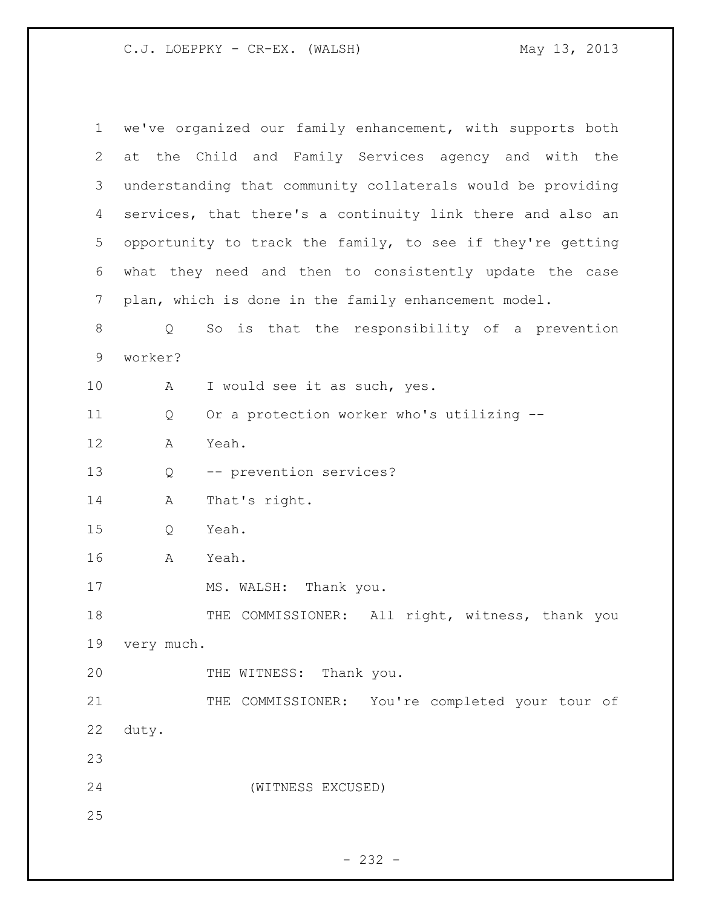C.J. LOEPPKY - CR-EX. (WALSH) May 13, 2013

| $\mathbf 1$    |            | we've organized our family enhancement, with supports both  |
|----------------|------------|-------------------------------------------------------------|
| $\overline{2}$ |            | at the Child and Family Services agency and with the        |
| 3              |            | understanding that community collaterals would be providing |
| 4              |            | services, that there's a continuity link there and also an  |
| 5              |            | opportunity to track the family, to see if they're getting  |
| 6              |            | what they need and then to consistently update the case     |
| 7              |            | plan, which is done in the family enhancement model.        |
| $8\,$          | Q          | So is that the responsibility of a prevention               |
| 9              | worker?    |                                                             |
| 10             | A          | I would see it as such, yes.                                |
| 11             | Q          | Or a protection worker who's utilizing --                   |
| 12             | Α          | Yeah.                                                       |
| 13             | Q          | -- prevention services?                                     |
| 14             | A          | That's right.                                               |
| 15             | Q          | Yeah.                                                       |
| 16             | Α          | Yeah.                                                       |
| 17             |            | MS. WALSH: Thank you.                                       |
| 18             |            | THE COMMISSIONER: All right, witness, thank you             |
| 19             | very much. |                                                             |
| 20             |            | THE WITNESS: Thank you.                                     |
| 21             |            | THE COMMISSIONER: You're completed your tour of             |
| 22             | duty.      |                                                             |
| 23             |            |                                                             |
| 24             |            | (WITNESS EXCUSED)                                           |
| 25             |            |                                                             |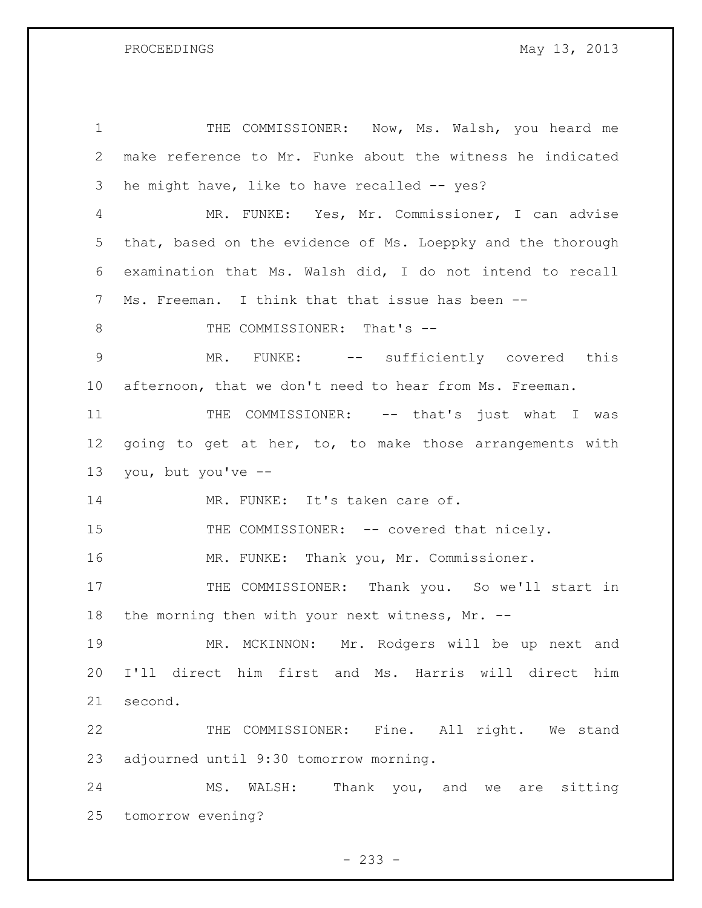PROCEEDINGS May 13, 2013

 THE COMMISSIONER: Now, Ms. Walsh, you heard me make reference to Mr. Funke about the witness he indicated he might have, like to have recalled -- yes? MR. FUNKE: Yes, Mr. Commissioner, I can advise that, based on the evidence of Ms. Loeppky and the thorough examination that Ms. Walsh did, I do not intend to recall Ms. Freeman. I think that that issue has been -- 8 THE COMMISSIONER: That's -- MR. FUNKE: -- sufficiently covered this afternoon, that we don't need to hear from Ms. Freeman. 11 THE COMMISSIONER: -- that's just what I was 12 going to get at her, to, to make those arrangements with you, but you've -- 14 MR. FUNKE: It's taken care of. 15 THE COMMISSIONER: -- covered that nicely. MR. FUNKE: Thank you, Mr. Commissioner. 17 THE COMMISSIONER: Thank you. So we'll start in 18 the morning then with your next witness, Mr. -- MR. MCKINNON: Mr. Rodgers will be up next and I'll direct him first and Ms. Harris will direct him second. THE COMMISSIONER: Fine. All right. We stand adjourned until 9:30 tomorrow morning. MS. WALSH: Thank you, and we are sitting tomorrow evening?

 $- 233 -$